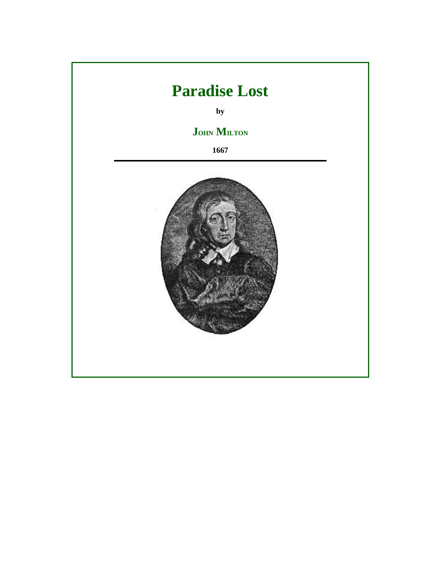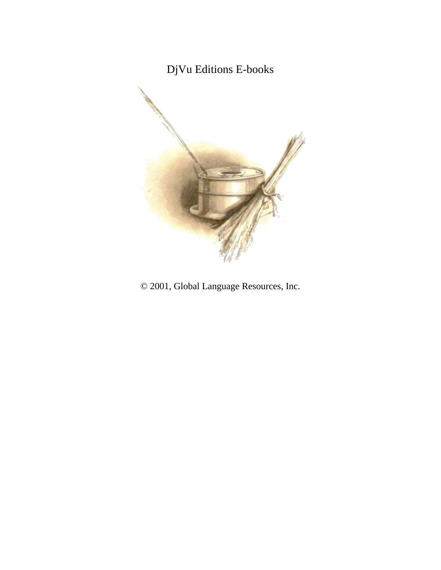# DjVu Editions E-books



© 2001, Global Language Resources, Inc.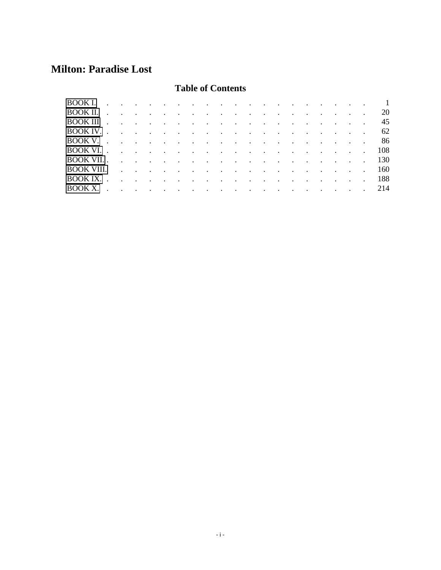## **Milton: Paradise Lost**

### **Table of Contents**

|                                                                                                                          |  |  |  |  |  |  |  |  |  | 20  |
|--------------------------------------------------------------------------------------------------------------------------|--|--|--|--|--|--|--|--|--|-----|
| $\overline{BOOK}$ III $\cdots$ $\cdots$ $\cdots$ $\cdots$ $\cdots$ $\cdots$ $\cdots$ $\cdots$ $\cdots$ $\cdots$          |  |  |  |  |  |  |  |  |  | 45  |
|                                                                                                                          |  |  |  |  |  |  |  |  |  | -62 |
|                                                                                                                          |  |  |  |  |  |  |  |  |  | -86 |
|                                                                                                                          |  |  |  |  |  |  |  |  |  | 108 |
|                                                                                                                          |  |  |  |  |  |  |  |  |  | 130 |
|                                                                                                                          |  |  |  |  |  |  |  |  |  | 160 |
| $\overline{BOOK}$ IX. $\cdots$ $\cdots$ $\cdots$ $\cdots$ $\cdots$ $\cdots$ $\cdots$ $\cdots$ $\cdots$ $\cdots$ $\cdots$ |  |  |  |  |  |  |  |  |  | 188 |
|                                                                                                                          |  |  |  |  |  |  |  |  |  | 214 |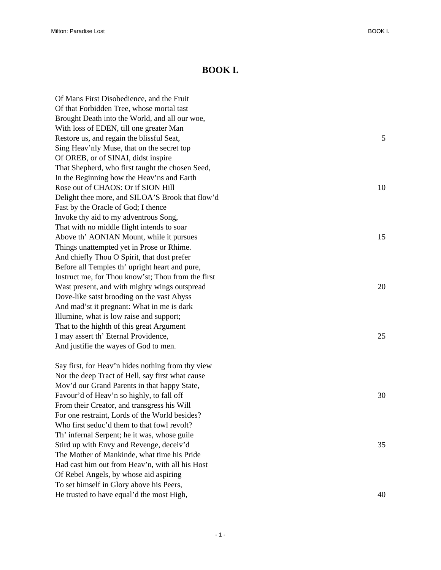#### **BOOK I.**

<span id="page-4-0"></span>

| Of Mans First Disobedience, and the Fruit          |    |
|----------------------------------------------------|----|
| Of that Forbidden Tree, whose mortal tast          |    |
| Brought Death into the World, and all our woe,     |    |
| With loss of EDEN, till one greater Man            |    |
| Restore us, and regain the blissful Seat,          | 5  |
| Sing Heav'nly Muse, that on the secret top         |    |
| Of OREB, or of SINAI, didst inspire                |    |
| That Shepherd, who first taught the chosen Seed,   |    |
| In the Beginning how the Heav'ns and Earth         |    |
| Rose out of CHAOS: Or if SION Hill                 | 10 |
| Delight thee more, and SILOA'S Brook that flow'd   |    |
| Fast by the Oracle of God; I thence                |    |
| Invoke thy aid to my adventrous Song,              |    |
| That with no middle flight intends to soar         |    |
| Above th' AONIAN Mount, while it pursues           | 15 |
| Things unattempted yet in Prose or Rhime.          |    |
| And chiefly Thou O Spirit, that dost prefer        |    |
| Before all Temples th' upright heart and pure,     |    |
| Instruct me, for Thou know'st; Thou from the first |    |
| Wast present, and with mighty wings outspread      | 20 |
| Dove-like satst brooding on the vast Abyss         |    |
| And mad'st it pregnant: What in me is dark         |    |
| Illumine, what is low raise and support;           |    |
| That to the highth of this great Argument          |    |
| I may assert th' Eternal Providence,               | 25 |
| And justifie the wayes of God to men.              |    |
| Say first, for Heav'n hides nothing from thy view  |    |
| Nor the deep Tract of Hell, say first what cause   |    |
| Mov'd our Grand Parents in that happy State,       |    |
| Favour'd of Heav'n so highly, to fall off          | 30 |
| From their Creator, and transgress his Will        |    |
| For one restraint, Lords of the World besides?     |    |
| Who first seduc'd them to that fowl revolt?        |    |
| Th' infernal Serpent; he it was, whose guile       |    |
| Stird up with Envy and Revenge, deceiv'd           | 35 |
| The Mother of Mankinde, what time his Pride        |    |
| Had cast him out from Heav'n, with all his Host    |    |
| Of Rebel Angels, by whose aid aspiring             |    |

He trusted to have equal'd the most High,  $40$ 

To set himself in Glory above his Peers,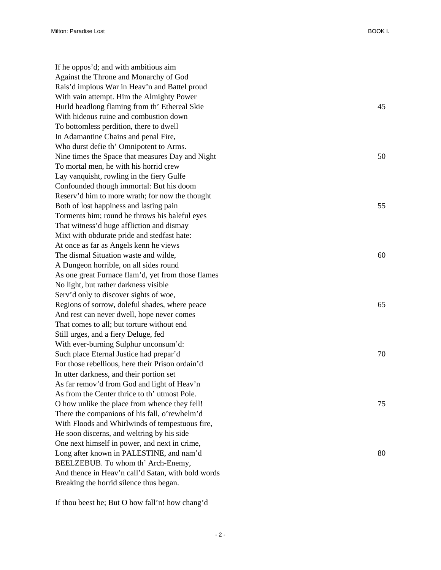If he oppos'd; and with ambitious aim Against the Throne and Monarchy of God Rais'd impious War in Heav'n and Battel proud With vain attempt. Him the Almighty Power Hurld headlong flaming from th' Ethereal Skie 45 With hideous ruine and combustion down To bottomless perdition, there to dwell In Adamantine Chains and penal Fire, Who durst defie th' Omnipotent to Arms. Nine times the Space that measures Day and Night 50 To mortal men, he with his horrid crew Lay vanquisht, rowling in the fiery Gulfe Confounded though immortal: But his doom Reserv'd him to more wrath; for now the thought Both of lost happiness and lasting pain 55 Torments him; round he throws his baleful eyes That witness'd huge affliction and dismay Mixt with obdurate pride and stedfast hate: At once as far as Angels kenn he views The dismal Situation waste and wilde, 60 A Dungeon horrible, on all sides round As one great Furnace flam'd, yet from those flames No light, but rather darkness visible Serv'd only to discover sights of woe, Regions of sorrow, doleful shades, where peace 65 And rest can never dwell, hope never comes That comes to all; but torture without end Still urges, and a fiery Deluge, fed With ever-burning Sulphur unconsum'd: Such place Eternal Justice had prepar'd 70 For those rebellious, here their Prison ordain'd In utter darkness, and their portion set As far remov'd from God and light of Heav'n As from the Center thrice to th' utmost Pole. O how unlike the place from whence they fell! 75 There the companions of his fall, o'rewhelm'd With Floods and Whirlwinds of tempestuous fire, He soon discerns, and weltring by his side One next himself in power, and next in crime, Long after known in PALESTINE, and nam'd 80 BEELZEBUB. To whom th' Arch-Enemy, And thence in Heav'n call'd Satan, with bold words Breaking the horrid silence thus began.

If thou beest he; But O how fall'n! how chang'd

 $-2 -$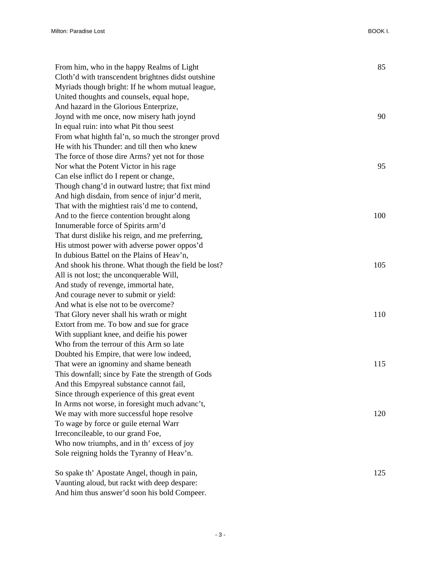| From him, who in the happy Realms of Light           | 85  |
|------------------------------------------------------|-----|
| Cloth'd with transcendent brightnes didst outshine   |     |
| Myriads though bright: If he whom mutual league,     |     |
| United thoughts and counsels, equal hope,            |     |
| And hazard in the Glorious Enterprize,               |     |
| Joynd with me once, now misery hath joynd            | 90  |
| In equal ruin: into what Pit thou seest              |     |
| From what highth fal'n, so much the stronger provd   |     |
| He with his Thunder: and till then who knew          |     |
| The force of those dire Arms? yet not for those      |     |
| Nor what the Potent Victor in his rage               | 95  |
| Can else inflict do I repent or change,              |     |
| Though chang'd in outward lustre; that fixt mind     |     |
| And high disdain, from sence of injur'd merit,       |     |
| That with the mightiest rais'd me to contend,        |     |
| And to the fierce contention brought along           | 100 |
| Innumerable force of Spirits arm'd                   |     |
| That durst dislike his reign, and me preferring,     |     |
| His utmost power with adverse power oppos'd          |     |
| In dubious Battel on the Plains of Heav'n,           |     |
| And shook his throne. What though the field be lost? | 105 |
| All is not lost; the unconquerable Will,             |     |
| And study of revenge, immortal hate,                 |     |
| And courage never to submit or yield:                |     |
| And what is else not to be overcome?                 |     |
| That Glory never shall his wrath or might            | 110 |
| Extort from me. To bow and sue for grace             |     |
| With suppliant knee, and deifie his power            |     |
| Who from the terrour of this Arm so late             |     |
| Doubted his Empire, that were low indeed,            |     |
| That were an ignominy and shame beneath              | 115 |
| This downfall; since by Fate the strength of Gods    |     |
| And this Empyreal substance cannot fail,             |     |
| Since through experience of this great event         |     |
| In Arms not worse, in foresight much advanc't,       |     |
| We may with more successful hope resolve             | 120 |
| To wage by force or guile eternal Warr               |     |
| Irreconcileable, to our grand Foe,                   |     |
| Who now triumphs, and in th' excess of joy           |     |
| Sole reigning holds the Tyranny of Heav'n.           |     |
|                                                      |     |
| So spake th' Apostate Angel, though in pain,         | 125 |
| Vaunting aloud, but rackt with deep despare:         |     |

And him thus answer'd soon his bold Compeer.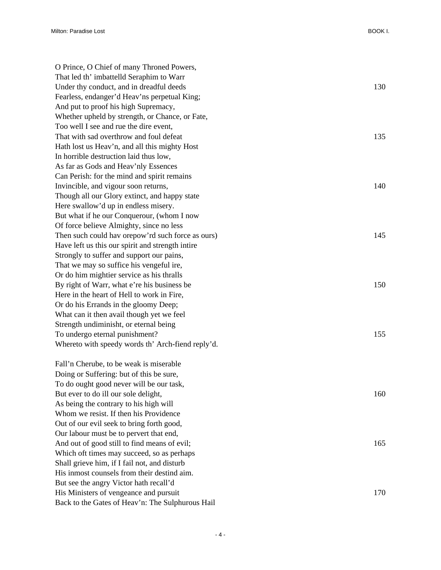| O Prince, O Chief of many Throned Powers,         |     |
|---------------------------------------------------|-----|
| That led th' imbattelld Seraphim to Warr          |     |
| Under thy conduct, and in dreadful deeds          | 130 |
| Fearless, endanger'd Heav'ns perpetual King;      |     |
| And put to proof his high Supremacy,              |     |
| Whether upheld by strength, or Chance, or Fate,   |     |
| Too well I see and rue the dire event,            |     |
| That with sad overthrow and foul defeat           | 135 |
| Hath lost us Heav'n, and all this mighty Host     |     |
| In horrible destruction laid thus low,            |     |
| As far as Gods and Heav'nly Essences              |     |
| Can Perish: for the mind and spirit remains       |     |
| Invincible, and vigour soon returns,              | 140 |
| Though all our Glory extinct, and happy state     |     |
| Here swallow'd up in endless misery.              |     |
| But what if he our Conquerour, (whom I now        |     |
| Of force believe Almighty, since no less          |     |
| Then such could hav orepow'rd such force as ours) | 145 |
| Have left us this our spirit and strength intire  |     |
| Strongly to suffer and support our pains,         |     |
| That we may so suffice his vengeful ire,          |     |
| Or do him mightier service as his thralls         |     |
| By right of Warr, what e're his business be       | 150 |
| Here in the heart of Hell to work in Fire,        |     |
| Or do his Errands in the gloomy Deep;             |     |
| What can it then avail though yet we feel         |     |
| Strength undiminisht, or eternal being            |     |
| To undergo eternal punishment?                    | 155 |
| Whereto with speedy words th' Arch-fiend reply'd. |     |
| Fall'n Cherube, to be weak is miserable           |     |
| Doing or Suffering: but of this be sure,          |     |
| To do ought good never will be our task,          |     |
| But ever to do ill our sole delight,              | 160 |
| As being the contrary to his high will            |     |
| Whom we resist. If then his Providence            |     |
| Out of our evil seek to bring forth good,         |     |
| Our labour must be to pervert that end,           |     |
| And out of good still to find means of evil;      | 165 |
| Which oft times may succeed, so as perhaps        |     |
| Shall grieve him, if I fail not, and disturb      |     |
| His inmost counsels from their destind aim.       |     |
| But see the angry Victor hath recall'd            |     |
| His Ministers of vengeance and pursuit            | 170 |
| Back to the Gates of Heav'n: The Sulphurous Hail  |     |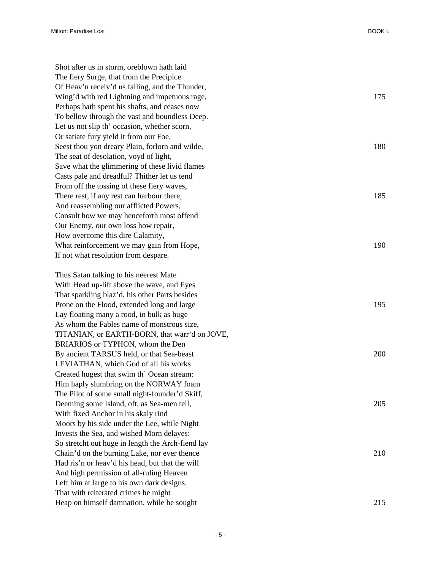Shot after us in storm, oreblown hath laid The fiery Surge, that from the Precipice Of Heav'n receiv'd us falling, and the Thunder, Wing'd with red Lightning and impetuous rage, 175 Perhaps hath spent his shafts, and ceases now To bellow through the vast and boundless Deep. Let us not slip th' occasion, whether scorn, Or satiate fury yield it from our Foe. Seest thou yon dreary Plain, forlorn and wilde, 180 The seat of desolation, voyd of light, Save what the glimmering of these livid flames Casts pale and dreadful? Thither let us tend From off the tossing of these fiery waves, There rest, if any rest can harbour there, 185 And reassembling our afflicted Powers, Consult how we may henceforth most offend Our Enemy, our own loss how repair, How overcome this dire Calamity, What reinforcement we may gain from Hope, 190 If not what resolution from despare. Thus Satan talking to his neerest Mate With Head up-lift above the wave, and Eyes

That sparkling blaz'd, his other Parts besides Prone on the Flood, extended long and large 195 Lay floating many a rood, in bulk as huge As whom the Fables name of monstrous size, TITANIAN, or EARTH-BORN, that warr'd on JOVE, BRIARIOS or TYPHON, whom the Den By ancient TARSUS held, or that Sea-beast 200 LEVIATHAN, which God of all his works Created hugest that swim th' Ocean stream: Him haply slumbring on the NORWAY foam The Pilot of some small night-founder'd Skiff, Deeming some Island, oft, as Sea-men tell, 205 With fixed Anchor in his skaly rind Moors by his side under the Lee, while Night Invests the Sea, and wished Morn delayes: So stretcht out huge in length the Arch-fiend lay Chain'd on the burning Lake, nor ever thence 210 Had ris'n or heav'd his head, but that the will And high permission of all-ruling Heaven Left him at large to his own dark designs, That with reiterated crimes he might Heap on himself damnation, while he sought 215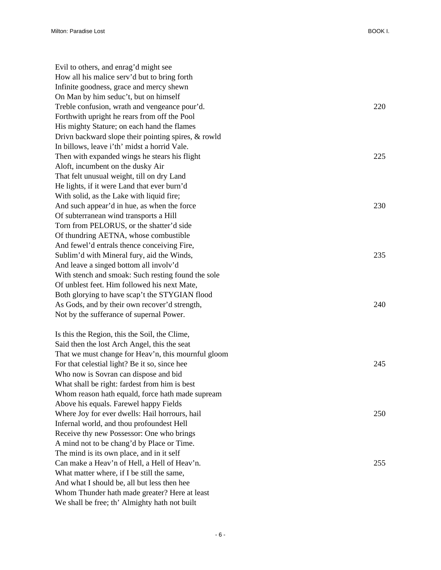| Evil to others, and enrag'd might see               |     |
|-----------------------------------------------------|-----|
| How all his malice serv'd but to bring forth        |     |
| Infinite goodness, grace and mercy shewn            |     |
| On Man by him seduc't, but on himself               |     |
| Treble confusion, wrath and vengeance pour'd.       | 220 |
| Forthwith upright he rears from off the Pool        |     |
| His mighty Stature; on each hand the flames         |     |
| Drivn backward slope their pointing spires, & rowld |     |
| In billows, leave i'th' midst a horrid Vale.        |     |
| Then with expanded wings he stears his flight       | 225 |
| Aloft, incumbent on the dusky Air                   |     |
| That felt unusual weight, till on dry Land          |     |
| He lights, if it were Land that ever burn'd         |     |
| With solid, as the Lake with liquid fire;           |     |
| And such appear'd in hue, as when the force         | 230 |
| Of subterranean wind transports a Hill              |     |
| Torn from PELORUS, or the shatter'd side            |     |
| Of thundring AETNA, whose combustible               |     |
| And fewel'd entrals thence conceiving Fire,         |     |
| Sublim'd with Mineral fury, aid the Winds,          | 235 |
| And leave a singed bottom all involv'd              |     |
| With stench and smoak: Such resting found the sole  |     |
| Of unblest feet. Him followed his next Mate,        |     |
| Both glorying to have scap't the STYGIAN flood      |     |
| As Gods, and by their own recover'd strength,       | 240 |
| Not by the sufferance of supernal Power.            |     |
| Is this the Region, this the Soil, the Clime,       |     |
| Said then the lost Arch Angel, this the seat        |     |
| That we must change for Heav'n, this mournful gloom |     |
| For that celestial light? Be it so, since hee       | 245 |
| Who now is Sovran can dispose and bid               |     |
| What shall be right: fardest from him is best       |     |
| Whom reason hath equald, force hath made supream    |     |
| Above his equals. Farewel happy Fields              |     |
| Where Joy for ever dwells: Hail horrours, hail      | 250 |
| Infernal world, and thou profoundest Hell           |     |
| Receive thy new Possessor: One who brings           |     |
| A mind not to be chang'd by Place or Time.          |     |
| The mind is its own place, and in it self           |     |
| Can make a Heav'n of Hell, a Hell of Heav'n.        | 255 |
| What matter where, if I be still the same,          |     |
| And what I should be, all but less then hee         |     |
| Whom Thunder hath made greater? Here at least       |     |
| We shall be free; th' Almighty hath not built       |     |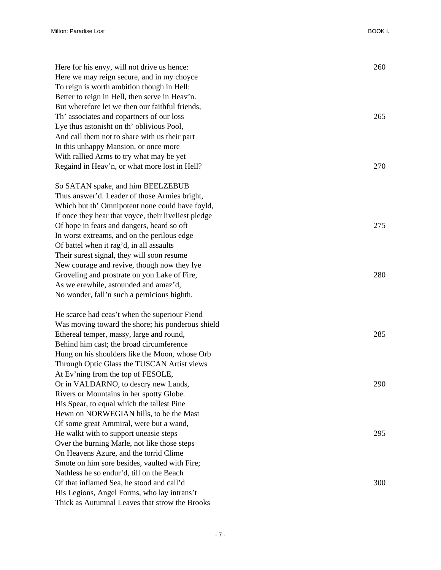| Here for his envy, will not drive us hence:          | 260 |
|------------------------------------------------------|-----|
| Here we may reign secure, and in my choyce           |     |
| To reign is worth ambition though in Hell:           |     |
| Better to reign in Hell, then serve in Heav'n.       |     |
| But wherefore let we then our faithful friends,      |     |
| Th' associates and copartners of our loss            | 265 |
| Lye thus astonisht on th' oblivious Pool,            |     |
| And call them not to share with us their part        |     |
| In this unhappy Mansion, or once more                |     |
| With rallied Arms to try what may be yet             |     |
| Regaind in Heav'n, or what more lost in Hell?        | 270 |
| So SATAN spake, and him BEELZEBUB                    |     |
| Thus answer'd. Leader of those Armies bright,        |     |
| Which but th' Omnipotent none could have foyld,      |     |
| If once they hear that voyce, their liveliest pledge |     |
| Of hope in fears and dangers, heard so oft           | 275 |
| In worst extreams, and on the perilous edge          |     |
| Of battel when it rag'd, in all assaults             |     |
| Their surest signal, they will soon resume           |     |
| New courage and revive, though now they lye          |     |
| Groveling and prostrate on yon Lake of Fire,         | 280 |
| As we erewhile, astounded and amaz'd,                |     |
| No wonder, fall'n such a pernicious highth.          |     |
| He scarce had ceas't when the superiour Fiend        |     |
| Was moving toward the shore; his ponderous shield    |     |
| Ethereal temper, massy, large and round,             | 285 |
| Behind him cast; the broad circumference             |     |
| Hung on his shoulders like the Moon, whose Orb       |     |
| Through Optic Glass the TUSCAN Artist views          |     |
| At Ev'ning from the top of FESOLE,                   |     |
| Or in VALDARNO, to descry new Lands,                 | 290 |
| Rivers or Mountains in her spotty Globe.             |     |
| His Spear, to equal which the tallest Pine           |     |
| Hewn on NORWEGIAN hills, to be the Mast              |     |
| Of some great Ammiral, were but a wand,              |     |
| He walkt with to support uneasie steps               | 295 |
| Over the burning Marle, not like those steps         |     |
| On Heavens Azure, and the torrid Clime               |     |
| Smote on him sore besides, vaulted with Fire;        |     |
| Nathless he so endur'd, till on the Beach            |     |
| Of that inflamed Sea, he stood and call'd            | 300 |
| His Legions, Angel Forms, who lay intrans't          |     |
| Thick as Autumnal Leaves that strow the Brooks       |     |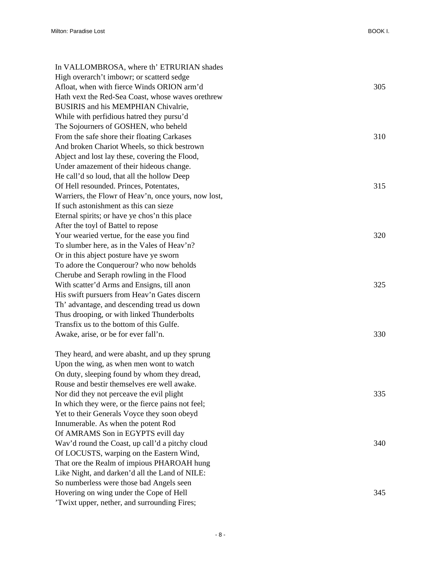In VALLOMBROSA, where th' ETRURIAN shades High overarch't imbowr; or scatterd sedge Afloat, when with fierce Winds ORION arm'd 305 Hath vext the Red-Sea Coast, whose waves orethrew BUSIRIS and his MEMPHIAN Chivalrie, While with perfidious hatred they pursu'd The Sojourners of GOSHEN, who beheld From the safe shore their floating Carkases 310 And broken Chariot Wheels, so thick bestrown Abject and lost lay these, covering the Flood, Under amazement of their hideous change. He call'd so loud, that all the hollow Deep Of Hell resounded. Princes, Potentates, 315 Warriers, the Flowr of Heav'n, once yours, now lost, If such astonishment as this can sieze Eternal spirits; or have ye chos'n this place After the toyl of Battel to repose Your wearied vertue, for the ease you find 320 To slumber here, as in the Vales of Heav'n? Or in this abject posture have ye sworn To adore the Conquerour? who now beholds Cherube and Seraph rowling in the Flood With scatter'd Arms and Ensigns, till anon 325 His swift pursuers from Heav'n Gates discern Th' advantage, and descending tread us down Thus drooping, or with linked Thunderbolts Transfix us to the bottom of this Gulfe. Awake, arise, or be for ever fall'n. 330 They heard, and were abasht, and up they sprung Upon the wing, as when men wont to watch On duty, sleeping found by whom they dread, Rouse and bestir themselves ere well awake. Nor did they not perceave the evil plight 335 In which they were, or the fierce pains not feel; Yet to their Generals Voyce they soon obeyd Innumerable. As when the potent Rod Of AMRAMS Son in EGYPTS evill day Wav'd round the Coast, up call'd a pitchy cloud 340 Of LOCUSTS, warping on the Eastern Wind, That ore the Realm of impious PHAROAH hung Like Night, and darken'd all the Land of NILE: So numberless were those bad Angels seen Hovering on wing under the Cope of Hell 345 'Twixt upper, nether, and surrounding Fires;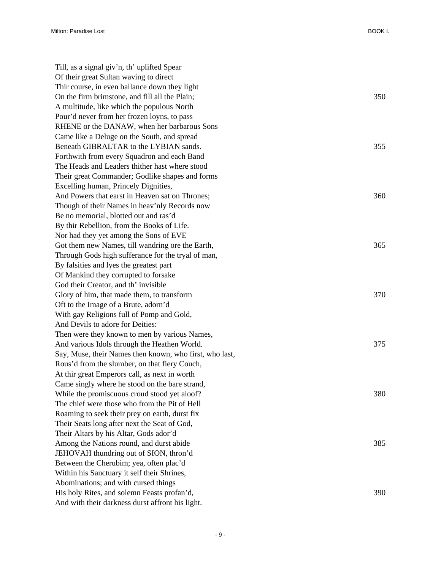| Till, as a signal giv'n, th' uplifted Spear             |     |
|---------------------------------------------------------|-----|
| Of their great Sultan waving to direct                  |     |
| Thir course, in even ballance down they light           |     |
| On the firm brimstone, and fill all the Plain;          | 350 |
| A multitude, like which the populous North              |     |
| Pour'd never from her frozen loyns, to pass             |     |
| RHENE or the DANAW, when her barbarous Sons             |     |
| Came like a Deluge on the South, and spread             |     |
| Beneath GIBRALTAR to the LYBIAN sands.                  | 355 |
| Forthwith from every Squadron and each Band             |     |
| The Heads and Leaders thither hast where stood          |     |
| Their great Commander; Godlike shapes and forms         |     |
| Excelling human, Princely Dignities,                    |     |
| And Powers that earst in Heaven sat on Thrones;         | 360 |
| Though of their Names in heav'nly Records now           |     |
| Be no memorial, blotted out and ras'd                   |     |
| By thir Rebellion, from the Books of Life.              |     |
| Nor had they yet among the Sons of EVE                  |     |
| Got them new Names, till wandring ore the Earth,        | 365 |
| Through Gods high sufferance for the tryal of man,      |     |
| By falsities and lyes the greatest part                 |     |
| Of Mankind they corrupted to forsake                    |     |
| God their Creator, and th' invisible                    |     |
| Glory of him, that made them, to transform              | 370 |
| Oft to the Image of a Brute, adorn'd                    |     |
| With gay Religions full of Pomp and Gold,               |     |
| And Devils to adore for Deities:                        |     |
| Then were they known to men by various Names,           |     |
| And various Idols through the Heathen World.            | 375 |
| Say, Muse, their Names then known, who first, who last, |     |
| Rous'd from the slumber, on that fiery Couch,           |     |
| At thir great Emperors call, as next in worth           |     |
| Came singly where he stood on the bare strand,          |     |
| While the promiscuous croud stood yet aloof?            | 380 |
| The chief were those who from the Pit of Hell           |     |
| Roaming to seek their prey on earth, durst fix          |     |
| Their Seats long after next the Seat of God,            |     |
| Their Altars by his Altar, Gods ador'd                  |     |
| Among the Nations round, and durst abide                | 385 |
| JEHOVAH thundring out of SION, thron'd                  |     |
| Between the Cherubim; yea, often plac'd                 |     |
| Within his Sanctuary it self their Shrines,             |     |
| Abominations; and with cursed things                    |     |
| His holy Rites, and solemn Feasts profan'd,             | 390 |
| And with their darkness durst affront his light.        |     |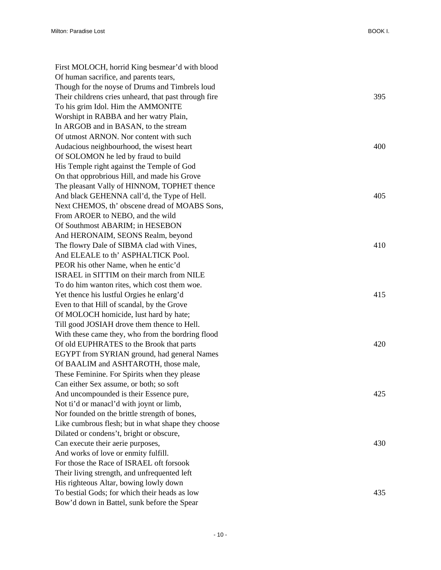| First MOLOCH, horrid King besmear'd with blood        |     |
|-------------------------------------------------------|-----|
| Of human sacrifice, and parents tears,                |     |
| Though for the noyse of Drums and Timbrels loud       |     |
| Their childrens cries unheard, that past through fire | 395 |
| To his grim Idol. Him the AMMONITE                    |     |
| Worshipt in RABBA and her watry Plain,                |     |
| In ARGOB and in BASAN, to the stream                  |     |
| Of utmost ARNON. Nor content with such                |     |
| Audacious neighbourhood, the wisest heart             | 400 |
| Of SOLOMON he led by fraud to build                   |     |
| His Temple right against the Temple of God            |     |
| On that opprobrious Hill, and made his Grove          |     |
| The pleasant Vally of HINNOM, TOPHET thence           |     |
| And black GEHENNA call'd, the Type of Hell.           | 405 |
| Next CHEMOS, th' obscene dread of MOABS Sons,         |     |
| From AROER to NEBO, and the wild                      |     |
| Of Southmost ABARIM; in HESEBON                       |     |
| And HERONAIM, SEONS Realm, beyond                     |     |
| The flowry Dale of SIBMA clad with Vines,             | 410 |
| And ELEALE to th' ASPHALTICK Pool.                    |     |
| PEOR his other Name, when he entic'd                  |     |
| ISRAEL in SITTIM on their march from NILE             |     |
| To do him wanton rites, which cost them woe.          |     |
| Yet thence his lustful Orgies he enlarg'd             | 415 |
| Even to that Hill of scandal, by the Grove            |     |
| Of MOLOCH homicide, lust hard by hate;                |     |
| Till good JOSIAH drove them thence to Hell.           |     |
| With these came they, who from the bordring flood     |     |
| Of old EUPHRATES to the Brook that parts              | 420 |
| EGYPT from SYRIAN ground, had general Names           |     |
| Of BAALIM and ASHTAROTH, those male,                  |     |
| These Feminine. For Spirits when they please          |     |
| Can either Sex assume, or both; so soft               |     |
| And uncompounded is their Essence pure,               | 425 |
| Not ti'd or manacl'd with joynt or limb,              |     |
| Nor founded on the brittle strength of bones,         |     |
| Like cumbrous flesh; but in what shape they choose    |     |
| Dilated or condens't, bright or obscure,              |     |
| Can execute their aerie purposes,                     | 430 |
| And works of love or enmity fulfill.                  |     |
| For those the Race of ISRAEL oft forsook              |     |
| Their living strength, and unfrequented left          |     |
| His righteous Altar, bowing lowly down                |     |
| To bestial Gods; for which their heads as low         | 435 |
| Bow'd down in Battel, sunk before the Spear           |     |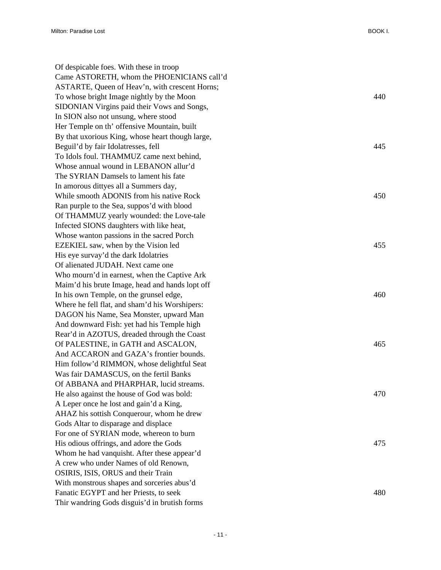| Of despicable foes. With these in troop          |     |
|--------------------------------------------------|-----|
| Came ASTORETH, whom the PHOENICIANS call'd       |     |
| ASTARTE, Queen of Heav'n, with crescent Horns;   |     |
| To whose bright Image nightly by the Moon        | 440 |
| SIDONIAN Virgins paid their Vows and Songs,      |     |
| In SION also not unsung, where stood             |     |
| Her Temple on th' offensive Mountain, built      |     |
| By that uxorious King, whose heart though large, |     |
| Beguil'd by fair Idolatresses, fell              | 445 |
| To Idols foul. THAMMUZ came next behind,         |     |
| Whose annual wound in LEBANON allur'd            |     |
| The SYRIAN Damsels to lament his fate            |     |
| In amorous dittyes all a Summers day,            |     |
| While smooth ADONIS from his native Rock         | 450 |
| Ran purple to the Sea, suppos'd with blood       |     |
| Of THAMMUZ yearly wounded: the Love-tale         |     |
| Infected SIONS daughters with like heat,         |     |
| Whose wanton passions in the sacred Porch        |     |
| EZEKIEL saw, when by the Vision led              | 455 |
| His eye survay'd the dark Idolatries             |     |
| Of alienated JUDAH. Next came one                |     |
| Who mourn'd in earnest, when the Captive Ark     |     |
| Maim'd his brute Image, head and hands lopt off  |     |
| In his own Temple, on the grunsel edge,          | 460 |
| Where he fell flat, and sham'd his Worshipers:   |     |
| DAGON his Name, Sea Monster, upward Man          |     |
| And downward Fish: yet had his Temple high       |     |
| Rear'd in AZOTUS, dreaded through the Coast      |     |
| Of PALESTINE, in GATH and ASCALON,               | 465 |
| And ACCARON and GAZA's frontier bounds.          |     |
| Him follow'd RIMMON, whose delightful Seat       |     |
| Was fair DAMASCUS, on the fertil Banks           |     |
| Of ABBANA and PHARPHAR, lucid streams.           |     |
| He also against the house of God was bold:       | 470 |
| A Leper once he lost and gain'd a King,          |     |
| AHAZ his sottish Conquerour, whom he drew        |     |
| Gods Altar to disparage and displace             |     |
| For one of SYRIAN mode, whereon to burn          |     |
| His odious offrings, and adore the Gods          | 475 |
| Whom he had vanquisht. After these appear'd      |     |
| A crew who under Names of old Renown,            |     |
| OSIRIS, ISIS, ORUS and their Train               |     |
| With monstrous shapes and sorceries abus'd       |     |
| Fanatic EGYPT and her Priests, to seek           | 480 |
| Thir wandring Gods disguis'd in brutish forms    |     |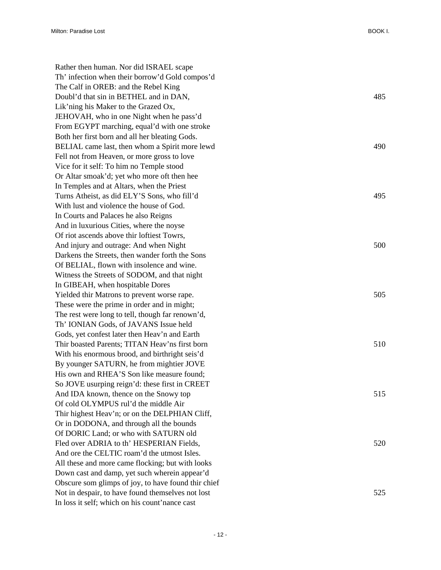Rather then human. Nor did ISRAEL scape Th' infection when their borrow'd Gold compos'd The Calf in OREB: and the Rebel King Doubl'd that sin in BETHEL and in DAN, 485 Lik'ning his Maker to the Grazed Ox, JEHOVAH, who in one Night when he pass'd From EGYPT marching, equal'd with one stroke Both her first born and all her bleating Gods. BELIAL came last, then whom a Spirit more lewd 490 Fell not from Heaven, or more gross to love Vice for it self: To him no Temple stood Or Altar smoak'd; yet who more oft then hee In Temples and at Altars, when the Priest Turns Atheist, as did ELY'S Sons, who fill'd 495 With lust and violence the house of God. In Courts and Palaces he also Reigns And in luxurious Cities, where the noyse Of riot ascends above thir loftiest Towrs, And injury and outrage: And when Night 500 Darkens the Streets, then wander forth the Sons Of BELIAL, flown with insolence and wine. Witness the Streets of SODOM, and that night In GIBEAH, when hospitable Dores Yielded thir Matrons to prevent worse rape. 505 These were the prime in order and in might; The rest were long to tell, though far renown'd, Th' IONIAN Gods, of JAVANS Issue held Gods, yet confest later then Heav'n and Earth Thir boasted Parents; TITAN Heav'ns first born 510 With his enormous brood, and birthright seis'd By younger SATURN, he from mightier JOVE His own and RHEA'S Son like measure found; So JOVE usurping reign'd: these first in CREET And IDA known, thence on the Snowy top 515 Of cold OLYMPUS rul'd the middle Air Thir highest Heav'n; or on the DELPHIAN Cliff, Or in DODONA, and through all the bounds Of DORIC Land; or who with SATURN old Fled over ADRIA to th' HESPERIAN Fields, 520 And ore the CELTIC roam'd the utmost Isles. All these and more came flocking; but with looks Down cast and damp, yet such wherein appear'd Obscure som glimps of joy, to have found thir chief Not in despair, to have found themselves not lost 525 In loss it self; which on his count'nance cast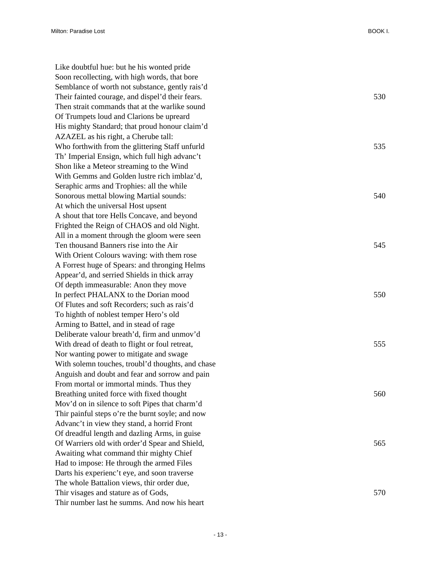Like doubtful hue: but he his wonted pride Soon recollecting, with high words, that bore Semblance of worth not substance, gently rais'd Their fainted courage, and dispel'd their fears. 530 Then strait commands that at the warlike sound Of Trumpets loud and Clarions be upreard His mighty Standard; that proud honour claim'd AZAZEL as his right, a Cherube tall: Who forthwith from the glittering Staff unfurld 535 Th' Imperial Ensign, which full high advanc't Shon like a Meteor streaming to the Wind With Gemms and Golden lustre rich imblaz'd, Seraphic arms and Trophies: all the while Sonorous mettal blowing Martial sounds: 540 At which the universal Host upsent A shout that tore Hells Concave, and beyond Frighted the Reign of CHAOS and old Night. All in a moment through the gloom were seen Ten thousand Banners rise into the Air 545 With Orient Colours waving: with them rose A Forrest huge of Spears: and thronging Helms Appear'd, and serried Shields in thick array Of depth immeasurable: Anon they move In perfect PHALANX to the Dorian mood 550 Of Flutes and soft Recorders; such as rais'd To highth of noblest temper Hero's old Arming to Battel, and in stead of rage Deliberate valour breath'd, firm and unmov'd With dread of death to flight or foul retreat, 555 Nor wanting power to mitigate and swage With solemn touches, troubl'd thoughts, and chase Anguish and doubt and fear and sorrow and pain From mortal or immortal minds. Thus they Breathing united force with fixed thought 560 Mov'd on in silence to soft Pipes that charm'd Thir painful steps o're the burnt soyle; and now Advanc't in view they stand, a horrid Front Of dreadful length and dazling Arms, in guise Of Warriers old with order'd Spear and Shield, 565 Awaiting what command thir mighty Chief Had to impose: He through the armed Files Darts his experienc't eye, and soon traverse The whole Battalion views, thir order due, Thir visages and stature as of Gods, 570 Thir number last he summs. And now his heart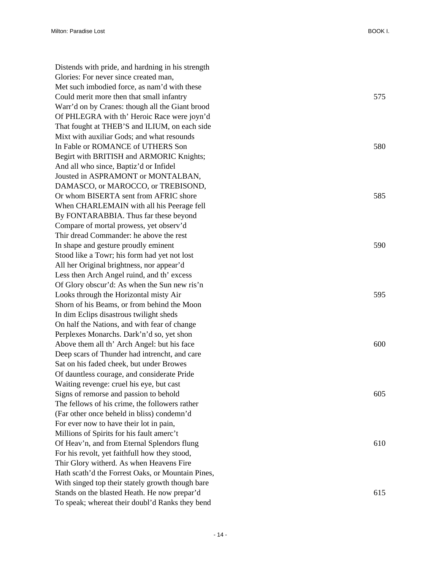Distends with pride, and hardning in his strength Glories: For never since created man, Met such imbodied force, as nam'd with these Could merit more then that small infantry 575 Warr'd on by Cranes: though all the Giant brood Of PHLEGRA with th' Heroic Race were joyn'd That fought at THEB'S and ILIUM, on each side Mixt with auxiliar Gods; and what resounds In Fable or ROMANCE of UTHERS Son 580 Begirt with BRITISH and ARMORIC Knights; And all who since, Baptiz'd or Infidel Jousted in ASPRAMONT or MONTALBAN, DAMASCO, or MAROCCO, or TREBISOND, Or whom BISERTA sent from AFRIC shore 585 When CHARLEMAIN with all his Peerage fell By FONTARABBIA. Thus far these beyond Compare of mortal prowess, yet observ'd Thir dread Commander: he above the rest In shape and gesture proudly eminent 590 Stood like a Towr; his form had yet not lost All her Original brightness, nor appear'd Less then Arch Angel ruind, and th' excess Of Glory obscur'd: As when the Sun new ris'n Looks through the Horizontal misty Air 595 Shorn of his Beams, or from behind the Moon In dim Eclips disastrous twilight sheds On half the Nations, and with fear of change Perplexes Monarchs. Dark'n'd so, yet shon Above them all th' Arch Angel: but his face 600 Deep scars of Thunder had intrencht, and care Sat on his faded cheek, but under Browes Of dauntless courage, and considerate Pride Waiting revenge: cruel his eye, but cast Signs of remorse and passion to behold 605 The fellows of his crime, the followers rather (Far other once beheld in bliss) condemn'd For ever now to have their lot in pain, Millions of Spirits for his fault amerc't Of Heav'n, and from Eternal Splendors flung 610 For his revolt, yet faithfull how they stood, Thir Glory witherd. As when Heavens Fire Hath scath'd the Forrest Oaks, or Mountain Pines, With singed top their stately growth though bare Stands on the blasted Heath. He now prepar'd 615 To speak; whereat their doubl'd Ranks they bend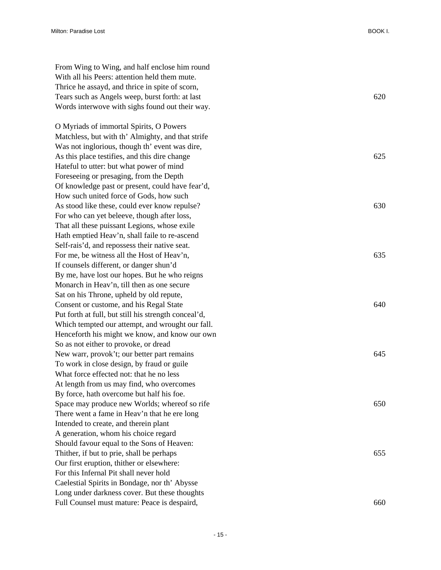From Wing to Wing, and half enclose him round With all his Peers: attention held them mute. Thrice he assayd, and thrice in spite of scorn, Tears such as Angels weep, burst forth: at last 620 Words interwove with sighs found out their way.

O Myriads of immortal Spirits, O Powers Matchless, but with th' Almighty, and that strife Was not inglorious, though th' event was dire, As this place testifies, and this dire change 625 Hateful to utter: but what power of mind Foreseeing or presaging, from the Depth Of knowledge past or present, could have fear'd, How such united force of Gods, how such As stood like these, could ever know repulse? 630 For who can yet beleeve, though after loss, That all these puissant Legions, whose exile Hath emptied Heav'n, shall faile to re-ascend Self-rais'd, and repossess their native seat. For me, be witness all the Host of Heav'n, 635 If counsels different, or danger shun'd By me, have lost our hopes. But he who reigns Monarch in Heav'n, till then as one secure Sat on his Throne, upheld by old repute, Consent or custome, and his Regal State 640 Put forth at full, but still his strength conceal'd, Which tempted our attempt, and wrought our fall. Henceforth his might we know, and know our own So as not either to provoke, or dread New warr, provok't; our better part remains 645 To work in close design, by fraud or guile What force effected not: that he no less At length from us may find, who overcomes By force, hath overcome but half his foe. Space may produce new Worlds; whereof so rife 650 There went a fame in Heav'n that he ere long Intended to create, and therein plant A generation, whom his choice regard Should favour equal to the Sons of Heaven: Thither, if but to prie, shall be perhaps 655 Our first eruption, thither or elsewhere: For this Infernal Pit shall never hold Caelestial Spirits in Bondage, nor th' Abysse Long under darkness cover. But these thoughts Full Counsel must mature: Peace is despaird, 660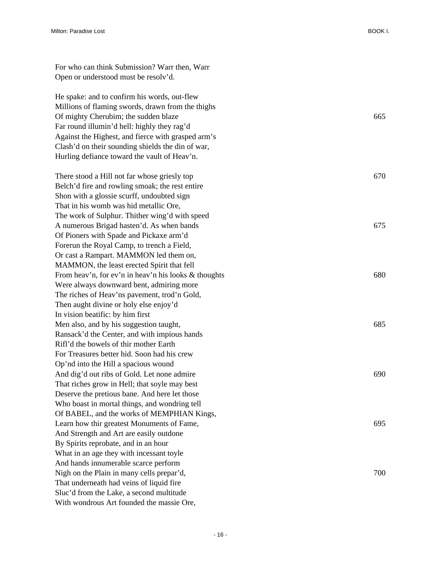| For who can think Submission? Warr then, Warr<br>Open or understood must be resolv'd. |     |
|---------------------------------------------------------------------------------------|-----|
| He spake: and to confirm his words, out-flew                                          |     |
| Millions of flaming swords, drawn from the thighs                                     |     |
| Of mighty Cherubim; the sudden blaze                                                  | 665 |
| Far round illumin'd hell: highly they rag'd                                           |     |
| Against the Highest, and fierce with grasped arm's                                    |     |
| Clash'd on their sounding shields the din of war,                                     |     |
| Hurling defiance toward the vault of Heav'n.                                          |     |
| There stood a Hill not far whose griesly top                                          | 670 |
| Belch'd fire and rowling smoak; the rest entire                                       |     |
| Shon with a glossie scurff, undoubted sign                                            |     |
| That in his womb was hid metallic Ore,                                                |     |
| The work of Sulphur. Thither wing'd with speed                                        |     |
| A numerous Brigad hasten'd. As when bands                                             | 675 |
| Of Pioners with Spade and Pickaxe arm'd                                               |     |
| Forerun the Royal Camp, to trench a Field,                                            |     |
| Or cast a Rampart. MAMMON led them on,                                                |     |
| MAMMON, the least erected Spirit that fell                                            |     |
| From heav'n, for ev'n in heav'n his looks & thoughts                                  | 680 |
| Were always downward bent, admiring more                                              |     |
| The riches of Heav'ns pavement, trod'n Gold,                                          |     |
| Then aught divine or holy else enjoy'd                                                |     |
| In vision beatific: by him first                                                      |     |
| Men also, and by his suggestion taught,                                               | 685 |
| Ransack'd the Center, and with impious hands                                          |     |
| Rifl'd the bowels of thir mother Earth                                                |     |
| For Treasures better hid. Soon had his crew                                           |     |
| Op'nd into the Hill a spacious wound                                                  |     |
| And dig'd out ribs of Gold. Let none admire                                           | 690 |
| That riches grow in Hell; that soyle may best                                         |     |
| Deserve the pretious bane. And here let those                                         |     |
| Who boast in mortal things, and wondring tell                                         |     |
| Of BABEL, and the works of MEMPHIAN Kings,                                            |     |
| Learn how thir greatest Monuments of Fame,                                            | 695 |
| And Strength and Art are easily outdone                                               |     |
| By Spirits reprobate, and in an hour                                                  |     |
| What in an age they with incessant toyle                                              |     |
| And hands innumerable scarce perform                                                  |     |
| Nigh on the Plain in many cells prepar'd,                                             | 700 |
| That underneath had veins of liquid fire                                              |     |
| Sluc'd from the Lake, a second multitude                                              |     |
| With wondrous Art founded the massie Ore,                                             |     |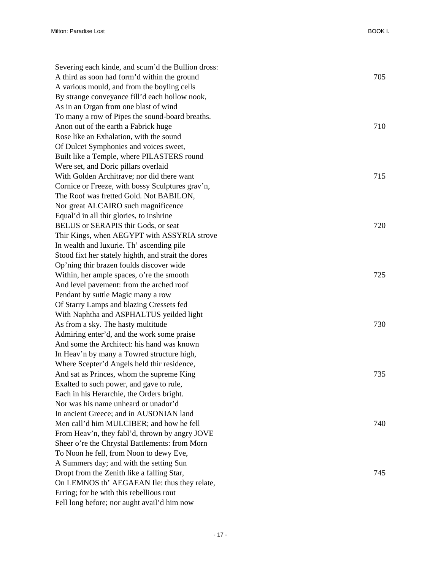| Severing each kinde, and scum'd the Bullion dross:  |     |
|-----------------------------------------------------|-----|
| A third as soon had form'd within the ground        | 705 |
| A various mould, and from the boyling cells         |     |
| By strange conveyance fill'd each hollow nook,      |     |
| As in an Organ from one blast of wind               |     |
| To many a row of Pipes the sound-board breaths.     |     |
| Anon out of the earth a Fabrick huge                | 710 |
| Rose like an Exhalation, with the sound             |     |
| Of Dulcet Symphonies and voices sweet,              |     |
| Built like a Temple, where PILASTERS round          |     |
| Were set, and Doric pillars overlaid                |     |
| With Golden Architrave; nor did there want          | 715 |
| Cornice or Freeze, with bossy Sculptures grav'n,    |     |
| The Roof was fretted Gold. Not BABILON,             |     |
| Nor great ALCAIRO such magnificence                 |     |
| Equal'd in all thir glories, to inshrine            |     |
| BELUS or SERAPIS thir Gods, or seat                 | 720 |
| Thir Kings, when AEGYPT with ASSYRIA strove         |     |
| In wealth and luxurie. Th' ascending pile           |     |
| Stood fixt her stately highth, and strait the dores |     |
| Op'ning thir brazen foulds discover wide            |     |
| Within, her ample spaces, o're the smooth           | 725 |
| And level pavement: from the arched roof            |     |
| Pendant by suttle Magic many a row                  |     |
| Of Starry Lamps and blazing Cressets fed            |     |
| With Naphtha and ASPHALTUS yeilded light            |     |
| As from a sky. The hasty multitude                  | 730 |
| Admiring enter'd, and the work some praise          |     |
| And some the Architect: his hand was known          |     |
| In Heav'n by many a Towred structure high,          |     |
| Where Scepter'd Angels held thir residence,         |     |
| And sat as Princes, whom the supreme King           | 735 |
| Exalted to such power, and gave to rule,            |     |
| Each in his Herarchie, the Orders bright.           |     |
| Nor was his name unheard or unador'd                |     |
| In ancient Greece; and in AUSONIAN land             |     |
| Men call'd him MULCIBER; and how he fell            | 740 |
| From Heav'n, they fabl'd, thrown by angry JOVE      |     |
| Sheer o're the Chrystal Battlements: from Morn      |     |
| To Noon he fell, from Noon to dewy Eve,             |     |
| A Summers day; and with the setting Sun             |     |
| Dropt from the Zenith like a falling Star,          | 745 |
| On LEMNOS th' AEGAEAN Ile: thus they relate,        |     |
| Erring; for he with this rebellious rout            |     |
| Fell long before; nor aught avail'd him now         |     |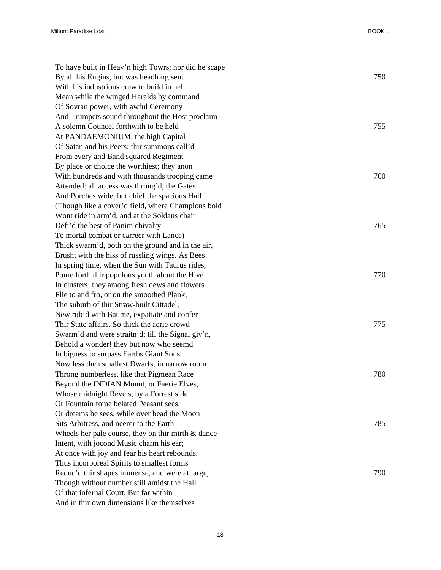| To have built in Heav'n high Towrs; nor did he scape  |     |
|-------------------------------------------------------|-----|
| By all his Engins, but was headlong sent              | 750 |
| With his industrious crew to build in hell.           |     |
| Mean while the winged Haralds by command              |     |
| Of Sovran power, with awful Ceremony                  |     |
| And Trumpets sound throughout the Host proclaim       |     |
| A solemn Councel forthwith to be held                 | 755 |
| At PANDAEMONIUM, the high Capital                     |     |
| Of Satan and his Peers: thir summons call'd           |     |
| From every and Band squared Regiment                  |     |
| By place or choice the worthiest; they anon           |     |
| With hundreds and with thousands trooping came        | 760 |
| Attended: all access was throng'd, the Gates          |     |
| And Porches wide, but chief the spacious Hall         |     |
| (Though like a cover'd field, where Champions bold    |     |
| Wont ride in arm'd, and at the Soldans chair          |     |
| Defi'd the best of Panim chivalry                     | 765 |
| To mortal combat or carreer with Lance)               |     |
| Thick swarm'd, both on the ground and in the air,     |     |
| Brusht with the hiss of russling wings. As Bees       |     |
| In spring time, when the Sun with Taurus rides,       |     |
| Poure forth thir populous youth about the Hive        | 770 |
| In clusters; they among fresh dews and flowers        |     |
| Flie to and fro, or on the smoothed Plank,            |     |
| The suburb of thir Straw-built Cittadel,              |     |
| New rub'd with Baume, expatiate and confer            |     |
| Thir State affairs. So thick the aerie crowd          | 775 |
| Swarm'd and were straitn'd; till the Signal giv'n,    |     |
| Behold a wonder! they but now who seemd               |     |
| In bigness to surpass Earths Giant Sons               |     |
| Now less then smallest Dwarfs, in narrow room         |     |
| Throng numberless, like that Pigmean Race             | 780 |
| Beyond the INDIAN Mount, or Faerie Elves,             |     |
| Whose midnight Revels, by a Forrest side              |     |
| Or Fountain fome belated Peasant sees,                |     |
| Or dreams he sees, while over head the Moon           |     |
| Sits Arbitress, and neerer to the Earth               | 785 |
| Wheels her pale course, they on thir mirth $\&$ dance |     |
| Intent, with jocond Music charm his ear;              |     |
| At once with joy and fear his heart rebounds.         |     |
| Thus incorporeal Spirits to smallest forms            |     |
| Reduc'd thir shapes immense, and were at large,       | 790 |
| Though without number still amidst the Hall           |     |
| Of that infernal Court. But far within                |     |
| And in thir own dimensions like themselves            |     |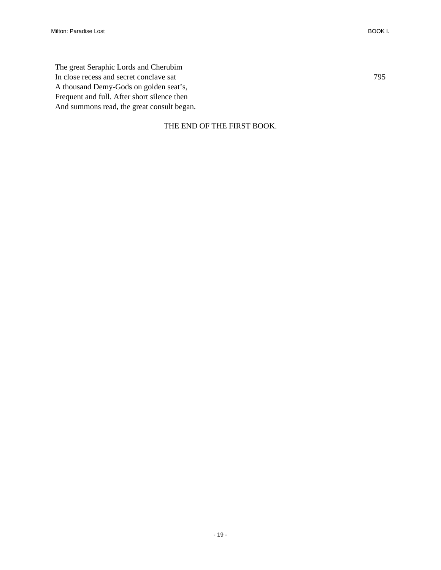#### THE END OF THE FIRST BOOK.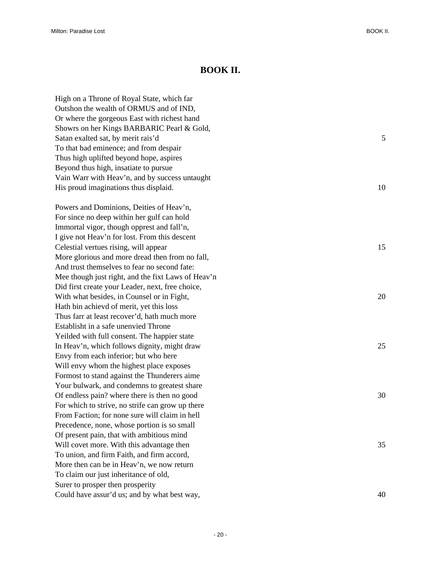#### **BOOK II.**

<span id="page-23-0"></span>

| High on a Throne of Royal State, which far         |    |
|----------------------------------------------------|----|
| Outshon the wealth of ORMUS and of IND,            |    |
| Or where the gorgeous East with richest hand       |    |
| Showrs on her Kings BARBARIC Pearl & Gold,         |    |
| Satan exalted sat, by merit rais'd                 | 5  |
| To that bad eminence; and from despair             |    |
| Thus high uplifted beyond hope, aspires            |    |
| Beyond thus high, insatiate to pursue              |    |
| Vain Warr with Heav'n, and by success untaught     |    |
| His proud imaginations thus displaid.              | 10 |
| Powers and Dominions, Deities of Heav'n,           |    |
| For since no deep within her gulf can hold         |    |
| Immortal vigor, though opprest and fall'n,         |    |
| I give not Heav'n for lost. From this descent      |    |
| Celestial vertues rising, will appear              | 15 |
| More glorious and more dread then from no fall,    |    |
| And trust themselves to fear no second fate:       |    |
| Mee though just right, and the fixt Laws of Heav'n |    |
| Did first create your Leader, next, free choice,   |    |
| With what besides, in Counsel or in Fight,         | 20 |
| Hath bin achievd of merit, yet this loss           |    |
| Thus farr at least recover'd, hath much more       |    |
| Establisht in a safe unenvied Throne               |    |
| Yeilded with full consent. The happier state       |    |
| In Heav'n, which follows dignity, might draw       | 25 |
| Envy from each inferior; but who here              |    |
| Will envy whom the highest place exposes           |    |
| Formost to stand against the Thunderers aime       |    |
| Your bulwark, and condemns to greatest share       |    |
| Of endless pain? where there is then no good       | 30 |
| For which to strive, no strife can grow up there   |    |
| From Faction; for none sure will claim in hell     |    |
| Precedence, none, whose portion is so small        |    |
| Of present pain, that with ambitious mind          |    |
| Will covet more. With this advantage then          | 35 |
| To union, and firm Faith, and firm accord,         |    |
| More then can be in Heav'n, we now return          |    |
| To claim our just inheritance of old,              |    |
| Surer to prosper then prosperity                   |    |
| Could have assur'd us; and by what best way,       | 40 |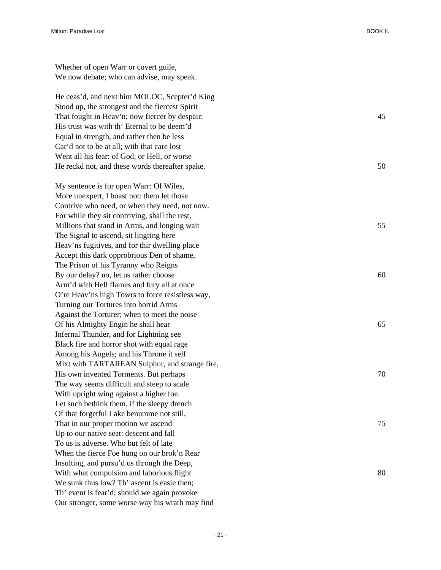Whether of open Warr or covert guile, We now debate; who can advise, may speak.

He ceas'd, and next him MOLOC, Scepter'd King Stood up, the strongest and the fiercest Spirit That fought in Heav'n; now fiercer by despair: 45 His trust was with th' Eternal to be deem'd Equal in strength, and rather then be less Car'd not to be at all; with that care lost Went all his fear: of God, or Hell, or worse He reckd not, and these words thereafter spake. 50

My sentence is for open Warr: Of Wiles, More unexpert, I boast not: them let those Contrive who need, or when they need, not now. For while they sit contriving, shall the rest, Millions that stand in Arms, and longing wait 55 The Signal to ascend, sit lingring here Heav'ns fugitives, and for thir dwelling place Accept this dark opprobrious Den of shame, The Prison of his Tyranny who Reigns By our delay? no, let us rather choose 60 Arm'd with Hell flames and fury all at once O're Heav'ns high Towrs to force resistless way, Turning our Tortures into horrid Arms Against the Torturer; when to meet the noise Of his Almighty Engin he shall hear 65 Infernal Thunder, and for Lightning see Black fire and horror shot with equal rage Among his Angels; and his Throne it self Mixt with TARTAREAN Sulphur, and strange fire, His own invented Torments. But perhaps 70 The way seems difficult and steep to scale With upright wing against a higher foe. Let such bethink them, if the sleepy drench Of that forgetful Lake benumme not still, That in our proper motion we ascend 75 Up to our native seat: descent and fall To us is adverse. Who but felt of late When the fierce Foe hung on our brok'n Rear Insulting, and pursu'd us through the Deep, With what compulsion and laborious flight 80 We sunk thus low? Th' ascent is easie then; Th' event is fear'd; should we again provoke Our stronger, some worse way his wrath may find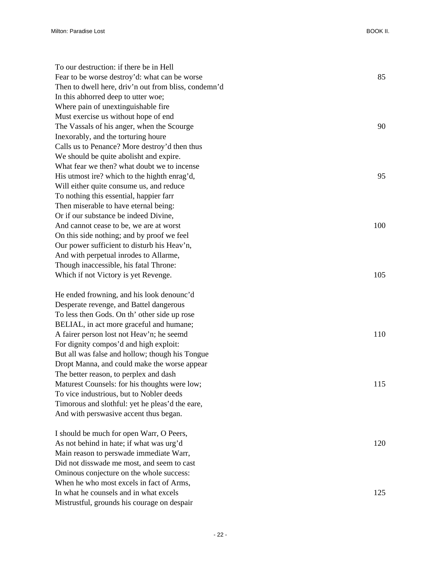| To our destruction: if there be in Hell<br>Fear to be worse destroy'd: what can be worse | 85  |
|------------------------------------------------------------------------------------------|-----|
| Then to dwell here, driv'n out from bliss, condemn'd                                     |     |
| In this abhorred deep to utter woe;                                                      |     |
| Where pain of unextinguishable fire                                                      |     |
|                                                                                          |     |
| Must exercise us without hope of end                                                     |     |
| The Vassals of his anger, when the Scourge                                               | 90  |
| Inexorably, and the torturing houre                                                      |     |
| Calls us to Penance? More destroy'd then thus                                            |     |
| We should be quite abolisht and expire.                                                  |     |
| What fear we then? what doubt we to incense                                              |     |
| His utmost ire? which to the highth enrag'd,                                             | 95  |
| Will either quite consume us, and reduce                                                 |     |
| To nothing this essential, happier farr                                                  |     |
| Then miserable to have eternal being:                                                    |     |
| Or if our substance be indeed Divine,                                                    |     |
| And cannot cease to be, we are at worst                                                  | 100 |
| On this side nothing; and by proof we feel                                               |     |
| Our power sufficient to disturb his Heav'n,                                              |     |
| And with perpetual inrodes to Allarme,                                                   |     |
| Though inaccessible, his fatal Throne:                                                   |     |
| Which if not Victory is yet Revenge.                                                     | 105 |
| He ended frowning, and his look denounc'd                                                |     |
| Desperate revenge, and Battel dangerous                                                  |     |
| To less then Gods. On th' other side up rose                                             |     |
| BELIAL, in act more graceful and humane;                                                 |     |
| A fairer person lost not Heav'n; he seemd                                                | 110 |
| For dignity compos'd and high exploit:                                                   |     |
| But all was false and hollow; though his Tongue                                          |     |
| Dropt Manna, and could make the worse appear                                             |     |
| The better reason, to perplex and dash                                                   |     |
| Maturest Counsels: for his thoughts were low;                                            | 115 |
| To vice industrious, but to Nobler deeds                                                 |     |
| Timorous and slothful: yet he pleas'd the eare,                                          |     |
| And with perswasive accent thus began.                                                   |     |
| I should be much for open Warr, O Peers,                                                 |     |
| As not behind in hate; if what was urg'd                                                 | 120 |
| Main reason to perswade immediate Warr,                                                  |     |
| Did not disswade me most, and seem to cast                                               |     |
| Ominous conjecture on the whole success:                                                 |     |
| When he who most excels in fact of Arms,                                                 |     |
| In what he counsels and in what excels                                                   | 125 |
| Mistrustful, grounds his courage on despair                                              |     |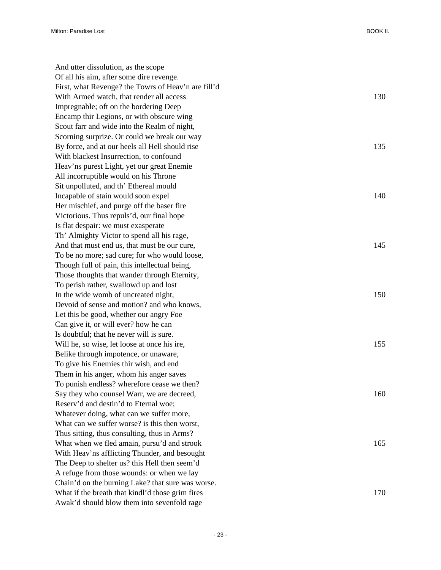And utter dissolution, as the scope Of all his aim, after some dire revenge. First, what Revenge? the Towrs of Heav'n are fill'd With Armed watch, that render all access 130 Impregnable; oft on the bordering Deep Encamp thir Legions, or with obscure wing Scout farr and wide into the Realm of night, Scorning surprize. Or could we break our way By force, and at our heels all Hell should rise 135 With blackest Insurrection, to confound Heav'ns purest Light, yet our great Enemie All incorruptible would on his Throne Sit unpolluted, and th' Ethereal mould Incapable of stain would soon expel 140 Her mischief, and purge off the baser fire Victorious. Thus repuls'd, our final hope Is flat despair: we must exasperate Th' Almighty Victor to spend all his rage, And that must end us, that must be our cure, 145 To be no more; sad cure; for who would loose, Though full of pain, this intellectual being, Those thoughts that wander through Eternity, To perish rather, swallowd up and lost In the wide womb of uncreated night, 150 Devoid of sense and motion? and who knows, Let this be good, whether our angry Foe Can give it, or will ever? how he can Is doubtful; that he never will is sure. Will he, so wise, let loose at once his ire, 155 Belike through impotence, or unaware, To give his Enemies thir wish, and end Them in his anger, whom his anger saves To punish endless? wherefore cease we then? Say they who counsel Warr, we are decreed, 160 Reserv'd and destin'd to Eternal woe; Whatever doing, what can we suffer more, What can we suffer worse? is this then worst, Thus sitting, thus consulting, thus in Arms? What when we fled amain, pursu'd and strook 165 With Heav'ns afflicting Thunder, and besought The Deep to shelter us? this Hell then seem'd A refuge from those wounds: or when we lay Chain'd on the burning Lake? that sure was worse. What if the breath that kindl'd those grim fires 170 Awak'd should blow them into sevenfold rage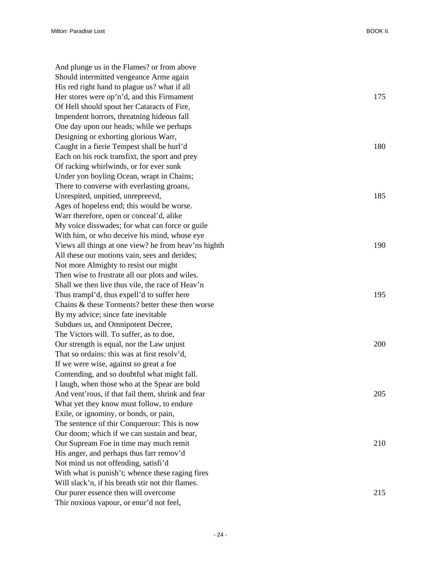| And plunge us in the Flames? or from above           |     |
|------------------------------------------------------|-----|
| Should intermitted vengeance Arme again              |     |
| His red right hand to plague us? what if all         |     |
| Her stores were op'n'd, and this Firmament           | 175 |
| Of Hell should spout her Cataracts of Fire,          |     |
| Impendent horrors, threatning hideous fall           |     |
| One day upon our heads; while we perhaps             |     |
| Designing or exhorting glorious Warr,                |     |
| Caught in a fierie Tempest shall be hurl'd           | 180 |
| Each on his rock transfixt, the sport and prey       |     |
| Of racking whirlwinds, or for ever sunk              |     |
| Under yon boyling Ocean, wrapt in Chains;            |     |
| There to converse with everlasting groans,           |     |
| Unrespited, unpitied, unrepreevd,                    | 185 |
| Ages of hopeless end; this would be worse.           |     |
| Warr therefore, open or conceal'd, alike             |     |
| My voice disswades; for what can force or guile      |     |
| With him, or who deceive his mind, whose eye         |     |
| Views all things at one view? he from heav'ns highth | 190 |
| All these our motions vain, sees and derides;        |     |
| Not more Almighty to resist our might                |     |
| Then wise to frustrate all our plots and wiles.      |     |
| Shall we then live thus vile, the race of Heav'n     |     |
| Thus trampl'd, thus expell'd to suffer here          | 195 |
| Chains & these Torments? better these then worse     |     |
| By my advice; since fate inevitable                  |     |
| Subdues us, and Omnipotent Decree,                   |     |
| The Victors will. To suffer, as to doe,              |     |
| Our strength is equal, nor the Law unjust            | 200 |
| That so ordains: this was at first resolv'd,         |     |
| If we were wise, against so great a foe              |     |
| Contending, and so doubtful what might fall.         |     |
| I laugh, when those who at the Spear are bold        |     |
| And vent'rous, if that fail them, shrink and fear    | 205 |
| What yet they know must follow, to endure            |     |
| Exile, or ignominy, or bonds, or pain,               |     |
| The sentence of thir Conquerour: This is now         |     |
| Our doom; which if we can sustain and bear,          |     |
| Our Supream Foe in time may much remit               | 210 |
| His anger, and perhaps thus farr remov'd             |     |
| Not mind us not offending, satisfi'd                 |     |
| With what is punish't; whence these raging fires     |     |
| Will slack'n, if his breath stir not thir flames.    |     |
| Our purer essence then will overcome                 | 215 |
| Thir noxious vapour, or enur'd not feel,             |     |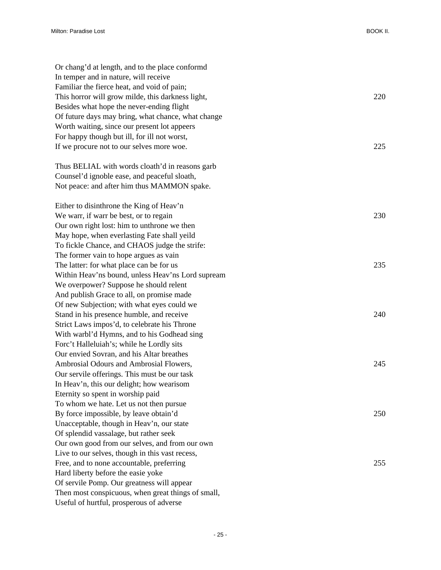| Or chang'd at length, and to the place conformd    |     |
|----------------------------------------------------|-----|
| In temper and in nature, will receive              |     |
| Familiar the fierce heat, and void of pain;        |     |
| This horror will grow milde, this darkness light,  | 220 |
| Besides what hope the never-ending flight          |     |
| Of future days may bring, what chance, what change |     |
| Worth waiting, since our present lot appeers       |     |
| For happy though but ill, for ill not worst,       |     |
| If we procure not to our selves more woe.          | 225 |
| Thus BELIAL with words cloath'd in reasons garb    |     |
| Counsel'd ignoble ease, and peaceful sloath,       |     |
| Not peace: and after him thus MAMMON spake.        |     |
| Either to disinthrone the King of Heav'n           |     |
| We warr, if warr be best, or to regain             | 230 |
| Our own right lost: him to unthrone we then        |     |
| May hope, when everlasting Fate shall yeild        |     |
| To fickle Chance, and CHAOS judge the strife:      |     |
| The former vain to hope argues as vain             |     |
| The latter: for what place can be for us           | 235 |
| Within Heav'ns bound, unless Heav'ns Lord supream  |     |
| We overpower? Suppose he should relent             |     |
| And publish Grace to all, on promise made          |     |
| Of new Subjection; with what eyes could we         |     |
| Stand in his presence humble, and receive          | 240 |
| Strict Laws impos'd, to celebrate his Throne       |     |
| With warbl'd Hymns, and to his Godhead sing        |     |
| Forc't Halleluiah's; while he Lordly sits          |     |
| Our envied Sovran, and his Altar breathes          |     |
| Ambrosial Odours and Ambrosial Flowers,            | 245 |
| Our servile offerings. This must be our task       |     |
| In Heav'n, this our delight; how wearisom          |     |
| Eternity so spent in worship paid                  |     |
| To whom we hate. Let us not then pursue            |     |
| By force impossible, by leave obtain'd             | 250 |
| Unacceptable, though in Heav'n, our state          |     |
| Of splendid vassalage, but rather seek             |     |
| Our own good from our selves, and from our own     |     |
| Live to our selves, though in this vast recess,    |     |
| Free, and to none accountable, preferring          | 255 |
| Hard liberty before the easie yoke                 |     |
| Of servile Pomp. Our greatness will appear         |     |
| Then most conspicuous, when great things of small, |     |
| Useful of hurtful, prosperous of adverse           |     |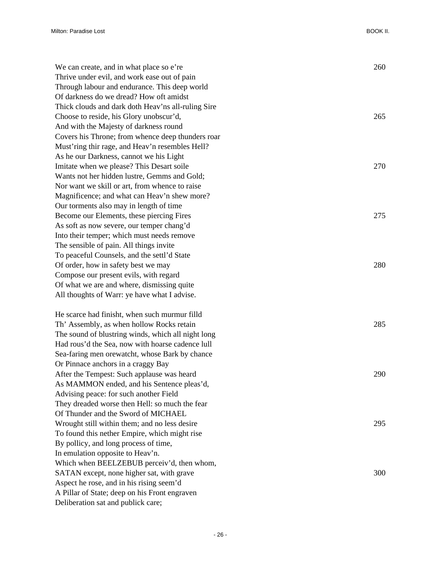| We can create, and in what place so e're           | 260 |
|----------------------------------------------------|-----|
| Thrive under evil, and work ease out of pain       |     |
| Through labour and endurance. This deep world      |     |
| Of darkness do we dread? How oft amidst            |     |
| Thick clouds and dark doth Heav'ns all-ruling Sire |     |
| Choose to reside, his Glory unobscur'd,            | 265 |
| And with the Majesty of darkness round             |     |
| Covers his Throne; from whence deep thunders roar  |     |
| Must'ring thir rage, and Heav'n resembles Hell?    |     |
| As he our Darkness, cannot we his Light            |     |
| Imitate when we please? This Desart soile          | 270 |
| Wants not her hidden lustre, Gemms and Gold;       |     |
| Nor want we skill or art, from whence to raise     |     |
| Magnificence; and what can Heav'n shew more?       |     |
| Our torments also may in length of time            |     |
| Become our Elements, these piercing Fires          | 275 |
| As soft as now severe, our temper chang'd          |     |
| Into their temper; which must needs remove         |     |
| The sensible of pain. All things invite            |     |
| To peaceful Counsels, and the settl'd State        |     |
| Of order, how in safety best we may                | 280 |
| Compose our present evils, with regard             |     |
| Of what we are and where, dismissing quite         |     |
| All thoughts of Warr: ye have what I advise.       |     |
| He scarce had finisht, when such murmur filld      |     |
| Th' Assembly, as when hollow Rocks retain          | 285 |
| The sound of blustring winds, which all night long |     |
| Had rous'd the Sea, now with hoarse cadence lull   |     |
| Sea-faring men orewatcht, whose Bark by chance     |     |
| Or Pinnace anchors in a craggy Bay                 |     |
| After the Tempest: Such applause was heard         | 290 |
| As MAMMON ended, and his Sentence pleas'd,         |     |
| Advising peace: for such another Field             |     |
| They dreaded worse then Hell: so much the fear     |     |
| Of Thunder and the Sword of MICHAEL                |     |
| Wrought still within them; and no less desire      | 295 |
| To found this nether Empire, which might rise      |     |
| By pollicy, and long process of time,              |     |
| In emulation opposite to Heav'n.                   |     |
| Which when BEELZEBUB perceiv'd, then whom,         |     |
| SATAN except, none higher sat, with grave          | 300 |
| Aspect he rose, and in his rising seem'd           |     |
| A Pillar of State; deep on his Front engraven      |     |

Deliberation sat and publick care;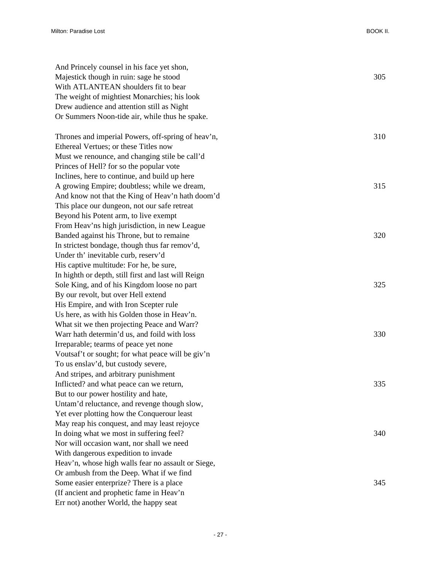| And Princely counsel in his face yet shon,          |     |
|-----------------------------------------------------|-----|
| Majestick though in ruin: sage he stood             | 305 |
| With ATLANTEAN shoulders fit to bear                |     |
| The weight of mightiest Monarchies; his look        |     |
| Drew audience and attention still as Night          |     |
| Or Summers Noon-tide air, while thus he spake.      |     |
| Thrones and imperial Powers, off-spring of heav'n,  | 310 |
| Ethereal Vertues; or these Titles now               |     |
| Must we renounce, and changing stile be call'd      |     |
| Princes of Hell? for so the popular vote            |     |
| Inclines, here to continue, and build up here       |     |
| A growing Empire; doubtless; while we dream,        | 315 |
| And know not that the King of Heav'n hath doom'd    |     |
| This place our dungeon, not our safe retreat        |     |
| Beyond his Potent arm, to live exempt               |     |
| From Heav'ns high jurisdiction, in new League       |     |
| Banded against his Throne, but to remaine           | 320 |
| In strictest bondage, though thus far remov'd,      |     |
| Under th' inevitable curb, reserv'd                 |     |
| His captive multitude: For he, be sure,             |     |
| In highth or depth, still first and last will Reign |     |
| Sole King, and of his Kingdom loose no part         | 325 |
| By our revolt, but over Hell extend                 |     |
| His Empire, and with Iron Scepter rule              |     |
| Us here, as with his Golden those in Heav'n.        |     |
| What sit we then projecting Peace and Warr?         |     |
| Warr hath determin'd us, and foild with loss        | 330 |
| Irreparable; tearms of peace yet none               |     |
| Voutsaf't or sought; for what peace will be giv'n   |     |
| To us enslav'd, but custody severe,                 |     |
| And stripes, and arbitrary punishment               |     |
| Inflicted? and what peace can we return,            | 335 |
| But to our power hostility and hate,                |     |
| Untam'd reluctance, and revenge though slow,        |     |
| Yet ever plotting how the Conquerour least          |     |
| May reap his conquest, and may least rejoyce        |     |
| In doing what we most in suffering feel?            | 340 |
| Nor will occasion want, nor shall we need           |     |
| With dangerous expedition to invade                 |     |
| Heav'n, whose high walls fear no assault or Siege,  |     |
| Or ambush from the Deep. What if we find            |     |
| Some easier enterprize? There is a place            | 345 |
| (If ancient and prophetic fame in Heav'n            |     |
| Err not) another World, the happy seat              |     |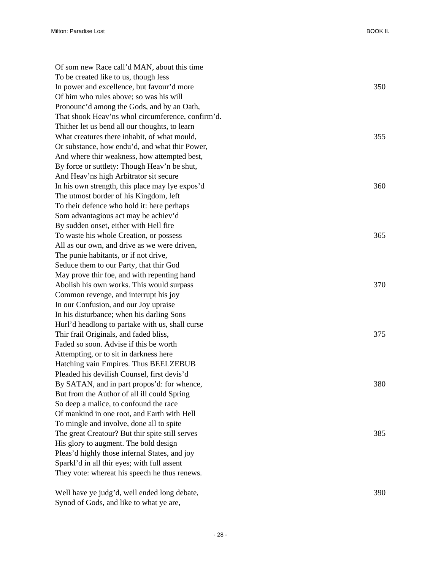Of som new Race call'd MAN, about this time To be created like to us, though less In power and excellence, but favour'd more 350 Of him who rules above; so was his will Pronounc'd among the Gods, and by an Oath, That shook Heav'ns whol circumference, confirm'd. Thither let us bend all our thoughts, to learn What creatures there inhabit, of what mould,  $355$ Or substance, how endu'd, and what thir Power, And where thir weakness, how attempted best, By force or suttlety: Though Heav'n be shut, And Heav'ns high Arbitrator sit secure In his own strength, this place may lye expos'd 360 The utmost border of his Kingdom, left To their defence who hold it: here perhaps Som advantagious act may be achiev'd By sudden onset, either with Hell fire To waste his whole Creation, or possess 365 All as our own, and drive as we were driven, The punie habitants, or if not drive, Seduce them to our Party, that thir God May prove thir foe, and with repenting hand Abolish his own works. This would surpass 370 Common revenge, and interrupt his joy In our Confusion, and our Joy upraise In his disturbance; when his darling Sons Hurl'd headlong to partake with us, shall curse Thir frail Originals, and faded bliss,  $375$ Faded so soon. Advise if this be worth Attempting, or to sit in darkness here Hatching vain Empires. Thus BEELZEBUB Pleaded his devilish Counsel, first devis'd By SATAN, and in part propos'd: for whence, 380 But from the Author of all ill could Spring So deep a malice, to confound the race Of mankind in one root, and Earth with Hell To mingle and involve, done all to spite The great Creatour? But thir spite still serves 385 His glory to augment. The bold design Pleas'd highly those infernal States, and joy Sparkl'd in all thir eyes; with full assent They vote: whereat his speech he thus renews.

Well have ye judg'd, well ended long debate,  $390$ Synod of Gods, and like to what ye are,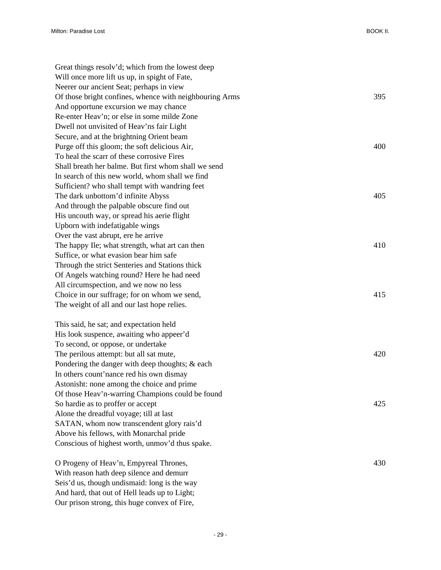| Great things resolv'd; which from the lowest deep       |     |
|---------------------------------------------------------|-----|
| Will once more lift us up, in spight of Fate,           |     |
| Neerer our ancient Seat; perhaps in view                |     |
| Of those bright confines, whence with neighbouring Arms | 395 |
| And opportune excursion we may chance                   |     |
| Re-enter Heav'n; or else in some milde Zone             |     |
| Dwell not unvisited of Heav'ns fair Light               |     |
| Secure, and at the brightning Orient beam               |     |
| Purge off this gloom; the soft delicious Air,           | 400 |
| To heal the scarr of these corrosive Fires              |     |
| Shall breath her balme. But first whom shall we send    |     |
| In search of this new world, whom shall we find         |     |
| Sufficient? who shall tempt with wandring feet          |     |
| The dark unbottom'd infinite Abyss                      | 405 |
| And through the palpable obscure find out               |     |
| His uncouth way, or spread his aerie flight             |     |
| Upborn with indefatigable wings                         |     |
| Over the vast abrupt, ere he arrive                     |     |
| The happy Ile; what strength, what art can then         | 410 |
| Suffice, or what evasion bear him safe                  |     |
| Through the strict Senteries and Stations thick         |     |
| Of Angels watching round? Here he had need              |     |
| All circumspection, and we now no less                  |     |
| Choice in our suffrage; for on whom we send,            | 415 |
| The weight of all and our last hope relies.             |     |
| This said, he sat; and expectation held                 |     |
| His look suspence, awaiting who appeer'd                |     |
| To second, or oppose, or undertake                      |     |
| The perilous attempt: but all sat mute,                 | 420 |
| Pondering the danger with deep thoughts; & each         |     |
| In others count'nance red his own dismay                |     |
| Astonisht: none among the choice and prime              |     |
| Of those Heav'n-warring Champions could be found        |     |
| So hardie as to proffer or accept                       | 425 |
| Alone the dreadful voyage; till at last                 |     |
| SATAN, whom now transcendent glory rais'd               |     |
| Above his fellows, with Monarchal pride                 |     |
| Conscious of highest worth, unmov'd thus spake.         |     |
| O Progeny of Heav'n, Empyreal Thrones,                  | 430 |
| With reason hath deep silence and demurr                |     |
| Seis'd us, though undismaid: long is the way            |     |

And hard, that out of Hell leads up to Light; Our prison strong, this huge convex of Fire,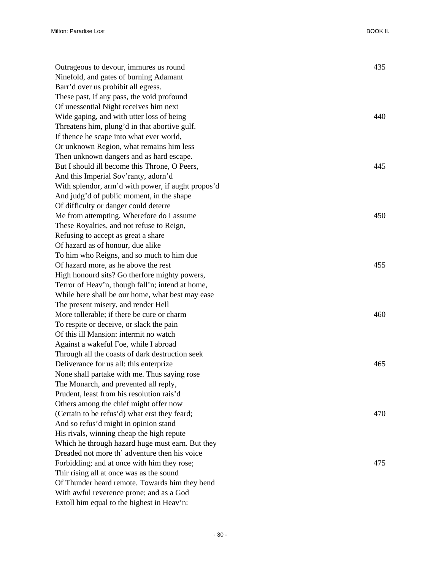| Outrageous to devour, immures us round             | 435 |
|----------------------------------------------------|-----|
| Ninefold, and gates of burning Adamant             |     |
| Barr'd over us prohibit all egress.                |     |
| These past, if any pass, the void profound         |     |
| Of unessential Night receives him next             |     |
| Wide gaping, and with utter loss of being          | 440 |
| Threatens him, plung'd in that abortive gulf.      |     |
| If thence he scape into what ever world,           |     |
| Or unknown Region, what remains him less           |     |
| Then unknown dangers and as hard escape.           |     |
| But I should ill become this Throne, O Peers,      | 445 |
| And this Imperial Sov'ranty, adorn'd               |     |
| With splendor, arm'd with power, if aught propos'd |     |
| And judg'd of public moment, in the shape          |     |
| Of difficulty or danger could deterre              |     |
| Me from attempting. Wherefore do I assume          | 450 |
| These Royalties, and not refuse to Reign,          |     |
| Refusing to accept as great a share                |     |
| Of hazard as of honour, due alike                  |     |
| To him who Reigns, and so much to him due          |     |
| Of hazard more, as he above the rest               | 455 |
| High honourd sits? Go therfore mighty powers,      |     |
| Terror of Heav'n, though fall'n; intend at home,   |     |
| While here shall be our home, what best may ease   |     |
| The present misery, and render Hell                |     |
| More tollerable; if there be cure or charm         | 460 |
| To respite or deceive, or slack the pain           |     |
| Of this ill Mansion: intermit no watch             |     |
| Against a wakeful Foe, while I abroad              |     |
| Through all the coasts of dark destruction seek    |     |
| Deliverance for us all: this enterprize            | 465 |
| None shall partake with me. Thus saying rose       |     |
| The Monarch, and prevented all reply,              |     |
| Prudent, least from his resolution rais'd          |     |
| Others among the chief might offer now             |     |
| (Certain to be refus'd) what erst they feard;      | 470 |
| And so refus'd might in opinion stand              |     |
| His rivals, winning cheap the high repute          |     |
| Which he through hazard huge must earn. But they   |     |
| Dreaded not more th' adventure then his voice      |     |
| Forbidding; and at once with him they rose;        | 475 |
| Thir rising all at once was as the sound           |     |
| Of Thunder heard remote. Towards him they bend     |     |
| With awful reverence prone; and as a God           |     |
| Extoll him equal to the highest in Heav'n:         |     |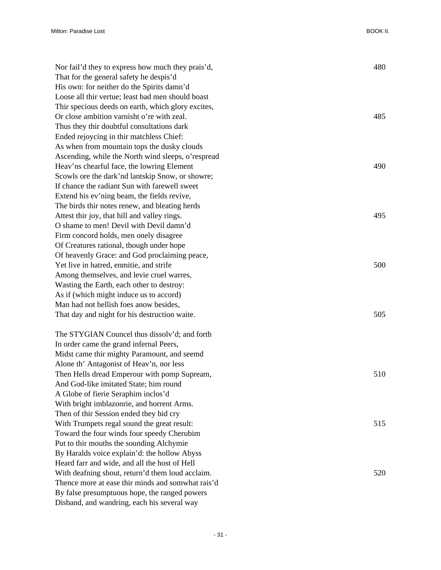Milton: Paradise Lost BOOK II.

| Nor fail'd they to express how much they prais'd,  | 480 |
|----------------------------------------------------|-----|
| That for the general safety he despis'd            |     |
| His own: for neither do the Spirits damn'd         |     |
| Loose all thir vertue; least bad men should boast  |     |
| Thir specious deeds on earth, which glory excites, |     |
| Or close ambition varnisht o're with zeal.         | 485 |
| Thus they thir doubtful consultations dark         |     |
| Ended rejoycing in thir matchless Chief:           |     |
| As when from mountain tops the dusky clouds        |     |
| Ascending, while the North wind sleeps, o'respread |     |
| Heav'ns chearful face, the lowring Element         | 490 |
| Scowls ore the dark'nd lantskip Snow, or showre;   |     |
| If chance the radiant Sun with farewell sweet      |     |
| Extend his ev'ning beam, the fields revive,        |     |
| The birds thir notes renew, and bleating herds     |     |
| Attest thir joy, that hill and valley rings.       | 495 |
| O shame to men! Devil with Devil damn'd            |     |
| Firm concord holds, men onely disagree             |     |
| Of Creatures rational, though under hope           |     |
| Of heavenly Grace: and God proclaiming peace,      |     |
| Yet live in hatred, enmitie, and strife            | 500 |
| Among themselves, and levie cruel warres,          |     |
| Wasting the Earth, each other to destroy:          |     |
| As if (which might induce us to accord)            |     |
| Man had not hellish foes anow besides,             |     |
| That day and night for his destruction waite.      | 505 |
| The STYGIAN Councel thus dissolv'd; and forth      |     |
| In order came the grand infernal Peers,            |     |
| Midst came thir mighty Paramount, and seemd        |     |
| Alone th' Antagonist of Heav'n, nor less           |     |
| Then Hells dread Emperour with pomp Supream,       | 510 |
| And God-like imitated State; him round             |     |
| A Globe of fierie Seraphim inclos'd                |     |
| With bright imblazonrie, and horrent Arms.         |     |
| Then of thir Session ended they bid cry            |     |
| With Trumpets regal sound the great result:        | 515 |
| Toward the four winds four speedy Cherubim         |     |
| Put to thir mouths the sounding Alchymie           |     |
| By Haralds voice explain'd: the hollow Abyss       |     |
| Heard farr and wide, and all the host of Hell      |     |
| With deafning shout, return'd them loud acclaim.   | 520 |
| Thence more at ease thir minds and somwhat rais'd  |     |
| By false presumptuous hope, the ranged powers      |     |
| Disband, and wandring, each his several way        |     |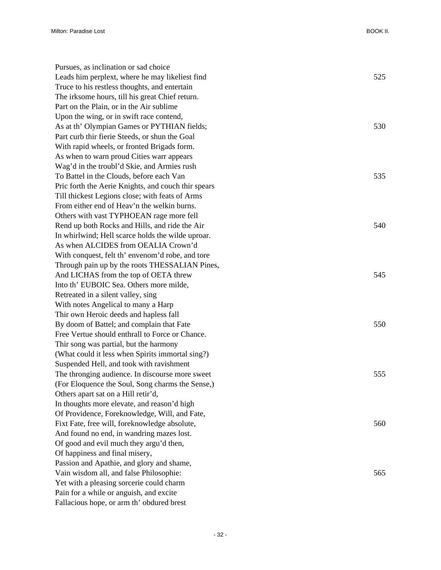| Pursues, as inclination or sad choice               |     |
|-----------------------------------------------------|-----|
| Leads him perplext, where he may likeliest find     | 525 |
| Truce to his restless thoughts, and entertain       |     |
| The irksome hours, till his great Chief return.     |     |
| Part on the Plain, or in the Air sublime            |     |
| Upon the wing, or in swift race contend,            |     |
| As at th' Olympian Games or PYTHIAN fields;         | 530 |
| Part curb thir fierie Steeds, or shun the Goal      |     |
| With rapid wheels, or fronted Brigads form.         |     |
| As when to warn proud Cities warr appears           |     |
| Wag'd in the troubl'd Skie, and Armies rush         |     |
| To Battel in the Clouds, before each Van            | 535 |
| Pric forth the Aerie Knights, and couch thir spears |     |
| Till thickest Legions close; with feats of Arms     |     |
| From either end of Heav'n the welkin burns.         |     |
| Others with vast TYPHOEAN rage more fell            |     |
| Rend up both Rocks and Hills, and ride the Air      | 540 |
| In whirlwind; Hell scarce holds the wilde uproar.   |     |
| As when ALCIDES from OEALIA Crown'd                 |     |
| With conquest, felt th' envenom'd robe, and tore    |     |
| Through pain up by the roots THESSALIAN Pines,      |     |
| And LICHAS from the top of OETA threw               | 545 |
| Into th' EUBOIC Sea. Others more milde,             |     |
| Retreated in a silent valley, sing                  |     |
| With notes Angelical to many a Harp                 |     |
| Thir own Heroic deeds and hapless fall              |     |
| By doom of Battel; and complain that Fate           | 550 |
| Free Vertue should enthrall to Force or Chance.     |     |
| Thir song was partial, but the harmony              |     |
| (What could it less when Spirits immortal sing?)    |     |
| Suspended Hell, and took with ravishment            |     |
| The thronging audience. In discourse more sweet     | 555 |
| (For Eloquence the Soul, Song charms the Sense,)    |     |
| Others apart sat on a Hill retir'd,                 |     |
| In thoughts more elevate, and reason'd high         |     |
| Of Providence, Foreknowledge, Will, and Fate,       |     |
| Fixt Fate, free will, foreknowledge absolute,       | 560 |
| And found no end, in wandring mazes lost.           |     |
| Of good and evil much they argu'd then,             |     |
| Of happiness and final misery,                      |     |
| Passion and Apathie, and glory and shame,           |     |
| Vain wisdom all, and false Philosophie:             | 565 |
| Yet with a pleasing sorcerie could charm            |     |
| Pain for a while or anguish, and excite             |     |
| Fallacious hope, or arm th' obdured brest           |     |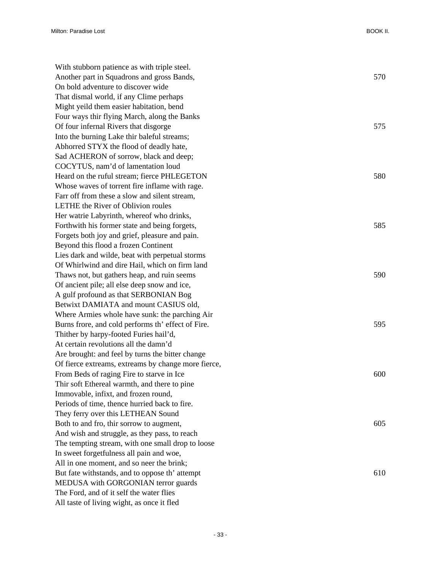| With stubborn patience as with triple steel.        |     |
|-----------------------------------------------------|-----|
| Another part in Squadrons and gross Bands,          | 570 |
| On bold adventure to discover wide                  |     |
| That dismal world, if any Clime perhaps             |     |
| Might yeild them easier habitation, bend            |     |
| Four ways thir flying March, along the Banks        |     |
| Of four infernal Rivers that disgorge               | 575 |
| Into the burning Lake thir baleful streams;         |     |
| Abhorred STYX the flood of deadly hate,             |     |
| Sad ACHERON of sorrow, black and deep;              |     |
| COCYTUS, nam'd of lamentation loud                  |     |
| Heard on the ruful stream; fierce PHLEGETON         | 580 |
| Whose waves of torrent fire inflame with rage.      |     |
| Farr off from these a slow and silent stream,       |     |
| LETHE the River of Oblivion roules                  |     |
| Her watrie Labyrinth, whereof who drinks,           |     |
| Forthwith his former state and being forgets,       | 585 |
| Forgets both joy and grief, pleasure and pain.      |     |
| Beyond this flood a frozen Continent                |     |
| Lies dark and wilde, beat with perpetual storms     |     |
| Of Whirlwind and dire Hail, which on firm land      |     |
| Thaws not, but gathers heap, and ruin seems         | 590 |
| Of ancient pile; all else deep snow and ice,        |     |
| A gulf profound as that SERBONIAN Bog               |     |
| Betwixt DAMIATA and mount CASIUS old,               |     |
| Where Armies whole have sunk: the parching Air      |     |
| Burns frore, and cold performs th' effect of Fire.  | 595 |
| Thither by harpy-footed Furies hail'd,              |     |
| At certain revolutions all the damn'd               |     |
| Are brought: and feel by turns the bitter change    |     |
| Of fierce extreams, extreams by change more fierce, |     |
| From Beds of raging Fire to starve in Ice           | 600 |
| Thir soft Ethereal warmth, and there to pine        |     |
| Immovable, infixt, and frozen round,                |     |
| Periods of time, thence hurried back to fire.       |     |
| They ferry over this LETHEAN Sound                  |     |
| Both to and fro, thir sorrow to augment,            | 605 |
| And wish and struggle, as they pass, to reach       |     |
| The tempting stream, with one small drop to loose   |     |
| In sweet forgetfulness all pain and woe,            |     |
| All in one moment, and so neer the brink;           |     |
| But fate withstands, and to oppose th' attempt      | 610 |
| MEDUSA with GORGONIAN terror guards                 |     |
| The Ford, and of it self the water flies            |     |
| All taste of living wight, as once it fled          |     |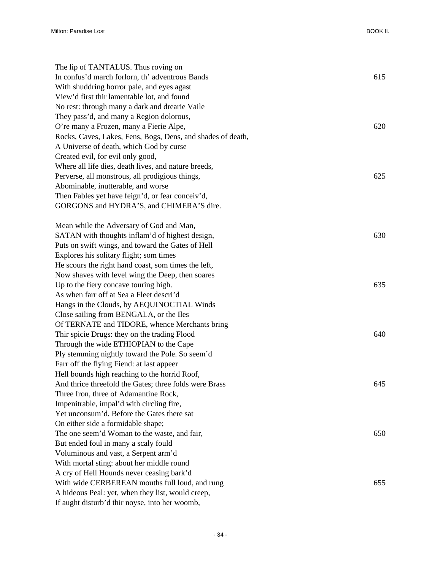| The lip of TANTALUS. Thus roving on                         |     |
|-------------------------------------------------------------|-----|
| In confus'd march forlorn, th' adventrous Bands             | 615 |
| With shuddring horror pale, and eyes agast                  |     |
| View'd first thir lamentable lot, and found                 |     |
| No rest: through many a dark and drearie Vaile              |     |
| They pass'd, and many a Region dolorous,                    |     |
| O're many a Frozen, many a Fierie Alpe,                     | 620 |
| Rocks, Caves, Lakes, Fens, Bogs, Dens, and shades of death, |     |
| A Universe of death, which God by curse                     |     |
| Created evil, for evil only good,                           |     |
| Where all life dies, death lives, and nature breeds,        |     |
| Perverse, all monstrous, all prodigious things,             | 625 |
| Abominable, inutterable, and worse                          |     |
| Then Fables yet have feign'd, or fear conceiv'd,            |     |
| GORGONS and HYDRA'S, and CHIMERA'S dire.                    |     |
|                                                             |     |
| Mean while the Adversary of God and Man,                    |     |
| SATAN with thoughts inflam'd of highest design,             | 630 |
| Puts on swift wings, and toward the Gates of Hell           |     |
| Explores his solitary flight; som times                     |     |
| He scours the right hand coast, som times the left,         |     |
| Now shaves with level wing the Deep, then soares            |     |
| Up to the fiery concave touring high.                       | 635 |
| As when farr off at Sea a Fleet descri'd                    |     |
| Hangs in the Clouds, by AEQUINOCTIAL Winds                  |     |
| Close sailing from BENGALA, or the Iles                     |     |
| Of TERNATE and TIDORE, whence Merchants bring               |     |
| Thir spicie Drugs: they on the trading Flood                | 640 |
| Through the wide ETHIOPIAN to the Cape                      |     |
| Ply stemming nightly toward the Pole. So seem'd             |     |
| Farr off the flying Fiend: at last appeer                   |     |
| Hell bounds high reaching to the horrid Roof,               |     |
| And thrice threefold the Gates; three folds were Brass      | 645 |
| Three Iron, three of Adamantine Rock,                       |     |
| Impenitrable, impal'd with circling fire,                   |     |
| Yet unconsum'd. Before the Gates there sat                  |     |
| On either side a formidable shape;                          |     |
| The one seem'd Woman to the waste, and fair,                | 650 |
| But ended foul in many a scaly fould                        |     |
| Voluminous and vast, a Serpent arm'd                        |     |
| With mortal sting: about her middle round                   |     |
| A cry of Hell Hounds never ceasing bark'd                   |     |
| With wide CERBEREAN mouths full loud, and rung              | 655 |
| A hideous Peal: yet, when they list, would creep,           |     |
| If aught disturb'd thir noyse, into her woomb,              |     |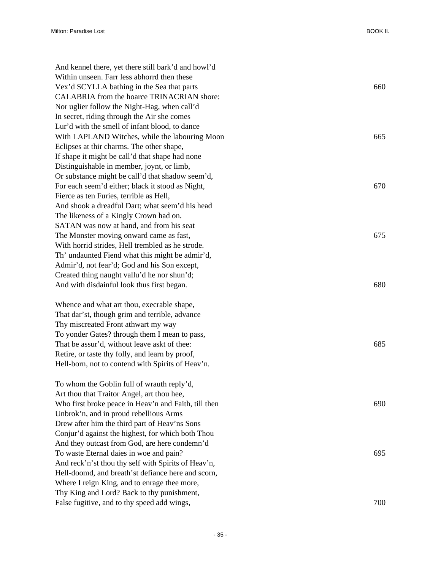| And kennel there, yet there still bark'd and howl'd  |     |
|------------------------------------------------------|-----|
| Within unseen. Farr less abhorrd then these          |     |
| Vex'd SCYLLA bathing in the Sea that parts           | 660 |
| CALABRIA from the hoarce TRINACRIAN shore:           |     |
| Nor uglier follow the Night-Hag, when call'd         |     |
| In secret, riding through the Air she comes          |     |
| Lur'd with the smell of infant blood, to dance       |     |
| With LAPLAND Witches, while the labouring Moon       | 665 |
| Eclipses at thir charms. The other shape,            |     |
| If shape it might be call'd that shape had none      |     |
| Distinguishable in member, joynt, or limb,           |     |
| Or substance might be call'd that shadow seem'd,     |     |
| For each seem'd either; black it stood as Night,     | 670 |
| Fierce as ten Furies, terrible as Hell,              |     |
| And shook a dreadful Dart; what seem'd his head      |     |
| The likeness of a Kingly Crown had on.               |     |
| SATAN was now at hand, and from his seat             |     |
| The Monster moving onward came as fast,              | 675 |
| With horrid strides, Hell trembled as he strode.     |     |
| Th' undaunted Fiend what this might be admir'd,      |     |
| Admir'd, not fear'd; God and his Son except,         |     |
| Created thing naught vallu'd he nor shun'd;          |     |
| And with disdainful look thus first began.           | 680 |
|                                                      |     |
| Whence and what art thou, execrable shape,           |     |
| That dar'st, though grim and terrible, advance       |     |
| Thy miscreated Front athwart my way                  |     |
| To yonder Gates? through them I mean to pass,        |     |
| That be assur'd, without leave askt of thee:         | 685 |
| Retire, or taste thy folly, and learn by proof,      |     |
| Hell-born, not to contend with Spirits of Heav'n.    |     |
| To whom the Goblin full of wrauth reply'd,           |     |
| Art thou that Traitor Angel, art thou hee,           |     |
| Who first broke peace in Heav'n and Faith, till then | 690 |
| Unbrok'n, and in proud rebellious Arms               |     |
| Drew after him the third part of Heav'ns Sons        |     |
| Conjur'd against the highest, for which both Thou    |     |
| And they outcast from God, are here condemn'd        |     |
| To waste Eternal daies in woe and pain?              | 695 |
| And reck'n'st thou thy self with Spirits of Heav'n,  |     |
| Hell-doomd, and breath'st defiance here and scorn,   |     |
| Where I reign King, and to enrage thee more,         |     |
| Thy King and Lord? Back to thy punishment,           |     |
| False fugitive, and to thy speed add wings,          | 700 |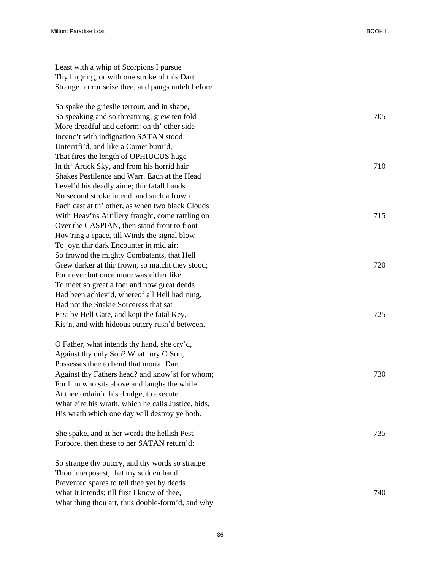Least with a whip of Scorpions I pursue Thy lingring, or with one stroke of this Dart Strange horror seise thee, and pangs unfelt before.

So spake the grieslie terrour, and in shape, So speaking and so threatning, grew ten fold 705 More dreadful and deform: on th' other side Incenc't with indignation SATAN stood Unterrifi'd, and like a Comet burn'd, That fires the length of OPHIUCUS huge In th' Artick Sky, and from his horrid hair 710 Shakes Pestilence and Warr. Each at the Head Level'd his deadly aime; thir fatall hands No second stroke intend, and such a frown Each cast at th' other, as when two black Clouds With Heav'ns Artillery fraught, come rattling on 715 Over the CASPIAN, then stand front to front Hov'ring a space, till Winds the signal blow To joyn thir dark Encounter in mid air: So frownd the mighty Combatants, that Hell Grew darker at thir frown, so matcht they stood;  $720$ For never but once more was either like To meet so great a foe: and now great deeds Had been achiev'd, whereof all Hell had rung, Had not the Snakie Sorceress that sat Fast by Hell Gate, and kept the fatal Key, 725 Ris'n, and with hideous outcry rush'd between.

O Father, what intends thy hand, she cry'd, Against thy only Son? What fury O Son, Possesses thee to bend that mortal Dart Against thy Fathers head? and know'st for whom; 730 For him who sits above and laughs the while At thee ordain'd his drudge, to execute What e're his wrath, which he calls Justice, bids, His wrath which one day will destroy ye both.

She spake, and at her words the hellish Pest 735 Forbore, then these to her SATAN return'd:

So strange thy outcry, and thy words so strange Thou interposest, that my sudden hand Prevented spares to tell thee yet by deeds What it intends; till first I know of thee,  $\frac{740}{240}$ What thing thou art, thus double-form'd, and why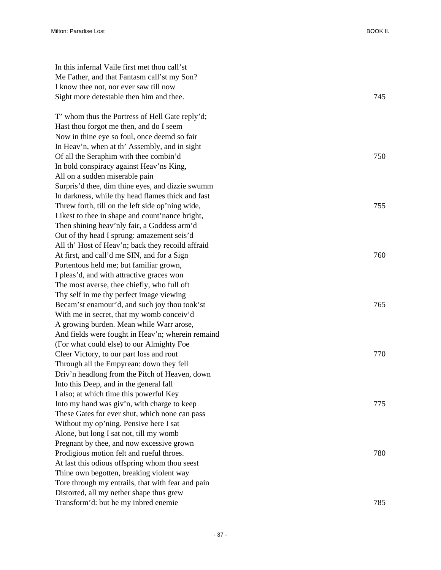| In this infernal Vaile first met thou call'st     |     |
|---------------------------------------------------|-----|
| Me Father, and that Fantasm call'st my Son?       |     |
| I know thee not, nor ever saw till now            |     |
| Sight more detestable then him and thee.          | 745 |
|                                                   |     |
| T' whom thus the Portress of Hell Gate reply'd;   |     |
| Hast thou forgot me then, and do I seem           |     |
| Now in thine eye so foul, once deemd so fair      |     |
| In Heav'n, when at th' Assembly, and in sight     |     |
| Of all the Seraphim with thee combin'd            | 750 |
| In bold conspiracy against Heav'ns King,          |     |
| All on a sudden miserable pain                    |     |
| Surpris'd thee, dim thine eyes, and dizzie swumm  |     |
| In darkness, while thy head flames thick and fast |     |
| Threw forth, till on the left side op'ning wide,  | 755 |
| Likest to thee in shape and count'nance bright,   |     |
| Then shining heav'nly fair, a Goddess arm'd       |     |
| Out of thy head I sprung: amazement seis'd        |     |
| All th' Host of Heav'n; back they recoild affraid |     |
| At first, and call'd me SIN, and for a Sign       | 760 |
| Portentous held me; but familiar grown,           |     |
| I pleas'd, and with attractive graces won         |     |
| The most averse, thee chiefly, who full oft       |     |
| Thy self in me thy perfect image viewing          |     |
| Becam'st enamour'd, and such joy thou took'st     | 765 |
| With me in secret, that my womb conceiv'd         |     |
| A growing burden. Mean while Warr arose,          |     |
| And fields were fought in Heav'n; wherein remaind |     |
| (For what could else) to our Almighty Foe         |     |
| Cleer Victory, to our part loss and rout          | 770 |
| Through all the Empyrean: down they fell          |     |
| Driv'n headlong from the Pitch of Heaven, down    |     |
| Into this Deep, and in the general fall           |     |
| I also; at which time this powerful Key           |     |
| Into my hand was giv'n, with charge to keep       | 775 |
| These Gates for ever shut, which none can pass    |     |
| Without my op'ning. Pensive here I sat            |     |
| Alone, but long I sat not, till my womb           |     |
| Pregnant by thee, and now excessive grown         |     |
| Prodigious motion felt and rueful throes.         | 780 |
| At last this odious offspring whom thou seest     |     |
| Thine own begotten, breaking violent way          |     |
| Tore through my entrails, that with fear and pain |     |
| Distorted, all my nether shape thus grew          |     |
| Transform'd: but he my inbred enemie              | 785 |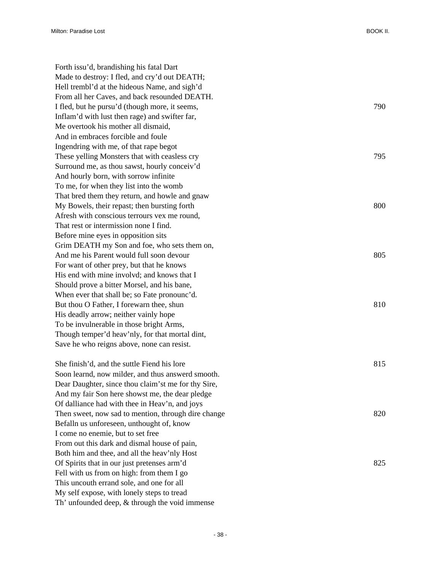Forth issu'd, brandishing his fatal Dart Made to destroy: I fled, and cry'd out DEATH; Hell trembl'd at the hideous Name, and sigh'd From all her Caves, and back resounded DEATH. I fled, but he pursu'd (though more, it seems, 790 Inflam'd with lust then rage) and swifter far, Me overtook his mother all dismaid, And in embraces forcible and foule Ingendring with me, of that rape begot These yelling Monsters that with ceasless cry 795 Surround me, as thou sawst, hourly conceiv'd And hourly born, with sorrow infinite To me, for when they list into the womb That bred them they return, and howle and gnaw My Bowels, their repast; then bursting forth 800 Afresh with conscious terrours vex me round, That rest or intermission none I find. Before mine eyes in opposition sits Grim DEATH my Son and foe, who sets them on, And me his Parent would full soon devour 805 For want of other prey, but that he knows His end with mine involvd; and knows that I Should prove a bitter Morsel, and his bane, When ever that shall be; so Fate pronounc'd. But thou O Father, I forewarn thee, shun 810 His deadly arrow; neither vainly hope To be invulnerable in those bright Arms, Though temper'd heav'nly, for that mortal dint, Save he who reigns above, none can resist. She finish'd, and the suttle Fiend his lore 815 Soon learnd, now milder, and thus answerd smooth. Dear Daughter, since thou claim'st me for thy Sire, And my fair Son here showst me, the dear pledge Of dalliance had with thee in Heav'n, and joys Then sweet, now sad to mention, through dire change 820 Befalln us unforeseen, unthought of, know I come no enemie, but to set free From out this dark and dismal house of pain, Both him and thee, and all the heav'nly Host Of Spirits that in our just pretenses arm'd 825 Fell with us from on high: from them I go This uncouth errand sole, and one for all My self expose, with lonely steps to tread Th' unfounded deep, & through the void immense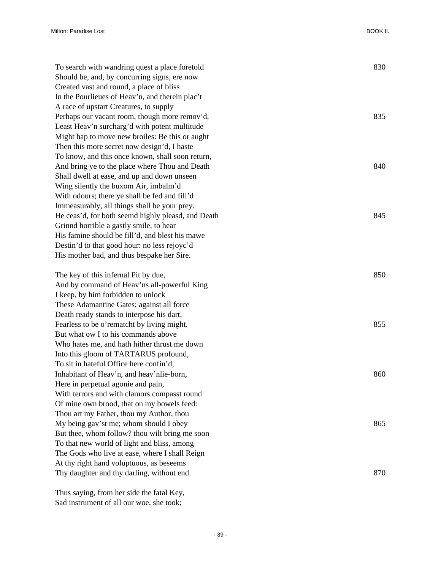| To search with wandring quest a place foretold     | 830 |
|----------------------------------------------------|-----|
| Should be, and, by concurring signs, ere now       |     |
| Created vast and round, a place of bliss           |     |
| In the Pourlieues of Heav'n, and therein plac't    |     |
| A race of upstart Creatures, to supply             |     |
| Perhaps our vacant room, though more remov'd,      | 835 |
| Least Heav'n surcharg'd with potent multitude      |     |
| Might hap to move new broiles: Be this or aught    |     |
| Then this more secret now design'd, I haste        |     |
| To know, and this once known, shall soon return,   |     |
| And bring ye to the place where Thou and Death     | 840 |
| Shall dwell at ease, and up and down unseen        |     |
| Wing silently the buxom Air, imbalm'd              |     |
| With odours; there ye shall be fed and fill'd      |     |
| Immeasurably, all things shall be your prey.       |     |
| He ceas'd, for both seemd highly pleasd, and Death | 845 |
| Grinnd horrible a gastly smile, to hear            |     |
| His famine should be fill'd, and blest his mawe    |     |
| Destin'd to that good hour: no less rejoyc'd       |     |
| His mother bad, and thus bespake her Sire.         |     |
|                                                    |     |
| The key of this infernal Pit by due,               | 850 |
| And by command of Heav'ns all-powerful King        |     |
| I keep, by him forbidden to unlock                 |     |
| These Adamantine Gates; against all force          |     |
| Death ready stands to interpose his dart,          |     |
| Fearless to be o'rematcht by living might.         | 855 |
| But what ow I to his commands above                |     |
| Who hates me, and hath hither thrust me down       |     |
| Into this gloom of TARTARUS profound,              |     |
| To sit in hateful Office here confin'd,            |     |
| Inhabitant of Heav'n, and heav'nlie-born,          | 860 |
| Here in perpetual agonie and pain,                 |     |
| With terrors and with clamors compasst round       |     |
| Of mine own brood, that on my bowels feed:         |     |
| Thou art my Father, thou my Author, thou           |     |
| My being gav'st me; whom should I obey             | 865 |
| But thee, whom follow? thou wilt bring me soon     |     |
| To that new world of light and bliss, among        |     |
| The Gods who live at ease, where I shall Reign     |     |
| At thy right hand voluptuous, as beseems           |     |
| Thy daughter and thy darling, without end.         | 870 |
|                                                    |     |

Thus saying, from her side the fatal Key, Sad instrument of all our woe, she took;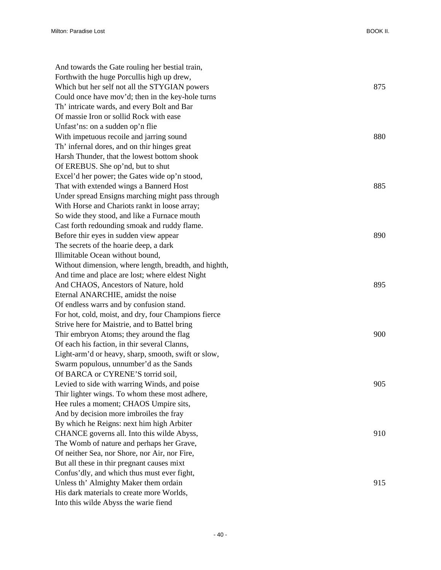| And towards the Gate rouling her bestial train,       |     |
|-------------------------------------------------------|-----|
| Forthwith the huge Porcullis high up drew,            |     |
| Which but her self not all the STYGIAN powers         | 875 |
| Could once have mov'd; then in the key-hole turns     |     |
| Th' intricate wards, and every Bolt and Bar           |     |
| Of massie Iron or sollid Rock with ease               |     |
| Unfast'ns: on a sudden op'n flie                      |     |
| With impetuous recoile and jarring sound              | 880 |
| Th' infernal dores, and on thir hinges great          |     |
| Harsh Thunder, that the lowest bottom shook           |     |
| Of EREBUS. She op'nd, but to shut                     |     |
| Excel'd her power; the Gates wide op'n stood,         |     |
| That with extended wings a Bannerd Host               | 885 |
| Under spread Ensigns marching might pass through      |     |
| With Horse and Chariots rankt in loose array;         |     |
| So wide they stood, and like a Furnace mouth          |     |
| Cast forth redounding smoak and ruddy flame.          |     |
| Before thir eyes in sudden view appear                | 890 |
| The secrets of the hoarie deep, a dark                |     |
| Illimitable Ocean without bound,                      |     |
| Without dimension, where length, breadth, and highth, |     |
| And time and place are lost; where eldest Night       |     |
| And CHAOS, Ancestors of Nature, hold                  | 895 |
| Eternal ANARCHIE, amidst the noise                    |     |
| Of endless warrs and by confusion stand.              |     |
| For hot, cold, moist, and dry, four Champions fierce  |     |
| Strive here for Maistrie, and to Battel bring         |     |
| Thir embryon Atoms; they around the flag              | 900 |
| Of each his faction, in thir several Clanns,          |     |
| Light-arm'd or heavy, sharp, smooth, swift or slow,   |     |
| Swarm populous, unnumber'd as the Sands               |     |
| Of BARCA or CYRENE'S torrid soil,                     |     |
| Levied to side with warring Winds, and poise          | 905 |
| Thir lighter wings. To whom these most adhere,        |     |
| Hee rules a moment; CHAOS Umpire sits,                |     |
| And by decision more imbroiles the fray               |     |
| By which he Reigns: next him high Arbiter             |     |
| CHANCE governs all. Into this wilde Abyss,            | 910 |
| The Womb of nature and perhaps her Grave,             |     |
| Of neither Sea, nor Shore, nor Air, nor Fire,         |     |
| But all these in thir pregnant causes mixt            |     |
| Confus'dly, and which thus must ever fight,           |     |
| Unless th' Almighty Maker them ordain                 | 915 |
| His dark materials to create more Worlds,             |     |
| Into this wilde Abyss the warie fiend                 |     |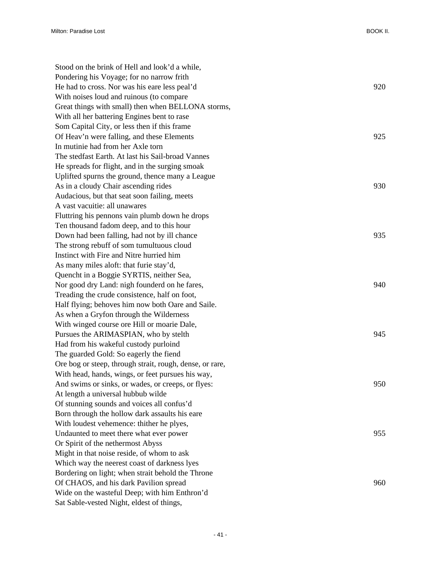| Stood on the brink of Hell and look'd a while,           |     |
|----------------------------------------------------------|-----|
| Pondering his Voyage; for no narrow frith                |     |
| He had to cross. Nor was his eare less peal'd            | 920 |
| With noises loud and ruinous (to compare                 |     |
| Great things with small) then when BELLONA storms,       |     |
| With all her battering Engines bent to rase              |     |
| Som Capital City, or less then if this frame             |     |
| Of Heav'n were falling, and these Elements               | 925 |
| In mutinie had from her Axle torn                        |     |
| The stedfast Earth. At last his Sail-broad Vannes        |     |
| He spreads for flight, and in the surging smoak          |     |
| Uplifted spurns the ground, thence many a League         |     |
| As in a cloudy Chair ascending rides                     | 930 |
| Audacious, but that seat soon failing, meets             |     |
| A vast vacuitie: all unawares                            |     |
| Fluttring his pennons vain plumb down he drops           |     |
| Ten thousand fadom deep, and to this hour                |     |
| Down had been falling, had not by ill chance             | 935 |
| The strong rebuff of som tumultuous cloud                |     |
| Instinct with Fire and Nitre hurried him                 |     |
| As many miles aloft: that furie stay'd,                  |     |
| Quencht in a Boggie SYRTIS, neither Sea,                 |     |
| Nor good dry Land: nigh founderd on he fares,            | 940 |
| Treading the crude consistence, half on foot,            |     |
| Half flying; behoves him now both Oare and Saile.        |     |
| As when a Gryfon through the Wilderness                  |     |
| With winged course ore Hill or moarie Dale,              |     |
| Pursues the ARIMASPIAN, who by stelth                    | 945 |
| Had from his wakeful custody purloind                    |     |
| The guarded Gold: So eagerly the fiend                   |     |
| Ore bog or steep, through strait, rough, dense, or rare, |     |
| With head, hands, wings, or feet pursues his way,        |     |
| And swims or sinks, or wades, or creeps, or flyes:       | 950 |
| At length a universal hubbub wilde                       |     |
| Of stunning sounds and voices all confus'd               |     |
| Born through the hollow dark assaults his eare           |     |
| With loudest vehemence: thither he plyes,                |     |
| Undaunted to meet there what ever power                  | 955 |
| Or Spirit of the nethermost Abyss                        |     |
| Might in that noise reside, of whom to ask               |     |
| Which way the neerest coast of darkness lyes             |     |
| Bordering on light; when strait behold the Throne        |     |
| Of CHAOS, and his dark Pavilion spread                   | 960 |
| Wide on the wasteful Deep; with him Enthron'd            |     |
| Sat Sable-vested Night, eldest of things,                |     |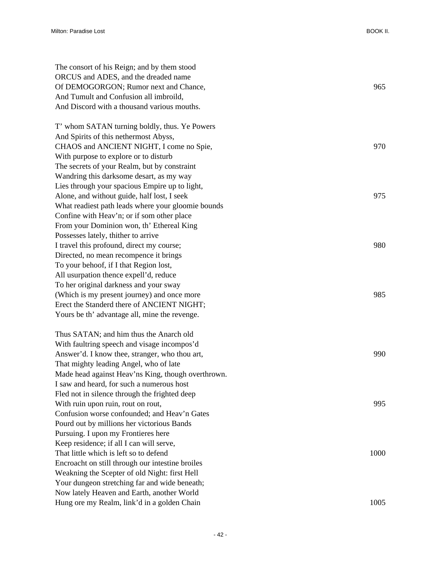| The consort of his Reign; and by them stood        |      |
|----------------------------------------------------|------|
| ORCUS and ADES, and the dreaded name               |      |
| Of DEMOGORGON; Rumor next and Chance,              | 965  |
| And Tumult and Confusion all imbroild,             |      |
| And Discord with a thousand various mouths.        |      |
| T' whom SATAN turning boldly, thus. Ye Powers      |      |
| And Spirits of this nethermost Abyss,              |      |
| CHAOS and ANCIENT NIGHT, I come no Spie,           | 970  |
| With purpose to explore or to disturb              |      |
| The secrets of your Realm, but by constraint       |      |
| Wandring this darksome desart, as my way           |      |
| Lies through your spacious Empire up to light,     |      |
| Alone, and without guide, half lost, I seek        | 975  |
| What readiest path leads where your gloomie bounds |      |
| Confine with Heav'n; or if som other place         |      |
| From your Dominion won, th' Ethereal King          |      |
| Possesses lately, thither to arrive                |      |
| I travel this profound, direct my course;          | 980  |
| Directed, no mean recompence it brings             |      |
| To your behoof, if I that Region lost,             |      |
| All usurpation thence expell'd, reduce             |      |
| To her original darkness and your sway             |      |
| (Which is my present journey) and once more        | 985  |
| Erect the Standerd there of ANCIENT NIGHT;         |      |
| Yours be th' advantage all, mine the revenge.      |      |
| Thus SATAN; and him thus the Anarch old            |      |
| With faultring speech and visage incompos'd        |      |
| Answer'd. I know thee, stranger, who thou art,     | 990  |
| That mighty leading Angel, who of late             |      |
| Made head against Heav'ns King, though overthrown. |      |
| I saw and heard, for such a numerous host          |      |
| Fled not in silence through the frighted deep      |      |
| With ruin upon ruin, rout on rout,                 | 995  |
| Confusion worse confounded; and Heav'n Gates       |      |
| Pourd out by millions her victorious Bands         |      |
| Pursuing. I upon my Frontieres here                |      |
| Keep residence; if all I can will serve,           |      |
| That little which is left so to defend             | 1000 |
| Encroacht on still through our intestine broiles   |      |
| Weakning the Scepter of old Night: first Hell      |      |
| Your dungeon stretching far and wide beneath;      |      |
| Now lately Heaven and Earth, another World         |      |
| Hung ore my Realm, link'd in a golden Chain        | 1005 |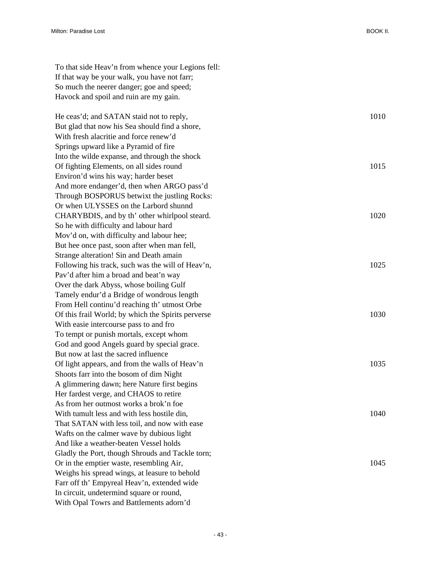| To that side Heav'n from whence your Legions fell: |      |
|----------------------------------------------------|------|
| If that way be your walk, you have not farr;       |      |
| So much the neerer danger; goe and speed;          |      |
| Havock and spoil and ruin are my gain.             |      |
| He ceas'd; and SATAN staid not to reply,           | 1010 |
| But glad that now his Sea should find a shore,     |      |
| With fresh alacritie and force renew'd             |      |
| Springs upward like a Pyramid of fire              |      |
| Into the wilde expanse, and through the shock      |      |
| Of fighting Elements, on all sides round           | 1015 |
| Environ'd wins his way; harder beset               |      |
| And more endanger'd, then when ARGO pass'd         |      |
| Through BOSPORUS betwixt the justling Rocks:       |      |
| Or when ULYSSES on the Larbord shunnd              |      |
| CHARYBDIS, and by th' other whirlpool steard.      | 1020 |
| So he with difficulty and labour hard              |      |
| Mov'd on, with difficulty and labour hee;          |      |
| But hee once past, soon after when man fell,       |      |
| Strange alteration! Sin and Death amain            |      |
| Following his track, such was the will of Heav'n,  | 1025 |
| Pav'd after him a broad and beat'n way             |      |
| Over the dark Abyss, whose boiling Gulf            |      |
| Tamely endur'd a Bridge of wondrous length         |      |
| From Hell continu'd reaching th' utmost Orbe       |      |
| Of this frail World; by which the Spirits perverse | 1030 |
| With easie intercourse pass to and fro             |      |
| To tempt or punish mortals, except whom            |      |
| God and good Angels guard by special grace.        |      |
| But now at last the sacred influence               |      |
| Of light appears, and from the walls of Heav'n     | 1035 |
| Shoots farr into the bosom of dim Night            |      |
| A glimmering dawn; here Nature first begins        |      |
| Her fardest verge, and CHAOS to retire             |      |
| As from her outmost works a brok'n foe             |      |
| With tumult less and with less hostile din,        | 1040 |
| That SATAN with less toil, and now with ease       |      |
| Wafts on the calmer wave by dubious light          |      |
| And like a weather-beaten Vessel holds             |      |
| Gladly the Port, though Shrouds and Tackle torn;   |      |
| Or in the emptier waste, resembling Air,           | 1045 |
| Weighs his spread wings, at leasure to behold      |      |
| Farr off th' Empyreal Heav'n, extended wide        |      |
| In circuit, undetermind square or round,           |      |
| With Opal Towrs and Battlements adorn'd            |      |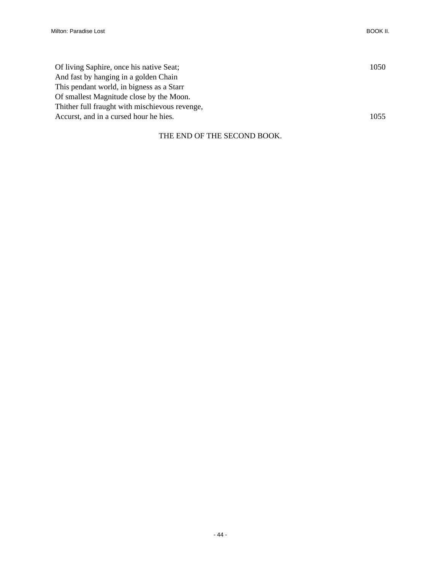| Of living Saphire, once his native Seat;       | 1050 |
|------------------------------------------------|------|
| And fast by hanging in a golden Chain          |      |
| This pendant world, in bigness as a Starr      |      |
| Of smallest Magnitude close by the Moon.       |      |
| Thither full fraught with mischievous revenge, |      |
| Accurst, and in a cursed hour he hies.         | 1055 |
|                                                |      |

## THE END OF THE SECOND BOOK.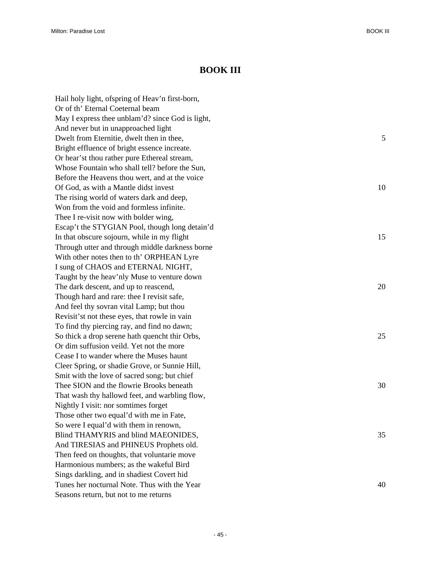## **BOOK III**

Hail holy light, ofspring of Heav'n first-born, Or of th' Eternal Coeternal beam May I express thee unblam'd? since God is light, And never but in unapproached light Dwelt from Eternitie, dwelt then in thee, 5 Bright effluence of bright essence increate. Or hear'st thou rather pure Ethereal stream, Whose Fountain who shall tell? before the Sun, Before the Heavens thou wert, and at the voice Of God, as with a Mantle didst invest 10 The rising world of waters dark and deep, Won from the void and formless infinite. Thee I re-visit now with bolder wing, Escap't the STYGIAN Pool, though long detain'd In that obscure sojourn, while in my flight 15 Through utter and through middle darkness borne With other notes then to th' ORPHEAN Lyre I sung of CHAOS and ETERNAL NIGHT, Taught by the heav'nly Muse to venture down The dark descent, and up to reascend, 20 Though hard and rare: thee I revisit safe, And feel thy sovran vital Lamp; but thou Revisit'st not these eyes, that rowle in vain To find thy piercing ray, and find no dawn; So thick a drop serene hath quencht thir Orbs, 25 Or dim suffusion veild. Yet not the more Cease I to wander where the Muses haunt Cleer Spring, or shadie Grove, or Sunnie Hill, Smit with the love of sacred song; but chief Thee SION and the flowrie Brooks beneath 30 That wash thy hallowd feet, and warbling flow, Nightly I visit: nor somtimes forget Those other two equal'd with me in Fate, So were I equal'd with them in renown, Blind THAMYRIS and blind MAEONIDES, 35 And TIRESIAS and PHINEUS Prophets old. Then feed on thoughts, that voluntarie move Harmonious numbers; as the wakeful Bird Sings darkling, and in shadiest Covert hid Tunes her nocturnal Note. Thus with the Year 40 Seasons return, but not to me returns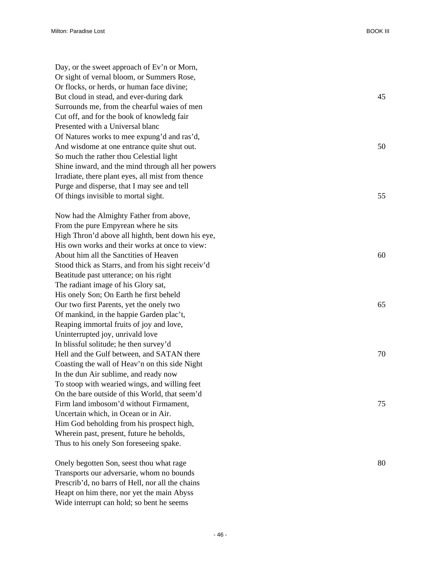Day, or the sweet approach of Ev'n or Morn, Or sight of vernal bloom, or Summers Rose, Or flocks, or herds, or human face divine; But cloud in stead, and ever-during dark 45 Surrounds me, from the chearful waies of men Cut off, and for the book of knowledg fair Presented with a Universal blanc Of Natures works to mee expung'd and ras'd, And wisdome at one entrance quite shut out. 50 So much the rather thou Celestial light Shine inward, and the mind through all her powers Irradiate, there plant eyes, all mist from thence Purge and disperse, that I may see and tell Of things invisible to mortal sight. 55

Now had the Almighty Father from above, From the pure Empyrean where he sits High Thron'd above all highth, bent down his eye, His own works and their works at once to view: About him all the Sanctities of Heaven 60 Stood thick as Starrs, and from his sight receiv'd Beatitude past utterance; on his right The radiant image of his Glory sat, His onely Son; On Earth he first beheld Our two first Parents, yet the onely two 65 Of mankind, in the happie Garden plac't, Reaping immortal fruits of joy and love, Uninterrupted joy, unrivald love In blissful solitude; he then survey'd Hell and the Gulf between, and SATAN there 70 Coasting the wall of Heav'n on this side Night In the dun Air sublime, and ready now To stoop with wearied wings, and willing feet On the bare outside of this World, that seem'd Firm land imbosom'd without Firmament, 75 Uncertain which, in Ocean or in Air. Him God beholding from his prospect high, Wherein past, present, future he beholds, Thus to his onely Son foreseeing spake.

Onely begotten Son, seest thou what rage 80 Transports our adversarie, whom no bounds Prescrib'd, no barrs of Hell, nor all the chains Heapt on him there, nor yet the main Abyss Wide interrupt can hold; so bent he seems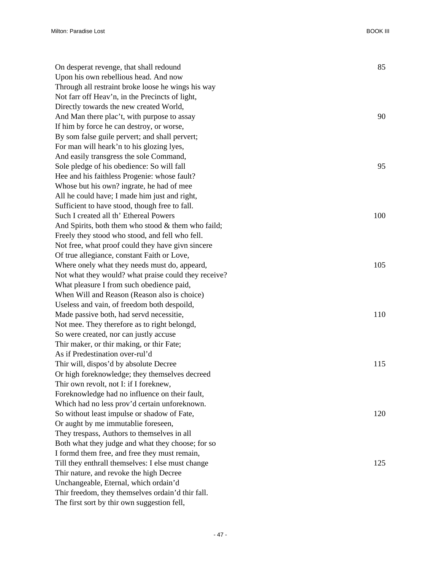Milton: Paradise Lost BOOK III

| On desperat revenge, that shall redound              | 85  |
|------------------------------------------------------|-----|
| Upon his own rebellious head. And now                |     |
| Through all restraint broke loose he wings his way   |     |
| Not farr off Heav'n, in the Precincts of light,      |     |
| Directly towards the new created World,              |     |
| And Man there plac't, with purpose to assay          | 90  |
| If him by force he can destroy, or worse,            |     |
| By som false guile pervert; and shall pervert;       |     |
| For man will heark'n to his glozing lyes,            |     |
| And easily transgress the sole Command,              |     |
| Sole pledge of his obedience: So will fall           | 95  |
| Hee and his faithless Progenie: whose fault?         |     |
| Whose but his own? ingrate, he had of mee            |     |
| All he could have; I made him just and right,        |     |
| Sufficient to have stood, though free to fall.       |     |
| Such I created all th' Ethereal Powers               | 100 |
| And Spirits, both them who stood $&$ them who faild; |     |
| Freely they stood who stood, and fell who fell.      |     |
| Not free, what proof could they have givn sincere    |     |
| Of true allegiance, constant Faith or Love,          |     |
| Where onely what they needs must do, appeard,        | 105 |
| Not what they would? what praise could they receive? |     |
| What pleasure I from such obedience paid,            |     |
| When Will and Reason (Reason also is choice)         |     |
| Useless and vain, of freedom both despoild,          |     |
| Made passive both, had servd necessitie,             | 110 |
| Not mee. They therefore as to right belongd,         |     |
| So were created, nor can justly accuse               |     |
| Thir maker, or thir making, or thir Fate;            |     |
| As if Predestination over-rul'd                      |     |
| Thir will, dispos'd by absolute Decree               | 115 |
| Or high foreknowledge; they themselves decreed       |     |
| Thir own revolt, not I: if I foreknew,               |     |
| Foreknowledge had no influence on their fault,       |     |
| Which had no less prov'd certain unforeknown.        |     |
| So without least impulse or shadow of Fate,          | 120 |
| Or aught by me immutablie foreseen,                  |     |
| They trespass, Authors to themselves in all          |     |
| Both what they judge and what they choose; for so    |     |
| I formd them free, and free they must remain,        |     |
| Till they enthrall themselves: I else must change    | 125 |
| Thir nature, and revoke the high Decree              |     |
| Unchangeable, Eternal, which ordain'd                |     |
| Thir freedom, they themselves ordain'd thir fall.    |     |
| The first sort by thir own suggestion fell,          |     |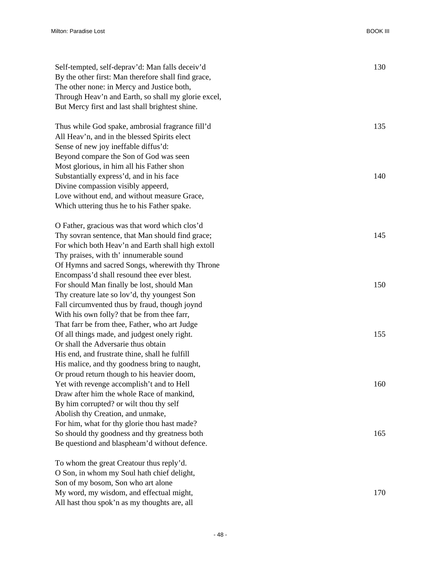| Self-tempted, self-deprav'd: Man falls deceiv'd     | 130 |
|-----------------------------------------------------|-----|
| By the other first: Man therefore shall find grace, |     |
| The other none: in Mercy and Justice both,          |     |
| Through Heav'n and Earth, so shall my glorie excel, |     |
| But Mercy first and last shall brightest shine.     |     |
|                                                     |     |
| Thus while God spake, ambrosial fragrance fill'd    | 135 |
| All Heav'n, and in the blessed Spirits elect        |     |
| Sense of new joy ineffable diffus'd:                |     |
| Beyond compare the Son of God was seen              |     |
| Most glorious, in him all his Father shon           |     |
| Substantially express'd, and in his face            | 140 |
| Divine compassion visibly appeerd,                  |     |
| Love without end, and without measure Grace,        |     |
| Which uttering thus he to his Father spake.         |     |
|                                                     |     |
| O Father, gracious was that word which clos'd       |     |
| Thy sovran sentence, that Man should find grace;    | 145 |
| For which both Heav'n and Earth shall high extoll   |     |
| Thy praises, with th' innumerable sound             |     |
| Of Hymns and sacred Songs, wherewith thy Throne     |     |
| Encompass'd shall resound thee ever blest.          |     |
| For should Man finally be lost, should Man          | 150 |
| Thy creature late so lov'd, thy youngest Son        |     |
| Fall circumvented thus by fraud, though joynd       |     |
| With his own folly? that be from thee farr,         |     |
| That farr be from thee, Father, who art Judge       |     |
| Of all things made, and judgest onely right.        | 155 |
| Or shall the Adversarie thus obtain                 |     |
| His end, and frustrate thine, shall he fulfill      |     |
| His malice, and thy goodness bring to naught,       |     |
| Or proud return though to his heavier doom,         |     |
| Yet with revenge accomplish't and to Hell           | 160 |
| Draw after him the whole Race of mankind,           |     |
| By him corrupted? or wilt thou thy self             |     |
| Abolish thy Creation, and unmake,                   |     |
| For him, what for thy glorie thou hast made?        |     |
| So should thy goodness and thy greatness both       | 165 |
| Be questiond and blaspheam'd without defence.       |     |
|                                                     |     |
| To whom the great Creatour thus reply'd.            |     |
| O Son, in whom my Soul hath chief delight,          |     |
| Son of my bosom, Son who art alone                  |     |

My word, my wisdom, and effectual might, 170

All hast thou spok'n as my thoughts are, all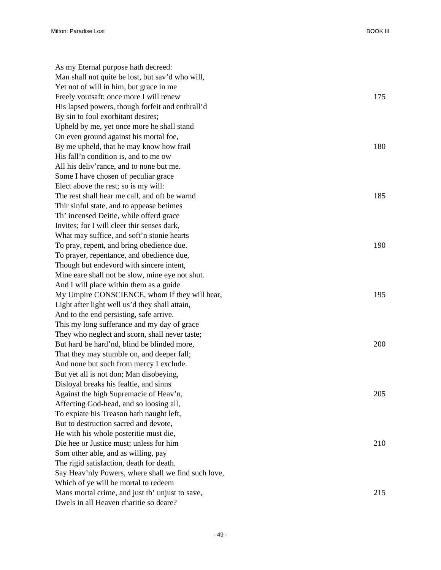As my Eternal purpose hath decreed: Man shall not quite be lost, but sav'd who will, Yet not of will in him, but grace in me Freely voutsaft; once more I will renew 175 His lapsed powers, though forfeit and enthrall'd By sin to foul exorbitant desires; Upheld by me, yet once more he shall stand On even ground against his mortal foe, By me upheld, that he may know how frail 180 His fall'n condition is, and to me ow All his deliv'rance, and to none but me. Some I have chosen of peculiar grace Elect above the rest; so is my will: The rest shall hear me call, and oft be warnd 185 Thir sinful state, and to appease betimes Th' incensed Deitie, while offerd grace Invites; for I will cleer thir senses dark, What may suffice, and soft'n stonie hearts To pray, repent, and bring obedience due. 190 To prayer, repentance, and obedience due, Though but endevord with sincere intent, Mine eare shall not be slow, mine eye not shut. And I will place within them as a guide My Umpire CONSCIENCE, whom if they will hear, 195 Light after light well us'd they shall attain, And to the end persisting, safe arrive. This my long sufferance and my day of grace They who neglect and scorn, shall never taste; But hard be hard'nd, blind be blinded more, 200 That they may stumble on, and deeper fall; And none but such from mercy I exclude. But yet all is not don; Man disobeying, Disloyal breaks his fealtie, and sinns Against the high Supremacie of Heav'n, 205 Affecting God-head, and so loosing all, To expiate his Treason hath naught left, But to destruction sacred and devote, He with his whole posteritie must die, Die hee or Justice must; unless for him 210 Som other able, and as willing, pay The rigid satisfaction, death for death. Say Heav'nly Powers, where shall we find such love, Which of ye will be mortal to redeem Mans mortal crime, and just th' unjust to save, 215 Dwels in all Heaven charitie so deare?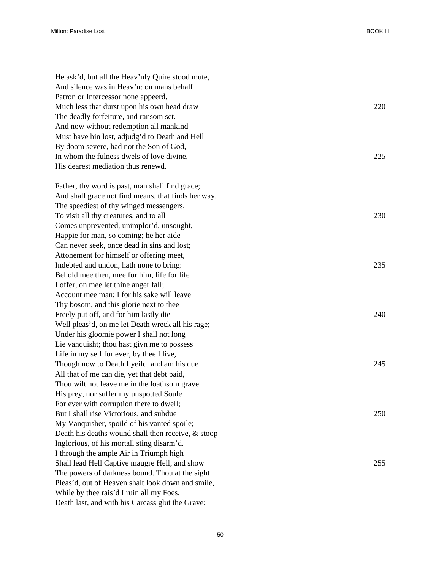| He ask'd, but all the Heav'nly Quire stood mute,    |     |
|-----------------------------------------------------|-----|
| And silence was in Heav'n: on mans behalf           |     |
| Patron or Intercessor none appeerd,                 |     |
| Much less that durst upon his own head draw         | 220 |
| The deadly forfeiture, and ransom set.              |     |
| And now without redemption all mankind              |     |
| Must have bin lost, adjudg'd to Death and Hell      |     |
| By doom severe, had not the Son of God,             |     |
| In whom the fulness dwels of love divine,           | 225 |
| His dearest mediation thus renewd.                  |     |
| Father, thy word is past, man shall find grace;     |     |
| And shall grace not find means, that finds her way, |     |
| The speediest of thy winged messengers,             |     |
| To visit all thy creatures, and to all              | 230 |
| Comes unprevented, unimplor'd, unsought,            |     |
| Happie for man, so coming; he her aide              |     |
| Can never seek, once dead in sins and lost;         |     |
| Attonement for himself or offering meet,            |     |
| Indebted and undon, hath none to bring:             | 235 |
| Behold mee then, mee for him, life for life         |     |
| I offer, on mee let thine anger fall;               |     |
| Account mee man; I for his sake will leave          |     |
| Thy bosom, and this glorie next to thee             |     |
| Freely put off, and for him lastly die              | 240 |
| Well pleas'd, on me let Death wreck all his rage;   |     |
| Under his gloomie power I shall not long            |     |
| Lie vanquisht; thou hast givn me to possess         |     |
| Life in my self for ever, by thee I live,           |     |
| Though now to Death I yeild, and am his due         | 245 |
| All that of me can die, yet that debt paid,         |     |
| Thou wilt not leave me in the loathsom grave        |     |
| His prey, nor suffer my unspotted Soule             |     |
| For ever with corruption there to dwell;            |     |
| But I shall rise Victorious, and subdue             | 250 |
| My Vanquisher, spoild of his vanted spoile;         |     |
| Death his deaths wound shall then receive, & stoop  |     |
| Inglorious, of his mortall sting disarm'd.          |     |
| I through the ample Air in Triumph high             |     |
| Shall lead Hell Captive maugre Hell, and show       | 255 |
| The powers of darkness bound. Thou at the sight     |     |
| Pleas'd, out of Heaven shalt look down and smile,   |     |
| While by thee rais'd I ruin all my Foes,            |     |
| Death last, and with his Carcass glut the Grave:    |     |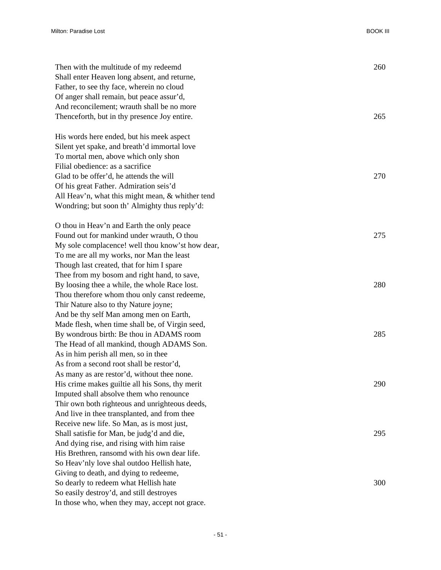| Then with the multitude of my redeemd            | 260 |
|--------------------------------------------------|-----|
| Shall enter Heaven long absent, and returne,     |     |
| Father, to see thy face, wherein no cloud        |     |
| Of anger shall remain, but peace assur'd,        |     |
| And reconcilement; wrauth shall be no more       |     |
| Thenceforth, but in thy presence Joy entire.     | 265 |
| His words here ended, but his meek aspect        |     |
| Silent yet spake, and breath'd immortal love     |     |
| To mortal men, above which only shon             |     |
| Filial obedience: as a sacrifice                 |     |
| Glad to be offer'd, he attends the will          | 270 |
| Of his great Father. Admiration seis'd           |     |
| All Heav'n, what this might mean, & whither tend |     |
| Wondring; but soon th' Almighty thus reply'd:    |     |
| O thou in Heav'n and Earth the only peace        |     |
| Found out for mankind under wrauth, O thou       | 275 |
| My sole complacence! well thou know'st how dear, |     |
| To me are all my works, nor Man the least        |     |
| Though last created, that for him I spare        |     |
| Thee from my bosom and right hand, to save,      |     |
| By loosing thee a while, the whole Race lost.    | 280 |
| Thou therefore whom thou only canst redeeme,     |     |
| Thir Nature also to thy Nature joyne;            |     |
| And be thy self Man among men on Earth,          |     |
| Made flesh, when time shall be, of Virgin seed,  |     |
| By wondrous birth: Be thou in ADAMS room         | 285 |
| The Head of all mankind, though ADAMS Son.       |     |
| As in him perish all men, so in thee             |     |
| As from a second root shall be restor'd,         |     |
| As many as are restor'd, without thee none.      |     |
| His crime makes guiltie all his Sons, thy merit  | 290 |
| Imputed shall absolve them who renounce          |     |
| Thir own both righteous and unrighteous deeds,   |     |
| And live in thee transplanted, and from thee     |     |
| Receive new life. So Man, as is most just,       |     |
| Shall satisfie for Man, be judg'd and die,       | 295 |
| And dying rise, and rising with him raise        |     |
| His Brethren, ransomd with his own dear life.    |     |
| So Heav'nly love shal outdoo Hellish hate,       |     |
| Giving to death, and dying to redeeme,           |     |
| So dearly to redeem what Hellish hate            | 300 |
| So easily destroy'd, and still destroyes         |     |
| In those who, when they may, accept not grace.   |     |
|                                                  |     |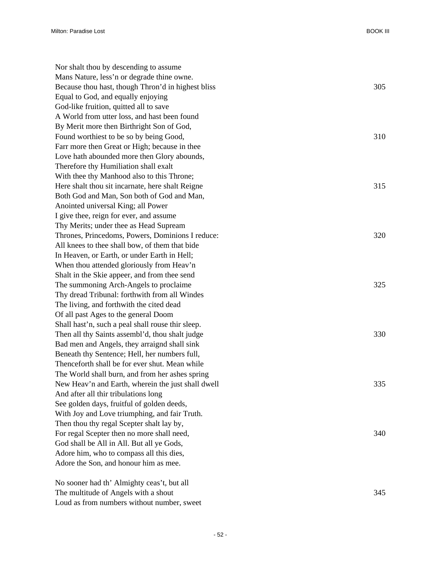Nor shalt thou by descending to assume Mans Nature, less'n or degrade thine owne. Because thou hast, though Thron'd in highest bliss 305 Equal to God, and equally enjoying God-like fruition, quitted all to save A World from utter loss, and hast been found By Merit more then Birthright Son of God, Found worthiest to be so by being Good, 310 Farr more then Great or High; because in thee Love hath abounded more then Glory abounds, Therefore thy Humiliation shall exalt With thee thy Manhood also to this Throne; Here shalt thou sit incarnate, here shalt Reigne 315 Both God and Man, Son both of God and Man, Anointed universal King; all Power I give thee, reign for ever, and assume Thy Merits; under thee as Head Supream Thrones, Princedoms, Powers, Dominions I reduce: 320 All knees to thee shall bow, of them that bide In Heaven, or Earth, or under Earth in Hell; When thou attended gloriously from Heav'n Shalt in the Skie appeer, and from thee send The summoning Arch-Angels to proclaime 325 Thy dread Tribunal: forthwith from all Windes The living, and forthwith the cited dead Of all past Ages to the general Doom Shall hast'n, such a peal shall rouse thir sleep. Then all thy Saints assembl'd, thou shalt judge 330 Bad men and Angels, they arraignd shall sink Beneath thy Sentence; Hell, her numbers full, Thenceforth shall be for ever shut. Mean while The World shall burn, and from her ashes spring New Heav'n and Earth, wherein the just shall dwell 335 And after all thir tribulations long See golden days, fruitful of golden deeds, With Joy and Love triumphing, and fair Truth. Then thou thy regal Scepter shalt lay by, For regal Scepter then no more shall need, 340 God shall be All in All. But all ye Gods, Adore him, who to compass all this dies, Adore the Son, and honour him as mee. No sooner had th' Almighty ceas't, but all

The multitude of Angels with a shout 345 Loud as from numbers without number, sweet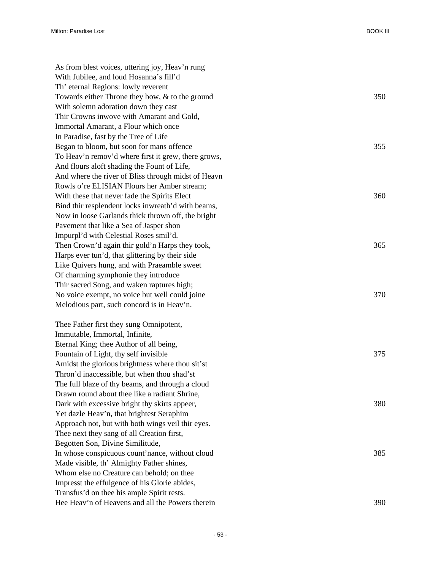| As from blest voices, uttering joy, Heav'n rung     |     |
|-----------------------------------------------------|-----|
| With Jubilee, and loud Hosanna's fill'd             |     |
| Th' eternal Regions: lowly reverent                 |     |
| Towards either Throne they bow, $&$ to the ground   | 350 |
| With solemn adoration down they cast                |     |
| Thir Crowns inwove with Amarant and Gold,           |     |
| Immortal Amarant, a Flour which once                |     |
| In Paradise, fast by the Tree of Life               |     |
| Began to bloom, but soon for mans offence           | 355 |
| To Heav'n remov'd where first it grew, there grows, |     |
| And flours aloft shading the Fount of Life,         |     |
| And where the river of Bliss through midst of Heavn |     |
| Rowls o're ELISIAN Flours her Amber stream;         |     |
| With these that never fade the Spirits Elect        | 360 |
| Bind thir resplendent locks inwreath'd with beams,  |     |
| Now in loose Garlands thick thrown off, the bright  |     |
| Pavement that like a Sea of Jasper shon             |     |
| Impurpl'd with Celestial Roses smil'd.              |     |
| Then Crown'd again thir gold'n Harps they took,     | 365 |
| Harps ever tun'd, that glittering by their side     |     |
| Like Quivers hung, and with Praeamble sweet         |     |
| Of charming symphonie they introduce                |     |
| Thir sacred Song, and waken raptures high;          |     |
| No voice exempt, no voice but well could joine      | 370 |
| Melodious part, such concord is in Heav'n.          |     |
| Thee Father first they sung Omnipotent,             |     |
| Immutable, Immortal, Infinite,                      |     |
| Eternal King; thee Author of all being,             |     |
| Fountain of Light, thy self invisible               | 375 |
| Amidst the glorious brightness where thou sit'st    |     |
| Thron'd inaccessible, but when thou shad'st         |     |
| The full blaze of thy beams, and through a cloud    |     |
| Drawn round about thee like a radiant Shrine,       |     |
| Dark with excessive bright thy skirts appeer,       | 380 |
| Yet dazle Heav'n, that brightest Seraphim           |     |
| Approach not, but with both wings veil thir eyes.   |     |
| Thee next they sang of all Creation first,          |     |
| Begotten Son, Divine Similitude,                    |     |
| In whose conspicuous count'nance, without cloud     | 385 |
| Made visible, th' Almighty Father shines,           |     |
| Whom else no Creature can behold; on thee           |     |
| Impresst the effulgence of his Glorie abides,       |     |
| Transfus'd on thee his ample Spirit rests.          |     |
| Hee Heav'n of Heavens and all the Powers therein    | 390 |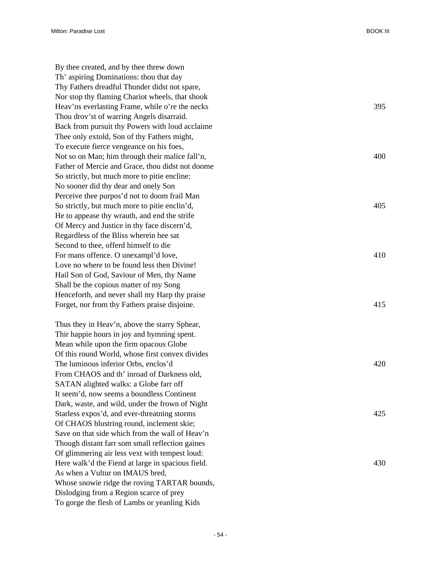By thee created, and by thee threw down Th' aspiring Dominations: thou that day Thy Fathers dreadful Thunder didst not spare, Nor stop thy flaming Chariot wheels, that shook Heav'ns everlasting Frame, while o're the necks 395 Thou drov'st of warring Angels disarraid. Back from pursuit thy Powers with loud acclaime Thee only extold, Son of thy Fathers might, To execute fierce vengeance on his foes, Not so on Man; him through their malice fall'n,  $400$ Father of Mercie and Grace, thou didst not doome So strictly, but much more to pitie encline: No sooner did thy dear and onely Son Perceive thee purpos'd not to doom frail Man So strictly, but much more to pitie enclin'd, 405 He to appease thy wrauth, and end the strife Of Mercy and Justice in thy face discern'd, Regardless of the Bliss wherein hee sat Second to thee, offerd himself to die For mans offence. O unexampl'd love, 410 Love no where to be found less then Divine! Hail Son of God, Saviour of Men, thy Name Shall be the copious matter of my Song Henceforth, and never shall my Harp thy praise Forget, nor from thy Fathers praise disjoine. 415

Thus they in Heav'n, above the starry Sphear, Thir happie hours in joy and hymning spent. Mean while upon the firm opacous Globe Of this round World, whose first convex divides The luminous inferior Orbs, enclos'd 420 From CHAOS and th' inroad of Darkness old, SATAN alighted walks: a Globe farr off It seem'd, now seems a boundless Continent Dark, waste, and wild, under the frown of Night Starless expos'd, and ever-threatning storms 425 Of CHAOS blustring round, inclement skie; Save on that side which from the wall of Heav'n Though distant farr som small reflection gaines Of glimmering air less vext with tempest loud: Here walk'd the Fiend at large in spacious field. 430 As when a Vultur on IMAUS bred, Whose snowie ridge the roving TARTAR bounds, Dislodging from a Region scarce of prey To gorge the flesh of Lambs or yeanling Kids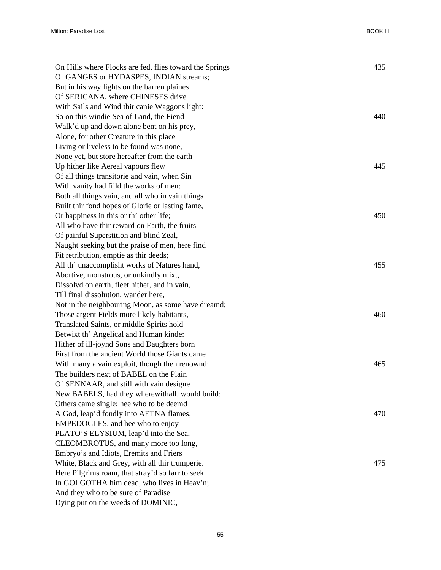| On Hills where Flocks are fed, flies toward the Springs | 435 |
|---------------------------------------------------------|-----|
| Of GANGES or HYDASPES, INDIAN streams;                  |     |
| But in his way lights on the barren plaines             |     |
| Of SERICANA, where CHINESES drive                       |     |
| With Sails and Wind thir canie Waggons light:           |     |
| So on this windie Sea of Land, the Fiend                | 440 |
| Walk'd up and down alone bent on his prey,              |     |
| Alone, for other Creature in this place                 |     |
| Living or liveless to be found was none,                |     |
| None yet, but store hereafter from the earth            |     |
| Up hither like Aereal vapours flew                      | 445 |
| Of all things transitorie and vain, when Sin            |     |
| With vanity had filld the works of men:                 |     |
| Both all things vain, and all who in vain things        |     |
| Built thir fond hopes of Glorie or lasting fame,        |     |
| Or happiness in this or th' other life;                 | 450 |
| All who have thir reward on Earth, the fruits           |     |
| Of painful Superstition and blind Zeal,                 |     |
| Naught seeking but the praise of men, here find         |     |
| Fit retribution, emptie as thir deeds;                  |     |
| All th' unaccomplisht works of Natures hand,            | 455 |
| Abortive, monstrous, or unkindly mixt,                  |     |
| Dissolvd on earth, fleet hither, and in vain,           |     |
| Till final dissolution, wander here,                    |     |
| Not in the neighbouring Moon, as some have dreamd;      |     |
| Those argent Fields more likely habitants,              | 460 |
| Translated Saints, or middle Spirits hold               |     |
| Betwixt th' Angelical and Human kinde:                  |     |
| Hither of ill-joynd Sons and Daughters born             |     |
| First from the ancient World those Giants came          |     |
| With many a vain exploit, though then renownd:          | 465 |
| The builders next of BABEL on the Plain                 |     |
| Of SENNAAR, and still with vain designe                 |     |
| New BABELS, had they wherewithall, would build:         |     |
| Others came single; hee who to be deemd                 |     |
| A God, leap'd fondly into AETNA flames,                 | 470 |
| EMPEDOCLES, and hee who to enjoy                        |     |
| PLATO'S ELYSIUM, leap'd into the Sea,                   |     |
| CLEOMBROTUS, and many more too long,                    |     |
| Embryo's and Idiots, Eremits and Friers                 |     |
| White, Black and Grey, with all thir trumperie.         | 475 |
| Here Pilgrims roam, that stray'd so farr to seek        |     |
| In GOLGOTHA him dead, who lives in Heav'n;              |     |
| And they who to be sure of Paradise                     |     |
| Dying put on the weeds of DOMINIC,                      |     |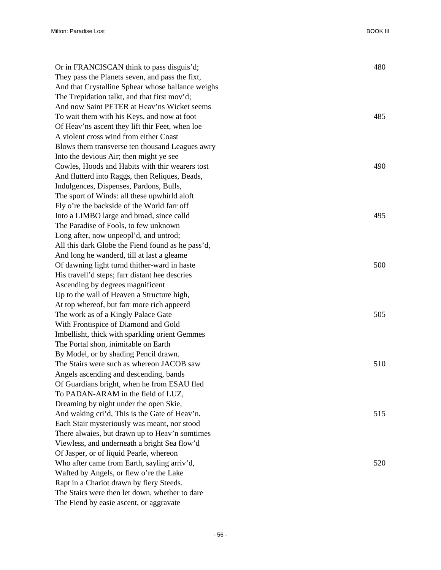| Or in FRANCISCAN think to pass disguis'd;         | 480 |
|---------------------------------------------------|-----|
| They pass the Planets seven, and pass the fixt,   |     |
| And that Crystalline Sphear whose ballance weighs |     |
| The Trepidation talkt, and that first mov'd;      |     |
| And now Saint PETER at Heav'ns Wicket seems       |     |
| To wait them with his Keys, and now at foot       | 485 |
| Of Heav'ns ascent they lift thir Feet, when loe   |     |
| A violent cross wind from either Coast            |     |
| Blows them transverse ten thousand Leagues awry   |     |
| Into the devious Air; then might ye see           |     |
| Cowles, Hoods and Habits with thir wearers tost   | 490 |
| And flutterd into Raggs, then Reliques, Beads,    |     |
| Indulgences, Dispenses, Pardons, Bulls,           |     |
| The sport of Winds: all these upwhirld aloft      |     |
| Fly o're the backside of the World farr off       |     |
| Into a LIMBO large and broad, since calld         | 495 |
| The Paradise of Fools, to few unknown             |     |
| Long after, now unpeopl'd, and untrod;            |     |
| All this dark Globe the Fiend found as he pass'd, |     |
| And long he wanderd, till at last a gleame        |     |
| Of dawning light turnd thither-ward in haste      | 500 |
| His travell'd steps; farr distant hee descries    |     |
| Ascending by degrees magnificent                  |     |
| Up to the wall of Heaven a Structure high,        |     |
| At top whereof, but farr more rich appeerd        |     |
| The work as of a Kingly Palace Gate               | 505 |
| With Frontispice of Diamond and Gold              |     |
| Imbellisht, thick with sparkling orient Gemmes    |     |
| The Portal shon, inimitable on Earth              |     |
| By Model, or by shading Pencil drawn.             |     |
| The Stairs were such as whereon JACOB saw         | 510 |
| Angels ascending and descending, bands            |     |
| Of Guardians bright, when he from ESAU fled       |     |
| To PADAN-ARAM in the field of LUZ,                |     |
| Dreaming by night under the open Skie,            |     |
| And waking cri'd, This is the Gate of Heav'n.     | 515 |
| Each Stair mysteriously was meant, nor stood      |     |
| There alwaies, but drawn up to Heav'n somtimes    |     |
| Viewless, and underneath a bright Sea flow'd      |     |
| Of Jasper, or of liquid Pearle, whereon           |     |
| Who after came from Earth, sayling arriv'd,       | 520 |
| Wafted by Angels, or flew o're the Lake           |     |
| Rapt in a Chariot drawn by fiery Steeds.          |     |
| The Stairs were then let down, whether to dare    |     |
| The Fiend by easie ascent, or aggravate           |     |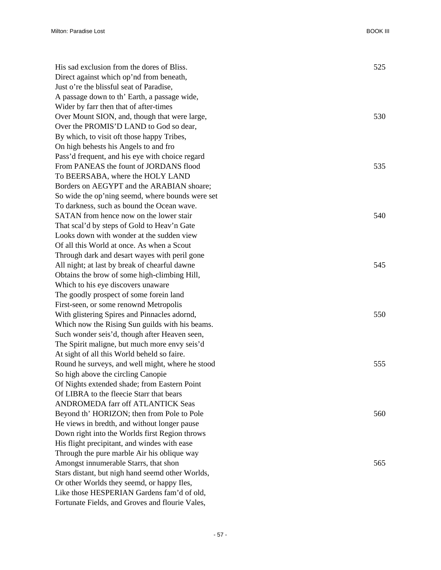| His sad exclusion from the dores of Bliss.       | 525 |
|--------------------------------------------------|-----|
| Direct against which op'nd from beneath,         |     |
| Just o're the blissful seat of Paradise,         |     |
| A passage down to th' Earth, a passage wide,     |     |
| Wider by farr then that of after-times           |     |
| Over Mount SION, and, though that were large,    | 530 |
| Over the PROMIS'D LAND to God so dear,           |     |
| By which, to visit oft those happy Tribes,       |     |
| On high behests his Angels to and fro            |     |
| Pass'd frequent, and his eye with choice regard  |     |
| From PANEAS the fount of JORDANS flood           | 535 |
| To BEERSABA, where the HOLY LAND                 |     |
| Borders on AEGYPT and the ARABIAN shoare;        |     |
| So wide the op'ning seemd, where bounds were set |     |
| To darkness, such as bound the Ocean wave.       |     |
| SATAN from hence now on the lower stair          | 540 |
| That scal'd by steps of Gold to Heav'n Gate      |     |
| Looks down with wonder at the sudden view        |     |
| Of all this World at once. As when a Scout       |     |
| Through dark and desart wayes with peril gone    |     |
| All night; at last by break of chearful dawne    | 545 |
| Obtains the brow of some high-climbing Hill,     |     |
| Which to his eye discovers unaware               |     |
| The goodly prospect of some forein land          |     |
| First-seen, or some renownd Metropolis           |     |
| With glistering Spires and Pinnacles adornd,     | 550 |
| Which now the Rising Sun guilds with his beams.  |     |
| Such wonder seis'd, though after Heaven seen,    |     |
| The Spirit maligne, but much more envy seis'd    |     |
| At sight of all this World beheld so faire.      |     |
| Round he surveys, and well might, where he stood | 555 |
| So high above the circling Canopie               |     |
| Of Nights extended shade; from Eastern Point     |     |
| Of LIBRA to the fleecie Starr that bears         |     |
| ANDROMEDA farr off ATLANTICK Seas                |     |
| Beyond th' HORIZON; then from Pole to Pole       | 560 |
| He views in bredth, and without longer pause     |     |
| Down right into the Worlds first Region throws   |     |
| His flight precipitant, and windes with ease     |     |
| Through the pure marble Air his oblique way      |     |
| Amongst innumerable Starrs, that shon            | 565 |
| Stars distant, but nigh hand seemd other Worlds, |     |
| Or other Worlds they seemd, or happy Iles,       |     |
| Like those HESPERIAN Gardens fam'd of old,       |     |
| Fortunate Fields, and Groves and flourie Vales,  |     |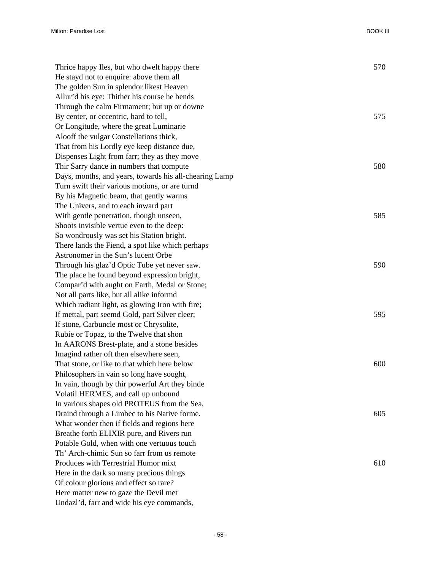| Thrice happy Iles, but who dwelt happy there           | 570 |
|--------------------------------------------------------|-----|
| He stayd not to enquire: above them all                |     |
| The golden Sun in splendor likest Heaven               |     |
| Allur'd his eye: Thither his course he bends           |     |
| Through the calm Firmament; but up or downe            |     |
| By center, or eccentric, hard to tell,                 | 575 |
| Or Longitude, where the great Luminarie                |     |
| Alooff the vulgar Constellations thick,                |     |
| That from his Lordly eye keep distance due,            |     |
| Dispenses Light from farr; they as they move           |     |
| Thir Sarry dance in numbers that compute               | 580 |
| Days, months, and years, towards his all-chearing Lamp |     |
| Turn swift their various motions, or are turnd         |     |
| By his Magnetic beam, that gently warms                |     |
| The Univers, and to each inward part                   |     |
| With gentle penetration, though unseen,                | 585 |
| Shoots invisible vertue even to the deep:              |     |
| So wondrously was set his Station bright.              |     |
| There lands the Fiend, a spot like which perhaps       |     |
| Astronomer in the Sun's lucent Orbe                    |     |
| Through his glaz'd Optic Tube yet never saw.           | 590 |
| The place he found beyond expression bright,           |     |
| Compar'd with aught on Earth, Medal or Stone;          |     |
| Not all parts like, but all alike informd              |     |
| Which radiant light, as glowing Iron with fire;        |     |
| If mettal, part seemd Gold, part Silver cleer;         | 595 |
| If stone, Carbuncle most or Chrysolite,                |     |
| Rubie or Topaz, to the Twelve that shon                |     |
| In AARONS Brest-plate, and a stone besides             |     |
| Imagind rather oft then elsewhere seen,                |     |
| That stone, or like to that which here below           | 600 |
| Philosophers in vain so long have sought,              |     |
| In vain, though by thir powerful Art they binde        |     |
| Volatil HERMES, and call up unbound                    |     |
| In various shapes old PROTEUS from the Sea,            |     |
| Draind through a Limbec to his Native forme.           | 605 |
| What wonder then if fields and regions here            |     |
| Breathe forth ELIXIR pure, and Rivers run              |     |
| Potable Gold, when with one vertuous touch             |     |
| Th' Arch-chimic Sun so farr from us remote             |     |
| Produces with Terrestrial Humor mixt                   | 610 |
| Here in the dark so many precious things               |     |
| Of colour glorious and effect so rare?                 |     |
| Here matter new to gaze the Devil met                  |     |
| Undazl'd, farr and wide his eye commands,              |     |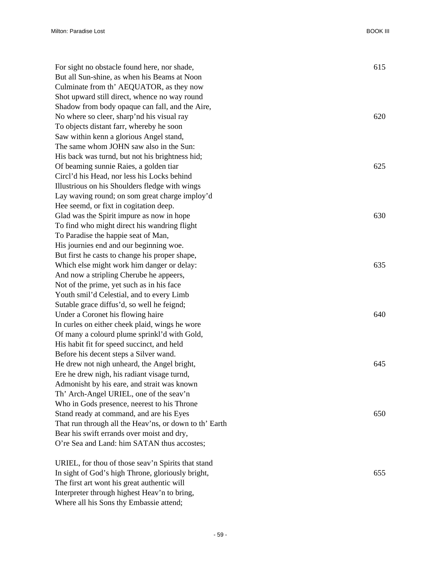| For sight no obstacle found here, nor shade,           | 615 |
|--------------------------------------------------------|-----|
| But all Sun-shine, as when his Beams at Noon           |     |
| Culminate from th' AEQUATOR, as they now               |     |
| Shot upward still direct, whence no way round          |     |
| Shadow from body opaque can fall, and the Aire,        |     |
| No where so cleer, sharp'nd his visual ray             | 620 |
| To objects distant farr, whereby he soon               |     |
| Saw within kenn a glorious Angel stand,                |     |
| The same whom JOHN saw also in the Sun:                |     |
| His back was turnd, but not his brightness hid;        |     |
| Of beaming sunnie Raies, a golden tiar                 | 625 |
| Circl'd his Head, nor less his Locks behind            |     |
| Illustrious on his Shoulders fledge with wings         |     |
| Lay waving round; on som great charge imploy'd         |     |
| Hee seemd, or fixt in cogitation deep.                 |     |
| Glad was the Spirit impure as now in hope              | 630 |
| To find who might direct his wandring flight           |     |
| To Paradise the happie seat of Man,                    |     |
| His journies end and our beginning woe.                |     |
| But first he casts to change his proper shape,         |     |
| Which else might work him danger or delay:             | 635 |
| And now a stripling Cherube he appeers,                |     |
| Not of the prime, yet such as in his face              |     |
| Youth smil'd Celestial, and to every Limb              |     |
| Sutable grace diffus'd, so well he feignd;             |     |
| Under a Coronet his flowing haire                      | 640 |
| In curles on either cheek plaid, wings he wore         |     |
| Of many a colourd plume sprinkl'd with Gold,           |     |
| His habit fit for speed succinct, and held             |     |
| Before his decent steps a Silver wand.                 |     |
| He drew not nigh unheard, the Angel bright,            | 645 |
| Ere he drew nigh, his radiant visage turnd,            |     |
| Admonisht by his eare, and strait was known            |     |
| Th' Arch-Angel URIEL, one of the seav'n                |     |
| Who in Gods presence, neerest to his Throne            |     |
| Stand ready at command, and are his Eyes               | 650 |
| That run through all the Heav'ns, or down to th' Earth |     |
| Bear his swift errands over moist and dry,             |     |
| O're Sea and Land: him SATAN thus accostes;            |     |
| URIEL, for thou of those seav'n Spirits that stand     |     |
| In sight of God's high Throne, gloriously bright,      | 655 |
| The first art wont his great authentic will            |     |
| Interpreter through highest Heav'n to bring,           |     |

Where all his Sons thy Embassie attend;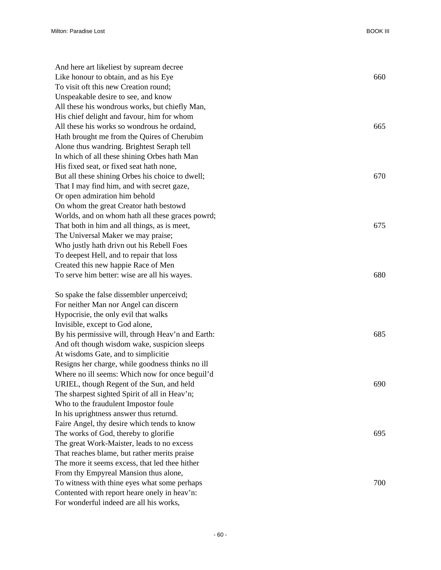| And here art likeliest by supream decree          |     |
|---------------------------------------------------|-----|
| Like honour to obtain, and as his Eye             | 660 |
| To visit oft this new Creation round;             |     |
| Unspeakable desire to see, and know               |     |
| All these his wondrous works, but chiefly Man,    |     |
| His chief delight and favour, him for whom        |     |
| All these his works so wondrous he ordaind,       | 665 |
| Hath brought me from the Quires of Cherubim       |     |
| Alone thus wandring. Brightest Seraph tell        |     |
| In which of all these shining Orbes hath Man      |     |
| His fixed seat, or fixed seat hath none,          |     |
| But all these shining Orbes his choice to dwell;  | 670 |
| That I may find him, and with secret gaze,        |     |
| Or open admiration him behold                     |     |
| On whom the great Creator hath bestowd            |     |
| Worlds, and on whom hath all these graces powrd;  |     |
| That both in him and all things, as is meet,      | 675 |
| The Universal Maker we may praise;                |     |
| Who justly hath drivn out his Rebell Foes         |     |
| To deepest Hell, and to repair that loss          |     |
| Created this new happie Race of Men               |     |
| To serve him better: wise are all his wayes.      | 680 |
| So spake the false dissembler unperceivd;         |     |
| For neither Man nor Angel can discern             |     |
| Hypocrisie, the only evil that walks              |     |
| Invisible, except to God alone,                   |     |
| By his permissive will, through Heav'n and Earth: | 685 |
| And oft though wisdom wake, suspicion sleeps      |     |
| At wisdoms Gate, and to simplicitie               |     |
| Resigns her charge, while goodness thinks no ill  |     |
| Where no ill seems: Which now for once beguil'd   |     |
| URIEL, though Regent of the Sun, and held         | 690 |
| The sharpest sighted Spirit of all in Heav'n;     |     |
| Who to the fraudulent Impostor foule              |     |
| In his uprightness answer thus returnd.           |     |
| Faire Angel, thy desire which tends to know       |     |
| The works of God, thereby to glorifie             | 695 |
| The great Work-Maister, leads to no excess        |     |
| That reaches blame, but rather merits praise      |     |
| The more it seems excess, that led thee hither    |     |
| From thy Empyreal Mansion thus alone,             |     |
| To witness with thine eyes what some perhaps      | 700 |
| Contented with report heare onely in heav'n:      |     |
| For wonderful indeed are all his works,           |     |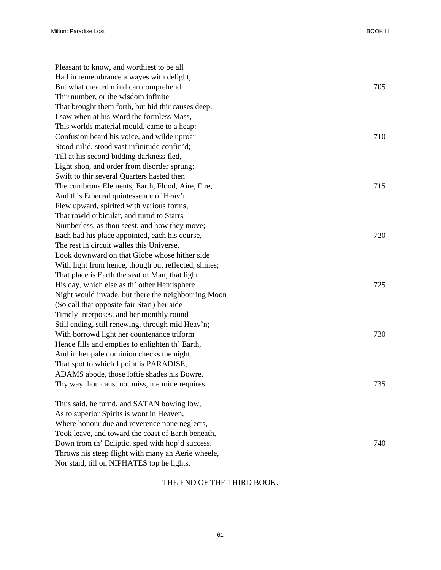| Pleasant to know, and worthiest to be all            |     |
|------------------------------------------------------|-----|
| Had in remembrance alwayes with delight;             |     |
| But what created mind can comprehend                 | 705 |
| Thir number, or the wisdom infinite                  |     |
| That brought them forth, but hid thir causes deep.   |     |
| I saw when at his Word the formless Mass,            |     |
| This worlds material mould, came to a heap:          |     |
| Confusion heard his voice, and wilde uproar          | 710 |
| Stood rul'd, stood vast infinitude confin'd;         |     |
| Till at his second bidding darkness fled,            |     |
| Light shon, and order from disorder sprung:          |     |
| Swift to thir several Quarters hasted then           |     |
| The cumbrous Elements, Earth, Flood, Aire, Fire,     | 715 |
| And this Ethereal quintessence of Heav'n             |     |
| Flew upward, spirited with various forms,            |     |
| That rowld orbicular, and turnd to Starrs            |     |
| Numberless, as thou seest, and how they move;        |     |
| Each had his place appointed, each his course,       | 720 |
| The rest in circuit walles this Universe.            |     |
| Look downward on that Globe whose hither side        |     |
| With light from hence, though but reflected, shines; |     |
| That place is Earth the seat of Man, that light      |     |
| His day, which else as th' other Hemisphere          | 725 |
| Night would invade, but there the neighbouring Moon  |     |
| (So call that opposite fair Starr) her aide          |     |
| Timely interposes, and her monthly round             |     |
| Still ending, still renewing, through mid Heav'n;    |     |
| With borrowd light her countenance triform           | 730 |
| Hence fills and empties to enlighten th' Earth,      |     |
| And in her pale dominion checks the night.           |     |
| That spot to which I point is PARADISE,              |     |
| ADAMS abode, those loftie shades his Bowre.          |     |
| Thy way thou canst not miss, me mine requires.       | 735 |
| Thus said, he turnd, and SATAN bowing low,           |     |
| As to superior Spirits is wont in Heaven,            |     |
| Where honour due and reverence none neglects,        |     |
| Took leave, and toward the coast of Earth beneath,   |     |
| Down from th' Ecliptic, sped with hop'd success,     | 740 |
| Throws his steep flight with many an Aerie wheele,   |     |
| Nor staid, till on NIPHATES top he lights.           |     |

## THE END OF THE THIRD BOOK.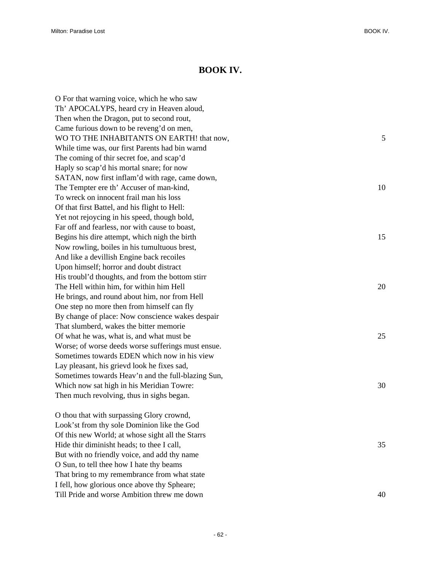## **BOOK IV.**

| O For that warning voice, which he who saw         |    |
|----------------------------------------------------|----|
| Th' APOCALYPS, heard cry in Heaven aloud,          |    |
| Then when the Dragon, put to second rout,          |    |
| Came furious down to be reveng'd on men,           |    |
| WO TO THE INHABITANTS ON EARTH! that now,          | 5  |
| While time was, our first Parents had bin warnd    |    |
| The coming of thir secret foe, and scap'd          |    |
| Haply so scap'd his mortal snare; for now          |    |
| SATAN, now first inflam'd with rage, came down,    |    |
| The Tempter ere th' Accuser of man-kind,           | 10 |
| To wreck on innocent frail man his loss            |    |
| Of that first Battel, and his flight to Hell:      |    |
| Yet not rejoycing in his speed, though bold,       |    |
| Far off and fearless, nor with cause to boast,     |    |
| Begins his dire attempt, which nigh the birth      | 15 |
| Now rowling, boiles in his tumultuous brest,       |    |
| And like a devillish Engine back recoiles          |    |
| Upon himself; horror and doubt distract            |    |
| His troubl'd thoughts, and from the bottom stirr   |    |
| The Hell within him, for within him Hell           | 20 |
| He brings, and round about him, nor from Hell      |    |
| One step no more then from himself can fly         |    |
| By change of place: Now conscience wakes despair   |    |
| That slumberd, wakes the bitter memorie            |    |
| Of what he was, what is, and what must be          | 25 |
| Worse; of worse deeds worse sufferings must ensue. |    |
| Sometimes towards EDEN which now in his view       |    |
| Lay pleasant, his grievd look he fixes sad,        |    |
| Sometimes towards Heav'n and the full-blazing Sun, |    |
| Which now sat high in his Meridian Towre:          | 30 |
| Then much revolving, thus in sighs began.          |    |
| O thou that with surpassing Glory crownd,          |    |
| Look'st from thy sole Dominion like the God        |    |
| Of this new World; at whose sight all the Starrs   |    |
| Hide thir diminisht heads; to thee I call,         | 35 |
| But with no friendly voice, and add thy name       |    |
| O Sun, to tell thee how I hate thy beams           |    |
| That bring to my remembrance from what state       |    |
| I fell, how glorious once above thy Spheare;       |    |

Till Pride and worse Ambition threw me down 40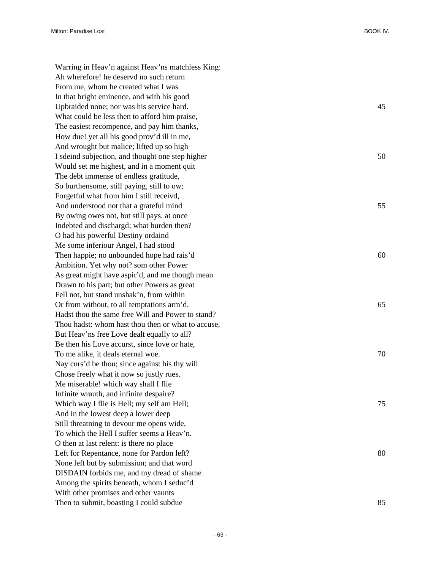Warring in Heav'n against Heav'ns matchless King: Ah wherefore! he deservd no such return From me, whom he created what I was In that bright eminence, and with his good Upbraided none; nor was his service hard. 45 What could be less then to afford him praise, The easiest recompence, and pay him thanks, How due! yet all his good prov'd ill in me, And wrought but malice; lifted up so high I sdeind subjection, and thought one step higher 50 Would set me highest, and in a moment quit The debt immense of endless gratitude, So burthensome, still paying, still to ow; Forgetful what from him I still receivd, And understood not that a grateful mind 55 By owing owes not, but still pays, at once Indebted and dischargd; what burden then? O had his powerful Destiny ordaind Me some inferiour Angel, I had stood Then happie; no unbounded hope had rais'd 60 Ambition. Yet why not? som other Power As great might have aspir'd, and me though mean Drawn to his part; but other Powers as great Fell not, but stand unshak'n, from within Or from without, to all temptations arm'd. 65 Hadst thou the same free Will and Power to stand? Thou hadst: whom hast thou then or what to accuse, But Heav'ns free Love dealt equally to all? Be then his Love accurst, since love or hate, To me alike, it deals eternal woe. 70 Nay curs'd be thou; since against his thy will Chose freely what it now so justly rues. Me miserable! which way shall I flie Infinite wrauth, and infinite despaire? Which way I flie is Hell; my self am Hell; 75 And in the lowest deep a lower deep Still threatning to devour me opens wide, To which the Hell I suffer seems a Heav'n. O then at last relent: is there no place Left for Repentance, none for Pardon left? 80 None left but by submission; and that word DISDAIN forbids me, and my dread of shame Among the spirits beneath, whom I seduc'd With other promises and other vaunts Then to submit, boasting I could subdue 85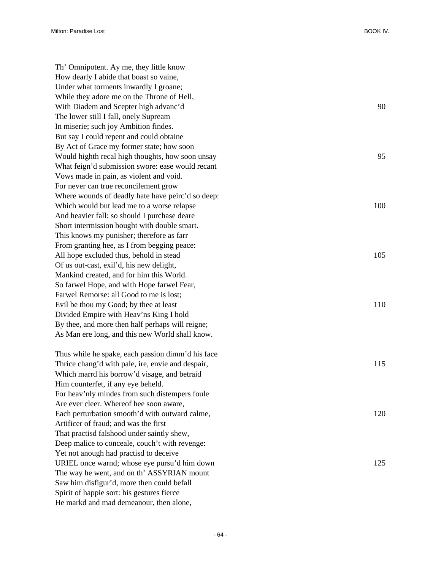Th' Omnipotent. Ay me, they little know How dearly I abide that boast so vaine, Under what torments inwardly I groane; While they adore me on the Throne of Hell, With Diadem and Scepter high advanc'd 90 The lower still I fall, onely Supream In miserie; such joy Ambition findes. But say I could repent and could obtaine By Act of Grace my former state; how soon Would highth recal high thoughts, how soon unsay 95 What feign'd submission swore: ease would recant Vows made in pain, as violent and void. For never can true reconcilement grow Where wounds of deadly hate have peirc'd so deep: Which would but lead me to a worse relapse 100 And heavier fall: so should I purchase deare Short intermission bought with double smart. This knows my punisher; therefore as farr From granting hee, as I from begging peace: All hope excluded thus, behold in stead 105 Of us out-cast, exil'd, his new delight, Mankind created, and for him this World. So farwel Hope, and with Hope farwel Fear, Farwel Remorse: all Good to me is lost; Evil be thou my Good; by thee at least 110 Divided Empire with Heav'ns King I hold By thee, and more then half perhaps will reigne; As Man ere long, and this new World shall know. Thus while he spake, each passion dimm'd his face Thrice chang'd with pale, ire, envie and despair, 115 Which marrd his borrow'd visage, and betraid Him counterfet, if any eye beheld. For heav'nly mindes from such distempers foule Are ever cleer. Whereof hee soon aware, Each perturbation smooth'd with outward calme, 120 Artificer of fraud; and was the first That practisd falshood under saintly shew, Deep malice to conceale, couch't with revenge: Yet not anough had practisd to deceive URIEL once warnd; whose eye pursu'd him down 125 The way he went, and on th' ASSYRIAN mount Saw him disfigur'd, more then could befall Spirit of happie sort: his gestures fierce He markd and mad demeanour, then alone,

- 64 -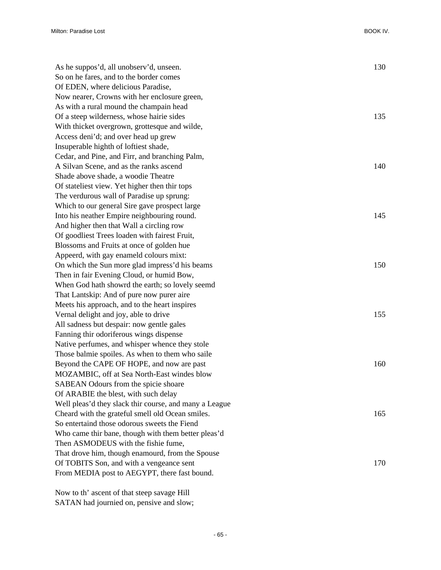| As he suppos'd, all unobserv'd, unseen.                | 130 |
|--------------------------------------------------------|-----|
| So on he fares, and to the border comes                |     |
| Of EDEN, where delicious Paradise,                     |     |
| Now nearer, Crowns with her enclosure green,           |     |
| As with a rural mound the champain head                |     |
| Of a steep wilderness, whose hairie sides              | 135 |
| With thicket overgrown, grottesque and wilde,          |     |
| Access deni'd; and over head up grew                   |     |
| Insuperable highth of loftiest shade,                  |     |
| Cedar, and Pine, and Firr, and branching Palm,         |     |
| A Silvan Scene, and as the ranks ascend                | 140 |
| Shade above shade, a woodie Theatre                    |     |
| Of stateliest view. Yet higher then thir tops          |     |
| The verdurous wall of Paradise up sprung:              |     |
| Which to our general Sire gave prospect large          |     |
| Into his neather Empire neighbouring round.            | 145 |
| And higher then that Wall a circling row               |     |
| Of goodliest Trees loaden with fairest Fruit,          |     |
| Blossoms and Fruits at once of golden hue              |     |
| Appeerd, with gay enameld colours mixt:                |     |
| On which the Sun more glad impress'd his beams         | 150 |
| Then in fair Evening Cloud, or humid Bow,              |     |
| When God hath showrd the earth; so lovely seemd        |     |
| That Lantskip: And of pure now purer aire              |     |
| Meets his approach, and to the heart inspires          |     |
| Vernal delight and joy, able to drive                  | 155 |
| All sadness but despair: now gentle gales              |     |
| Fanning thir odoriferous wings dispense                |     |
| Native perfumes, and whisper whence they stole         |     |
| Those balmie spoiles. As when to them who saile        |     |
| Beyond the CAPE OF HOPE, and now are past              | 160 |
| MOZAMBIC, off at Sea North-East windes blow            |     |
| SABEAN Odours from the spicie shoare                   |     |
| Of ARABIE the blest, with such delay                   |     |
| Well pleas'd they slack thir course, and many a League |     |
| Cheard with the grateful smell old Ocean smiles.       | 165 |
| So entertaind those odorous sweets the Fiend           |     |
| Who came thir bane, though with them better pleas'd    |     |
| Then ASMODEUS with the fishie fume,                    |     |
| That drove him, though enamourd, from the Spouse       |     |
| Of TOBITS Son, and with a vengeance sent               | 170 |
| From MEDIA post to AEGYPT, there fast bound.           |     |

Now to th' ascent of that steep savage Hill SATAN had journied on, pensive and slow;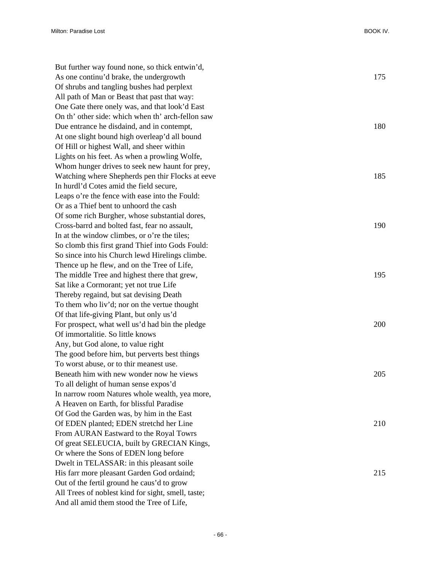| But further way found none, so thick entwin'd,     |     |
|----------------------------------------------------|-----|
| As one continu'd brake, the undergrowth            | 175 |
| Of shrubs and tangling bushes had perplext         |     |
| All path of Man or Beast that past that way:       |     |
| One Gate there onely was, and that look'd East     |     |
| On th' other side: which when th' arch-fellon saw  |     |
| Due entrance he disdaind, and in contempt,         | 180 |
| At one slight bound high overleap'd all bound      |     |
| Of Hill or highest Wall, and sheer within          |     |
| Lights on his feet. As when a prowling Wolfe,      |     |
| Whom hunger drives to seek new haunt for prey,     |     |
| Watching where Shepherds pen thir Flocks at eeve   | 185 |
| In hurdl'd Cotes amid the field secure,            |     |
| Leaps o're the fence with ease into the Fould:     |     |
| Or as a Thief bent to unhoord the cash             |     |
| Of some rich Burgher, whose substantial dores,     |     |
| Cross-barrd and bolted fast, fear no assault,      | 190 |
| In at the window climbes, or o're the tiles;       |     |
| So clomb this first grand Thief into Gods Fould:   |     |
| So since into his Church lewd Hirelings climbe.    |     |
| Thence up he flew, and on the Tree of Life,        |     |
| The middle Tree and highest there that grew,       | 195 |
| Sat like a Cormorant; yet not true Life            |     |
| Thereby regaind, but sat devising Death            |     |
| To them who liv'd; nor on the vertue thought       |     |
| Of that life-giving Plant, but only us'd           |     |
| For prospect, what well us'd had bin the pledge    | 200 |
| Of immortalitie. So little knows                   |     |
| Any, but God alone, to value right                 |     |
| The good before him, but perverts best things      |     |
| To worst abuse, or to thir meanest use.            |     |
| Beneath him with new wonder now he views           | 205 |
| To all delight of human sense expos'd              |     |
| In narrow room Natures whole wealth, yea more,     |     |
| A Heaven on Earth, for blissful Paradise           |     |
| Of God the Garden was, by him in the East          |     |
| Of EDEN planted; EDEN stretchd her Line            | 210 |
| From AURAN Eastward to the Royal Towrs             |     |
| Of great SELEUCIA, built by GRECIAN Kings,         |     |
| Or where the Sons of EDEN long before              |     |
| Dwelt in TELASSAR: in this pleasant soile          |     |
| His farr more pleasant Garden God ordaind;         | 215 |
| Out of the fertil ground he caus'd to grow         |     |
| All Trees of noblest kind for sight, smell, taste; |     |
| And all amid them stood the Tree of Life,          |     |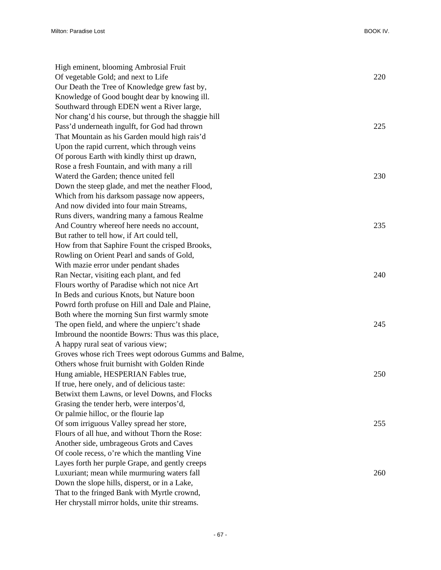| High eminent, blooming Ambrosial Fruit                |     |
|-------------------------------------------------------|-----|
| Of vegetable Gold; and next to Life                   | 220 |
| Our Death the Tree of Knowledge grew fast by,         |     |
| Knowledge of Good bought dear by knowing ill.         |     |
| Southward through EDEN went a River large,            |     |
| Nor chang'd his course, but through the shaggie hill  |     |
| Pass'd underneath ingulft, for God had thrown         | 225 |
| That Mountain as his Garden mould high rais'd         |     |
| Upon the rapid current, which through veins           |     |
| Of porous Earth with kindly thirst up drawn,          |     |
| Rose a fresh Fountain, and with many a rill           |     |
| Waterd the Garden; thence united fell                 | 230 |
| Down the steep glade, and met the neather Flood,      |     |
| Which from his darksom passage now appeers,           |     |
| And now divided into four main Streams,               |     |
| Runs divers, wandring many a famous Realme            |     |
| And Country whereof here needs no account,            | 235 |
| But rather to tell how, if Art could tell,            |     |
| How from that Saphire Fount the crisped Brooks,       |     |
| Rowling on Orient Pearl and sands of Gold,            |     |
| With mazie error under pendant shades                 |     |
| Ran Nectar, visiting each plant, and fed              | 240 |
| Flours worthy of Paradise which not nice Art          |     |
| In Beds and curious Knots, but Nature boon            |     |
| Powrd forth profuse on Hill and Dale and Plaine,      |     |
| Both where the morning Sun first warmly smote         |     |
| The open field, and where the unpierc't shade         | 245 |
| Imbround the noontide Bowrs: Thus was this place,     |     |
| A happy rural seat of various view;                   |     |
| Groves whose rich Trees wept odorous Gumms and Balme, |     |
| Others whose fruit burnisht with Golden Rinde         |     |
| Hung amiable, HESPERIAN Fables true,                  | 250 |
| If true, here onely, and of delicious taste:          |     |
| Betwixt them Lawns, or level Downs, and Flocks        |     |
| Grasing the tender herb, were interpos'd,             |     |
| Or palmie hilloc, or the flourie lap                  |     |
| Of som irriguous Valley spread her store,             | 255 |
| Flours of all hue, and without Thorn the Rose:        |     |
| Another side, umbrageous Grots and Caves              |     |
| Of coole recess, o're which the mantling Vine         |     |
| Layes forth her purple Grape, and gently creeps       |     |
| Luxuriant; mean while murmuring waters fall           | 260 |
| Down the slope hills, disperst, or in a Lake,         |     |
| That to the fringed Bank with Myrtle crownd,          |     |
| Her chrystall mirror holds, unite thir streams.       |     |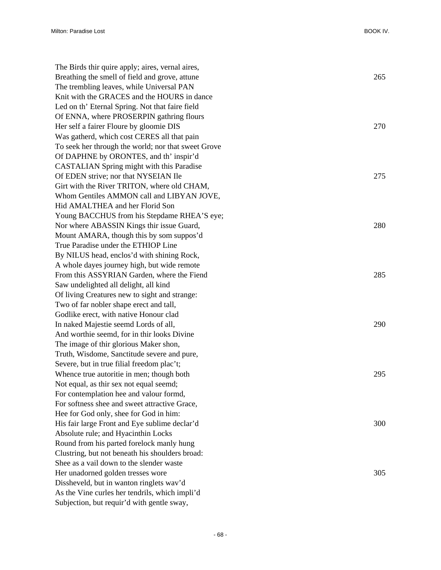| The Birds thir quire apply; aires, vernal aires,    |     |
|-----------------------------------------------------|-----|
| Breathing the smell of field and grove, attune      | 265 |
| The trembling leaves, while Universal PAN           |     |
| Knit with the GRACES and the HOURS in dance         |     |
| Led on th' Eternal Spring. Not that faire field     |     |
| Of ENNA, where PROSERPIN gathring flours            |     |
| Her self a fairer Floure by gloomie DIS             | 270 |
| Was gatherd, which cost CERES all that pain         |     |
| To seek her through the world; nor that sweet Grove |     |
| Of DAPHNE by ORONTES, and th' inspir'd              |     |
| CASTALIAN Spring might with this Paradise           |     |
| Of EDEN strive; nor that NYSEIAN Ile                | 275 |
| Girt with the River TRITON, where old CHAM,         |     |
| Whom Gentiles AMMON call and LIBYAN JOVE,           |     |
| Hid AMALTHEA and her Florid Son                     |     |
| Young BACCHUS from his Stepdame RHEA'S eye;         |     |
| Nor where ABASSIN Kings thir issue Guard,           | 280 |
| Mount AMARA, though this by som suppos'd            |     |
| True Paradise under the ETHIOP Line                 |     |
| By NILUS head, enclos'd with shining Rock,          |     |
| A whole dayes journey high, but wide remote         |     |
| From this ASSYRIAN Garden, where the Fiend          | 285 |
| Saw undelighted all delight, all kind               |     |
| Of living Creatures new to sight and strange:       |     |
| Two of far nobler shape erect and tall,             |     |
| Godlike erect, with native Honour clad              |     |
| In naked Majestie seemd Lords of all,               | 290 |
| And worthie seemd, for in thir looks Divine         |     |
| The image of thir glorious Maker shon,              |     |
| Truth, Wisdome, Sanctitude severe and pure,         |     |
| Severe, but in true filial freedom plac't;          |     |
| Whence true autoritie in men; though both           | 295 |
| Not equal, as thir sex not equal seemd;             |     |
| For contemplation hee and valour formd,             |     |
| For softness shee and sweet attractive Grace,       |     |
| Hee for God only, shee for God in him:              |     |
| His fair large Front and Eye sublime declar'd       | 300 |
| Absolute rule; and Hyacinthin Locks                 |     |
| Round from his parted forelock manly hung           |     |
| Clustring, but not beneath his shoulders broad:     |     |
| Shee as a vail down to the slender waste            |     |
| Her unadorned golden tresses wore                   | 305 |
| Dissheveld, but in wanton ringlets wav'd            |     |
| As the Vine curles her tendrils, which impli'd      |     |
| Subjection, but requir'd with gentle sway,          |     |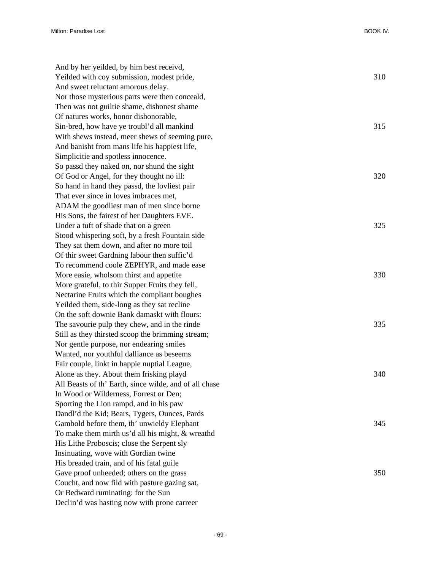| And by her yeilded, by him best receivd,               |     |
|--------------------------------------------------------|-----|
| Yeilded with coy submission, modest pride,             | 310 |
| And sweet reluctant amorous delay.                     |     |
| Nor those mysterious parts were then conceald,         |     |
| Then was not guiltie shame, dishonest shame            |     |
| Of natures works, honor dishonorable,                  |     |
| Sin-bred, how have ye troubl'd all mankind             | 315 |
| With shews instead, meer shews of seeming pure,        |     |
| And banisht from mans life his happiest life,          |     |
| Simplicitie and spotless innocence.                    |     |
| So passd they naked on, nor shund the sight            |     |
| Of God or Angel, for they thought no ill:              | 320 |
| So hand in hand they passd, the lovliest pair          |     |
| That ever since in loves imbraces met,                 |     |
| ADAM the goodliest man of men since borne              |     |
| His Sons, the fairest of her Daughters EVE.            |     |
| Under a tuft of shade that on a green                  | 325 |
| Stood whispering soft, by a fresh Fountain side        |     |
| They sat them down, and after no more toil             |     |
| Of thir sweet Gardning labour then suffic'd            |     |
| To recommend coole ZEPHYR, and made ease               |     |
| More easie, wholsom thirst and appetite                | 330 |
| More grateful, to thir Supper Fruits they fell,        |     |
| Nectarine Fruits which the compliant boughes           |     |
| Yeilded them, side-long as they sat recline            |     |
| On the soft downie Bank damaskt with flours:           |     |
| The savourie pulp they chew, and in the rinde          | 335 |
| Still as they thirsted scoop the brimming stream;      |     |
| Nor gentle purpose, nor endearing smiles               |     |
| Wanted, nor youthful dalliance as beseems              |     |
| Fair couple, linkt in happie nuptial League,           |     |
| Alone as they. About them frisking playd               | 340 |
| All Beasts of th' Earth, since wilde, and of all chase |     |
| In Wood or Wilderness, Forrest or Den;                 |     |
| Sporting the Lion rampd, and in his paw                |     |
| Dandl'd the Kid; Bears, Tygers, Ounces, Pards          |     |
| Gambold before them, th' unwieldy Elephant             | 345 |
| To make them mirth us'd all his might, & wreathd       |     |
| His Lithe Proboscis; close the Serpent sly             |     |
| Insinuating, wove with Gordian twine                   |     |
| His breaded train, and of his fatal guile              |     |
| Gave proof unheeded; others on the grass               | 350 |
| Coucht, and now fild with pasture gazing sat,          |     |
| Or Bedward ruminating: for the Sun                     |     |
| Declin'd was hasting now with prone carreer            |     |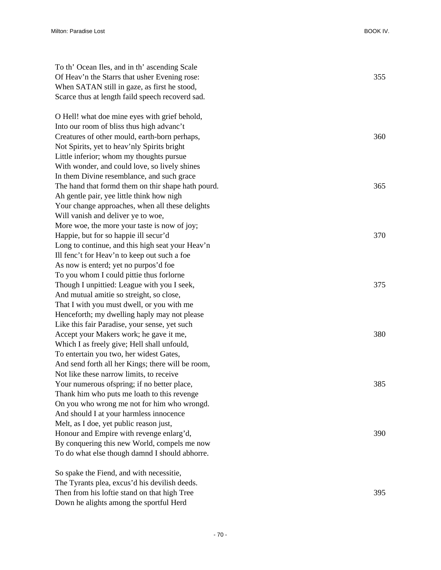| To th' Ocean Iles, and in th' ascending Scale      |     |
|----------------------------------------------------|-----|
| Of Heav'n the Starrs that usher Evening rose:      | 355 |
| When SATAN still in gaze, as first he stood,       |     |
| Scarce thus at length faild speech recoverd sad.   |     |
| O Hell! what doe mine eyes with grief behold,      |     |
| Into our room of bliss thus high advanc't          |     |
| Creatures of other mould, earth-born perhaps,      | 360 |
| Not Spirits, yet to heav'nly Spirits bright        |     |
| Little inferior; whom my thoughts pursue           |     |
| With wonder, and could love, so lively shines      |     |
| In them Divine resemblance, and such grace         |     |
| The hand that formd them on thir shape hath pourd. | 365 |
| Ah gentle pair, yee little think how nigh          |     |
| Your change approaches, when all these delights    |     |
| Will vanish and deliver ye to woe,                 |     |
| More woe, the more your taste is now of joy;       |     |
| Happie, but for so happie ill secur'd              | 370 |
| Long to continue, and this high seat your Heav'n   |     |
| Ill fenc't for Heav'n to keep out such a foe       |     |
| As now is enterd; yet no purpos'd foe              |     |
| To you whom I could pittie thus forlorne           |     |
| Though I unpittied: League with you I seek,        | 375 |
| And mutual amitie so streight, so close,           |     |
| That I with you must dwell, or you with me         |     |
| Henceforth; my dwelling haply may not please       |     |
| Like this fair Paradise, your sense, yet such      |     |
| Accept your Makers work; he gave it me,            | 380 |
| Which I as freely give; Hell shall unfould,        |     |
| To entertain you two, her widest Gates,            |     |
| And send forth all her Kings; there will be room,  |     |
| Not like these narrow limits, to receive           |     |
| Your numerous of spring; if no better place,       | 385 |
| Thank him who puts me loath to this revenge        |     |
| On you who wrong me not for him who wrongd.        |     |
| And should I at your harmless innocence            |     |
| Melt, as I doe, yet public reason just,            |     |
| Honour and Empire with revenge enlarg'd,           | 390 |
| By conquering this new World, compels me now       |     |
| To do what else though damnd I should abhorre.     |     |
| So spake the Fiend, and with necessitie,           |     |
| The Tyrants plea, excus'd his devilish deeds.      |     |

Then from his loftie stand on that high Tree 395

Down he alights among the sportful Herd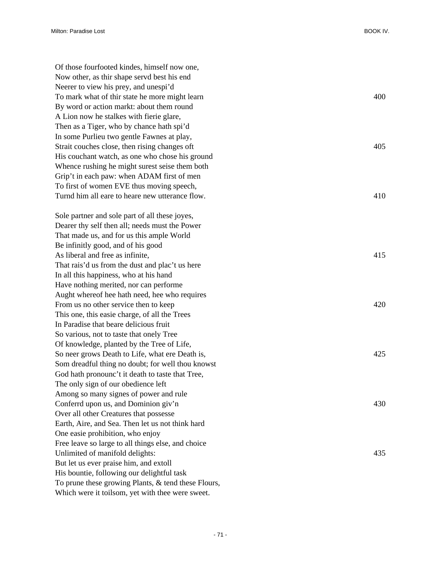| Of those fourfooted kindes, himself now one,        |     |
|-----------------------------------------------------|-----|
| Now other, as thir shape servd best his end         |     |
| Neerer to view his prey, and unespi'd               |     |
| To mark what of thir state he more might learn      | 400 |
| By word or action markt: about them round           |     |
| A Lion now he stalkes with fierie glare,            |     |
| Then as a Tiger, who by chance hath spi'd           |     |
| In some Purlieu two gentle Fawnes at play,          |     |
| Strait couches close, then rising changes oft       | 405 |
| His couchant watch, as one who chose his ground     |     |
| Whence rushing he might surest seise them both      |     |
| Grip't in each paw: when ADAM first of men          |     |
| To first of women EVE thus moving speech,           |     |
| Turnd him all eare to heare new utterance flow.     | 410 |
|                                                     |     |
| Sole partner and sole part of all these joyes,      |     |
| Dearer thy self then all; needs must the Power      |     |
| That made us, and for us this ample World           |     |
| Be infinitly good, and of his good                  |     |
| As liberal and free as infinite,                    | 415 |
| That rais'd us from the dust and plac't us here     |     |
| In all this happiness, who at his hand              |     |
| Have nothing merited, nor can performe              |     |
| Aught whereof hee hath need, hee who requires       |     |
| From us no other service then to keep               | 420 |
| This one, this easie charge, of all the Trees       |     |
| In Paradise that beare delicious fruit              |     |
|                                                     |     |
| So various, not to taste that onely Tree            |     |
| Of knowledge, planted by the Tree of Life,          |     |
| So neer grows Death to Life, what ere Death is,     | 425 |
| Som dreadful thing no doubt; for well thou knowst   |     |
| God hath pronounc't it death to taste that Tree,    |     |
| The only sign of our obedience left                 |     |
| Among so many signes of power and rule              |     |
| Conferrd upon us, and Dominion giv'n                | 430 |
| Over all other Creatures that possesse              |     |
| Earth, Aire, and Sea. Then let us not think hard    |     |
| One easie prohibition, who enjoy                    |     |
| Free leave so large to all things else, and choice  |     |
| Unlimited of manifold delights:                     | 435 |
| But let us ever praise him, and extoll              |     |
| His bountie, following our delightful task          |     |
| To prune these growing Plants, & tend these Flours, |     |
| Which were it toilsom, yet with thee were sweet.    |     |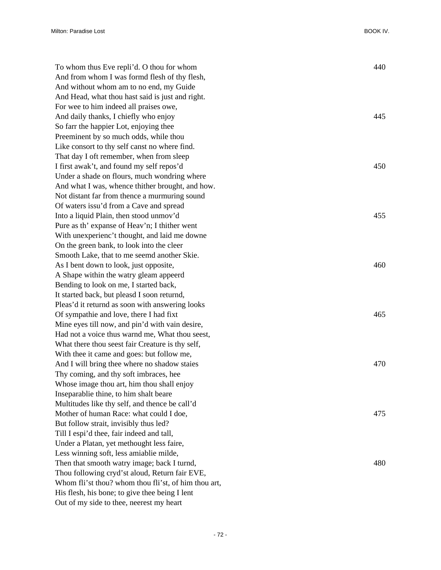| To whom thus Eve repli'd. O thou for whom            | 440 |
|------------------------------------------------------|-----|
| And from whom I was formd flesh of thy flesh,        |     |
| And without whom am to no end, my Guide              |     |
| And Head, what thou hast said is just and right.     |     |
| For wee to him indeed all praises owe,               |     |
| And daily thanks, I chiefly who enjoy                | 445 |
| So farr the happier Lot, enjoying thee               |     |
| Preeminent by so much odds, while thou               |     |
| Like consort to thy self canst no where find.        |     |
| That day I oft remember, when from sleep             |     |
| I first awak't, and found my self repos'd            | 450 |
| Under a shade on flours, much wondring where         |     |
| And what I was, whence thither brought, and how.     |     |
| Not distant far from thence a murmuring sound        |     |
| Of waters issu'd from a Cave and spread              |     |
| Into a liquid Plain, then stood unmov'd              | 455 |
| Pure as th' expanse of Heav'n; I thither went        |     |
| With unexperienc't thought, and laid me downe        |     |
| On the green bank, to look into the cleer            |     |
| Smooth Lake, that to me seemd another Skie.          |     |
| As I bent down to look, just opposite,               | 460 |
| A Shape within the watry gleam appeerd               |     |
| Bending to look on me, I started back,               |     |
| It started back, but pleasd I soon returnd,          |     |
| Pleas'd it returnd as soon with answering looks      |     |
| Of sympathie and love, there I had fixt              | 465 |
| Mine eyes till now, and pin'd with vain desire,      |     |
| Had not a voice thus warnd me, What thou seest,      |     |
| What there thou seest fair Creature is thy self,     |     |
| With thee it came and goes: but follow me,           |     |
| And I will bring thee where no shadow staies         | 470 |
| Thy coming, and thy soft imbraces, hee               |     |
| Whose image thou art, him thou shall enjoy           |     |
| Inseparablie thine, to him shalt beare               |     |
| Multitudes like thy self, and thence be call'd       |     |
| Mother of human Race: what could I doe,              | 475 |
| But follow strait, invisibly thus led?               |     |
| Till I espi'd thee, fair indeed and tall,            |     |
| Under a Platan, yet methought less faire,            |     |
| Less winning soft, less amiablie milde,              |     |
| Then that smooth watry image; back I turnd,          | 480 |
| Thou following cryd'st aloud, Return fair EVE,       |     |
| Whom fli'st thou? whom thou fli'st, of him thou art, |     |
| His flesh, his bone; to give thee being I lent       |     |
| Out of my side to thee, neerest my heart             |     |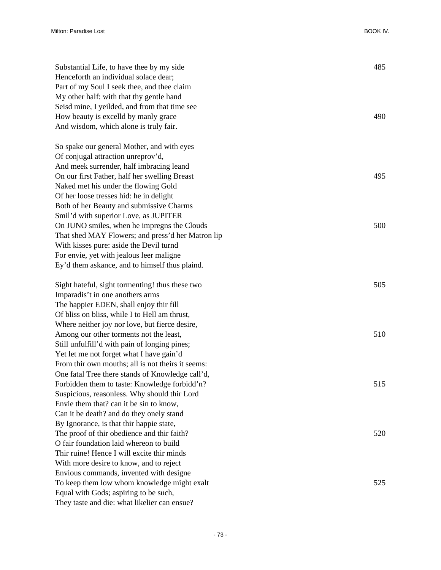| Substantial Life, to have thee by my side<br>Henceforth an individual solace dear;<br>Part of my Soul I seek thee, and thee claim<br>My other half: with that thy gentle hand<br>Seisd mine, I yeilded, and from that time see<br>How beauty is excelld by manly grace<br>And wisdom, which alone is truly fair. | 485<br>490 |
|------------------------------------------------------------------------------------------------------------------------------------------------------------------------------------------------------------------------------------------------------------------------------------------------------------------|------------|
| So spake our general Mother, and with eyes<br>Of conjugal attraction unreprov'd,                                                                                                                                                                                                                                 |            |
| And meek surrender, half imbracing leand                                                                                                                                                                                                                                                                         |            |
| On our first Father, half her swelling Breast                                                                                                                                                                                                                                                                    | 495        |
| Naked met his under the flowing Gold                                                                                                                                                                                                                                                                             |            |
| Of her loose tresses hid: he in delight                                                                                                                                                                                                                                                                          |            |
| Both of her Beauty and submissive Charms                                                                                                                                                                                                                                                                         |            |
| Smil'd with superior Love, as JUPITER                                                                                                                                                                                                                                                                            |            |
| On JUNO smiles, when he impregns the Clouds                                                                                                                                                                                                                                                                      | 500        |
| That shed MAY Flowers; and press'd her Matron lip                                                                                                                                                                                                                                                                |            |
| With kisses pure: aside the Devil turnd                                                                                                                                                                                                                                                                          |            |
| For envie, yet with jealous leer maligne                                                                                                                                                                                                                                                                         |            |
| Ey'd them askance, and to himself thus plaind.                                                                                                                                                                                                                                                                   |            |
| Sight hateful, sight tormenting! thus these two                                                                                                                                                                                                                                                                  | 505        |
| Imparadis't in one anothers arms                                                                                                                                                                                                                                                                                 |            |
| The happier EDEN, shall enjoy thir fill                                                                                                                                                                                                                                                                          |            |
| Of bliss on bliss, while I to Hell am thrust,                                                                                                                                                                                                                                                                    |            |
| Where neither joy nor love, but fierce desire,                                                                                                                                                                                                                                                                   |            |
| Among our other torments not the least,                                                                                                                                                                                                                                                                          | 510        |
| Still unfulfill'd with pain of longing pines;                                                                                                                                                                                                                                                                    |            |
| Yet let me not forget what I have gain'd                                                                                                                                                                                                                                                                         |            |
| From thir own mouths; all is not theirs it seems:                                                                                                                                                                                                                                                                |            |
| One fatal Tree there stands of Knowledge call'd,                                                                                                                                                                                                                                                                 |            |
| Forbidden them to taste: Knowledge forbidd'n?                                                                                                                                                                                                                                                                    | 515        |
| Suspicious, reasonless. Why should thir Lord                                                                                                                                                                                                                                                                     |            |
| Envie them that? can it be sin to know,                                                                                                                                                                                                                                                                          |            |
| Can it be death? and do they onely stand                                                                                                                                                                                                                                                                         |            |
| By Ignorance, is that thir happie state,                                                                                                                                                                                                                                                                         |            |
| The proof of thir obedience and thir faith?                                                                                                                                                                                                                                                                      | 520        |
| O fair foundation laid whereon to build                                                                                                                                                                                                                                                                          |            |
| Thir ruine! Hence I will excite thir minds                                                                                                                                                                                                                                                                       |            |
| With more desire to know, and to reject                                                                                                                                                                                                                                                                          |            |
| Envious commands, invented with designe                                                                                                                                                                                                                                                                          |            |
| To keep them low whom knowledge might exalt                                                                                                                                                                                                                                                                      | 525        |
| Equal with Gods; aspiring to be such,                                                                                                                                                                                                                                                                            |            |
| They taste and die: what likelier can ensue?                                                                                                                                                                                                                                                                     |            |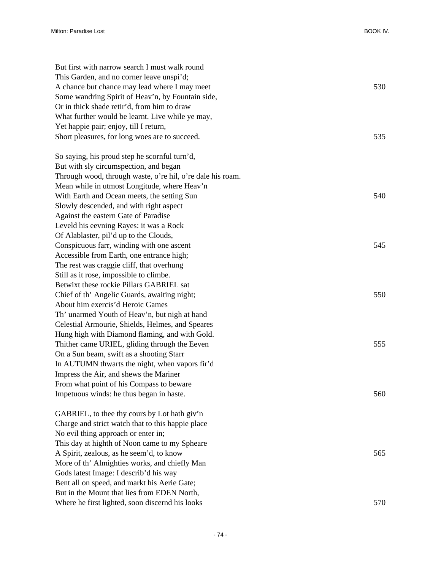| But first with narrow search I must walk round             |     |
|------------------------------------------------------------|-----|
| This Garden, and no corner leave unspi'd;                  |     |
| A chance but chance may lead where I may meet              | 530 |
| Some wandring Spirit of Heav'n, by Fountain side,          |     |
| Or in thick shade retir'd, from him to draw                |     |
| What further would be learnt. Live while ye may,           |     |
| Yet happie pair; enjoy, till I return,                     |     |
| Short pleasures, for long woes are to succeed.             | 535 |
| So saying, his proud step he scornful turn'd,              |     |
| But with sly circumspection, and began                     |     |
| Through wood, through waste, o're hil, o're dale his roam. |     |
| Mean while in utmost Longitude, where Heav'n               |     |
| With Earth and Ocean meets, the setting Sun                | 540 |
| Slowly descended, and with right aspect                    |     |
| Against the eastern Gate of Paradise                       |     |
| Leveld his eevning Rayes: it was a Rock                    |     |
| Of Alablaster, pil'd up to the Clouds,                     |     |
| Conspicuous farr, winding with one ascent                  | 545 |
| Accessible from Earth, one entrance high;                  |     |
| The rest was craggie cliff, that overhung                  |     |
| Still as it rose, impossible to climbe.                    |     |
| Betwixt these rockie Pillars GABRIEL sat                   |     |
| Chief of th' Angelic Guards, awaiting night;               | 550 |
| About him exercis'd Heroic Games                           |     |
| Th' unarmed Youth of Heav'n, but nigh at hand              |     |
| Celestial Armourie, Shields, Helmes, and Speares           |     |
| Hung high with Diamond flaming, and with Gold.             |     |
| Thither came URIEL, gliding through the Eeven              | 555 |
| On a Sun beam, swift as a shooting Starr                   |     |
| In AUTUMN thwarts the night, when vapors fir'd             |     |
| Impress the Air, and shews the Mariner                     |     |
| From what point of his Compass to beware                   |     |
| Impetuous winds: he thus began in haste.                   | 560 |
| GABRIEL, to thee thy cours by Lot hath giv'n               |     |
| Charge and strict watch that to this happie place          |     |
| No evil thing approach or enter in;                        |     |
| This day at highth of Noon came to my Spheare              |     |
| A Spirit, zealous, as he seem'd, to know                   | 565 |
| More of th' Almighties works, and chiefly Man              |     |
| Gods latest Image: I describ'd his way                     |     |
| Bent all on speed, and markt his Aerie Gate;               |     |
| But in the Mount that lies from EDEN North,                |     |
| Where he first lighted, soon discernd his looks            | 570 |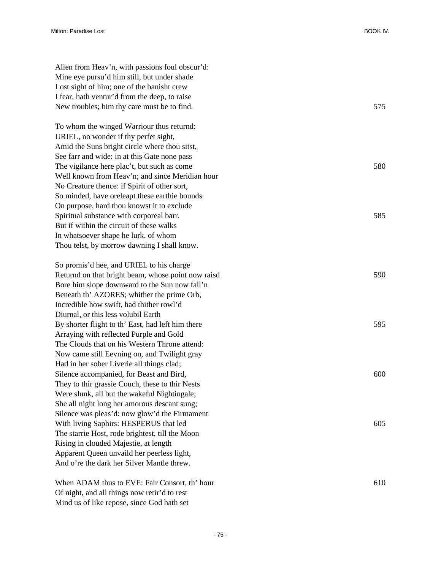Alien from Heav'n, with passions foul obscur'd: Mine eye pursu'd him still, but under shade Lost sight of him; one of the banisht crew I fear, hath ventur'd from the deep, to raise New troubles; him thy care must be to find. 575 To whom the winged Warriour thus returnd: URIEL, no wonder if thy perfet sight, Amid the Suns bright circle where thou sitst, See farr and wide: in at this Gate none pass The vigilance here plac't, but such as come 580 Well known from Heav'n; and since Meridian hour No Creature thence: if Spirit of other sort, So minded, have oreleapt these earthie bounds On purpose, hard thou knowst it to exclude Spiritual substance with corporeal barr. 585 But if within the circuit of these walks In whatsoever shape he lurk, of whom Thou telst, by morrow dawning I shall know. So promis'd hee, and URIEL to his charge Returnd on that bright beam, whose point now raisd 590 Bore him slope downward to the Sun now fall'n Beneath th' AZORES; whither the prime Orb, Incredible how swift, had thither rowl'd Diurnal, or this less volubil Earth By shorter flight to th' East, had left him there 595 Arraying with reflected Purple and Gold The Clouds that on his Western Throne attend: Now came still Eevning on, and Twilight gray Had in her sober Liverie all things clad; Silence accompanied, for Beast and Bird, 600 They to thir grassie Couch, these to thir Nests Were slunk, all but the wakeful Nightingale; She all night long her amorous descant sung; Silence was pleas'd: now glow'd the Firmament With living Saphirs: HESPERUS that led 605 The starrie Host, rode brightest, till the Moon Rising in clouded Majestie, at length Apparent Queen unvaild her peerless light, And o're the dark her Silver Mantle threw. When ADAM thus to EVE: Fair Consort, th' hour 610

Mind us of like repose, since God hath set

Of night, and all things now retir'd to rest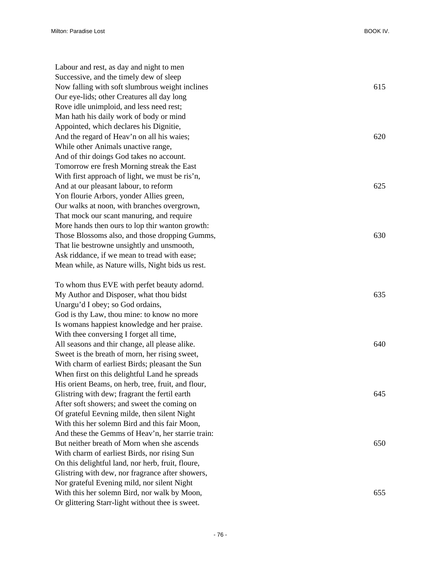Labour and rest, as day and night to men Successive, and the timely dew of sleep Now falling with soft slumbrous weight inclines 615 Our eye-lids; other Creatures all day long Rove idle unimploid, and less need rest; Man hath his daily work of body or mind Appointed, which declares his Dignitie, And the regard of Heav'n on all his waies; 620 While other Animals unactive range, And of thir doings God takes no account. Tomorrow ere fresh Morning streak the East With first approach of light, we must be ris'n, And at our pleasant labour, to reform 625 Yon flourie Arbors, yonder Allies green, Our walks at noon, with branches overgrown, That mock our scant manuring, and require More hands then ours to lop thir wanton growth: Those Blossoms also, and those dropping Gumms, 630 That lie bestrowne unsightly and unsmooth, Ask riddance, if we mean to tread with ease; Mean while, as Nature wills, Night bids us rest.

To whom thus EVE with perfet beauty adornd. My Author and Disposer, what thou bidst 635 Unargu'd I obey; so God ordains, God is thy Law, thou mine: to know no more Is womans happiest knowledge and her praise. With thee conversing I forget all time, All seasons and thir change, all please alike. 640 Sweet is the breath of morn, her rising sweet, With charm of earliest Birds; pleasant the Sun When first on this delightful Land he spreads His orient Beams, on herb, tree, fruit, and flour, Glistring with dew; fragrant the fertil earth 645 After soft showers; and sweet the coming on Of grateful Eevning milde, then silent Night With this her solemn Bird and this fair Moon, And these the Gemms of Heav'n, her starrie train: But neither breath of Morn when she ascends 650 With charm of earliest Birds, nor rising Sun On this delightful land, nor herb, fruit, floure, Glistring with dew, nor fragrance after showers, Nor grateful Evening mild, nor silent Night With this her solemn Bird, nor walk by Moon, 655 Or glittering Starr-light without thee is sweet.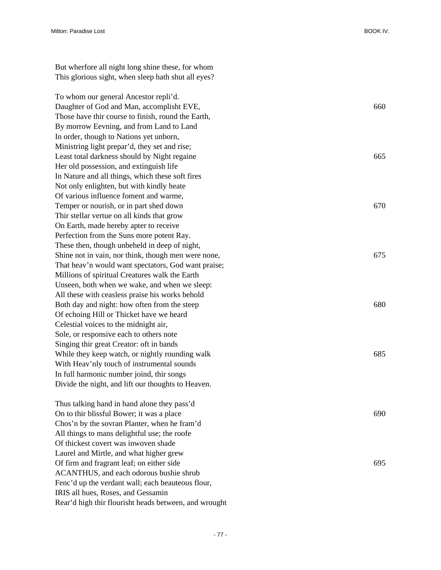But wherfore all night long shine these, for whom This glorious sight, when sleep hath shut all eyes?

To whom our general Ancestor repli'd. Daughter of God and Man, accomplisht EVE, 660 Those have thir course to finish, round the Earth, By morrow Eevning, and from Land to Land In order, though to Nations yet unborn, Ministring light prepar'd, they set and rise; Least total darkness should by Night regaine 665 Her old possession, and extinguish life In Nature and all things, which these soft fires Not only enlighten, but with kindly heate Of various influence foment and warme, Temper or nourish, or in part shed down 670 Thir stellar vertue on all kinds that grow On Earth, made hereby apter to receive Perfection from the Suns more potent Ray. These then, though unbeheld in deep of night, Shine not in vain, nor think, though men were none, 675 That heav'n would want spectators, God want praise; Millions of spiritual Creatures walk the Earth Unseen, both when we wake, and when we sleep: All these with ceasless praise his works behold Both day and night: how often from the steep 680 Of echoing Hill or Thicket have we heard Celestial voices to the midnight air, Sole, or responsive each to others note Singing thir great Creator: oft in bands While they keep watch, or nightly rounding walk 685 With Heav'nly touch of instrumental sounds In full harmonic number joind, thir songs Divide the night, and lift our thoughts to Heaven.

Thus talking hand in hand alone they pass'd On to thir blissful Bower; it was a place 690 Chos'n by the sovran Planter, when he fram'd All things to mans delightful use; the roofe Of thickest covert was inwoven shade Laurel and Mirtle, and what higher grew Of firm and fragrant leaf; on either side 695 ACANTHUS, and each odorous bushie shrub Fenc'd up the verdant wall; each beauteous flour, IRIS all hues, Roses, and Gessamin Rear'd high thir flourisht heads between, and wrought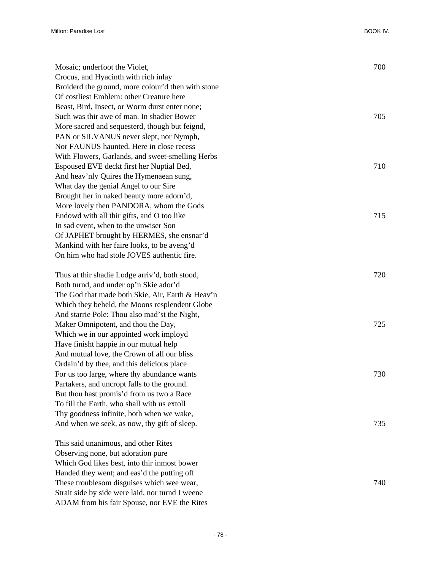| Mosaic; underfoot the Violet,                      | 700 |
|----------------------------------------------------|-----|
| Crocus, and Hyacinth with rich inlay               |     |
| Broiderd the ground, more colour'd then with stone |     |
| Of costliest Emblem: other Creature here           |     |
| Beast, Bird, Insect, or Worm durst enter none;     |     |
| Such was thir awe of man. In shadier Bower         | 705 |
| More sacred and sequesterd, though but feignd,     |     |
| PAN or SILVANUS never slept, nor Nymph,            |     |
| Nor FAUNUS haunted. Here in close recess           |     |
| With Flowers, Garlands, and sweet-smelling Herbs   |     |
| Espoused EVE deckt first her Nuptial Bed,          | 710 |
| And heav'nly Quires the Hymenaean sung,            |     |
| What day the genial Angel to our Sire              |     |
| Brought her in naked beauty more adorn'd,          |     |
| More lovely then PANDORA, whom the Gods            |     |
| Endowd with all thir gifts, and O too like         | 715 |
| In sad event, when to the unwiser Son              |     |
| Of JAPHET brought by HERMES, she ensnar'd          |     |
| Mankind with her faire looks, to be aveng'd        |     |
| On him who had stole JOVES authentic fire.         |     |
| Thus at thir shadie Lodge arriv'd, both stood,     | 720 |
| Both turnd, and under op'n Skie ador'd             |     |
| The God that made both Skie, Air, Earth & Heav'n   |     |
| Which they beheld, the Moons resplendent Globe     |     |
| And starrie Pole: Thou also mad'st the Night,      |     |
| Maker Omnipotent, and thou the Day,                | 725 |
| Which we in our appointed work imployd             |     |
| Have finisht happie in our mutual help             |     |
| And mutual love, the Crown of all our bliss        |     |
| Ordain'd by thee, and this delicious place         |     |
| For us too large, where thy abundance wants        | 730 |
| Partakers, and uncropt falls to the ground.        |     |
| But thou hast promis'd from us two a Race          |     |
| To fill the Earth, who shall with us extoll        |     |
| Thy goodness infinite, both when we wake,          |     |
| And when we seek, as now, thy gift of sleep.       | 735 |
| This said unanimous, and other Rites               |     |
| Observing none, but adoration pure                 |     |
| Which God likes best, into thir inmost bower       |     |
| Handed they went; and eas'd the putting off        |     |
| These troublesom disguises which wee wear,         | 740 |
| Strait side by side were laid, nor turnd I weene   |     |
|                                                    |     |

ADAM from his fair Spouse, nor EVE the Rites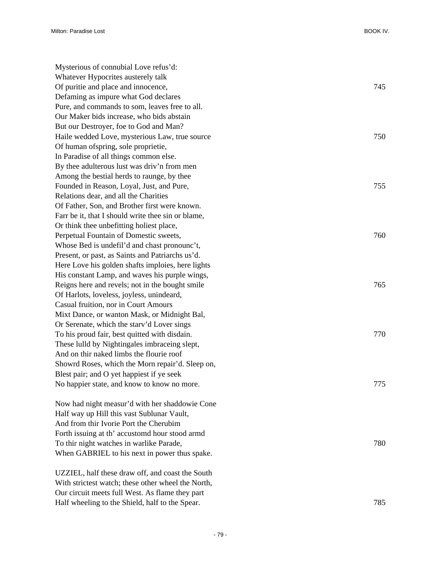| Mysterious of connubial Love refus'd:              |     |
|----------------------------------------------------|-----|
| Whatever Hypocrites austerely talk                 |     |
| Of puritie and place and innocence,                | 745 |
| Defaming as impure what God declares               |     |
| Pure, and commands to som, leaves free to all.     |     |
| Our Maker bids increase, who bids abstain          |     |
| But our Destroyer, foe to God and Man?             |     |
| Haile wedded Love, mysterious Law, true source     | 750 |
| Of human ofspring, sole proprietie,                |     |
| In Paradise of all things common else.             |     |
| By thee adulterous lust was driv'n from men        |     |
| Among the bestial herds to raunge, by thee         |     |
| Founded in Reason, Loyal, Just, and Pure,          | 755 |
| Relations dear, and all the Charities              |     |
| Of Father, Son, and Brother first were known.      |     |
| Farr be it, that I should write thee sin or blame, |     |
| Or think thee unbefitting holiest place,           |     |
| Perpetual Fountain of Domestic sweets,             | 760 |
| Whose Bed is undefil'd and chast pronounc't,       |     |
| Present, or past, as Saints and Patriarchs us'd.   |     |
| Here Love his golden shafts imploies, here lights  |     |
| His constant Lamp, and waves his purple wings,     |     |
| Reigns here and revels; not in the bought smile    | 765 |
| Of Harlots, loveless, joyless, unindeard,          |     |
| Casual fruition, nor in Court Amours               |     |
| Mixt Dance, or wanton Mask, or Midnight Bal,       |     |
| Or Serenate, which the stary'd Lover sings         |     |
| To his proud fair, best quitted with disdain.      | 770 |
| These lulld by Nightingales imbraceing slept,      |     |
| And on thir naked limbs the flourie roof           |     |
| Showrd Roses, which the Morn repair'd. Sleep on,   |     |
| Blest pair; and O yet happiest if ye seek          |     |
| No happier state, and know to know no more.        | 775 |
|                                                    |     |
| Now had night measur'd with her shaddowie Cone     |     |
| Half way up Hill this vast Sublunar Vault,         |     |
| And from thir Ivorie Port the Cherubim             |     |
| Forth issuing at th' accustomd hour stood armd     |     |
| To thir night watches in warlike Parade,           | 780 |
| When GABRIEL to his next in power thus spake.      |     |
|                                                    |     |
| UZZIEL, half these draw off, and coast the South   |     |
| With strictest watch; these other wheel the North, |     |
| Our circuit meets full West. As flame they part    |     |

Half wheeling to the Shield, half to the Spear. 785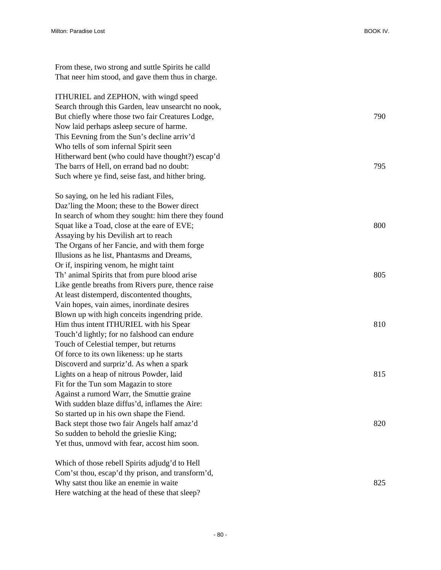From these, two strong and suttle Spirits he calld That neer him stood, and gave them thus in charge. ITHURIEL and ZEPHON, with wingd speed Search through this Garden, leav unsearcht no nook, But chiefly where those two fair Creatures Lodge,  $790$ Now laid perhaps asleep secure of harme. This Eevning from the Sun's decline arriv'd Who tells of som infernal Spirit seen Hitherward bent (who could have thought?) escap'd The barrs of Hell, on errand bad no doubt: 795 Such where ye find, seise fast, and hither bring. So saying, on he led his radiant Files, Daz'ling the Moon; these to the Bower direct In search of whom they sought: him there they found Squat like a Toad, close at the eare of EVE; 800 Assaying by his Devilish art to reach The Organs of her Fancie, and with them forge Illusions as he list, Phantasms and Dreams, Or if, inspiring venom, he might taint Th' animal Spirits that from pure blood arise 805 Like gentle breaths from Rivers pure, thence raise At least distemperd, discontented thoughts, Vain hopes, vain aimes, inordinate desires Blown up with high conceits ingendring pride. Him thus intent ITHURIEL with his Spear 810 Touch'd lightly; for no falshood can endure Touch of Celestial temper, but returns Of force to its own likeness: up he starts Discoverd and surpriz'd. As when a spark Lights on a heap of nitrous Powder, laid 815 Fit for the Tun som Magazin to store Against a rumord Warr, the Smuttie graine With sudden blaze diffus'd, inflames the Aire: So started up in his own shape the Fiend. Back stept those two fair Angels half amaz'd 820 So sudden to behold the grieslie King; Yet thus, unmovd with fear, accost him soon. Which of those rebell Spirits adjudg'd to Hell Com'st thou, escap'd thy prison, and transform'd,

Why satst thou like an enemie in waite 825

Here watching at the head of these that sleep?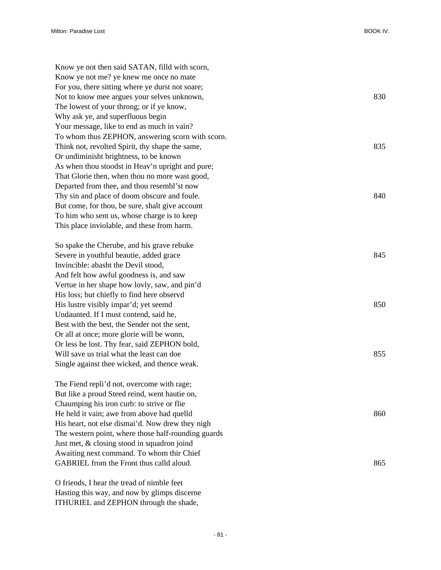| Know ye not then said SATAN, filld with scorn,      |     |
|-----------------------------------------------------|-----|
| Know ye not me? ye knew me once no mate             |     |
| For you, there sitting where ye durst not soare;    |     |
| Not to know mee argues your selves unknown,         | 830 |
| The lowest of your throng; or if ye know,           |     |
| Why ask ye, and superfluous begin                   |     |
| Your message, like to end as much in vain?          |     |
| To whom thus ZEPHON, answering scorn with scorn.    |     |
| Think not, revolted Spirit, thy shape the same,     | 835 |
| Or undiminisht brightness, to be known              |     |
| As when thou stoodst in Heav'n upright and pure;    |     |
| That Glorie then, when thou no more wast good,      |     |
| Departed from thee, and thou resembl'st now         |     |
| Thy sin and place of doom obscure and foule.        | 840 |
| But come, for thou, be sure, shalt give account     |     |
| To him who sent us, whose charge is to keep         |     |
| This place inviolable, and these from harm.         |     |
| So spake the Cherube, and his grave rebuke          |     |
| Severe in youthful beautie, added grace             | 845 |
| Invincible: abasht the Devil stood,                 |     |
| And felt how awful goodness is, and saw             |     |
| Vertue in her shape how lovly, saw, and pin'd       |     |
| His loss; but chiefly to find here observd          |     |
| His lustre visibly impar'd; yet seemd               | 850 |
| Undaunted. If I must contend, said he,              |     |
| Best with the best, the Sender not the sent,        |     |
| Or all at once; more glorie will be wonn,           |     |
| Or less be lost. Thy fear, said ZEPHON bold,        |     |
| Will save us trial what the least can doe           | 855 |
| Single against thee wicked, and thence weak.        |     |
| The Fiend repli'd not, overcome with rage;          |     |
| But like a proud Steed reind, went hautie on,       |     |
| Chaumping his iron curb: to strive or flie          |     |
| He held it vain; awe from above had quelld          | 860 |
| His heart, not else dismai'd. Now drew they nigh    |     |
| The western point, where those half-rounding guards |     |
| Just met, & closing stood in squadron joind         |     |
| Awaiting next command. To whom thir Chief           |     |
| GABRIEL from the Front thus calld aloud.            | 865 |
|                                                     |     |

O friends, I hear the tread of nimble feet Hasting this way, and now by glimps discerne ITHURIEL and ZEPHON through the shade,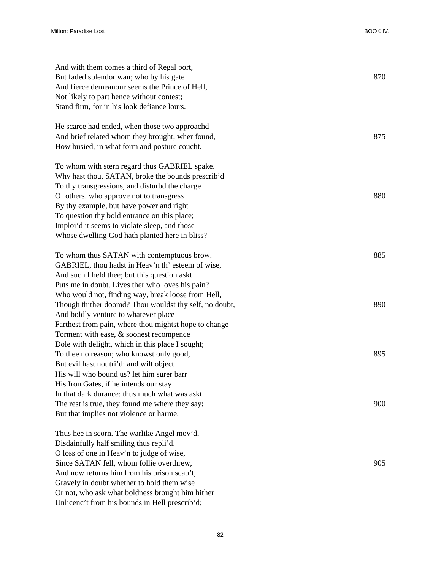| And with them comes a third of Regal port,<br>But faded splendor wan; who by his gate | 870 |
|---------------------------------------------------------------------------------------|-----|
| And fierce demeanour seems the Prince of Hell,                                        |     |
| Not likely to part hence without contest;                                             |     |
| Stand firm, for in his look defiance lours.                                           |     |
|                                                                                       |     |
| He scarce had ended, when those two approachd                                         |     |
| And brief related whom they brought, wher found,                                      | 875 |
| How busied, in what form and posture coucht.                                          |     |
|                                                                                       |     |
| To whom with stern regard thus GABRIEL spake.                                         |     |
| Why hast thou, SATAN, broke the bounds prescrib'd                                     |     |
| To thy transgressions, and disturbd the charge                                        |     |
| Of others, who approve not to transgress                                              | 880 |
| By thy example, but have power and right                                              |     |
| To question thy bold entrance on this place;                                          |     |
| Imploi'd it seems to violate sleep, and those                                         |     |
| Whose dwelling God hath planted here in bliss?                                        |     |
|                                                                                       |     |
| To whom thus SATAN with contemptuous brow.                                            | 885 |
| GABRIEL, thou hadst in Heav'n th' esteem of wise,                                     |     |
| And such I held thee; but this question askt                                          |     |
| Puts me in doubt. Lives ther who loves his pain?                                      |     |
| Who would not, finding way, break loose from Hell,                                    |     |
| Though thither doomd? Thou wouldst thy self, no doubt,                                | 890 |
| And boldly venture to whatever place                                                  |     |
| Farthest from pain, where thou mightst hope to change                                 |     |
| Torment with ease, & soonest recompence                                               |     |
| Dole with delight, which in this place I sought;                                      |     |
| To thee no reason; who knowst only good,                                              | 895 |
| But evil hast not tri'd: and wilt object                                              |     |
| His will who bound us? let him surer barr                                             |     |
| His Iron Gates, if he intends our stay                                                |     |
| In that dark durance: thus much what was askt.                                        |     |
| The rest is true, they found me where they say;                                       | 900 |
| But that implies not violence or harme.                                               |     |
| Thus hee in scorn. The warlike Angel mov'd,                                           |     |
| Disdainfully half smiling thus repli'd.                                               |     |
| O loss of one in Heav'n to judge of wise,                                             |     |
| Since SATAN fell, whom follie overthrew,                                              | 905 |
| And now returns him from his prison scap't,                                           |     |
| Gravely in doubt whether to hold them wise                                            |     |
| Or not, who ask what boldness brought him hither                                      |     |
| Unlicenc't from his bounds in Hell prescrib'd;                                        |     |
|                                                                                       |     |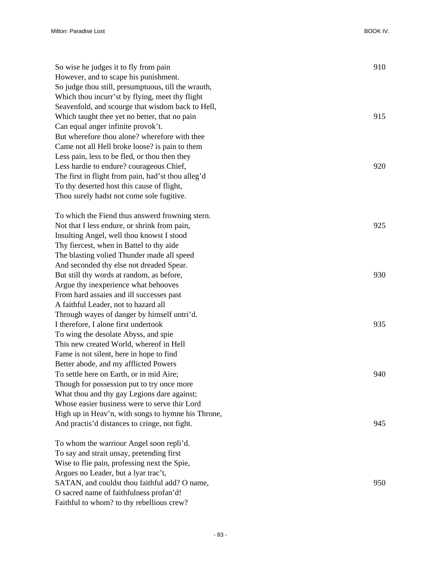| So wise he judges it to fly from pain<br>However, and to scape his punishment.<br>So judge thou still, presumptuous, till the wrauth, | 910 |
|---------------------------------------------------------------------------------------------------------------------------------------|-----|
| Which thou incurr'st by flying, meet thy flight                                                                                       |     |
| Seavenfold, and scourge that wisdom back to Hell,                                                                                     |     |
| Which taught thee yet no better, that no pain                                                                                         | 915 |
| Can equal anger infinite provok't.                                                                                                    |     |
| But wherefore thou alone? wherefore with thee                                                                                         |     |
| Came not all Hell broke loose? is pain to them                                                                                        |     |
| Less pain, less to be fled, or thou then they                                                                                         |     |
| Less hardie to endure? courageous Chief,                                                                                              | 920 |
| The first in flight from pain, had'st thou alleg'd                                                                                    |     |
| To thy deserted host this cause of flight,                                                                                            |     |
| Thou surely hadst not come sole fugitive.                                                                                             |     |
| To which the Fiend thus answerd frowning stern.                                                                                       |     |
| Not that I less endure, or shrink from pain,                                                                                          | 925 |
| Insulting Angel, well thou knowst I stood                                                                                             |     |
| Thy fiercest, when in Battel to thy aide                                                                                              |     |
| The blasting volied Thunder made all speed                                                                                            |     |
| And seconded thy else not dreaded Spear.                                                                                              |     |
| But still thy words at random, as before,                                                                                             | 930 |
| Argue thy inexperience what behooves                                                                                                  |     |
| From hard assaies and ill successes past                                                                                              |     |
| A faithful Leader, not to hazard all                                                                                                  |     |
| Through wayes of danger by himself untri'd.                                                                                           |     |
| I therefore, I alone first undertook                                                                                                  | 935 |
| To wing the desolate Abyss, and spie                                                                                                  |     |
| This new created World, whereof in Hell                                                                                               |     |
| Fame is not silent, here in hope to find                                                                                              |     |
| Better abode, and my afflicted Powers                                                                                                 |     |
| To settle here on Earth, or in mid Aire;                                                                                              | 940 |
| Though for possession put to try once more                                                                                            |     |
| What thou and thy gay Legions dare against;                                                                                           |     |
| Whose easier business were to serve thir Lord                                                                                         |     |
| High up in Heav'n, with songs to hymne his Throne,                                                                                    |     |
| And practis'd distances to cringe, not fight.                                                                                         | 945 |
| To whom the warriour Angel soon repli'd.                                                                                              |     |
| To say and strait unsay, pretending first                                                                                             |     |
| Wise to flie pain, professing next the Spie,                                                                                          |     |
| Argues no Leader, but a lyar trac't,                                                                                                  |     |
| SATAN, and couldst thou faithful add? O name,                                                                                         | 950 |
| O sacred name of faithfulness profan'd!                                                                                               |     |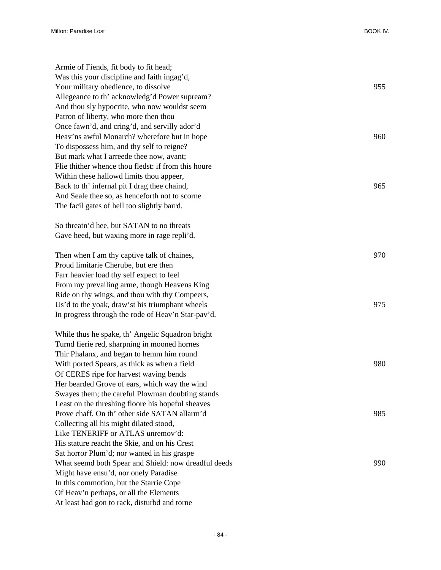| Armie of Fiends, fit body to fit head;               |     |
|------------------------------------------------------|-----|
| Was this your discipline and faith ingag'd,          |     |
| Your military obedience, to dissolve                 | 955 |
| Allegeance to th' acknowledg'd Power supream?        |     |
| And thou sly hypocrite, who now wouldst seem         |     |
| Patron of liberty, who more then thou                |     |
| Once fawn'd, and cring'd, and servilly ador'd        |     |
| Heav'ns awful Monarch? wherefore but in hope         | 960 |
| To dispossess him, and thy self to reigne?           |     |
| But mark what I arreede thee now, avant;             |     |
| Flie thither whence thou fledst: if from this houre  |     |
| Within these hallowd limits thou appeer,             |     |
| Back to th' infernal pit I drag thee chaind,         | 965 |
| And Seale thee so, as henceforth not to scorne       |     |
| The facil gates of hell too slightly barrd.          |     |
|                                                      |     |
| So threatn'd hee, but SATAN to no threats            |     |
| Gave heed, but waxing more in rage repli'd.          |     |
|                                                      |     |
| Then when I am thy captive talk of chaines,          | 970 |
| Proud limitarie Cherube, but ere then                |     |
| Farr heavier load thy self expect to feel            |     |
| From my prevailing arme, though Heavens King         |     |
| Ride on thy wings, and thou with thy Compeers,       |     |
| Us'd to the yoak, draw'st his triumphant wheels      | 975 |
| In progress through the rode of Heav'n Star-pav'd.   |     |
|                                                      |     |
| While thus he spake, th' Angelic Squadron bright     |     |
| Turnd fierie red, sharpning in mooned hornes         |     |
| Thir Phalanx, and began to hemm him round            |     |
| With ported Spears, as thick as when a field         | 980 |
| Of CERES ripe for harvest waving bends               |     |
| Her bearded Grove of ears, which way the wind        |     |
| Swayes them; the careful Plowman doubting stands     |     |
| Least on the threshing floore his hopeful sheaves    |     |
| Prove chaff. On th' other side SATAN allarm'd        | 985 |
| Collecting all his might dilated stood,              |     |
| Like TENERIFF or ATLAS unremov'd:                    |     |
| His stature reacht the Skie, and on his Crest        |     |
| Sat horror Plum'd; nor wanted in his graspe          |     |
| What seemd both Spear and Shield: now dreadful deeds | 990 |
| Might have ensu'd, nor onely Paradise                |     |
| In this commotion, but the Starrie Cope              |     |
| Of Heav'n perhaps, or all the Elements               |     |
| At least had gon to rack, disturbd and torne         |     |
|                                                      |     |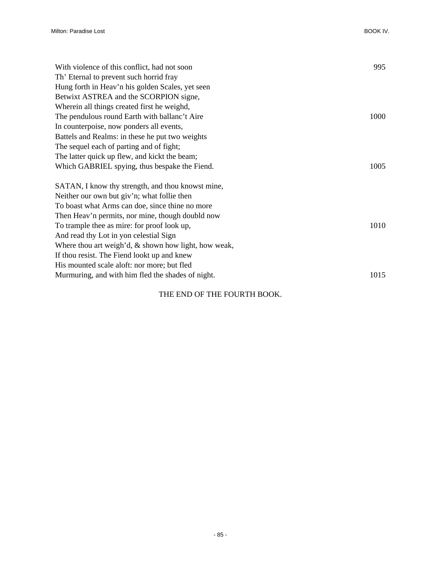| With violence of this conflict, had not soon            | 995  |
|---------------------------------------------------------|------|
| Th' Eternal to prevent such horrid fray                 |      |
| Hung forth in Heav'n his golden Scales, yet seen        |      |
| Betwixt ASTREA and the SCORPION signe,                  |      |
| Wherein all things created first he weighd,             |      |
| The pendulous round Earth with ballanc't Aire           | 1000 |
| In counterpoise, now ponders all events,                |      |
| Battels and Realms: in these he put two weights         |      |
| The sequel each of parting and of fight;                |      |
| The latter quick up flew, and kickt the beam;           |      |
| Which GABRIEL spying, thus bespake the Fiend.           | 1005 |
| SATAN, I know thy strength, and thou knowst mine,       |      |
| Neither our own but giv'n; what follie then             |      |
| To boast what Arms can doe, since thine no more         |      |
| Then Heav'n permits, nor mine, though doubld now        |      |
| To trample thee as mire: for proof look up,             | 1010 |
| And read thy Lot in yon celestial Sign                  |      |
| Where thou art weigh'd, $\&$ shown how light, how weak, |      |
| If thou resist. The Fiend lookt up and knew             |      |
| His mounted scale aloft: nor more; but fled             |      |
| Murmuring, and with him fled the shades of night.       | 1015 |
|                                                         |      |

## THE END OF THE FOURTH BOOK.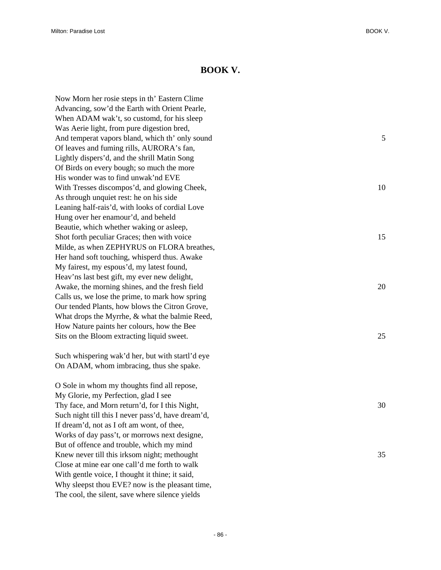## **BOOK V.**

Now Morn her rosie steps in th' Eastern Clime Advancing, sow'd the Earth with Orient Pearle, When ADAM wak't, so customd, for his sleep Was Aerie light, from pure digestion bred, And temperat vapors bland, which th' only sound 5 Of leaves and fuming rills, AURORA's fan, Lightly dispers'd, and the shrill Matin Song Of Birds on every bough; so much the more His wonder was to find unwak'nd EVE With Tresses discompos'd, and glowing Cheek, 10 As through unquiet rest: he on his side Leaning half-rais'd, with looks of cordial Love Hung over her enamour'd, and beheld Beautie, which whether waking or asleep, Shot forth peculiar Graces; then with voice 15 Milde, as when ZEPHYRUS on FLORA breathes, Her hand soft touching, whisperd thus. Awake My fairest, my espous'd, my latest found, Heav'ns last best gift, my ever new delight, Awake, the morning shines, and the fresh field 20 20 Calls us, we lose the prime, to mark how spring Our tended Plants, how blows the Citron Grove, What drops the Myrrhe, & what the balmie Reed, How Nature paints her colours, how the Bee Sits on the Bloom extracting liquid sweet. 25

Such whispering wak'd her, but with startl'd eye On ADAM, whom imbracing, thus she spake.

O Sole in whom my thoughts find all repose, My Glorie, my Perfection, glad I see Thy face, and Morn return'd, for I this Night, 30 Such night till this I never pass'd, have dream'd, If dream'd, not as I oft am wont, of thee, Works of day pass't, or morrows next designe, But of offence and trouble, which my mind Knew never till this irksom night; methought 35 Close at mine ear one call'd me forth to walk With gentle voice, I thought it thine; it said, Why sleepst thou EVE? now is the pleasant time, The cool, the silent, save where silence yields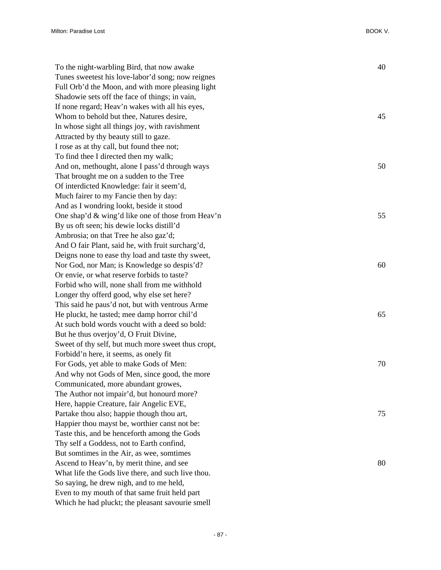| To the night-warbling Bird, that now awake         | 40 |
|----------------------------------------------------|----|
| Tunes sweetest his love-labor'd song; now reignes  |    |
| Full Orb'd the Moon, and with more pleasing light  |    |
| Shadowie sets off the face of things; in vain,     |    |
| If none regard; Heav'n wakes with all his eyes,    |    |
| Whom to behold but thee, Natures desire,           | 45 |
| In whose sight all things joy, with ravishment     |    |
| Attracted by thy beauty still to gaze.             |    |
| I rose as at thy call, but found thee not;         |    |
| To find thee I directed then my walk;              |    |
| And on, methought, alone I pass'd through ways     | 50 |
| That brought me on a sudden to the Tree            |    |
| Of interdicted Knowledge: fair it seem'd,          |    |
| Much fairer to my Fancie then by day:              |    |
| And as I wondring lookt, beside it stood           |    |
| One shap'd & wing'd like one of those from Heav'n  | 55 |
| By us oft seen; his dewie locks distill'd          |    |
| Ambrosia; on that Tree he also gaz'd;              |    |
| And O fair Plant, said he, with fruit surcharg'd,  |    |
| Deigns none to ease thy load and taste thy sweet,  |    |
| Nor God, nor Man; is Knowledge so despis'd?        | 60 |
| Or envie, or what reserve forbids to taste?        |    |
| Forbid who will, none shall from me withhold       |    |
| Longer thy offerd good, why else set here?         |    |
| This said he paus'd not, but with ventrous Arme    |    |
| He pluckt, he tasted; mee damp horror chil'd       | 65 |
| At such bold words voucht with a deed so bold:     |    |
| But he thus overjoy'd, O Fruit Divine,             |    |
| Sweet of thy self, but much more sweet thus cropt, |    |
| Forbidd'n here, it seems, as onely fit             |    |
| For Gods, yet able to make Gods of Men:            | 70 |
| And why not Gods of Men, since good, the more      |    |
| Communicated, more abundant growes,                |    |
| The Author not impair'd, but honourd more?         |    |
| Here, happie Creature, fair Angelic EVE,           |    |
| Partake thou also; happie though thou art,         | 75 |
| Happier thou mayst be, worthier canst not be:      |    |
| Taste this, and be henceforth among the Gods       |    |
| Thy self a Goddess, not to Earth confind,          |    |
| But somtimes in the Air, as wee, somtimes          |    |
| Ascend to Heav'n, by merit thine, and see          | 80 |
| What life the Gods live there, and such live thou. |    |
| So saying, he drew nigh, and to me held,           |    |
| Even to my mouth of that same fruit held part      |    |
| Which he had pluckt; the pleasant savourie smell   |    |
|                                                    |    |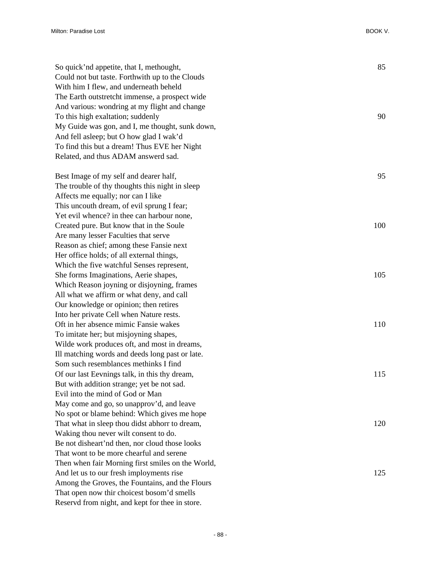| So quick'nd appetite, that I, methought,          | 85  |
|---------------------------------------------------|-----|
| Could not but taste. Forthwith up to the Clouds   |     |
| With him I flew, and underneath beheld            |     |
| The Earth outstretcht immense, a prospect wide    |     |
| And various: wondring at my flight and change     |     |
| To this high exaltation; suddenly                 | 90  |
| My Guide was gon, and I, me thought, sunk down,   |     |
| And fell asleep; but O how glad I wak'd           |     |
| To find this but a dream! Thus EVE her Night      |     |
| Related, and thus ADAM answerd sad.               |     |
|                                                   |     |
| Best Image of my self and dearer half,            | 95  |
| The trouble of thy thoughts this night in sleep   |     |
| Affects me equally; nor can I like                |     |
| This uncouth dream, of evil sprung I fear;        |     |
| Yet evil whence? in thee can harbour none,        |     |
| Created pure. But know that in the Soule          | 100 |
| Are many lesser Faculties that serve              |     |
| Reason as chief; among these Fansie next          |     |
| Her office holds; of all external things,         |     |
| Which the five watchful Senses represent,         |     |
| She forms Imaginations, Aerie shapes,             | 105 |
| Which Reason joyning or disjoyning, frames        |     |
| All what we affirm or what deny, and call         |     |
| Our knowledge or opinion; then retires            |     |
| Into her private Cell when Nature rests.          |     |
| Oft in her absence mimic Fansie wakes             | 110 |
| To imitate her; but misjoyning shapes,            |     |
| Wilde work produces oft, and most in dreams,      |     |
| Ill matching words and deeds long past or late.   |     |
| Som such resemblances methinks I find             |     |
| Of our last Eevnings talk, in this thy dream,     | 115 |
| But with addition strange; yet be not sad.        |     |
| Evil into the mind of God or Man                  |     |
| May come and go, so unapprov'd, and leave         |     |
| No spot or blame behind: Which gives me hope      |     |
| That what in sleep thou didst abhorr to dream,    | 120 |
| Waking thou never wilt consent to do.             |     |
| Be not disheart'nd then, nor cloud those looks    |     |
| That wont to be more chearful and serene          |     |
| Then when fair Morning first smiles on the World, |     |
| And let us to our fresh imployments rise          | 125 |
| Among the Groves, the Fountains, and the Flours   |     |
| That open now thir choicest bosom'd smells        |     |
| Reservd from night, and kept for thee in store.   |     |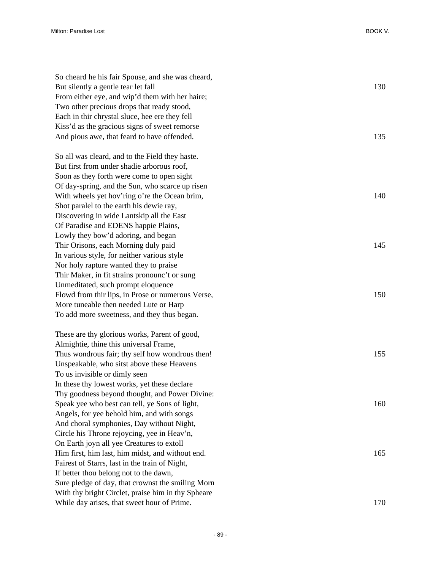| So cheard he his fair Spouse, and she was cheard,  |     |
|----------------------------------------------------|-----|
| But silently a gentle tear let fall                | 130 |
| From either eye, and wip'd them with her haire;    |     |
| Two other precious drops that ready stood,         |     |
| Each in thir chrystal sluce, hee ere they fell     |     |
| Kiss'd as the gracious signs of sweet remorse      |     |
| And pious awe, that feard to have offended.        | 135 |
| So all was cleard, and to the Field they haste.    |     |
| But first from under shadie arborous roof,         |     |
| Soon as they forth were come to open sight         |     |
| Of day-spring, and the Sun, who scarce up risen    |     |
| With wheels yet hov'ring o're the Ocean brim,      | 140 |
| Shot paralel to the earth his dewie ray,           |     |
| Discovering in wide Lantskip all the East          |     |
| Of Paradise and EDENS happie Plains,               |     |
| Lowly they bow'd adoring, and began                |     |
| Thir Orisons, each Morning duly paid               | 145 |
| In various style, for neither various style        |     |
| Nor holy rapture wanted they to praise             |     |
| Thir Maker, in fit strains pronounc't or sung      |     |
| Unmeditated, such prompt eloquence                 |     |
| Flowd from thir lips, in Prose or numerous Verse,  | 150 |
| More tuneable then needed Lute or Harp             |     |
| To add more sweetness, and they thus began.        |     |
| These are thy glorious works, Parent of good,      |     |
| Almightie, thine this universal Frame,             |     |
| Thus wondrous fair; thy self how wondrous then!    | 155 |
| Unspeakable, who sitst above these Heavens         |     |
| To us invisible or dimly seen                      |     |
| In these thy lowest works, yet these declare       |     |
| Thy goodness beyond thought, and Power Divine:     |     |
| Speak yee who best can tell, ye Sons of light,     | 160 |
| Angels, for yee behold him, and with songs         |     |
| And choral symphonies, Day without Night,          |     |
| Circle his Throne rejoycing, yee in Heav'n,        |     |
| On Earth joyn all yee Creatures to extoll          |     |
| Him first, him last, him midst, and without end.   | 165 |
| Fairest of Starrs, last in the train of Night,     |     |
| If better thou belong not to the dawn,             |     |
| Sure pledge of day, that crownst the smiling Morn  |     |
| With thy bright Circlet, praise him in thy Spheare |     |
| While day arises, that sweet hour of Prime.        | 170 |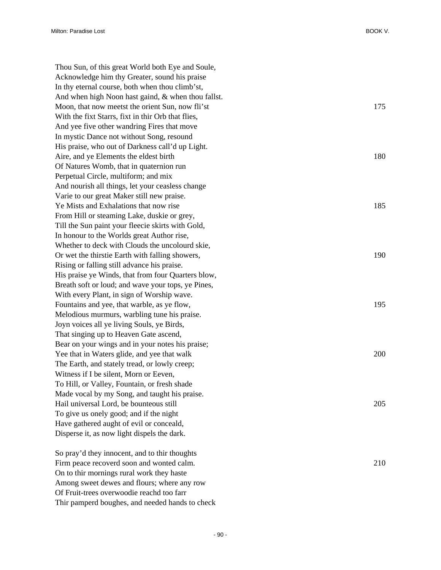Thou Sun, of this great World both Eye and Soule, Acknowledge him thy Greater, sound his praise In thy eternal course, both when thou climb'st, And when high Noon hast gaind, & when thou fallst. Moon, that now meetst the orient Sun, now fli'st 175 With the fixt Starrs, fixt in thir Orb that flies, And yee five other wandring Fires that move In mystic Dance not without Song, resound His praise, who out of Darkness call'd up Light. Aire, and ye Elements the eldest birth 180 Of Natures Womb, that in quaternion run Perpetual Circle, multiform; and mix And nourish all things, let your ceasless change Varie to our great Maker still new praise. Ye Mists and Exhalations that now rise 185 From Hill or steaming Lake, duskie or grey, Till the Sun paint your fleecie skirts with Gold, In honour to the Worlds great Author rise, Whether to deck with Clouds the uncolourd skie, Or wet the thirstie Earth with falling showers, 190 Rising or falling still advance his praise. His praise ye Winds, that from four Quarters blow, Breath soft or loud; and wave your tops, ye Pines, With every Plant, in sign of Worship wave. Fountains and yee, that warble, as ye flow, 195 Melodious murmurs, warbling tune his praise. Joyn voices all ye living Souls, ye Birds, That singing up to Heaven Gate ascend, Bear on your wings and in your notes his praise; Yee that in Waters glide, and yee that walk 200 The Earth, and stately tread, or lowly creep; Witness if I be silent, Morn or Eeven, To Hill, or Valley, Fountain, or fresh shade Made vocal by my Song, and taught his praise. Hail universal Lord, be bounteous still 205 To give us onely good; and if the night Have gathered aught of evil or conceald, Disperse it, as now light dispels the dark. So pray'd they innocent, and to thir thoughts Firm peace recoverd soon and wonted calm. 210

- 90 -

On to thir mornings rural work they haste Among sweet dewes and flours; where any row Of Fruit-trees overwoodie reachd too farr

Thir pamperd boughes, and needed hands to check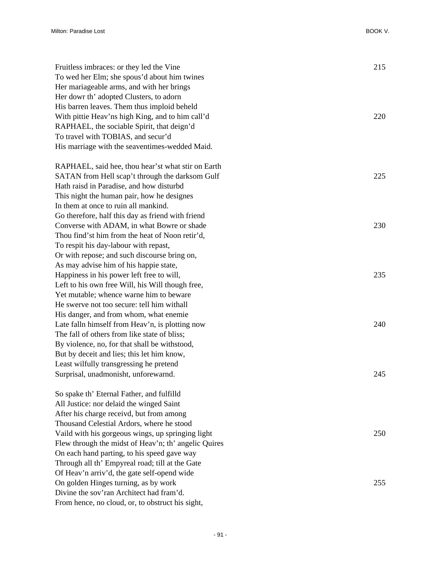| Fruitless imbraces: or they led the Vine             | 215 |
|------------------------------------------------------|-----|
| To wed her Elm; she spous'd about him twines         |     |
| Her mariageable arms, and with her brings            |     |
| Her dowr th' adopted Clusters, to adorn              |     |
| His barren leaves. Them thus imploid beheld          |     |
| With pittie Heav'ns high King, and to him call'd     | 220 |
| RAPHAEL, the sociable Spirit, that deign'd           |     |
| To travel with TOBIAS, and secur'd                   |     |
| His marriage with the seaventimes-wedded Maid.       |     |
| RAPHAEL, said hee, thou hear'st what stir on Earth   |     |
| SATAN from Hell scap't through the darksom Gulf      | 225 |
| Hath raisd in Paradise, and how disturbd             |     |
| This night the human pair, how he designes           |     |
| In them at once to ruin all mankind.                 |     |
| Go therefore, half this day as friend with friend    |     |
| Converse with ADAM, in what Bowre or shade           | 230 |
| Thou find'st him from the heat of Noon retir'd,      |     |
| To respit his day-labour with repast,                |     |
| Or with repose; and such discourse bring on,         |     |
| As may advise him of his happie state,               |     |
| Happiness in his power left free to will,            | 235 |
| Left to his own free Will, his Will though free,     |     |
| Yet mutable; whence warne him to beware              |     |
| He swerve not too secure: tell him withall           |     |
| His danger, and from whom, what enemie               |     |
| Late falln himself from Heav'n, is plotting now      | 240 |
| The fall of others from like state of bliss;         |     |
| By violence, no, for that shall be withstood,        |     |
| But by deceit and lies; this let him know,           |     |
| Least wilfully transgressing he pretend              |     |
| Surprisal, unadmonisht, unforewarnd.                 | 245 |
| So spake th' Eternal Father, and fulfilld            |     |
| All Justice: nor delaid the winged Saint             |     |
| After his charge receivd, but from among             |     |
| Thousand Celestial Ardors, where he stood            |     |
| Vaild with his gorgeous wings, up springing light    | 250 |
| Flew through the midst of Heav'n; th' angelic Quires |     |
| On each hand parting, to his speed gave way          |     |
| Through all th' Empyreal road; till at the Gate      |     |
| Of Heav'n arriv'd, the gate self-opend wide          |     |
| On golden Hinges turning, as by work                 | 255 |
| Divine the sov'ran Architect had fram'd.             |     |

From hence, no cloud, or, to obstruct his sight,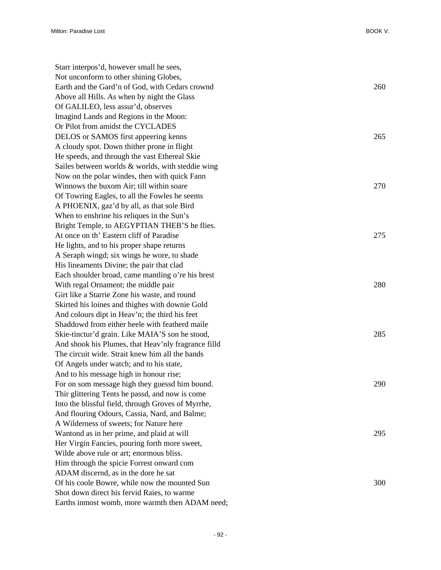Starr interpos'd, however small he sees, Not unconform to other shining Globes, Earth and the Gard'n of God, with Cedars crownd 260 Above all Hills. As when by night the Glass Of GALILEO, less assur'd, observes Imagind Lands and Regions in the Moon: Or Pilot from amidst the CYCLADES DELOS or SAMOS first appeering kenns 265 A cloudy spot. Down thither prone in flight He speeds, and through the vast Ethereal Skie Sailes between worlds & worlds, with steddie wing Now on the polar windes, then with quick Fann Winnows the buxom Air; till within soare 270 Of Towring Eagles, to all the Fowles he seems A PHOENIX, gaz'd by all, as that sole Bird When to enshrine his reliques in the Sun's Bright Temple, to AEGYPTIAN THEB'S he flies. At once on th' Eastern cliff of Paradise 275 He lights, and to his proper shape returns A Seraph wingd; six wings he wore, to shade His lineaments Divine; the pair that clad Each shoulder broad, came mantling o're his brest With regal Ornament; the middle pair 280 Girt like a Starrie Zone his waste, and round Skirted his loines and thighes with downie Gold And colours dipt in Heav'n; the third his feet Shaddowd from either heele with featherd maile Skie-tinctur'd grain. Like MAIA'S son he stood, 285 And shook his Plumes, that Heav'nly fragrance filld The circuit wide. Strait knew him all the bands Of Angels under watch; and to his state, And to his message high in honour rise; For on som message high they guessd him bound. 290 Thir glittering Tents he passd, and now is come Into the blissful field, through Groves of Myrrhe, And flouring Odours, Cassia, Nard, and Balme; A Wilderness of sweets; for Nature here Wantond as in her prime, and plaid at will 295 Her Virgin Fancies, pouring forth more sweet, Wilde above rule or art; enormous bliss. Him through the spicie Forrest onward com ADAM discernd, as in the dore he sat Of his coole Bowre, while now the mounted Sun 300 Shot down direct his fervid Raies, to warme Earths inmost womb, more warmth then ADAM need;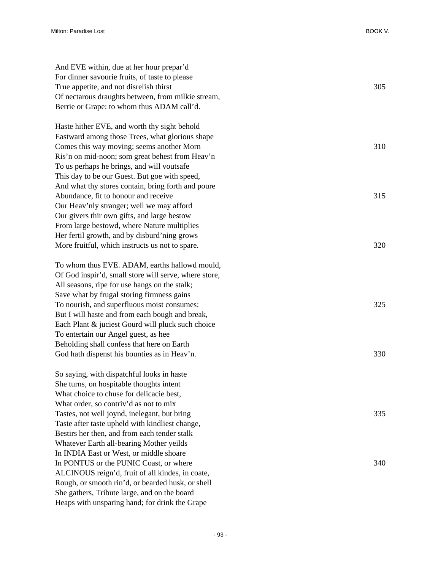| And EVE within, due at her hour prepar'd              |     |
|-------------------------------------------------------|-----|
| For dinner savourie fruits, of taste to please        |     |
| True appetite, and not disrelish thirst               | 305 |
| Of nectarous draughts between, from milkie stream,    |     |
| Berrie or Grape: to whom thus ADAM call'd.            |     |
|                                                       |     |
| Haste hither EVE, and worth thy sight behold          |     |
| Eastward among those Trees, what glorious shape       |     |
| Comes this way moving; seems another Morn             | 310 |
| Ris'n on mid-noon; som great behest from Heav'n       |     |
| To us perhaps he brings, and will voutsafe            |     |
| This day to be our Guest. But goe with speed,         |     |
| And what thy stores contain, bring forth and poure    |     |
| Abundance, fit to honour and receive                  | 315 |
| Our Heav'nly stranger; well we may afford             |     |
| Our givers thir own gifts, and large bestow           |     |
| From large bestowd, where Nature multiplies           |     |
| Her fertil growth, and by disburd'ning grows          |     |
| More fruitful, which instructs us not to spare.       | 320 |
|                                                       |     |
| To whom thus EVE. ADAM, earths hallowd mould,         |     |
| Of God inspir'd, small store will serve, where store, |     |
| All seasons, ripe for use hangs on the stalk;         |     |
| Save what by frugal storing firmness gains            |     |
| To nourish, and superfluous moist consumes:           | 325 |
| But I will haste and from each bough and break,       |     |
| Each Plant & juciest Gourd will pluck such choice     |     |
| To entertain our Angel guest, as hee                  |     |
| Beholding shall confess that here on Earth            |     |
| God hath dispenst his bounties as in Heav'n.          | 330 |
| So saying, with dispatchful looks in haste            |     |
| She turns, on hospitable thoughts intent              |     |
| What choice to chuse for delicacie best,              |     |
| What order, so contriv'd as not to mix                |     |
| Tastes, not well joynd, inelegant, but bring          | 335 |
| Taste after taste upheld with kindliest change,       |     |
| Bestirs her then, and from each tender stalk          |     |
| Whatever Earth all-bearing Mother yeilds              |     |
| In INDIA East or West, or middle shoare               |     |
| In PONTUS or the PUNIC Coast, or where                | 340 |
| ALCINOUS reign'd, fruit of all kindes, in coate,      |     |
| Rough, or smooth rin'd, or bearded husk, or shell     |     |
| She gathers, Tribute large, and on the board          |     |
| Heaps with unsparing hand; for drink the Grape        |     |
|                                                       |     |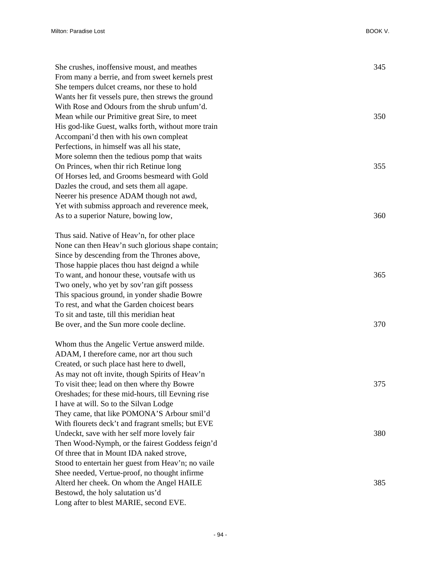| She crushes, inoffensive moust, and meathes         | 345 |
|-----------------------------------------------------|-----|
| From many a berrie, and from sweet kernels prest    |     |
| She tempers dulcet creams, nor these to hold        |     |
| Wants her fit vessels pure, then strews the ground  |     |
| With Rose and Odours from the shrub unfum'd.        |     |
| Mean while our Primitive great Sire, to meet        | 350 |
| His god-like Guest, walks forth, without more train |     |
| Accompani'd then with his own compleat              |     |
| Perfections, in himself was all his state,          |     |
| More solemn then the tedious pomp that waits        |     |
| On Princes, when thir rich Retinue long             | 355 |
| Of Horses led, and Grooms besmeard with Gold        |     |
| Dazles the croud, and sets them all agape.          |     |
| Neerer his presence ADAM though not awd,            |     |
| Yet with submiss approach and reverence meek,       |     |
| As to a superior Nature, bowing low,                | 360 |
| Thus said. Native of Heav'n, for other place        |     |
| None can then Heav'n such glorious shape contain;   |     |
| Since by descending from the Thrones above,         |     |
| Those happie places thou hast deignd a while        |     |
| To want, and honour these, voutsafe with us         | 365 |
| Two onely, who yet by sov'ran gift possess          |     |
| This spacious ground, in yonder shadie Bowre        |     |
| To rest, and what the Garden choicest bears         |     |
| To sit and taste, till this meridian heat           |     |
| Be over, and the Sun more coole decline.            | 370 |
| Whom thus the Angelic Vertue answerd milde.         |     |
| ADAM, I therefore came, nor art thou such           |     |
| Created, or such place hast here to dwell,          |     |
| As may not oft invite, though Spirits of Heav'n     |     |
| To visit thee; lead on then where thy Bowre         | 375 |
| Oreshades; for these mid-hours, till Eevning rise   |     |
| I have at will. So to the Silvan Lodge              |     |
| They came, that like POMONA'S Arbour smil'd         |     |
| With flourets deck't and fragrant smells; but EVE   |     |
| Undeckt, save with her self more lovely fair        | 380 |
| Then Wood-Nymph, or the fairest Goddess feign'd     |     |
| Of three that in Mount IDA naked strove,            |     |
| Stood to entertain her guest from Heav'n; no vaile  |     |
| Shee needed, Vertue-proof, no thought infirme       |     |
| Alterd her cheek. On whom the Angel HAILE           | 385 |
| Bestowd, the holy salutation us'd                   |     |
| Long after to blest MARIE, second EVE.              |     |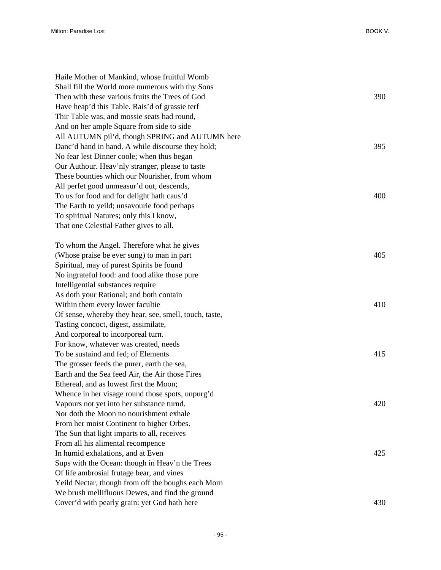| Haile Mother of Mankind, whose fruitful Womb           |     |
|--------------------------------------------------------|-----|
| Shall fill the World more numerous with thy Sons       |     |
| Then with these various fruits the Trees of God        | 390 |
| Have heap'd this Table. Rais'd of grassie terf         |     |
| Thir Table was, and mossie seats had round,            |     |
| And on her ample Square from side to side              |     |
| All AUTUMN pil'd, though SPRING and AUTUMN here        |     |
| Danc'd hand in hand. A while discourse they hold;      | 395 |
| No fear lest Dinner coole; when thus began             |     |
| Our Authour. Heav'nly stranger, please to taste        |     |
| These bounties which our Nourisher, from whom          |     |
| All perfet good unmeasur'd out, descends,              |     |
| To us for food and for delight hath caus'd             | 400 |
| The Earth to yeild; unsavourie food perhaps            |     |
| To spiritual Natures; only this I know,                |     |
| That one Celestial Father gives to all.                |     |
|                                                        |     |
| To whom the Angel. Therefore what he gives             |     |
| (Whose praise be ever sung) to man in part             | 405 |
| Spiritual, may of purest Spirits be found              |     |
| No ingrateful food: and food alike those pure          |     |
| Intelligential substances require                      |     |
| As doth your Rational; and both contain                |     |
| Within them every lower facultie                       | 410 |
| Of sense, whereby they hear, see, smell, touch, taste, |     |
| Tasting concoct, digest, assimilate,                   |     |
| And corporeal to incorporeal turn.                     |     |
| For know, whatever was created, needs                  |     |
| To be sustaind and fed; of Elements                    | 415 |
| The grosser feeds the purer, earth the sea,            |     |
| Earth and the Sea feed Air, the Air those Fires        |     |
| Ethereal, and as lowest first the Moon;                |     |
| Whence in her visage round those spots, unpurg'd       |     |
| Vapours not yet into her substance turnd.              | 420 |
| Nor doth the Moon no nourishment exhale                |     |
| From her moist Continent to higher Orbes.              |     |
| The Sun that light imparts to all, receives            |     |
| From all his alimental recompence                      |     |
| In humid exhalations, and at Even                      | 425 |
| Sups with the Ocean: though in Heav'n the Trees        |     |
| Of life ambrosial frutage bear, and vines              |     |
| Yeild Nectar, though from off the boughs each Morn     |     |
| We brush mellifluous Dewes, and find the ground        |     |
| Cover'd with pearly grain: yet God hath here           | 430 |
|                                                        |     |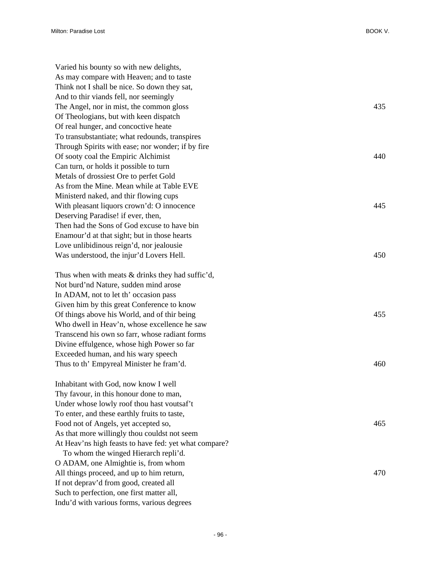| Varied his bounty so with new delights,                                                    |     |
|--------------------------------------------------------------------------------------------|-----|
| As may compare with Heaven; and to taste                                                   |     |
| Think not I shall be nice. So down they sat,                                               |     |
| And to thir viands fell, nor seemingly                                                     |     |
| The Angel, nor in mist, the common gloss                                                   | 435 |
| Of Theologians, but with keen dispatch                                                     |     |
| Of real hunger, and concoctive heate                                                       |     |
| To transubstantiate; what redounds, transpires                                             |     |
| Through Spirits with ease; nor wonder; if by fire                                          |     |
| Of sooty coal the Empiric Alchimist                                                        | 440 |
| Can turn, or holds it possible to turn                                                     |     |
| Metals of drossiest Ore to perfet Gold                                                     |     |
| As from the Mine. Mean while at Table EVE                                                  |     |
| Ministerd naked, and thir flowing cups                                                     |     |
| With pleasant liquors crown'd: O innocence                                                 | 445 |
| Deserving Paradise! if ever, then,                                                         |     |
| Then had the Sons of God excuse to have bin                                                |     |
| Enamour'd at that sight; but in those hearts                                               |     |
| Love unlibidinous reign'd, nor jealousie                                                   |     |
| Was understood, the injur'd Lovers Hell.                                                   | 450 |
| Thus when with meats $&$ drinks they had suffic'd,                                         |     |
| Not burd'nd Nature, sudden mind arose                                                      |     |
| In ADAM, not to let th' occasion pass                                                      |     |
| Given him by this great Conference to know                                                 |     |
| Of things above his World, and of thir being                                               | 455 |
| Who dwell in Heav'n, whose excellence he saw                                               |     |
| Transcend his own so farr, whose radiant forms                                             |     |
| Divine effulgence, whose high Power so far                                                 |     |
| Exceeded human, and his wary speech                                                        |     |
| Thus to th' Empyreal Minister he fram'd.                                                   | 460 |
|                                                                                            |     |
| Inhabitant with God, now know I well                                                       |     |
| Thy favour, in this honour done to man,                                                    |     |
| Under whose lowly roof thou hast voutsaf't<br>To enter, and these earthly fruits to taste, |     |
| Food not of Angels, yet accepted so,                                                       | 465 |
| As that more willingly thou couldst not seem                                               |     |
| At Heav'ns high feasts to have fed: yet what compare?                                      |     |
| To whom the winged Hierarch repli'd.                                                       |     |
| O ADAM, one Almightie is, from whom                                                        |     |
| All things proceed, and up to him return,                                                  | 470 |
| If not deprav'd from good, created all                                                     |     |
| Such to perfection, one first matter all,                                                  |     |
| Indu'd with various forms, various degrees                                                 |     |
|                                                                                            |     |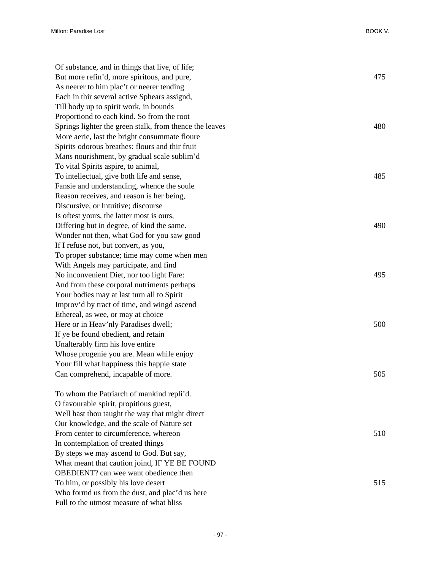| Of substance, and in things that live, of life;         |     |
|---------------------------------------------------------|-----|
| But more refin'd, more spiritous, and pure,             | 475 |
| As neerer to him plac't or neerer tending               |     |
| Each in thir several active Sphears assignd,            |     |
| Till body up to spirit work, in bounds                  |     |
| Proportiond to each kind. So from the root              |     |
| Springs lighter the green stalk, from thence the leaves | 480 |
| More aerie, last the bright consummate floure           |     |
| Spirits odorous breathes: flours and thir fruit         |     |
| Mans nourishment, by gradual scale sublim'd             |     |
| To vital Spirits aspire, to animal,                     |     |
| To intellectual, give both life and sense,              | 485 |
| Fansie and understanding, whence the soule              |     |
| Reason receives, and reason is her being,               |     |
| Discursive, or Intuitive; discourse                     |     |
| Is oftest yours, the latter most is ours,               |     |
| Differing but in degree, of kind the same.              | 490 |
| Wonder not then, what God for you saw good              |     |
| If I refuse not, but convert, as you,                   |     |
| To proper substance; time may come when men             |     |
| With Angels may participate, and find                   |     |
| No inconvenient Diet, nor too light Fare:               | 495 |
| And from these corporal nutriments perhaps              |     |
| Your bodies may at last turn all to Spirit              |     |
| Improv'd by tract of time, and wingd ascend             |     |
| Ethereal, as wee, or may at choice                      |     |
| Here or in Heav'nly Paradises dwell;                    | 500 |
| If ye be found obedient, and retain                     |     |
| Unalterably firm his love entire                        |     |
| Whose progenie you are. Mean while enjoy                |     |
| Your fill what happiness this happie state              |     |
| Can comprehend, incapable of more.                      | 505 |
| To whom the Patriarch of mankind repli'd.               |     |
| O favourable spirit, propitious guest,                  |     |
| Well hast thou taught the way that might direct         |     |
| Our knowledge, and the scale of Nature set              |     |
| From center to circumference, whereon                   | 510 |
| In contemplation of created things                      |     |
| By steps we may ascend to God. But say,                 |     |
| What meant that caution joind, IF YE BE FOUND           |     |
| <b>OBEDIENT?</b> can wee want obedience then            |     |
| To him, or possibly his love desert                     | 515 |
| Who formd us from the dust, and plac'd us here          |     |

Full to the utmost measure of what bliss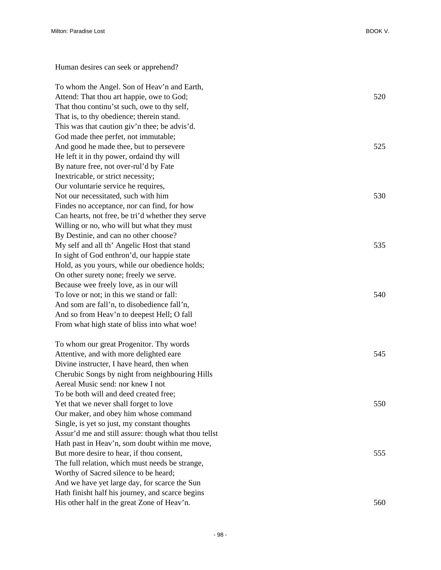Human desires can seek or apprehend?

To whom the Angel. Son of Heav'n and Earth, Attend: That thou art happie, owe to God; 520 That thou continu'st such, owe to thy self, That is, to thy obedience; therein stand. This was that caution giv'n thee; be advis'd. God made thee perfet, not immutable; And good he made thee, but to persevere 525 He left it in thy power, ordaind thy will By nature free, not over-rul'd by Fate Inextricable, or strict necessity; Our voluntarie service he requires, Not our necessitated, such with him 530 Findes no acceptance, nor can find, for how Can hearts, not free, be tri'd whether they serve Willing or no, who will but what they must By Destinie, and can no other choose? My self and all th' Angelic Host that stand 535 In sight of God enthron'd, our happie state Hold, as you yours, while our obedience holds; On other surety none; freely we serve. Because wee freely love, as in our will To love or not; in this we stand or fall: 540 And som are fall'n, to disobedience fall'n, And so from Heav'n to deepest Hell; O fall From what high state of bliss into what woe! To whom our great Progenitor. Thy words Attentive, and with more delighted eare 545 Divine instructer, I have heard, then when Cherubic Songs by night from neighbouring Hills Aereal Music send: nor knew I not To be both will and deed created free; Yet that we never shall forget to love 550 Our maker, and obey him whose command Single, is yet so just, my constant thoughts Assur'd me and still assure: though what thou tellst Hath past in Heav'n, som doubt within me move, But more desire to hear, if thou consent, 555 The full relation, which must needs be strange, Worthy of Sacred silence to be heard; And we have yet large day, for scarce the Sun Hath finisht half his journey, and scarce begins His other half in the great Zone of Heav'n. 560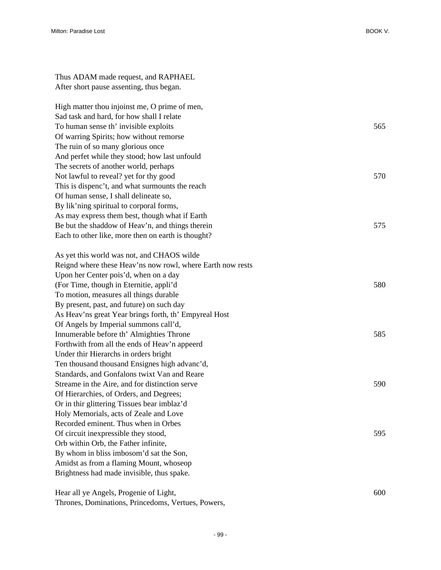| Thus ADAM made request, and RAPHAEL           |     |
|-----------------------------------------------|-----|
| After short pause assenting, thus began.      |     |
| High matter thou injoinst me, O prime of men, |     |
| Sad task and hard, for how shall I relate     |     |
| To human sense th' invisible exploits         | 565 |
| Of warring Spirite: how without ramorea       |     |

Of warring Spirits; how without remorse The ruin of so many glorious once And perfet while they stood; how last unfould The secrets of another world, perhaps Not lawful to reveal? yet for thy good 570 This is dispenc't, and what surmounts the reach Of human sense, I shall delineate so, By lik'ning spiritual to corporal forms, As may express them best, though what if Earth Be but the shaddow of Heav'n, and things therein 575 Each to other like, more then on earth is thought?

| As yet this world was not, and CHAOS wilde                 |     |
|------------------------------------------------------------|-----|
| Reignd where these Heav'ns now rowl, where Earth now rests |     |
| Upon her Center pois'd, when on a day                      |     |
| (For Time, though in Eternitie, appli'd                    | 580 |
| To motion, measures all things durable                     |     |
| By present, past, and future) on such day                  |     |
| As Heav'ns great Year brings forth, th' Empyreal Host      |     |
| Of Angels by Imperial summons call'd,                      |     |
| Innumerable before th' Almighties Throne                   | 585 |
| Forthwith from all the ends of Heav'n appeerd              |     |
| Under thir Hierarchs in orders bright                      |     |
| Ten thousand thousand Ensignes high advanc'd,              |     |
| Standards, and Gonfalons twixt Van and Reare               |     |
| Streame in the Aire, and for distinction serve             | 590 |
| Of Hierarchies, of Orders, and Degrees;                    |     |
| Or in thir glittering Tissues bear imblaz'd                |     |
| Holy Memorials, acts of Zeale and Love                     |     |
| Recorded eminent. Thus when in Orbes                       |     |
| Of circuit inexpressible they stood,                       | 595 |
| Orb within Orb, the Father infinite,                       |     |
| By whom in bliss imbosom'd sat the Son,                    |     |
| Amidst as from a flaming Mount, whoseop                    |     |
| Brightness had made invisible, thus spake.                 |     |
|                                                            |     |

Hear all ye Angels, Progenie of Light, 600 Thrones, Dominations, Princedoms, Vertues, Powers,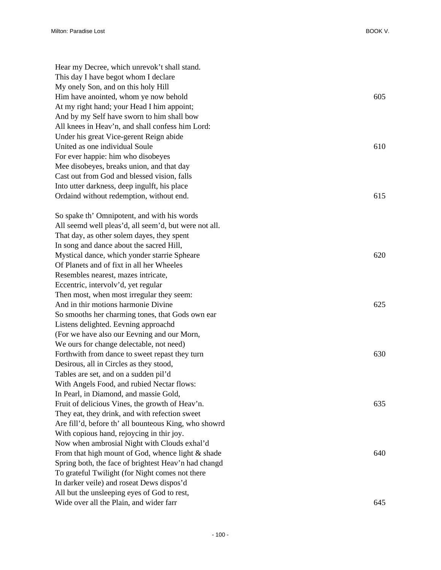| Hear my Decree, which unrevok't shall stand.          |     |
|-------------------------------------------------------|-----|
| This day I have begot whom I declare                  |     |
| My onely Son, and on this holy Hill                   |     |
| Him have anointed, whom ye now behold                 | 605 |
| At my right hand; your Head I him appoint;            |     |
| And by my Self have sworn to him shall bow            |     |
| All knees in Heav'n, and shall confess him Lord:      |     |
| Under his great Vice-gerent Reign abide               |     |
| United as one individual Soule                        | 610 |
| For ever happie: him who disobeyes                    |     |
| Mee disobeyes, breaks union, and that day             |     |
| Cast out from God and blessed vision, falls           |     |
| Into utter darkness, deep ingulft, his place          |     |
| Ordaind without redemption, without end.              | 615 |
| So spake th' Omnipotent, and with his words           |     |
| All seemd well pleas'd, all seem'd, but were not all. |     |
| That day, as other solem dayes, they spent            |     |
| In song and dance about the sacred Hill,              |     |
| Mystical dance, which yonder starrie Spheare          | 620 |
| Of Planets and of fixt in all her Wheeles             |     |
| Resembles nearest, mazes intricate,                   |     |
| Eccentric, intervolv'd, yet regular                   |     |
| Then most, when most irregular they seem:             |     |
| And in thir motions harmonie Divine                   | 625 |
| So smooths her charming tones, that Gods own ear      |     |
| Listens delighted. Eevning approachd                  |     |
| (For we have also our Eevning and our Morn,           |     |
| We ours for change delectable, not need)              |     |
| Forthwith from dance to sweet repast they turn        | 630 |
| Desirous, all in Circles as they stood,               |     |
| Tables are set, and on a sudden pil'd                 |     |
| With Angels Food, and rubied Nectar flows:            |     |
| In Pearl, in Diamond, and massie Gold,                |     |
| Fruit of delicious Vines, the growth of Heav'n.       | 635 |
| They eat, they drink, and with refection sweet        |     |
| Are fill'd, before th' all bounteous King, who showrd |     |
| With copious hand, rejoycing in thir joy.             |     |
| Now when ambrosial Night with Clouds exhal'd          |     |
| From that high mount of God, whence light & shade     | 640 |
| Spring both, the face of brightest Heav'n had changd  |     |
| To grateful Twilight (for Night comes not there       |     |
| In darker veile) and roseat Dews dispos'd             |     |
| All but the unsleeping eyes of God to rest,           |     |
| Wide over all the Plain, and wider farr               | 645 |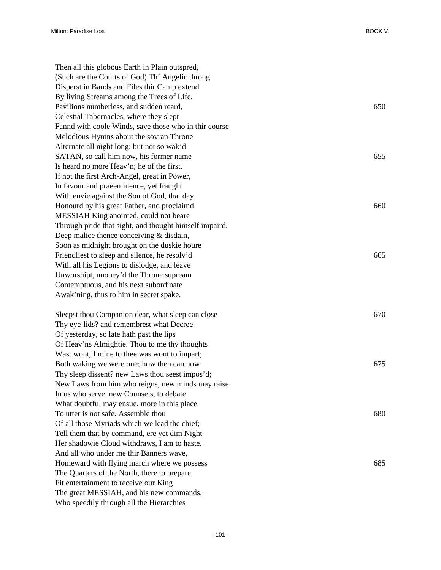| Then all this globous Earth in Plain outspred,         |     |
|--------------------------------------------------------|-----|
| (Such are the Courts of God) Th' Angelic throng        |     |
| Disperst in Bands and Files thir Camp extend           |     |
| By living Streams among the Trees of Life,             |     |
| Pavilions numberless, and sudden reard,                | 650 |
| Celestial Tabernacles, where they slept                |     |
| Fannd with coole Winds, save those who in thir course  |     |
| Melodious Hymns about the sovran Throne                |     |
| Alternate all night long: but not so wak'd             |     |
| SATAN, so call him now, his former name                | 655 |
| Is heard no more Heav'n; he of the first,              |     |
| If not the first Arch-Angel, great in Power,           |     |
| In favour and praeeminence, yet fraught                |     |
| With envie against the Son of God, that day            |     |
| Honourd by his great Father, and proclaimd             | 660 |
| MESSIAH King anointed, could not beare                 |     |
| Through pride that sight, and thought himself impaird. |     |
| Deep malice thence conceiving $&$ disdain,             |     |
| Soon as midnight brought on the duskie houre           |     |
| Friendliest to sleep and silence, he resolv'd          | 665 |
| With all his Legions to dislodge, and leave            |     |
| Unworshipt, unobey'd the Throne supream                |     |
| Contemptuous, and his next subordinate                 |     |
| Awak'ning, thus to him in secret spake.                |     |
| Sleepst thou Companion dear, what sleep can close      | 670 |
| Thy eye-lids? and remembrest what Decree               |     |
| Of yesterday, so late hath past the lips               |     |
| Of Heav'ns Almightie. Thou to me thy thoughts          |     |
| Wast wont, I mine to thee was wont to impart;          |     |
| Both waking we were one; how then can now              | 675 |
| Thy sleep dissent? new Laws thou seest impos'd;        |     |
| New Laws from him who reigns, new minds may raise      |     |
| In us who serve, new Counsels, to debate               |     |
| What doubtful may ensue, more in this place            |     |
| To utter is not safe. Assemble thou                    | 680 |
| Of all those Myriads which we lead the chief;          |     |
| Tell them that by command, ere yet dim Night           |     |
| Her shadowie Cloud withdraws, I am to haste,           |     |
| And all who under me thir Banners wave,                |     |
| Homeward with flying march where we possess            | 685 |
| The Quarters of the North, there to prepare            |     |
| Fit entertainment to receive our King                  |     |
| The great MESSIAH, and his new commands,               |     |
| Who speedily through all the Hierarchies               |     |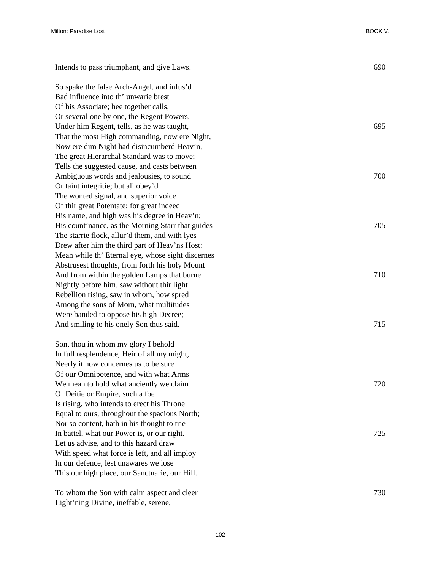| Intends to pass triumphant, and give Laws.        | 690 |
|---------------------------------------------------|-----|
| So spake the false Arch-Angel, and infus'd        |     |
| Bad influence into th' unwarie brest              |     |
| Of his Associate; hee together calls,             |     |
| Or several one by one, the Regent Powers,         |     |
| Under him Regent, tells, as he was taught,        | 695 |
| That the most High commanding, now ere Night,     |     |
| Now ere dim Night had disincumberd Heav'n,        |     |
| The great Hierarchal Standard was to move;        |     |
| Tells the suggested cause, and casts between      |     |
| Ambiguous words and jealousies, to sound          | 700 |
| Or taint integritie; but all obey'd               |     |
| The wonted signal, and superior voice             |     |
| Of thir great Potentate; for great indeed         |     |
| His name, and high was his degree in Heav'n;      |     |
| His count'nance, as the Morning Starr that guides | 705 |
| The starrie flock, allur'd them, and with lyes    |     |
| Drew after him the third part of Heav'ns Host:    |     |
| Mean while th' Eternal eye, whose sight discernes |     |
| Abstrusest thoughts, from forth his holy Mount    |     |
| And from within the golden Lamps that burne       | 710 |
| Nightly before him, saw without thir light        |     |
| Rebellion rising, saw in whom, how spred          |     |
| Among the sons of Morn, what multitudes           |     |
| Were banded to oppose his high Decree;            |     |
| And smiling to his onely Son thus said.           | 715 |
| Son, thou in whom my glory I behold               |     |
| In full resplendence, Heir of all my might,       |     |
| Neerly it now concernes us to be sure             |     |
| Of our Omnipotence, and with what Arms            |     |
| We mean to hold what anciently we claim           | 720 |
| Of Deitie or Empire, such a foe                   |     |
| Is rising, who intends to erect his Throne        |     |
| Equal to ours, throughout the spacious North;     |     |
| Nor so content, hath in his thought to trie       |     |
| In battel, what our Power is, or our right.       | 725 |
| Let us advise, and to this hazard draw            |     |
| With speed what force is left, and all imploy     |     |
| In our defence, lest unawares we lose             |     |
| This our high place, our Sanctuarie, our Hill.    |     |
| To whom the Son with calm aspect and cleer        | 730 |

Light'ning Divine, ineffable, serene,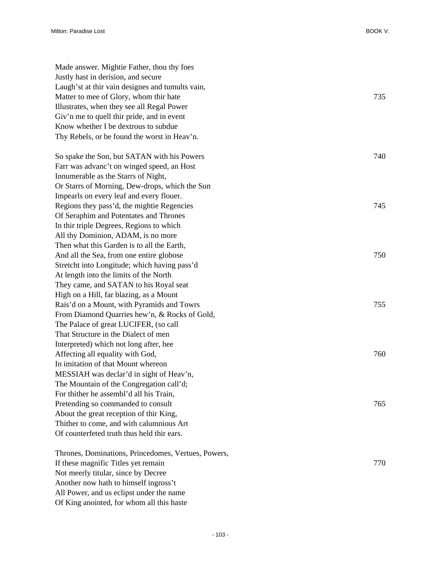| Made answer. Mightie Father, thou thy foes          |     |
|-----------------------------------------------------|-----|
| Justly hast in derision, and secure                 |     |
| Laugh'st at thir vain designes and tumults vain,    |     |
| Matter to mee of Glory, whom thir hate              | 735 |
| Illustrates, when they see all Regal Power          |     |
| Giv'n me to quell thir pride, and in event          |     |
| Know whether I be dextrous to subdue                |     |
| Thy Rebels, or be found the worst in Heav'n.        |     |
| So spake the Son, but SATAN with his Powers         | 740 |
| Farr was advanc't on winged speed, an Host          |     |
| Innumerable as the Starrs of Night,                 |     |
| Or Starrs of Morning, Dew-drops, which the Sun      |     |
| Impearls on every leaf and every flouer.            |     |
| Regions they pass'd, the mightie Regencies          | 745 |
| Of Seraphim and Potentates and Thrones              |     |
| In thir triple Degrees, Regions to which            |     |
| All thy Dominion, ADAM, is no more                  |     |
| Then what this Garden is to all the Earth,          |     |
| And all the Sea, from one entire globose            | 750 |
| Stretcht into Longitude; which having pass'd        |     |
| At length into the limits of the North              |     |
| They came, and SATAN to his Royal seat              |     |
| High on a Hill, far blazing, as a Mount             |     |
| Rais'd on a Mount, with Pyramids and Towrs          | 755 |
| From Diamond Quarries hew'n, & Rocks of Gold,       |     |
| The Palace of great LUCIFER, (so call               |     |
| That Structure in the Dialect of men                |     |
| Interpreted) which not long after, hee              |     |
| Affecting all equality with God,                    | 760 |
| In imitation of that Mount whereon                  |     |
| MESSIAH was declar'd in sight of Heav'n,            |     |
| The Mountain of the Congregation call'd;            |     |
| For thither he assembl'd all his Train,             |     |
| Pretending so commanded to consult                  | 765 |
| About the great reception of thir King,             |     |
| Thither to come, and with calumnious Art            |     |
| Of counterfeted truth thus held thir ears.          |     |
| Thrones, Dominations, Princedomes, Vertues, Powers, |     |
| If these magnific Titles yet remain                 | 770 |
| Not meerly titular, since by Decree                 |     |
| Another now hath to himself ingross't               |     |
| All Power, and us eclipst under the name            |     |

Of King anointed, for whom all this haste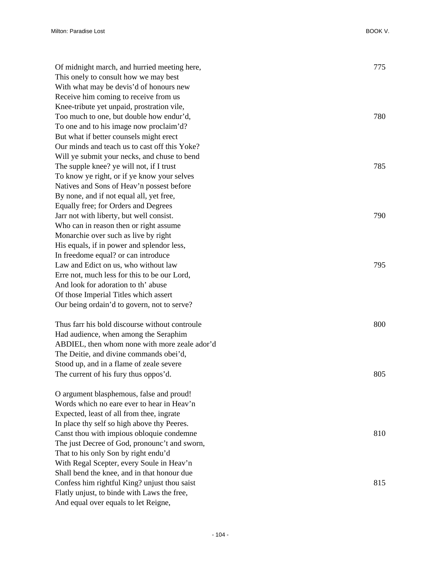| Of midnight march, and hurried meeting here,   | 775 |
|------------------------------------------------|-----|
| This onely to consult how we may best          |     |
| With what may be devis'd of honours new        |     |
| Receive him coming to receive from us          |     |
| Knee-tribute yet unpaid, prostration vile,     |     |
| Too much to one, but double how endur'd,       | 780 |
| To one and to his image now proclaim'd?        |     |
| But what if better counsels might erect        |     |
| Our minds and teach us to cast off this Yoke?  |     |
| Will ye submit your necks, and chuse to bend   |     |
| The supple knee? ye will not, if I trust       | 785 |
| To know ye right, or if ye know your selves    |     |
| Natives and Sons of Heav'n possest before      |     |
| By none, and if not equal all, yet free,       |     |
| Equally free; for Orders and Degrees           |     |
| Jarr not with liberty, but well consist.       | 790 |
| Who can in reason then or right assume         |     |
| Monarchie over such as live by right           |     |
| His equals, if in power and splendor less,     |     |
| In freedome equal? or can introduce            |     |
| Law and Edict on us, who without law           | 795 |
| Erre not, much less for this to be our Lord,   |     |
| And look for adoration to th' abuse            |     |
| Of those Imperial Titles which assert          |     |
| Our being ordain'd to govern, not to serve?    |     |
|                                                |     |
| Thus farr his bold discourse without controule | 800 |
| Had audience, when among the Seraphim          |     |
| ABDIEL, then whom none with more zeale ador'd  |     |
| The Deitie, and divine commands obei'd,        |     |
| Stood up, and in a flame of zeale severe       |     |
| The current of his fury thus oppos'd.          | 805 |
|                                                |     |
| O argument blasphemous, false and proud!       |     |
| Words which no eare ever to hear in Heav'n     |     |
| Expected, least of all from thee, ingrate      |     |
| In place thy self so high above thy Peeres.    |     |
| Canst thou with impious obloquie condemne      | 810 |
| The just Decree of God, pronounc't and sworn,  |     |
| That to his only Son by right endu'd           |     |
| With Regal Scepter, every Soule in Heav'n      |     |
| Shall bend the knee, and in that honour due    |     |
| Confess him rightful King? unjust thou saist   | 815 |
| Flatly unjust, to binde with Laws the free,    |     |

And equal over equals to let Reigne,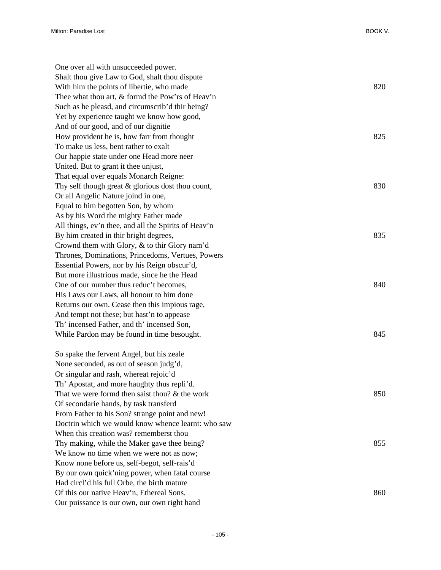| One over all with unsucceeded power.                 |     |
|------------------------------------------------------|-----|
| Shalt thou give Law to God, shalt thou dispute       |     |
| With him the points of libertie, who made            | 820 |
| Thee what thou art, & formd the Pow'rs of Heav'n     |     |
| Such as he pleasd, and circumscrib'd thir being?     |     |
| Yet by experience taught we know how good,           |     |
| And of our good, and of our dignitie                 |     |
| How provident he is, how farr from thought           | 825 |
| To make us less, bent rather to exalt                |     |
| Our happie state under one Head more neer            |     |
| United. But to grant it thee unjust,                 |     |
| That equal over equals Monarch Reigne:               |     |
| Thy self though great $\&$ glorious dost thou count, | 830 |
| Or all Angelic Nature joind in one,                  |     |
| Equal to him begotten Son, by whom                   |     |
| As by his Word the mighty Father made                |     |
| All things, ev'n thee, and all the Spirits of Heav'n |     |
| By him created in thir bright degrees,               | 835 |
| Crownd them with Glory, & to thir Glory nam'd        |     |
| Thrones, Dominations, Princedoms, Vertues, Powers    |     |
| Essential Powers, nor by his Reign obscur'd,         |     |
| But more illustrious made, since he the Head         |     |
| One of our number thus reduc't becomes,              | 840 |
| His Laws our Laws, all honour to him done            |     |
| Returns our own. Cease then this impious rage,       |     |
| And tempt not these; but hast'n to appease           |     |
| Th' incensed Father, and th' incensed Son,           |     |
| While Pardon may be found in time besought.          | 845 |
| So spake the fervent Angel, but his zeale            |     |
| None seconded, as out of season judg'd,              |     |
| Or singular and rash, whereat rejoic'd               |     |
| Th' Apostat, and more haughty thus repli'd.          |     |
| That we were formd then saist thou? $&$ the work     | 850 |
| Of secondarie hands, by task transferd               |     |
| From Father to his Son? strange point and new!       |     |
| Doctrin which we would know whence learnt: who saw   |     |
| When this creation was? rememberst thou              |     |
| Thy making, while the Maker gave thee being?         | 855 |
| We know no time when we were not as now;             |     |
| Know none before us, self-begot, self-rais'd         |     |
| By our own quick'ning power, when fatal course       |     |
| Had circl'd his full Orbe, the birth mature          |     |
| Of this our native Heav'n, Ethereal Sons.            | 860 |
| Our puissance is our own, our own right hand         |     |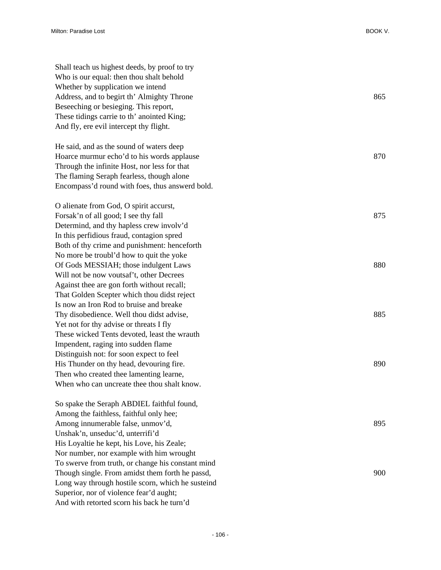| Shall teach us highest deeds, by proof to try<br>Who is our equal: then thou shalt behold |     |
|-------------------------------------------------------------------------------------------|-----|
| Whether by supplication we intend                                                         |     |
| Address, and to begirt th' Almighty Throne                                                | 865 |
| Beseeching or besieging. This report,                                                     |     |
| These tidings carrie to th' anointed King;                                                |     |
| And fly, ere evil intercept thy flight.                                                   |     |
|                                                                                           |     |
| He said, and as the sound of waters deep                                                  |     |
| Hoarce murmur echo'd to his words applause                                                | 870 |
| Through the infinite Host, nor less for that                                              |     |
| The flaming Seraph fearless, though alone                                                 |     |
| Encompass'd round with foes, thus answerd bold.                                           |     |
| O alienate from God, O spirit accurst,                                                    |     |
| Forsak'n of all good; I see thy fall                                                      | 875 |
| Determind, and thy hapless crew involv'd                                                  |     |
| In this perfidious fraud, contagion spred                                                 |     |
| Both of thy crime and punishment: henceforth                                              |     |
| No more be troubl'd how to quit the yoke                                                  |     |
| Of Gods MESSIAH; those indulgent Laws                                                     | 880 |
| Will not be now voutsaf't, other Decrees                                                  |     |
| Against thee are gon forth without recall;                                                |     |
| That Golden Scepter which thou didst reject                                               |     |
| Is now an Iron Rod to bruise and breake                                                   |     |
| Thy disobedience. Well thou didst advise,                                                 | 885 |
| Yet not for thy advise or threats I fly                                                   |     |
| These wicked Tents devoted, least the wrauth                                              |     |
| Impendent, raging into sudden flame                                                       |     |
| Distinguish not: for soon expect to feel                                                  |     |
| His Thunder on thy head, devouring fire.                                                  | 890 |
| Then who created thee lamenting learne,                                                   |     |
| When who can uncreate thee thou shalt know.                                               |     |
| So spake the Seraph ABDIEL faithful found,                                                |     |
| Among the faithless, faithful only hee;                                                   |     |
| Among innumerable false, unmov'd,                                                         | 895 |
| Unshak'n, unseduc'd, unterrifi'd                                                          |     |
| His Loyaltie he kept, his Love, his Zeale;                                                |     |
| Nor number, nor example with him wrought                                                  |     |
| To swerve from truth, or change his constant mind                                         |     |
| Though single. From amidst them forth he passd,                                           | 900 |
| Long way through hostile scorn, which he susteind                                         |     |
| Superior, nor of violence fear'd aught;                                                   |     |

And with retorted scorn his back he turn'd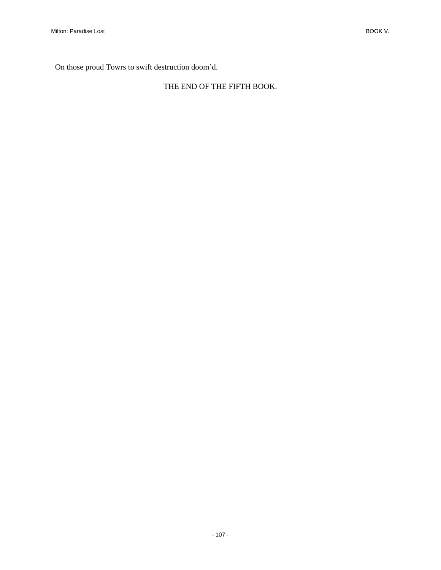On those proud Towrs to swift destruction doom'd.

## THE END OF THE FIFTH BOOK.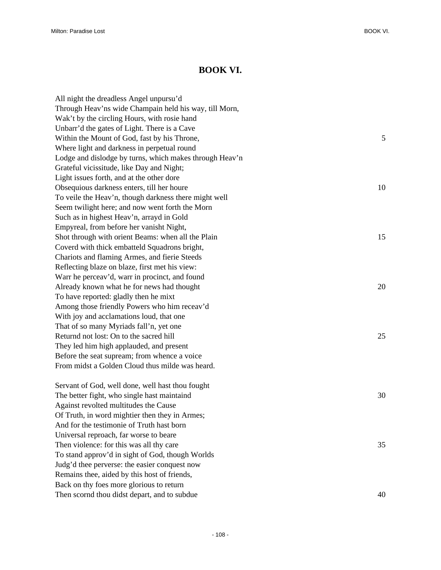## **BOOK VI.**

| All night the dreadless Angel unpursu'd                 |    |
|---------------------------------------------------------|----|
| Through Heav'ns wide Champain held his way, till Morn,  |    |
| Wak't by the circling Hours, with rosie hand            |    |
| Unbarr'd the gates of Light. There is a Cave            |    |
| Within the Mount of God, fast by his Throne,            | 5  |
| Where light and darkness in perpetual round             |    |
| Lodge and dislodge by turns, which makes through Heav'n |    |
| Grateful vicissitude, like Day and Night;               |    |
| Light issues forth, and at the other dore               |    |
| Obsequious darkness enters, till her houre              | 10 |
| To veile the Heav'n, though darkness there might well   |    |
| Seem twilight here; and now went forth the Morn         |    |
| Such as in highest Heav'n, arrayd in Gold               |    |
| Empyreal, from before her vanisht Night,                |    |
| Shot through with orient Beams: when all the Plain      | 15 |
| Coverd with thick embatteld Squadrons bright,           |    |
| Chariots and flaming Armes, and fierie Steeds           |    |
| Reflecting blaze on blaze, first met his view:          |    |
| Warr he perceav'd, warr in procinct, and found          |    |
| Already known what he for news had thought              | 20 |
| To have reported: gladly then he mixt                   |    |
| Among those friendly Powers who him receav'd            |    |
| With joy and acclamations loud, that one                |    |
| That of so many Myriads fall'n, yet one                 |    |
| Returnd not lost: On to the sacred hill                 | 25 |
| They led him high applauded, and present                |    |
| Before the seat supream; from whence a voice            |    |
| From midst a Golden Cloud thus milde was heard.         |    |
| Servant of God, well done, well hast thou fought        |    |
| The better fight, who single hast maintaind             | 30 |
| Against revolted multitudes the Cause                   |    |
| Of Truth, in word mightier then they in Armes;          |    |
| And for the testimonie of Truth hast born               |    |
| Universal reproach, far worse to beare                  |    |
| Then violence: for this was all thy care                | 35 |
| To stand approv'd in sight of God, though Worlds        |    |
| Judg'd thee perverse: the easier conquest now           |    |
| Remains thee, aided by this host of friends,            |    |
| Back on thy foes more glorious to return                |    |
| Then scornd thou didst depart, and to subdue            | 40 |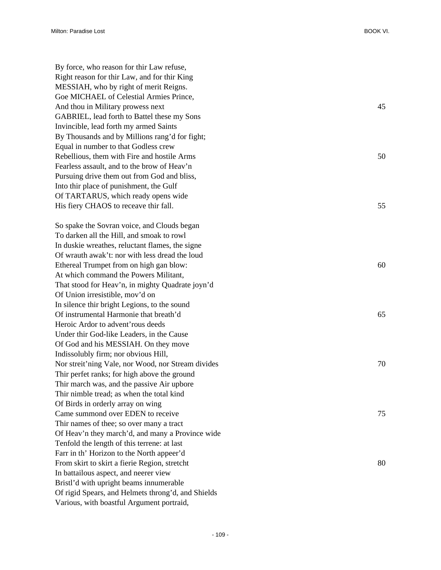By force, who reason for thir Law refuse, Right reason for thir Law, and for thir King MESSIAH, who by right of merit Reigns. Goe MICHAEL of Celestial Armies Prince, And thou in Military prowess next 45 GABRIEL, lead forth to Battel these my Sons Invincible, lead forth my armed Saints By Thousands and by Millions rang'd for fight; Equal in number to that Godless crew Rebellious, them with Fire and hostile Arms  $50$ Fearless assault, and to the brow of Heav'n Pursuing drive them out from God and bliss, Into thir place of punishment, the Gulf Of TARTARUS, which ready opens wide His fiery CHAOS to receave thir fall. 55

So spake the Sovran voice, and Clouds began To darken all the Hill, and smoak to rowl In duskie wreathes, reluctant flames, the signe Of wrauth awak't: nor with less dread the loud Ethereal Trumpet from on high gan blow: 60 At which command the Powers Militant, That stood for Heav'n, in mighty Quadrate joyn'd Of Union irresistible, mov'd on In silence thir bright Legions, to the sound Of instrumental Harmonie that breath'd 65 Heroic Ardor to advent'rous deeds Under thir God-like Leaders, in the Cause Of God and his MESSIAH. On they move Indissolubly firm; nor obvious Hill, Nor streit'ning Vale, nor Wood, nor Stream divides 70 Thir perfet ranks; for high above the ground Thir march was, and the passive Air upbore Thir nimble tread; as when the total kind Of Birds in orderly array on wing Came summond over EDEN to receive 75 Thir names of thee; so over many a tract Of Heav'n they march'd, and many a Province wide Tenfold the length of this terrene: at last Farr in th' Horizon to the North appeer'd From skirt to skirt a fierie Region, stretcht 80 In battailous aspect, and neerer view Bristl'd with upright beams innumerable Of rigid Spears, and Helmets throng'd, and Shields Various, with boastful Argument portraid,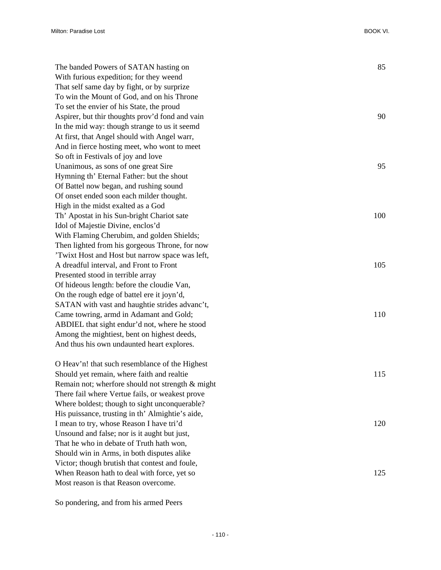| The banded Powers of SATAN hasting on            | 85  |
|--------------------------------------------------|-----|
| With furious expedition; for they weend          |     |
| That self same day by fight, or by surprize      |     |
| To win the Mount of God, and on his Throne       |     |
| To set the envier of his State, the proud        |     |
| Aspirer, but thir thoughts prov'd fond and vain  | 90  |
| In the mid way: though strange to us it seemd    |     |
| At first, that Angel should with Angel warr,     |     |
| And in fierce hosting meet, who wont to meet     |     |
| So oft in Festivals of joy and love              |     |
| Unanimous, as sons of one great Sire             | 95  |
| Hymning th' Eternal Father: but the shout        |     |
| Of Battel now began, and rushing sound           |     |
| Of onset ended soon each milder thought.         |     |
| High in the midst exalted as a God               |     |
| Th' Apostat in his Sun-bright Chariot sate       | 100 |
| Idol of Majestie Divine, enclos'd                |     |
| With Flaming Cherubim, and golden Shields;       |     |
| Then lighted from his gorgeous Throne, for now   |     |
| 'Twixt Host and Host but narrow space was left,  |     |
| A dreadful interval, and Front to Front          | 105 |
| Presented stood in terrible array                |     |
| Of hideous length: before the cloudie Van,       |     |
| On the rough edge of battel ere it joyn'd,       |     |
| SATAN with vast and haughtie strides advanc't,   |     |
| Came towring, armd in Adamant and Gold;          | 110 |
| ABDIEL that sight endur'd not, where he stood    |     |
| Among the mightiest, bent on highest deeds,      |     |
| And thus his own undaunted heart explores.       |     |
| O Heav'n! that such resemblance of the Highest   |     |
| Should yet remain, where faith and realtie       | 115 |
| Remain not; wherfore should not strength & might |     |
| There fail where Vertue fails, or weakest prove  |     |
| Where boldest; though to sight unconquerable?    |     |
| His puissance, trusting in th' Almightie's aide, |     |
| I mean to try, whose Reason I have tri'd         | 120 |
| Unsound and false; nor is it aught but just,     |     |
| That he who in debate of Truth hath won,         |     |
| Should win in Arms, in both disputes alike       |     |
| Victor; though brutish that contest and foule,   |     |
| When Reason hath to deal with force, yet so      | 125 |
|                                                  |     |

So pondering, and from his armed Peers

Most reason is that Reason overcome.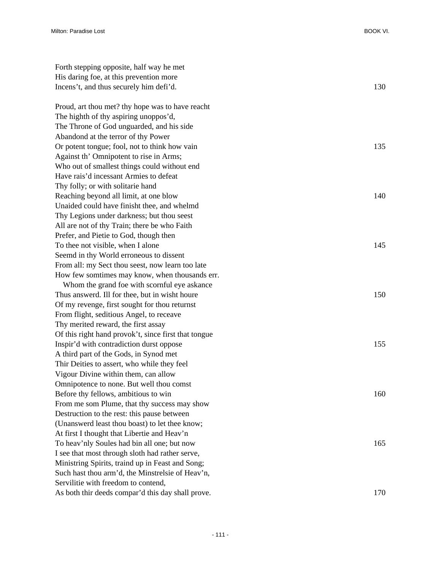| Forth stepping opposite, half way he met             |     |
|------------------------------------------------------|-----|
| His daring foe, at this prevention more              |     |
| Incens't, and thus securely him defi'd.              | 130 |
| Proud, art thou met? thy hope was to have reacht     |     |
| The highth of thy aspiring unoppos'd,                |     |
| The Throne of God unguarded, and his side            |     |
| Abandond at the terror of thy Power                  |     |
| Or potent tongue; fool, not to think how vain        | 135 |
| Against th' Omnipotent to rise in Arms;              |     |
| Who out of smallest things could without end         |     |
| Have rais'd incessant Armies to defeat               |     |
| Thy folly; or with solitarie hand                    |     |
| Reaching beyond all limit, at one blow               | 140 |
| Unaided could have finisht thee, and whelmd          |     |
| Thy Legions under darkness; but thou seest           |     |
| All are not of thy Train; there be who Faith         |     |
| Prefer, and Pietie to God, though then               |     |
| To thee not visible, when I alone                    | 145 |
| Seemd in thy World erroneous to dissent              |     |
| From all: my Sect thou seest, now learn too late     |     |
| How few somtimes may know, when thousands err.       |     |
| Whom the grand foe with scornful eye askance         |     |
| Thus answerd. Ill for thee, but in wisht houre       | 150 |
| Of my revenge, first sought for thou returnst        |     |
| From flight, seditious Angel, to receave             |     |
| Thy merited reward, the first assay                  |     |
| Of this right hand provok't, since first that tongue |     |
| Inspir'd with contradiction durst oppose             | 155 |
| A third part of the Gods, in Synod met               |     |
| Thir Deities to assert, who while they feel          |     |
| Vigour Divine within them, can allow                 |     |
| Omnipotence to none. But well thou comst             |     |
| Before thy fellows, ambitious to win                 | 160 |
| From me som Plume, that thy success may show         |     |
| Destruction to the rest: this pause between          |     |
| (Unanswerd least thou boast) to let thee know;       |     |
| At first I thought that Libertie and Heav'n          |     |
| To heav'nly Soules had bin all one; but now          | 165 |
| I see that most through sloth had rather serve,      |     |
| Ministring Spirits, traind up in Feast and Song;     |     |
| Such hast thou arm'd, the Minstrelsie of Heav'n,     |     |
| Servilitie with freedom to contend,                  |     |
| As both thir deeds compar'd this day shall prove.    | 170 |
|                                                      |     |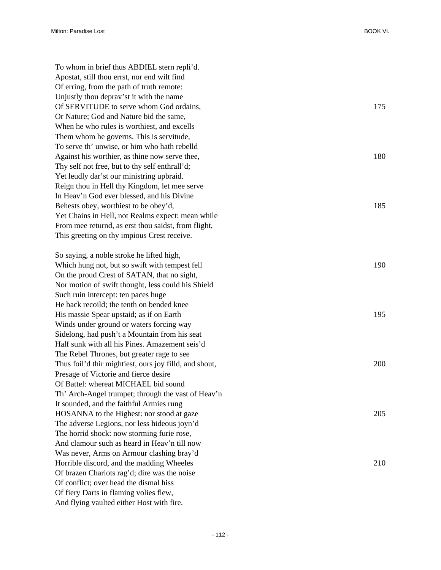| To whom in brief thus ABDIEL stern repli'd.            |     |
|--------------------------------------------------------|-----|
| Apostat, still thou errst, nor end wilt find           |     |
| Of erring, from the path of truth remote:              |     |
| Unjustly thou depray'st it with the name               |     |
| Of SERVITUDE to serve whom God ordains,                | 175 |
| Or Nature; God and Nature bid the same,                |     |
| When he who rules is worthiest, and excells            |     |
| Them whom he governs. This is servitude,               |     |
| To serve th' unwise, or him who hath rebelld           |     |
| Against his worthier, as thine now serve thee,         | 180 |
| Thy self not free, but to thy self enthrall'd;         |     |
| Yet leudly dar'st our ministring upbraid.              |     |
| Reign thou in Hell thy Kingdom, let mee serve          |     |
| In Heav'n God ever blessed, and his Divine             |     |
| Behests obey, worthiest to be obey'd,                  | 185 |
| Yet Chains in Hell, not Realms expect: mean while      |     |
| From mee returnd, as erst thou saidst, from flight,    |     |
| This greeting on thy impious Crest receive.            |     |
|                                                        |     |
| So saying, a noble stroke he lifted high,              |     |
| Which hung not, but so swift with tempest fell         | 190 |
| On the proud Crest of SATAN, that no sight,            |     |
| Nor motion of swift thought, less could his Shield     |     |
| Such ruin intercept: ten paces huge                    |     |
| He back recoild; the tenth on bended knee              |     |
| His massie Spear upstaid; as if on Earth               | 195 |
| Winds under ground or waters forcing way               |     |
| Sidelong, had push't a Mountain from his seat          |     |
| Half sunk with all his Pines. Amazement seis'd         |     |
| The Rebel Thrones, but greater rage to see             |     |
| Thus foil'd thir mightiest, ours joy filld, and shout, | 200 |
| Presage of Victorie and fierce desire                  |     |
| Of Battel: whereat MICHAEL bid sound                   |     |
| Th' Arch-Angel trumpet; through the vast of Heav'n     |     |
| It sounded, and the faithful Armies rung               |     |
| HOSANNA to the Highest: nor stood at gaze              | 205 |
| The adverse Legions, nor less hideous joyn'd           |     |
| The horrid shock: now storming furie rose,             |     |
| And clamour such as heard in Heav'n till now           |     |
| Was never, Arms on Armour clashing bray'd              |     |
| Horrible discord, and the madding Wheeles              | 210 |
| Of brazen Chariots rag'd; dire was the noise           |     |
| Of conflict; over head the dismal hiss                 |     |
| Of fiery Darts in flaming volies flew,                 |     |
| And flying vaulted either Host with fire.              |     |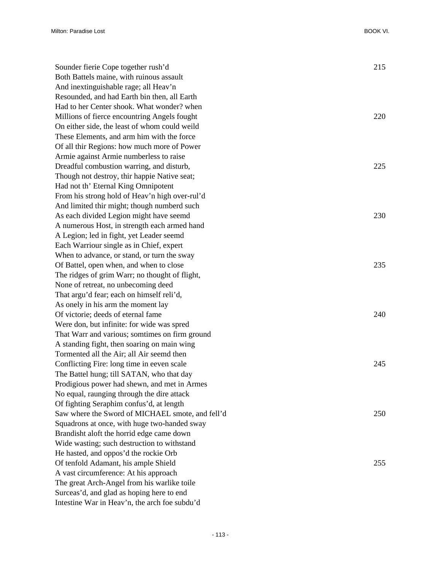| Sounder fierie Cope together rush'd              | 215 |
|--------------------------------------------------|-----|
| Both Battels maine, with ruinous assault         |     |
| And inextinguishable rage; all Heav'n            |     |
| Resounded, and had Earth bin then, all Earth     |     |
| Had to her Center shook. What wonder? when       |     |
| Millions of fierce encountring Angels fought     | 220 |
| On either side, the least of whom could weild    |     |
| These Elements, and arm him with the force       |     |
| Of all thir Regions: how much more of Power      |     |
| Armie against Armie numberless to raise          |     |
| Dreadful combustion warring, and disturb,        | 225 |
| Though not destroy, thir happie Native seat;     |     |
| Had not th' Eternal King Omnipotent              |     |
| From his strong hold of Heav'n high over-rul'd   |     |
| And limited thir might; though numberd such      |     |
| As each divided Legion might have seemd          | 230 |
| A numerous Host, in strength each armed hand     |     |
| A Legion; led in fight, yet Leader seemd         |     |
| Each Warriour single as in Chief, expert         |     |
| When to advance, or stand, or turn the sway      |     |
| Of Battel, open when, and when to close          | 235 |
| The ridges of grim Warr; no thought of flight,   |     |
| None of retreat, no unbecoming deed              |     |
| That argu'd fear; each on himself reli'd,        |     |
| As onely in his arm the moment lay               |     |
| Of victorie; deeds of eternal fame               | 240 |
| Were don, but infinite: for wide was spred       |     |
| That Warr and various; somtimes on firm ground   |     |
| A standing fight, then soaring on main wing      |     |
| Tormented all the Air; all Air seemd then        |     |
| Conflicting Fire: long time in eeven scale       | 245 |
| The Battel hung; till SATAN, who that day        |     |
| Prodigious power had shewn, and met in Armes     |     |
| No equal, raunging through the dire attack       |     |
| Of fighting Seraphim confus'd, at length         |     |
| Saw where the Sword of MICHAEL smote, and fell'd | 250 |
| Squadrons at once, with huge two-handed sway     |     |
| Brandisht aloft the horrid edge came down        |     |
| Wide wasting; such destruction to withstand      |     |
| He hasted, and oppos'd the rockie Orb            |     |
| Of tenfold Adamant, his ample Shield             | 255 |
| A vast circumference: At his approach            |     |
| The great Arch-Angel from his warlike toile      |     |
| Surceas'd, and glad as hoping here to end        |     |
| Intestine War in Heav'n, the arch foe subdu'd    |     |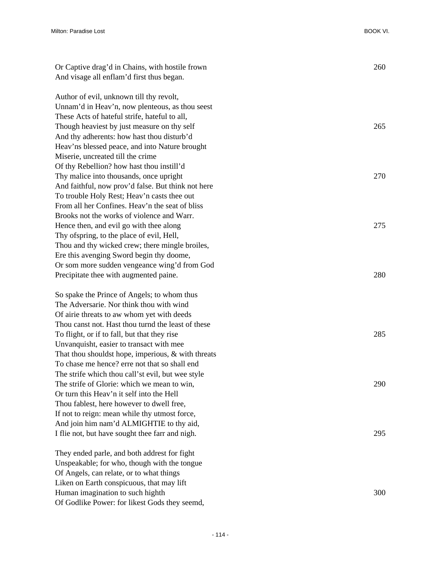| Or Captive drag'd in Chains, with hostile frown       | 260 |
|-------------------------------------------------------|-----|
| And visage all enflam'd first thus began.             |     |
| Author of evil, unknown till thy revolt,              |     |
| Unnam'd in Heav'n, now plenteous, as thou seest       |     |
| These Acts of hateful strife, hateful to all,         |     |
| Though heaviest by just measure on thy self           | 265 |
| And thy adherents: how hast thou disturb'd            |     |
| Heav'ns blessed peace, and into Nature brought        |     |
| Miserie, uncreated till the crime                     |     |
| Of thy Rebellion? how hast thou instill'd             |     |
| Thy malice into thousands, once upright               | 270 |
| And faithful, now prov'd false. But think not here    |     |
| To trouble Holy Rest; Heav'n casts thee out           |     |
| From all her Confines. Heav'n the seat of bliss       |     |
| Brooks not the works of violence and Warr.            |     |
| Hence then, and evil go with thee along               | 275 |
| Thy of spring, to the place of evil, Hell,            |     |
| Thou and thy wicked crew; there mingle broiles,       |     |
| Ere this avenging Sword begin thy doome,              |     |
| Or som more sudden vengeance wing'd from God          |     |
| Precipitate thee with augmented paine.                | 280 |
| So spake the Prince of Angels; to whom thus           |     |
| The Adversarie. Nor think thou with wind              |     |
| Of airie threats to aw whom yet with deeds            |     |
| Thou canst not. Hast thou turnd the least of these    |     |
| To flight, or if to fall, but that they rise          | 285 |
| Unvanquisht, easier to transact with mee              |     |
| That thou shouldst hope, imperious, $\&$ with threats |     |
| To chase me hence? erre not that so shall end         |     |
| The strife which thou call'st evil, but wee style     |     |
| The strife of Glorie: which we mean to win,           | 290 |
| Or turn this Heav'n it self into the Hell             |     |
| Thou fablest, here however to dwell free,             |     |
| If not to reign: mean while thy utmost force,         |     |
| And join him nam'd ALMIGHTIE to thy aid,              |     |
| I flie not, but have sought thee farr and nigh.       | 295 |
| They ended parle, and both addrest for fight          |     |
| Unspeakable; for who, though with the tongue          |     |
| Of Angels, can relate, or to what things              |     |
| Liken on Earth conspicuous, that may lift             |     |
| Human imagination to such highth                      | 300 |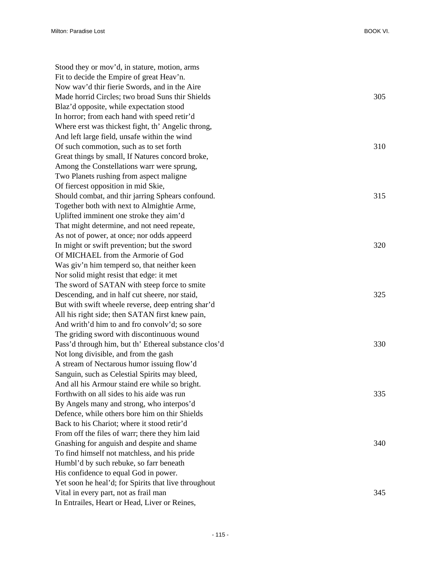| Stood they or mov'd, in stature, motion, arms         |     |
|-------------------------------------------------------|-----|
| Fit to decide the Empire of great Heav'n.             |     |
| Now way'd thir fierie Swords, and in the Aire         |     |
| Made horrid Circles; two broad Suns thir Shields      | 305 |
| Blaz'd opposite, while expectation stood              |     |
| In horror; from each hand with speed retir'd          |     |
| Where erst was thickest fight, th' Angelic throng,    |     |
| And left large field, unsafe within the wind          |     |
| Of such commotion, such as to set forth               | 310 |
| Great things by small, If Natures concord broke,      |     |
| Among the Constellations warr were sprung,            |     |
| Two Planets rushing from aspect maligne               |     |
| Of fiercest opposition in mid Skie,                   |     |
| Should combat, and thir jarring Sphears confound.     | 315 |
| Together both with next to Almightie Arme,            |     |
| Uplifted imminent one stroke they aim'd               |     |
| That might determine, and not need repeate,           |     |
| As not of power, at once; nor odds appeerd            |     |
| In might or swift prevention; but the sword           | 320 |
| Of MICHAEL from the Armorie of God                    |     |
| Was giv'n him temperd so, that neither keen           |     |
| Nor solid might resist that edge: it met              |     |
| The sword of SATAN with steep force to smite          |     |
| Descending, and in half cut sheere, nor staid,        | 325 |
| But with swift wheele reverse, deep entring shar'd    |     |
| All his right side; then SATAN first knew pain,       |     |
| And writh'd him to and fro convolv'd; so sore         |     |
| The griding sword with discontinuous wound            |     |
| Pass'd through him, but th' Ethereal substance clos'd | 330 |
| Not long divisible, and from the gash                 |     |
| A stream of Nectarous humor issuing flow'd            |     |
| Sanguin, such as Celestial Spirits may bleed,         |     |
| And all his Armour staind ere while so bright.        |     |
| Forthwith on all sides to his aide was run            | 335 |
| By Angels many and strong, who interpos'd             |     |
| Defence, while others bore him on thir Shields        |     |
| Back to his Chariot; where it stood retir'd           |     |
| From off the files of warr; there they him laid       |     |
| Gnashing for anguish and despite and shame            | 340 |
| To find himself not matchless, and his pride          |     |
| Humbl'd by such rebuke, so farr beneath               |     |
| His confidence to equal God in power.                 |     |
| Yet soon he heal'd; for Spirits that live throughout  |     |
| Vital in every part, not as frail man                 | 345 |
| In Entrailes, Heart or Head, Liver or Reines,         |     |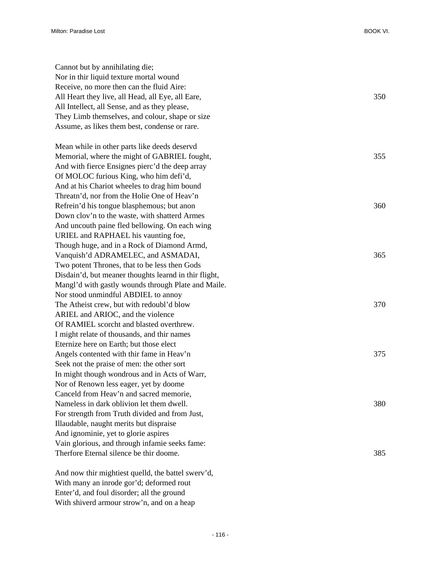| Cannot but by annihilating die;                       |     |
|-------------------------------------------------------|-----|
| Nor in thir liquid texture mortal wound               |     |
| Receive, no more then can the fluid Aire:             |     |
| All Heart they live, all Head, all Eye, all Eare,     | 350 |
| All Intellect, all Sense, and as they please,         |     |
| They Limb themselves, and colour, shape or size       |     |
| Assume, as likes them best, condense or rare.         |     |
| Mean while in other parts like deeds deservd          |     |
| Memorial, where the might of GABRIEL fought,          | 355 |
| And with fierce Ensignes pierc'd the deep array       |     |
| Of MOLOC furious King, who him defi'd,                |     |
| And at his Chariot wheeles to drag him bound          |     |
| Threatn'd, nor from the Holie One of Heav'n           |     |
| Refrein'd his tongue blasphemous; but anon            | 360 |
| Down clov'n to the waste, with shatterd Armes         |     |
| And uncouth paine fled bellowing. On each wing        |     |
| URIEL and RAPHAEL his vaunting foe,                   |     |
| Though huge, and in a Rock of Diamond Armd,           |     |
| Vanquish'd ADRAMELEC, and ASMADAI,                    | 365 |
| Two potent Thrones, that to be less then Gods         |     |
| Disdain'd, but meaner thoughts learnd in thir flight, |     |
| Mangl'd with gastly wounds through Plate and Maile.   |     |
| Nor stood unmindful ABDIEL to annoy                   |     |
| The Atheist crew, but with redoubl'd blow             | 370 |
| ARIEL and ARIOC, and the violence                     |     |
| Of RAMIEL scorcht and blasted overthrew.              |     |
| I might relate of thousands, and thir names           |     |
| Eternize here on Earth; but those elect               |     |
| Angels contented with thir fame in Heav'n             | 375 |
| Seek not the praise of men: the other sort            |     |
| In might though wondrous and in Acts of Warr,         |     |
| Nor of Renown less eager, yet by doome                |     |
| Canceld from Heav'n and sacred memorie,               |     |
| Nameless in dark oblivion let them dwell.             | 380 |
| For strength from Truth divided and from Just,        |     |
| Illaudable, naught merits but dispraise               |     |
| And ignominie, yet to glorie aspires                  |     |
| Vain glorious, and through infamie seeks fame:        |     |
| Therfore Eternal silence be thir doome.               | 385 |
| And now thir mightiest quelld, the battel swerv'd,    |     |

With many an inrode gor'd; deformed rout Enter'd, and foul disorder; all the ground With shiverd armour strow'n, and on a heap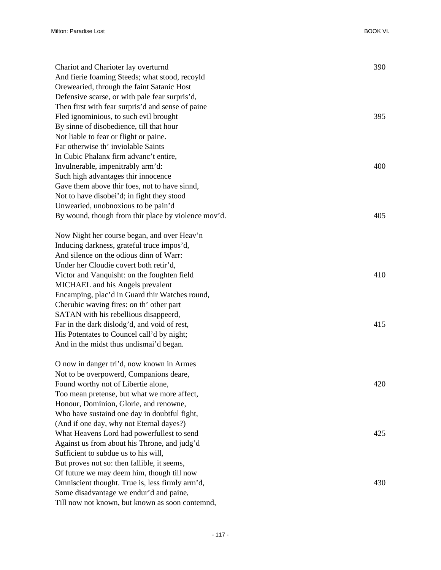| 390<br>Chariot and Charioter lay overturnd<br>And fierie foaming Steeds; what stood, recoyld<br>Orewearied, through the faint Satanic Host<br>Defensive scarse, or with pale fear surpris'd,<br>Then first with fear surpris'd and sense of paine<br>Fled ignominious, to such evil brought<br>395<br>By sinne of disobedience, till that hour<br>Not liable to fear or flight or paine. |
|------------------------------------------------------------------------------------------------------------------------------------------------------------------------------------------------------------------------------------------------------------------------------------------------------------------------------------------------------------------------------------------|
|                                                                                                                                                                                                                                                                                                                                                                                          |
|                                                                                                                                                                                                                                                                                                                                                                                          |
|                                                                                                                                                                                                                                                                                                                                                                                          |
|                                                                                                                                                                                                                                                                                                                                                                                          |
|                                                                                                                                                                                                                                                                                                                                                                                          |
|                                                                                                                                                                                                                                                                                                                                                                                          |
|                                                                                                                                                                                                                                                                                                                                                                                          |
| Far otherwise th' inviolable Saints                                                                                                                                                                                                                                                                                                                                                      |
| In Cubic Phalanx firm advanc't entire,                                                                                                                                                                                                                                                                                                                                                   |
| Invulnerable, impenitrably arm'd:<br>400                                                                                                                                                                                                                                                                                                                                                 |
| Such high advantages thir innocence                                                                                                                                                                                                                                                                                                                                                      |
| Gave them above thir foes, not to have sinnd,                                                                                                                                                                                                                                                                                                                                            |
| Not to have disobei'd; in fight they stood                                                                                                                                                                                                                                                                                                                                               |
| Unwearied, unobnoxious to be pain'd                                                                                                                                                                                                                                                                                                                                                      |
| By wound, though from thir place by violence mov'd.<br>405                                                                                                                                                                                                                                                                                                                               |
| Now Night her course began, and over Heav'n                                                                                                                                                                                                                                                                                                                                              |
| Inducing darkness, grateful truce impos'd,                                                                                                                                                                                                                                                                                                                                               |
| And silence on the odious dinn of Warr:                                                                                                                                                                                                                                                                                                                                                  |
| Under her Cloudie covert both retir'd,                                                                                                                                                                                                                                                                                                                                                   |
| Victor and Vanquisht: on the foughten field<br>410                                                                                                                                                                                                                                                                                                                                       |
| MICHAEL and his Angels prevalent                                                                                                                                                                                                                                                                                                                                                         |
| Encamping, plac'd in Guard thir Watches round,                                                                                                                                                                                                                                                                                                                                           |
| Cherubic waving fires: on th' other part                                                                                                                                                                                                                                                                                                                                                 |
| SATAN with his rebellious disappeerd,                                                                                                                                                                                                                                                                                                                                                    |
| Far in the dark dislodg'd, and void of rest,<br>415                                                                                                                                                                                                                                                                                                                                      |
| His Potentates to Councel call'd by night;                                                                                                                                                                                                                                                                                                                                               |
| And in the midst thus undismai'd began.                                                                                                                                                                                                                                                                                                                                                  |
| O now in danger tri'd, now known in Armes                                                                                                                                                                                                                                                                                                                                                |
| Not to be overpowerd, Companions deare,                                                                                                                                                                                                                                                                                                                                                  |
| 420<br>Found worthy not of Libertie alone,                                                                                                                                                                                                                                                                                                                                               |
| Too mean pretense, but what we more affect,                                                                                                                                                                                                                                                                                                                                              |
| Honour, Dominion, Glorie, and renowne,                                                                                                                                                                                                                                                                                                                                                   |
| Who have sustaind one day in doubtful fight,                                                                                                                                                                                                                                                                                                                                             |
| (And if one day, why not Eternal dayes?)                                                                                                                                                                                                                                                                                                                                                 |
| What Heavens Lord had powerfullest to send<br>425                                                                                                                                                                                                                                                                                                                                        |
| Against us from about his Throne, and judg'd                                                                                                                                                                                                                                                                                                                                             |
| Sufficient to subdue us to his will,                                                                                                                                                                                                                                                                                                                                                     |
| But proves not so: then fallible, it seems,                                                                                                                                                                                                                                                                                                                                              |
| Of future we may deem him, though till now                                                                                                                                                                                                                                                                                                                                               |
| Omniscient thought. True is, less firmly arm'd,<br>430                                                                                                                                                                                                                                                                                                                                   |
| Some disadvantage we endur'd and paine,                                                                                                                                                                                                                                                                                                                                                  |

Till now not known, but known as soon contemnd,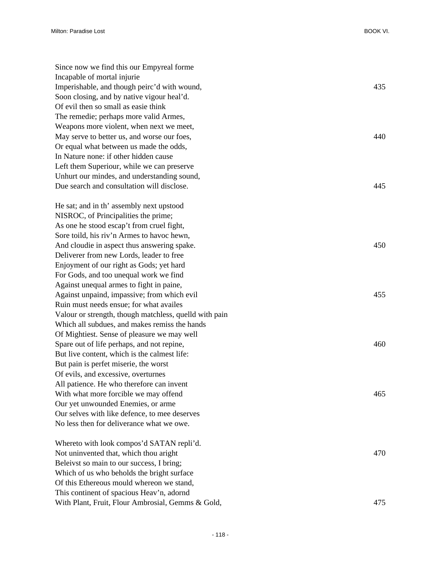| Since now we find this our Empyreal forme              |     |
|--------------------------------------------------------|-----|
| Incapable of mortal injurie                            |     |
| Imperishable, and though peirc'd with wound,           | 435 |
| Soon closing, and by native vigour heal'd.             |     |
| Of evil then so small as easie think                   |     |
| The remedie; perhaps more valid Armes,                 |     |
| Weapons more violent, when next we meet,               |     |
| May serve to better us, and worse our foes,            | 440 |
| Or equal what between us made the odds,                |     |
| In Nature none: if other hidden cause                  |     |
| Left them Superiour, while we can preserve             |     |
| Unhurt our mindes, and understanding sound,            |     |
| Due search and consultation will disclose.             | 445 |
| He sat; and in th' assembly next upstood               |     |
| NISROC, of Principalities the prime;                   |     |
| As one he stood escap't from cruel fight,              |     |
| Sore toild, his riv'n Armes to havoc hewn,             |     |
| And cloudie in aspect thus answering spake.            | 450 |
| Deliverer from new Lords, leader to free               |     |
| Enjoyment of our right as Gods; yet hard               |     |
| For Gods, and too unequal work we find                 |     |
| Against unequal armes to fight in paine,               |     |
| Against unpaind, impassive; from which evil            | 455 |
| Ruin must needs ensue; for what availes                |     |
| Valour or strength, though matchless, quelld with pain |     |
| Which all subdues, and makes remiss the hands          |     |
| Of Mightiest. Sense of pleasure we may well            |     |
| Spare out of life perhaps, and not repine,             | 460 |
| But live content, which is the calmest life:           |     |
| But pain is perfet miserie, the worst                  |     |
| Of evils, and excessive, overturnes                    |     |
| All patience. He who therefore can invent              |     |
| With what more forcible we may offend                  | 465 |
| Our yet unwounded Enemies, or arme                     |     |
| Our selves with like defence, to mee deserves          |     |
| No less then for deliverance what we owe.              |     |
| Whereto with look compos'd SATAN repli'd.              |     |
| Not uninvented that, which thou aright                 | 470 |
| Beleivst so main to our success, I bring;              |     |
| Which of us who beholds the bright surface             |     |
| Of this Ethereous mould whereon we stand,              |     |
| This continent of spacious Heav'n, adornd              |     |
| With Plant, Fruit, Flour Ambrosial, Gemms & Gold,      | 475 |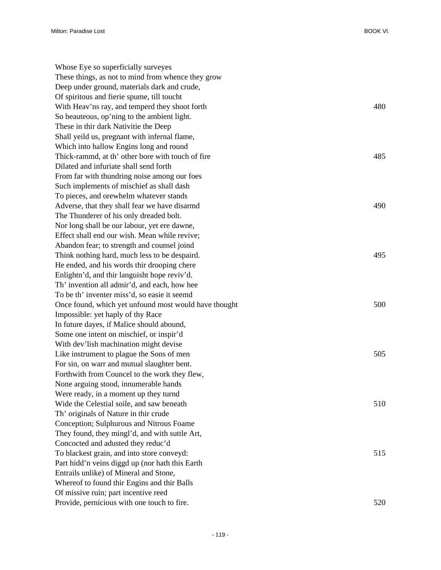| Whose Eye so superficially surveyes<br>These things, as not to mind from whence they grow    |     |
|----------------------------------------------------------------------------------------------|-----|
| Deep under ground, materials dark and crude,                                                 |     |
|                                                                                              |     |
| Of spiritous and fierie spume, till toucht<br>With Heav'ns ray, and temperd they shoot forth | 480 |
|                                                                                              |     |
| So beauteous, op'ning to the ambient light.                                                  |     |
| These in thir dark Nativitie the Deep                                                        |     |
| Shall yeild us, pregnant with infernal flame,                                                |     |
| Which into hallow Engins long and round                                                      |     |
| Thick-rammd, at th' other bore with touch of fire                                            | 485 |
| Dilated and infuriate shall send forth                                                       |     |
| From far with thundring noise among our foes                                                 |     |
| Such implements of mischief as shall dash                                                    |     |
| To pieces, and orewhelm whatever stands                                                      |     |
| Adverse, that they shall fear we have disarmd                                                | 490 |
| The Thunderer of his only dreaded bolt.                                                      |     |
| Nor long shall be our labour, yet ere dawne,                                                 |     |
| Effect shall end our wish. Mean while revive;                                                |     |
| Abandon fear; to strength and counsel joind                                                  |     |
| Think nothing hard, much less to be despaird.                                                | 495 |
| He ended, and his words thir drooping chere                                                  |     |
| Enlightn'd, and thir languisht hope reviv'd.                                                 |     |
| Th' invention all admir'd, and each, how hee                                                 |     |
| To be th' inventer miss'd, so easie it seemd                                                 |     |
| Once found, which yet unfound most would have thought                                        | 500 |
| Impossible: yet haply of thy Race                                                            |     |
| In future dayes, if Malice should abound,                                                    |     |
| Some one intent on mischief, or inspir'd                                                     |     |
| With dev'lish machination might devise                                                       |     |
| Like instrument to plague the Sons of men                                                    | 505 |
| For sin, on warr and mutual slaughter bent.                                                  |     |
| Forthwith from Councel to the work they flew,                                                |     |
| None arguing stood, innumerable hands                                                        |     |
| Were ready, in a moment up they turnd                                                        |     |
| Wide the Celestial soile, and saw beneath                                                    | 510 |
| Th' originals of Nature in thir crude                                                        |     |
| Conception; Sulphurous and Nitrous Foame                                                     |     |
| They found, they mingl'd, and with suttle Art,                                               |     |
| Concocted and adusted they reduc'd                                                           |     |
| To blackest grain, and into store conveyd:                                                   | 515 |
| Part hidd'n veins diggd up (nor hath this Earth                                              |     |
| Entrails unlike) of Mineral and Stone,                                                       |     |
| Whereof to found thir Engins and thir Balls                                                  |     |
| Of missive ruin; part incentive reed                                                         |     |
| Provide, pernicious with one touch to fire.                                                  | 520 |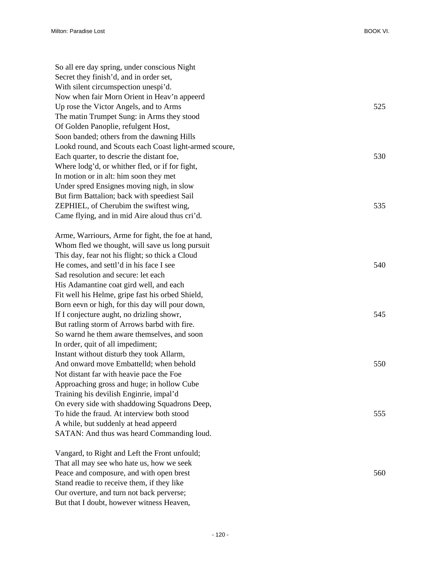| So all ere day spring, under conscious Night           |     |
|--------------------------------------------------------|-----|
| Secret they finish'd, and in order set,                |     |
| With silent circumspection unespi'd.                   |     |
| Now when fair Morn Orient in Heav'n appeerd            |     |
| Up rose the Victor Angels, and to Arms                 | 525 |
| The matin Trumpet Sung: in Arms they stood             |     |
| Of Golden Panoplie, refulgent Host,                    |     |
| Soon banded; others from the dawning Hills             |     |
| Lookd round, and Scouts each Coast light-armed scoure, |     |
| Each quarter, to descrie the distant foe,              | 530 |
| Where lodg'd, or whither fled, or if for fight,        |     |
| In motion or in alt: him soon they met                 |     |
| Under spred Ensignes moving nigh, in slow              |     |
| But firm Battalion; back with speediest Sail           |     |
| ZEPHIEL, of Cherubim the swiftest wing,                | 535 |
| Came flying, and in mid Aire aloud thus cri'd.         |     |
|                                                        |     |
| Arme, Warriours, Arme for fight, the foe at hand,      |     |
| Whom fled we thought, will save us long pursuit        |     |
| This day, fear not his flight; so thick a Cloud        |     |
| He comes, and settl'd in his face I see                | 540 |
| Sad resolution and secure: let each                    |     |
| His Adamantine coat gird well, and each                |     |
| Fit well his Helme, gripe fast his orbed Shield,       |     |
| Born eevn or high, for this day will pour down,        |     |
| If I conjecture aught, no drizling showr,              | 545 |
| But ratling storm of Arrows barbd with fire.           |     |
| So warnd he them aware themselves, and soon            |     |
| In order, quit of all impediment;                      |     |
| Instant without disturb they took Allarm,              |     |
| And onward move Embattelld; when behold                | 550 |
| Not distant far with heavie pace the Foe               |     |
| Approaching gross and huge; in hollow Cube             |     |
| Training his devilish Enginrie, impal'd                |     |
| On every side with shaddowing Squadrons Deep,          |     |
| To hide the fraud. At interview both stood             | 555 |
| A while, but suddenly at head appeerd                  |     |
| SATAN: And thus was heard Commanding loud.             |     |
|                                                        |     |
| Vangard, to Right and Left the Front unfould;          |     |
| That all may see who hate us, how we seek              |     |

Peace and composure, and with open brest 560

Stand readie to receive them, if they like Our overture, and turn not back perverse; But that I doubt, however witness Heaven,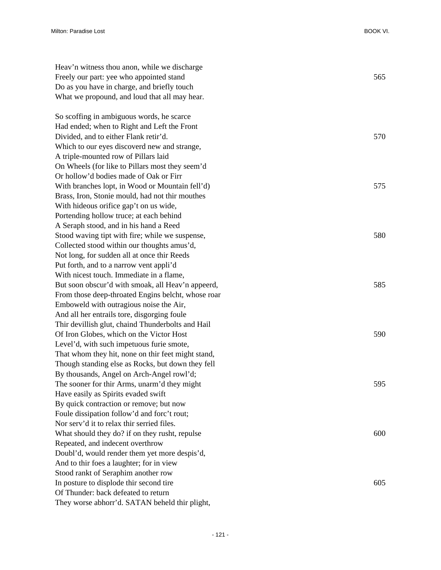| Heav'n witness thou anon, while we discharge                                   |     |
|--------------------------------------------------------------------------------|-----|
| Freely our part: yee who appointed stand                                       | 565 |
| Do as you have in charge, and briefly touch                                    |     |
| What we propound, and loud that all may hear.                                  |     |
| So scoffing in ambiguous words, he scarce                                      |     |
| Had ended; when to Right and Left the Front                                    |     |
| Divided, and to either Flank retir'd.                                          | 570 |
| Which to our eyes discoverd new and strange,                                   |     |
| A triple-mounted row of Pillars laid                                           |     |
| On Wheels (for like to Pillars most they seem'd                                |     |
| Or hollow'd bodies made of Oak or Firr                                         |     |
| With branches lopt, in Wood or Mountain fell'd)                                | 575 |
| Brass, Iron, Stonie mould, had not thir mouthes                                |     |
| With hideous orifice gap't on us wide,                                         |     |
| Portending hollow truce; at each behind                                        |     |
| A Seraph stood, and in his hand a Reed                                         |     |
| Stood waving tipt with fire; while we suspense,                                | 580 |
| Collected stood within our thoughts amus'd,                                    |     |
| Not long, for sudden all at once thir Reeds                                    |     |
| Put forth, and to a narrow vent appli'd                                        |     |
| With nicest touch. Immediate in a flame,                                       |     |
| But soon obscur'd with smoak, all Heav'n appeerd,                              | 585 |
| From those deep-throated Engins belcht, whose roar                             |     |
| Emboweld with outragious noise the Air,                                        |     |
| And all her entrails tore, disgorging foule                                    |     |
| Thir devillish glut, chaind Thunderbolts and Hail                              |     |
| Of Iron Globes, which on the Victor Host                                       | 590 |
| Level'd, with such impetuous furie smote,                                      |     |
| That whom they hit, none on thir feet might stand,                             |     |
| Though standing else as Rocks, but down they fell                              |     |
| By thousands, Angel on Arch-Angel rowl'd;                                      | 595 |
| The sooner for thir Arms, unarm'd they might                                   |     |
| Have easily as Spirits evaded swift<br>By quick contraction or remove; but now |     |
| Foule dissipation follow'd and forc't rout;                                    |     |
| Nor serv'd it to relax thir serried files.                                     |     |
| What should they do? if on they rusht, repulse                                 | 600 |
| Repeated, and indecent overthrow                                               |     |
| Doubl'd, would render them yet more despis'd,                                  |     |
| And to thir foes a laughter; for in view                                       |     |
| Stood rankt of Seraphim another row                                            |     |
| In posture to displode thir second tire                                        | 605 |
| Of Thunder: back defeated to return                                            |     |
| They worse abhorr'd. SATAN beheld thir plight,                                 |     |
|                                                                                |     |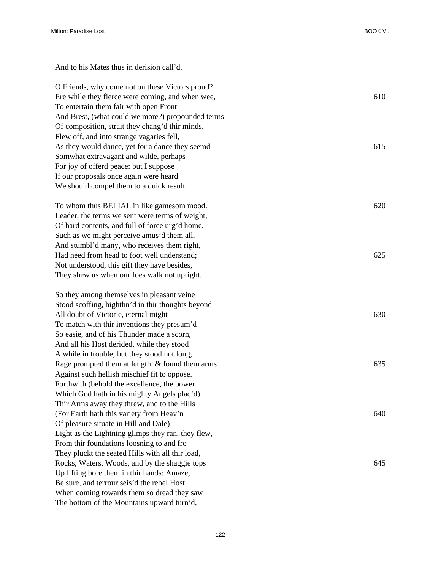And to his Mates thus in derision call'd.

The bottom of the Mountains upward turn'd,

O Friends, why come not on these Victors proud? Ere while they fierce were coming, and when wee, 610 To entertain them fair with open Front And Brest, (what could we more?) propounded terms Of composition, strait they chang'd thir minds, Flew off, and into strange vagaries fell, As they would dance, yet for a dance they seemd 615 Somwhat extravagant and wilde, perhaps For joy of offerd peace: but I suppose If our proposals once again were heard We should compel them to a quick result. To whom thus BELIAL in like gamesom mood. 620 Leader, the terms we sent were terms of weight, Of hard contents, and full of force urg'd home, Such as we might perceive amus'd them all, And stumbl'd many, who receives them right, Had need from head to foot well understand; 625 Not understood, this gift they have besides, They shew us when our foes walk not upright. So they among themselves in pleasant veine Stood scoffing, highthn'd in thir thoughts beyond All doubt of Victorie, eternal might 630 To match with thir inventions they presum'd So easie, and of his Thunder made a scorn, And all his Host derided, while they stood A while in trouble; but they stood not long, Rage prompted them at length, & found them arms 635 Against such hellish mischief fit to oppose. Forthwith (behold the excellence, the power Which God hath in his mighty Angels plac'd) Thir Arms away they threw, and to the Hills (For Earth hath this variety from Heav'n 640) Of pleasure situate in Hill and Dale) Light as the Lightning glimps they ran, they flew, From thir foundations loosning to and fro They pluckt the seated Hills with all thir load, Rocks, Waters, Woods, and by the shaggie tops 645 Up lifting bore them in thir hands: Amaze, Be sure, and terrour seis'd the rebel Host, When coming towards them so dread they saw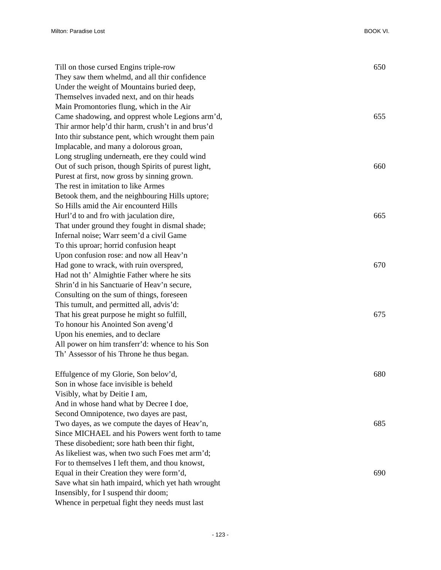| Till on those cursed Engins triple-row              | 650 |
|-----------------------------------------------------|-----|
| They saw them whelmd, and all thir confidence       |     |
| Under the weight of Mountains buried deep,          |     |
| Themselves invaded next, and on thir heads          |     |
| Main Promontories flung, which in the Air           |     |
| Came shadowing, and opprest whole Legions arm'd,    | 655 |
| Thir armor help'd thir harm, crush't in and brus'd  |     |
| Into thir substance pent, which wrought them pain   |     |
| Implacable, and many a dolorous groan,              |     |
| Long strugling underneath, ere they could wind      |     |
| Out of such prison, though Spirits of purest light, | 660 |
| Purest at first, now gross by sinning grown.        |     |
| The rest in imitation to like Armes                 |     |
| Betook them, and the neighbouring Hills uptore;     |     |
| So Hills amid the Air encounterd Hills              |     |
| Hurl'd to and fro with jaculation dire,             | 665 |
| That under ground they fought in dismal shade;      |     |
| Infernal noise; Warr seem'd a civil Game            |     |
| To this uproar; horrid confusion heapt              |     |
| Upon confusion rose: and now all Heav'n             |     |
| Had gone to wrack, with ruin overspred,             | 670 |
| Had not th' Almightie Father where he sits          |     |
| Shrin'd in his Sanctuarie of Heav'n secure,         |     |
| Consulting on the sum of things, foreseen           |     |
| This tumult, and permitted all, advis'd:            |     |
| That his great purpose he might so fulfill,         | 675 |
| To honour his Anointed Son aveng'd                  |     |
| Upon his enemies, and to declare                    |     |
| All power on him transferr'd: whence to his Son     |     |
| Th' Assessor of his Throne he thus began.           |     |
| Effulgence of my Glorie, Son belov'd,               | 680 |
| Son in whose face invisible is beheld               |     |
| Visibly, what by Deitie I am,                       |     |
| And in whose hand what by Decree I doe,             |     |
| Second Omnipotence, two dayes are past,             |     |
| Two dayes, as we compute the dayes of Heav'n,       | 685 |
| Since MICHAEL and his Powers went forth to tame     |     |
| These disobedient; sore hath been thir fight,       |     |
| As likeliest was, when two such Foes met arm'd;     |     |
| For to themselves I left them, and thou knowst,     |     |
| Equal in their Creation they were form'd,           | 690 |
| Save what sin hath impaird, which yet hath wrought  |     |
| Insensibly, for I suspend thir doom;                |     |

Whence in perpetual fight they needs must last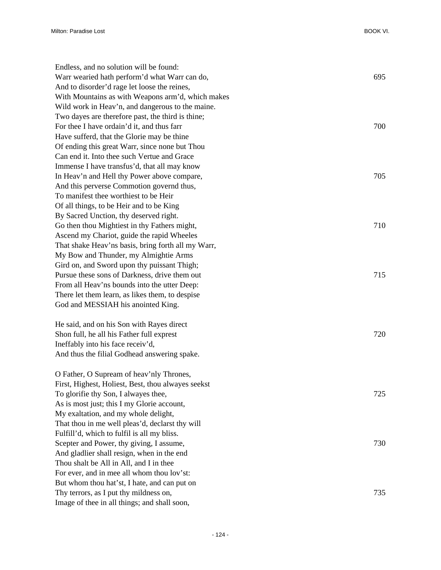| Endless, and no solution will be found:            |     |
|----------------------------------------------------|-----|
| Warr wearied hath perform'd what Warr can do,      | 695 |
| And to disorder'd rage let loose the reines,       |     |
| With Mountains as with Weapons arm'd, which makes  |     |
| Wild work in Heav'n, and dangerous to the maine.   |     |
| Two dayes are therefore past, the third is thine;  |     |
| For thee I have ordain'd it, and thus farr         | 700 |
| Have sufferd, that the Glorie may be thine         |     |
| Of ending this great Warr, since none but Thou     |     |
| Can end it. Into thee such Vertue and Grace        |     |
| Immense I have transfus'd, that all may know       |     |
| In Heav'n and Hell thy Power above compare,        | 705 |
| And this perverse Commotion governd thus,          |     |
| To manifest thee worthiest to be Heir              |     |
| Of all things, to be Heir and to be King           |     |
| By Sacred Unction, thy deserved right.             |     |
| Go then thou Mightiest in thy Fathers might,       | 710 |
| Ascend my Chariot, guide the rapid Wheeles         |     |
| That shake Heav'ns basis, bring forth all my Warr, |     |
| My Bow and Thunder, my Almightie Arms              |     |
| Gird on, and Sword upon thy puissant Thigh;        |     |
| Pursue these sons of Darkness, drive them out      | 715 |
| From all Heav'ns bounds into the utter Deep:       |     |
| There let them learn, as likes them, to despise    |     |
| God and MESSIAH his anointed King.                 |     |
| He said, and on his Son with Rayes direct          |     |
| Shon full, he all his Father full exprest          | 720 |
| Ineffably into his face receiv'd,                  |     |
| And thus the filial Godhead answering spake.       |     |
| O Father, O Supream of heav'nly Thrones,           |     |
| First, Highest, Holiest, Best, thou alwayes seekst |     |
| To glorifie thy Son, I alwayes thee,               | 725 |
| As is most just; this I my Glorie account,         |     |
| My exaltation, and my whole delight,               |     |
| That thou in me well pleas'd, declarst thy will    |     |
| Fulfill'd, which to fulfil is all my bliss.        |     |
| Scepter and Power, thy giving, I assume,           | 730 |
| And gladlier shall resign, when in the end         |     |
| Thou shalt be All in All, and I in thee            |     |
| For ever, and in mee all whom thou lov'st:         |     |
| But whom thou hat'st, I hate, and can put on       |     |
| Thy terrors, as I put thy mildness on,             | 735 |
| Image of thee in all things; and shall soon,       |     |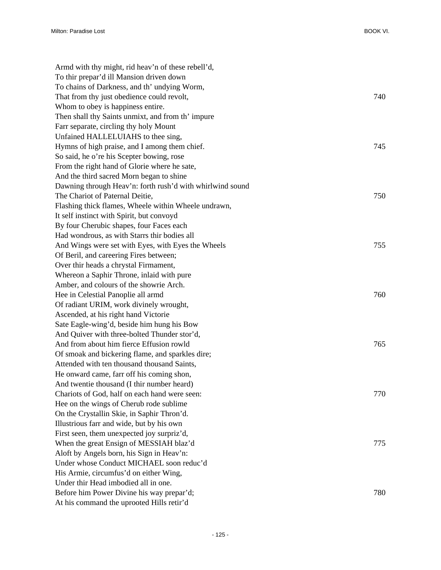| Armd with thy might, rid heav'n of these rebell'd,        |     |
|-----------------------------------------------------------|-----|
| To thir prepar'd ill Mansion driven down                  |     |
| To chains of Darkness, and th' undying Worm,              |     |
| That from thy just obedience could revolt,                | 740 |
| Whom to obey is happiness entire.                         |     |
| Then shall thy Saints unmixt, and from th' impure         |     |
| Farr separate, circling thy holy Mount                    |     |
| Unfained HALLELUIAHS to thee sing,                        |     |
| Hymns of high praise, and I among them chief.             | 745 |
| So said, he o're his Scepter bowing, rose                 |     |
| From the right hand of Glorie where he sate,              |     |
| And the third sacred Morn began to shine                  |     |
| Dawning through Heav'n: forth rush'd with whirlwind sound |     |
| The Chariot of Paternal Deitie,                           | 750 |
| Flashing thick flames, Wheele within Wheele undrawn,      |     |
| It self instinct with Spirit, but convoyd                 |     |
| By four Cherubic shapes, four Faces each                  |     |
| Had wondrous, as with Starrs thir bodies all              |     |
| And Wings were set with Eyes, with Eyes the Wheels        | 755 |
| Of Beril, and careering Fires between;                    |     |
| Over thir heads a chrystal Firmament,                     |     |
| Whereon a Saphir Throne, inlaid with pure                 |     |
| Amber, and colours of the showrie Arch.                   |     |
| Hee in Celestial Panoplie all armd                        | 760 |
| Of radiant URIM, work divinely wrought,                   |     |
| Ascended, at his right hand Victorie                      |     |
| Sate Eagle-wing'd, beside him hung his Bow                |     |
| And Quiver with three-bolted Thunder stor'd,              |     |
| And from about him fierce Effusion rowld                  | 765 |
| Of smoak and bickering flame, and sparkles dire;          |     |
| Attended with ten thousand thousand Saints,               |     |
| He onward came, farr off his coming shon,                 |     |
| And twentie thousand (I thir number heard)                |     |
| Chariots of God, half on each hand were seen:             | 770 |
| Hee on the wings of Cherub rode sublime                   |     |
| On the Crystallin Skie, in Saphir Thron'd.                |     |
| Illustrious farr and wide, but by his own                 |     |
| First seen, them unexpected joy surpriz'd,                |     |
| When the great Ensign of MESSIAH blaz'd                   | 775 |
| Aloft by Angels born, his Sign in Heav'n:                 |     |
| Under whose Conduct MICHAEL soon reduc'd                  |     |
| His Armie, circumfus'd on either Wing,                    |     |
| Under thir Head imbodied all in one.                      |     |
| Before him Power Divine his way prepar'd;                 | 780 |
| At his command the uprooted Hills retir'd                 |     |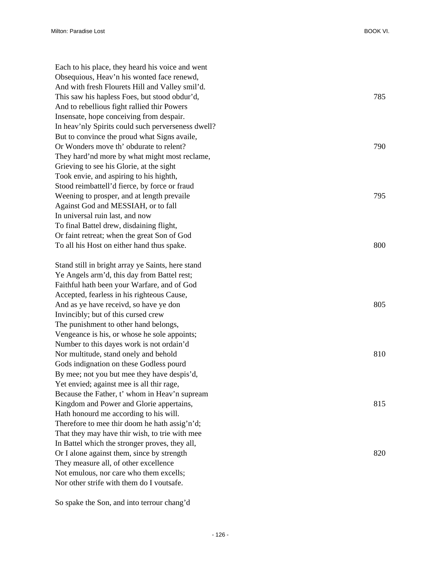Each to his place, they heard his voice and went Obsequious, Heav'n his wonted face renewd, And with fresh Flourets Hill and Valley smil'd. This saw his hapless Foes, but stood obdur'd, 785 And to rebellious fight rallied thir Powers Insensate, hope conceiving from despair. In heav'nly Spirits could such perverseness dwell? But to convince the proud what Signs availe, Or Wonders move th' obdurate to relent? 790 They hard'nd more by what might most reclame, Grieving to see his Glorie, at the sight Took envie, and aspiring to his highth, Stood reimbattell'd fierce, by force or fraud Weening to prosper, and at length prevaile 795 Against God and MESSIAH, or to fall In universal ruin last, and now To final Battel drew, disdaining flight, Or faint retreat; when the great Son of God To all his Host on either hand thus spake. 800 Stand still in bright array ye Saints, here stand

Ye Angels arm'd, this day from Battel rest; Faithful hath been your Warfare, and of God Accepted, fearless in his righteous Cause, And as ye have receivd, so have ye don 805 Invincibly; but of this cursed crew The punishment to other hand belongs, Vengeance is his, or whose he sole appoints; Number to this dayes work is not ordain'd Nor multitude, stand onely and behold 810 Gods indignation on these Godless pourd By mee; not you but mee they have despis'd, Yet envied; against mee is all thir rage, Because the Father, t' whom in Heav'n supream Kingdom and Power and Glorie appertains, 815 Hath honourd me according to his will. Therefore to mee thir doom he hath assig'n'd; That they may have thir wish, to trie with mee In Battel which the stronger proves, they all, Or I alone against them, since by strength 820 They measure all, of other excellence Not emulous, nor care who them excells; Nor other strife with them do I voutsafe.

So spake the Son, and into terrour chang'd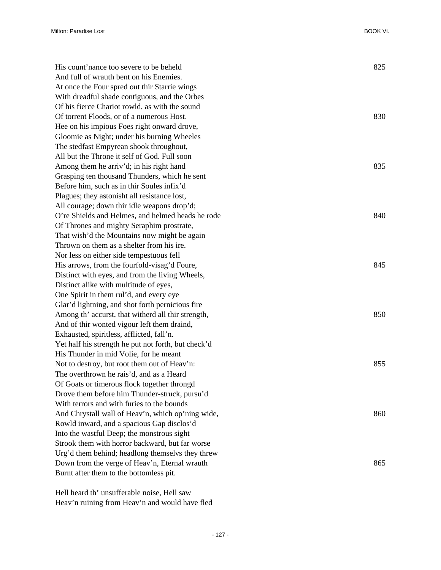| His count'nance too severe to be beheld             | 825 |
|-----------------------------------------------------|-----|
| And full of wrauth bent on his Enemies.             |     |
| At once the Four spred out thir Starrie wings       |     |
| With dreadful shade contiguous, and the Orbes       |     |
| Of his fierce Chariot rowld, as with the sound      |     |
| Of torrent Floods, or of a numerous Host.           | 830 |
| Hee on his impious Foes right onward drove,         |     |
| Gloomie as Night; under his burning Wheeles         |     |
| The stedfast Empyrean shook throughout,             |     |
| All but the Throne it self of God. Full soon        |     |
| Among them he arriv'd; in his right hand            | 835 |
| Grasping ten thousand Thunders, which he sent       |     |
| Before him, such as in thir Soules infix'd          |     |
| Plagues; they astonisht all resistance lost,        |     |
| All courage; down thir idle weapons drop'd;         |     |
| O're Shields and Helmes, and helmed heads he rode   | 840 |
| Of Thrones and mighty Seraphim prostrate,           |     |
| That wish'd the Mountains now might be again        |     |
| Thrown on them as a shelter from his ire.           |     |
| Nor less on either side tempestuous fell            |     |
| His arrows, from the fourfold-visag'd Foure,        | 845 |
| Distinct with eyes, and from the living Wheels,     |     |
| Distinct alike with multitude of eyes,              |     |
| One Spirit in them rul'd, and every eye             |     |
| Glar'd lightning, and shot forth pernicious fire    |     |
| Among th' accurst, that witherd all thir strength,  | 850 |
| And of thir wonted vigour left them draind,         |     |
| Exhausted, spiritless, afflicted, fall'n.           |     |
| Yet half his strength he put not forth, but check'd |     |
| His Thunder in mid Volie, for he meant              |     |
| Not to destroy, but root them out of Heav'n:        | 855 |
| The overthrown he rais'd, and as a Heard            |     |
| Of Goats or timerous flock together throngd         |     |
| Drove them before him Thunder-struck, pursu'd       |     |
| With terrors and with furies to the bounds          |     |
| And Chrystall wall of Heav'n, which op'ning wide,   | 860 |
| Rowld inward, and a spacious Gap disclos'd          |     |
| Into the wastful Deep; the monstrous sight          |     |
| Strook them with horror backward, but far worse     |     |
| Urg'd them behind; headlong themselvs they threw    |     |
| Down from the verge of Heav'n, Eternal wrauth       | 865 |
| Burnt after them to the bottomless pit.             |     |

Hell heard th' unsufferable noise, Hell saw Heav'n ruining from Heav'n and would have fled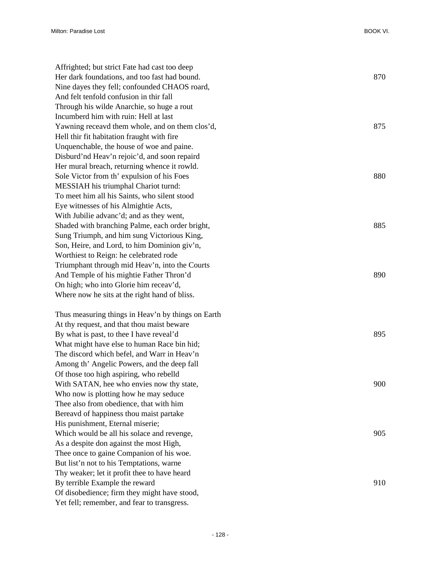| Affrighted; but strict Fate had cast too deep      |     |
|----------------------------------------------------|-----|
| Her dark foundations, and too fast had bound.      | 870 |
| Nine dayes they fell; confounded CHAOS roard,      |     |
| And felt tenfold confusion in thir fall            |     |
| Through his wilde Anarchie, so huge a rout         |     |
| Incumberd him with ruin: Hell at last              |     |
| Yawning receavd them whole, and on them clos'd,    | 875 |
| Hell thir fit habitation fraught with fire         |     |
| Unquenchable, the house of woe and paine.          |     |
| Disburd'nd Heav'n rejoic'd, and soon repaird       |     |
| Her mural breach, returning whence it rowld.       |     |
| Sole Victor from th' expulsion of his Foes         | 880 |
| MESSIAH his triumphal Chariot turnd:               |     |
| To meet him all his Saints, who silent stood       |     |
| Eye witnesses of his Almightie Acts,               |     |
| With Jubilie advanc'd; and as they went,           |     |
| Shaded with branching Palme, each order bright,    | 885 |
| Sung Triumph, and him sung Victorious King,        |     |
| Son, Heire, and Lord, to him Dominion giv'n,       |     |
| Worthiest to Reign: he celebrated rode             |     |
| Triumphant through mid Heav'n, into the Courts     |     |
| And Temple of his mightie Father Thron'd           | 890 |
| On high; who into Glorie him receav'd,             |     |
| Where now he sits at the right hand of bliss.      |     |
| Thus measuring things in Heav'n by things on Earth |     |
| At thy request, and that thou maist beware         |     |
| By what is past, to thee I have reveal'd           | 895 |
| What might have else to human Race bin hid;        |     |
| The discord which befel, and Warr in Heav'n        |     |
| Among th' Angelic Powers, and the deep fall        |     |
| Of those too high aspiring, who rebelld            |     |
| With SATAN, hee who envies now thy state,          | 900 |
| Who now is plotting how he may seduce              |     |
| Thee also from obedience, that with him            |     |
| Bereavd of happiness thou maist partake            |     |
| His punishment, Eternal miserie;                   |     |
| Which would be all his solace and revenge,         | 905 |
| As a despite don against the most High,            |     |
| Thee once to gaine Companion of his woe.           |     |
| But list'n not to his Temptations, warne           |     |
| Thy weaker; let it profit thee to have heard       |     |
| By terrible Example the reward                     | 910 |
| Of disobedience; firm they might have stood,       |     |
| Yet fell; remember, and fear to transgress.        |     |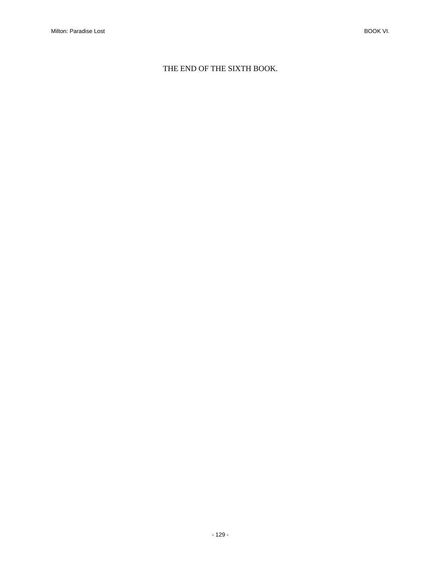## THE END OF THE SIXTH BOOK.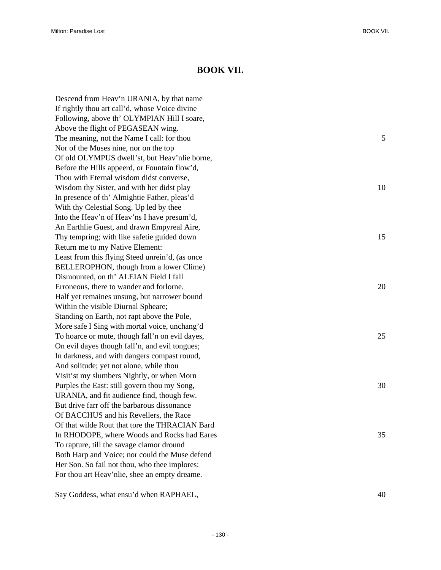## **BOOK VII.**

Descend from Heav'n URANIA, by that name If rightly thou art call'd, whose Voice divine Following, above th' OLYMPIAN Hill I soare, Above the flight of PEGASEAN wing. The meaning, not the Name I call: for thou 5 Nor of the Muses nine, nor on the top Of old OLYMPUS dwell'st, but Heav'nlie borne, Before the Hills appeerd, or Fountain flow'd, Thou with Eternal wisdom didst converse, Wisdom thy Sister, and with her didst play 10 In presence of th' Almightie Father, pleas'd With thy Celestial Song. Up led by thee Into the Heav'n of Heav'ns I have presum'd, An Earthlie Guest, and drawn Empyreal Aire, Thy tempring; with like safetie guided down 15 Return me to my Native Element: Least from this flying Steed unrein'd, (as once BELLEROPHON, though from a lower Clime) Dismounted, on th' ALEIAN Field I fall Erroneous, there to wander and forlorne. 20 Half yet remaines unsung, but narrower bound Within the visible Diurnal Spheare; Standing on Earth, not rapt above the Pole, More safe I Sing with mortal voice, unchang'd To hoarce or mute, though fall'n on evil dayes, 25 On evil dayes though fall'n, and evil tongues; In darkness, and with dangers compast rouud, And solitude; yet not alone, while thou Visit'st my slumbers Nightly, or when Morn Purples the East: still govern thou my Song, 30 URANIA, and fit audience find, though few. But drive farr off the barbarous dissonance Of BACCHUS and his Revellers, the Race Of that wilde Rout that tore the THRACIAN Bard In RHODOPE, where Woods and Rocks had Eares 35 To rapture, till the savage clamor dround Both Harp and Voice; nor could the Muse defend Her Son. So fail not thou, who thee implores: For thou art Heav'nlie, shee an empty dreame.

Say Goddess, what ensu'd when RAPHAEL,  $40$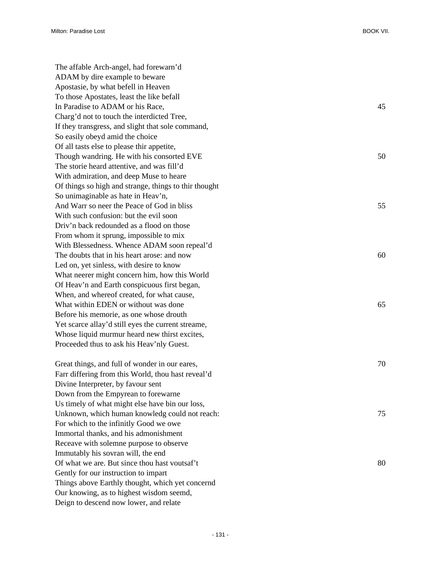| The affable Arch-angel, had forewarn'd                |    |
|-------------------------------------------------------|----|
| ADAM by dire example to beware                        |    |
| Apostasie, by what befell in Heaven                   |    |
| To those Apostates, least the like befall             |    |
| In Paradise to ADAM or his Race,                      | 45 |
| Charg'd not to touch the interdicted Tree,            |    |
| If they transgress, and slight that sole command,     |    |
| So easily obeyd amid the choice                       |    |
| Of all tasts else to please thir appetite,            |    |
| Though wandring. He with his consorted EVE            | 50 |
| The storie heard attentive, and was fill'd            |    |
| With admiration, and deep Muse to heare               |    |
| Of things so high and strange, things to thir thought |    |
| So unimaginable as hate in Heav'n,                    |    |
| And Warr so neer the Peace of God in bliss            | 55 |
| With such confusion: but the evil soon                |    |
| Driv'n back redounded as a flood on those             |    |
| From whom it sprung, impossible to mix                |    |
| With Blessedness. Whence ADAM soon repeal'd           |    |
| The doubts that in his heart arose: and now           | 60 |
| Led on, yet sinless, with desire to know              |    |
| What neerer might concern him, how this World         |    |
| Of Heav'n and Earth conspicuous first began,          |    |
| When, and whereof created, for what cause,            |    |
| What within EDEN or without was done                  | 65 |
| Before his memorie, as one whose drouth               |    |
| Yet scarce allay'd still eyes the current streame,    |    |
| Whose liquid murmur heard new thirst excites,         |    |
| Proceeded thus to ask his Heav'nly Guest.             |    |
| Great things, and full of wonder in our eares,        | 70 |
| Farr differing from this World, thou hast reveal'd    |    |
| Divine Interpreter, by favour sent                    |    |
| Down from the Empyrean to forewarne                   |    |
| Us timely of what might else have bin our loss,       |    |
| Unknown, which human knowledg could not reach:        | 75 |
| For which to the infinitly Good we owe                |    |
| Immortal thanks, and his admonishment                 |    |
| Receave with solemne purpose to observe               |    |
| Immutably his sovran will, the end                    |    |
| Of what we are. But since thou hast voutsaf't         | 80 |
| Gently for our instruction to impart                  |    |
| Things above Earthly thought, which yet concernd      |    |
| Our knowing, as to highest wisdom seemd,              |    |
| Deign to descend now lower, and relate                |    |
|                                                       |    |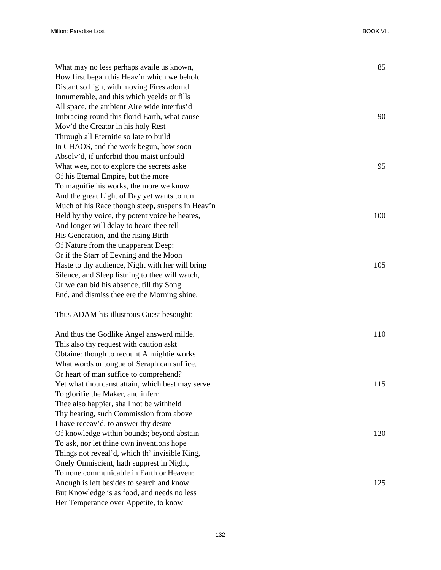| What may no less perhaps availe us known,        | 85  |
|--------------------------------------------------|-----|
| How first began this Heav'n which we behold      |     |
| Distant so high, with moving Fires adornd        |     |
| Innumerable, and this which yeelds or fills      |     |
| All space, the ambient Aire wide interfus'd      |     |
| Imbracing round this florid Earth, what cause    | 90  |
| Mov'd the Creator in his holy Rest               |     |
| Through all Eternitie so late to build           |     |
| In CHAOS, and the work begun, how soon           |     |
| Absolv'd, if unforbid thou maist unfould         |     |
| What wee, not to explore the secrets aske        | 95  |
| Of his Eternal Empire, but the more              |     |
| To magnifie his works, the more we know.         |     |
| And the great Light of Day yet wants to run      |     |
| Much of his Race though steep, suspens in Heav'n |     |
| Held by thy voice, thy potent voice he heares,   | 100 |
| And longer will delay to heare thee tell         |     |
| His Generation, and the rising Birth             |     |
| Of Nature from the unapparent Deep:              |     |
| Or if the Starr of Eevning and the Moon          |     |
| Haste to thy audience, Night with her will bring | 105 |
| Silence, and Sleep listning to thee will watch,  |     |
| Or we can bid his absence, till thy Song         |     |
| End, and dismiss thee ere the Morning shine.     |     |
| Thus ADAM his illustrous Guest besought:         |     |
|                                                  |     |
| And thus the Godlike Angel answerd milde.        | 110 |
| This also thy request with caution askt          |     |
| Obtaine: though to recount Almightie works       |     |
| What words or tongue of Seraph can suffice,      |     |
| Or heart of man suffice to comprehend?           |     |
| Yet what thou canst attain, which best may serve | 115 |
| To glorifie the Maker, and inferr                |     |
| Thee also happier, shall not be withheld         |     |
| Thy hearing, such Commission from above          |     |
| I have receav'd, to answer thy desire            |     |
| Of knowledge within bounds; beyond abstain       | 120 |
| To ask, nor let thine own inventions hope        |     |
| Things not reveal'd, which th' invisible King,   |     |
| Onely Omniscient, hath supprest in Night,        |     |
| To none communicable in Earth or Heaven:         |     |
| Anough is left besides to search and know.       | 125 |
| But Knowledge is as food, and needs no less      |     |
| Her Temperance over Appetite, to know            |     |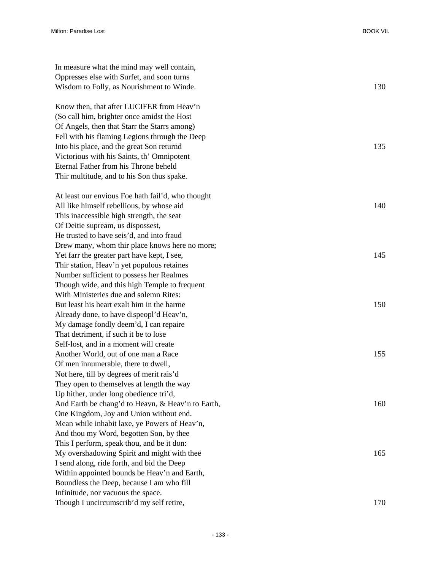| In measure what the mind may well contain,        |     |
|---------------------------------------------------|-----|
| Oppresses else with Surfet, and soon turns        |     |
| Wisdom to Folly, as Nourishment to Winde.         | 130 |
| Know then, that after LUCIFER from Heav'n         |     |
| (So call him, brighter once amidst the Host       |     |
| Of Angels, then that Starr the Starrs among)      |     |
| Fell with his flaming Legions through the Deep    |     |
| Into his place, and the great Son returnd         | 135 |
| Victorious with his Saints, th' Omnipotent        |     |
| Eternal Father from his Throne beheld             |     |
| Thir multitude, and to his Son thus spake.        |     |
| At least our envious Foe hath fail'd, who thought |     |
| All like himself rebellious, by whose aid         | 140 |
| This inaccessible high strength, the seat         |     |
| Of Deitie supream, us dispossest,                 |     |
| He trusted to have seis'd, and into fraud         |     |
| Drew many, whom thir place knows here no more;    |     |
| Yet farr the greater part have kept, I see,       | 145 |
| Thir station, Heav'n yet populous retaines        |     |
| Number sufficient to possess her Realmes          |     |
| Though wide, and this high Temple to frequent     |     |
| With Ministeries due and solemn Rites:            |     |
| But least his heart exalt him in the harme        | 150 |
| Already done, to have dispeopl'd Heav'n,          |     |
| My damage fondly deem'd, I can repaire            |     |
| That detriment, if such it be to lose             |     |
| Self-lost, and in a moment will create            |     |
| Another World, out of one man a Race              | 155 |
| Of men innumerable, there to dwell,               |     |
| Not here, till by degrees of merit rais'd         |     |
| They open to themselves at length the way         |     |
| Up hither, under long obedience tri'd,            |     |
| And Earth be chang'd to Heavn, & Heav'n to Earth, | 160 |
| One Kingdom, Joy and Union without end.           |     |
| Mean while inhabit laxe, ye Powers of Heav'n,     |     |
| And thou my Word, begotten Son, by thee           |     |
| This I perform, speak thou, and be it don:        |     |
| My overshadowing Spirit and might with thee       | 165 |
| I send along, ride forth, and bid the Deep        |     |
| Within appointed bounds be Heav'n and Earth,      |     |
| Boundless the Deep, because I am who fill         |     |
| Infinitude, nor vacuous the space.                |     |
| Though I uncircumscrib'd my self retire,          | 170 |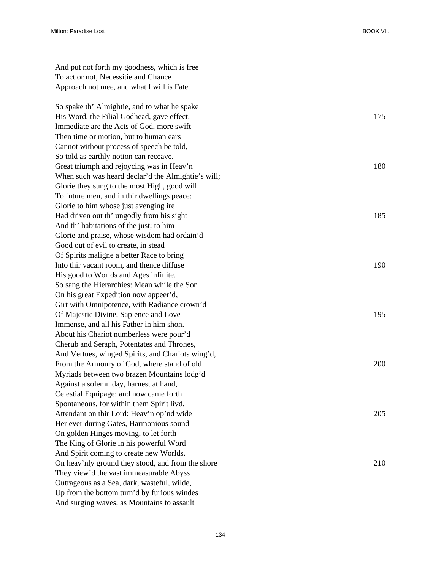And put not forth my goodness, which is free To act or not, Necessitie and Chance Approach not mee, and what I will is Fate.

So spake th' Almightie, and to what he spake His Word, the Filial Godhead, gave effect. 175 Immediate are the Acts of God, more swift Then time or motion, but to human ears Cannot without process of speech be told, So told as earthly notion can receave. Great triumph and rejoycing was in Heav'n 180 When such was heard declar'd the Almightie's will; Glorie they sung to the most High, good will To future men, and in thir dwellings peace: Glorie to him whose just avenging ire Had driven out th' ungodly from his sight 185 And th' habitations of the just; to him Glorie and praise, whose wisdom had ordain'd Good out of evil to create, in stead Of Spirits maligne a better Race to bring Into thir vacant room, and thence diffuse 190 His good to Worlds and Ages infinite. So sang the Hierarchies: Mean while the Son On his great Expedition now appeer'd, Girt with Omnipotence, with Radiance crown'd Of Majestie Divine, Sapience and Love 195 Immense, and all his Father in him shon. About his Chariot numberless were pour'd Cherub and Seraph, Potentates and Thrones, And Vertues, winged Spirits, and Chariots wing'd, From the Armoury of God, where stand of old 200 Myriads between two brazen Mountains lodg'd Against a solemn day, harnest at hand, Celestial Equipage; and now came forth Spontaneous, for within them Spirit livd, Attendant on thir Lord: Heav'n op'nd wide 205 Her ever during Gates, Harmonious sound On golden Hinges moving, to let forth The King of Glorie in his powerful Word And Spirit coming to create new Worlds. On heav'nly ground they stood, and from the shore 210 They view'd the vast immeasurable Abyss Outrageous as a Sea, dark, wasteful, wilde, Up from the bottom turn'd by furious windes And surging waves, as Mountains to assault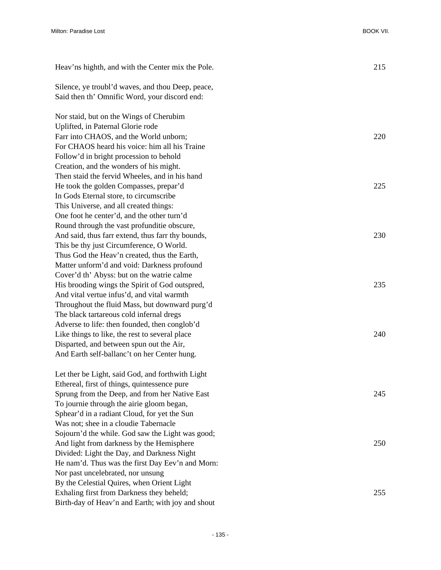| Heav'ns highth, and with the Center mix the Pole. | 215 |
|---------------------------------------------------|-----|
| Silence, ye troubl'd waves, and thou Deep, peace, |     |
| Said then th' Omnific Word, your discord end:     |     |
|                                                   |     |
| Nor staid, but on the Wings of Cherubim           |     |
| Uplifted, in Paternal Glorie rode                 |     |
| Farr into CHAOS, and the World unborn;            | 220 |
| For CHAOS heard his voice: him all his Traine     |     |
| Follow'd in bright procession to behold           |     |
| Creation, and the wonders of his might.           |     |
| Then staid the fervid Wheeles, and in his hand    |     |
| He took the golden Compasses, prepar'd            | 225 |
| In Gods Eternal store, to circumscribe            |     |
| This Universe, and all created things:            |     |
| One foot he center'd, and the other turn'd        |     |
| Round through the vast profunditie obscure,       |     |
| And said, thus farr extend, thus farr thy bounds, | 230 |
| This be thy just Circumference, O World.          |     |
| Thus God the Heav'n created, thus the Earth,      |     |
| Matter unform'd and void: Darkness profound       |     |
| Cover'd th' Abyss: but on the watrie calme        |     |
| His brooding wings the Spirit of God outspred,    | 235 |
| And vital vertue infus'd, and vital warmth        |     |
| Throughout the fluid Mass, but downward purg'd    |     |
| The black tartareous cold infernal dregs          |     |
| Adverse to life: then founded, then conglob'd     |     |
| Like things to like, the rest to several place    | 240 |
| Disparted, and between spun out the Air,          |     |
| And Earth self-ballanc't on her Center hung.      |     |
| Let ther be Light, said God, and forthwith Light  |     |
| Ethereal, first of things, quintessence pure      |     |
| Sprung from the Deep, and from her Native East    | 245 |
| To journie through the airie gloom began,         |     |
| Sphear'd in a radiant Cloud, for yet the Sun      |     |
| Was not; shee in a cloudie Tabernacle             |     |
| Sojourn'd the while. God saw the Light was good;  |     |
| And light from darkness by the Hemisphere         | 250 |
| Divided: Light the Day, and Darkness Night        |     |
| He nam'd. Thus was the first Day Eev'n and Morn:  |     |
| Nor past uncelebrated, nor unsung                 |     |
| By the Celestial Quires, when Orient Light        |     |
| Exhaling first from Darkness they beheld;         | 255 |
| Birth-day of Heav'n and Earth; with joy and shout |     |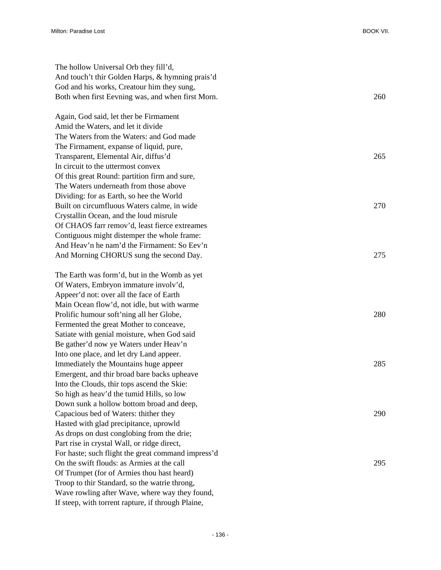| The hollow Universal Orb they fill'd,              |     |
|----------------------------------------------------|-----|
| And touch't thir Golden Harps, & hymning prais'd   |     |
| God and his works, Creatour him they sung,         |     |
| Both when first Eevning was, and when first Morn.  | 260 |
|                                                    |     |
| Again, God said, let ther be Firmament             |     |
| Amid the Waters, and let it divide                 |     |
| The Waters from the Waters: and God made           |     |
| The Firmament, expanse of liquid, pure,            |     |
| Transparent, Elemental Air, diffus'd               | 265 |
| In circuit to the uttermost convex                 |     |
| Of this great Round: partition firm and sure,      |     |
| The Waters underneath from those above             |     |
| Dividing: for as Earth, so hee the World           |     |
| Built on circumfluous Waters calme, in wide        | 270 |
| Crystallin Ocean, and the loud misrule             |     |
| Of CHAOS farr remov'd, least fierce extreames      |     |
| Contiguous might distemper the whole frame:        |     |
| And Heav'n he nam'd the Firmament: So Eev'n        |     |
| And Morning CHORUS sung the second Day.            | 275 |
|                                                    |     |
| The Earth was form'd, but in the Womb as yet       |     |
| Of Waters, Embryon immature involv'd,              |     |
| Appeer'd not: over all the face of Earth           |     |
| Main Ocean flow'd, not idle, but with warme        |     |
| Prolific humour soft'ning all her Globe,           | 280 |
| Fermented the great Mother to conceave,            |     |
| Satiate with genial moisture, when God said        |     |
| Be gather'd now ye Waters under Heav'n             |     |
| Into one place, and let dry Land appeer.           |     |
| Immediately the Mountains huge appeer              | 285 |
| Emergent, and thir broad bare backs upheave        |     |
| Into the Clouds, thir tops ascend the Skie:        |     |
| So high as heav'd the tumid Hills, so low          |     |
| Down sunk a hollow bottom broad and deep,          |     |
| Capacious bed of Waters: thither they              | 290 |
| Hasted with glad precipitance, uprowld             |     |
| As drops on dust conglobing from the drie;         |     |
| Part rise in crystal Wall, or ridge direct,        |     |
| For haste; such flight the great command impress'd |     |
| On the swift flouds: as Armies at the call         | 295 |
| Of Trumpet (for of Armies thou hast heard)         |     |
| Troop to thir Standard, so the watrie throng,      |     |
| Wave rowling after Wave, where way they found,     |     |
| If steep, with torrent rapture, if through Plaine, |     |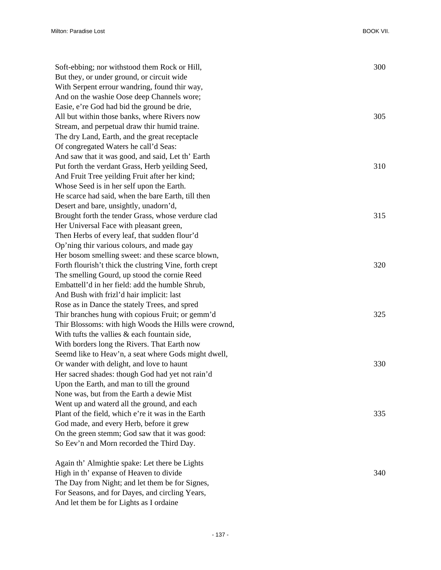| Soft-ebbing; nor withstood them Rock or Hill,          | 300 |
|--------------------------------------------------------|-----|
| But they, or under ground, or circuit wide             |     |
| With Serpent errour wandring, found thir way,          |     |
| And on the washie Oose deep Channels wore;             |     |
| Easie, e're God had bid the ground be drie,            |     |
| All but within those banks, where Rivers now           | 305 |
| Stream, and perpetual draw thir humid traine.          |     |
| The dry Land, Earth, and the great receptacle          |     |
| Of congregated Waters he call'd Seas:                  |     |
| And saw that it was good, and said, Let th' Earth      |     |
| Put forth the verdant Grass, Herb yeilding Seed,       | 310 |
| And Fruit Tree yeilding Fruit after her kind;          |     |
| Whose Seed is in her self upon the Earth.              |     |
| He scarce had said, when the bare Earth, till then     |     |
| Desert and bare, unsightly, unadorn'd,                 |     |
| Brought forth the tender Grass, whose verdure clad     | 315 |
| Her Universal Face with pleasant green,                |     |
| Then Herbs of every leaf, that sudden flour'd          |     |
| Op'ning thir various colours, and made gay             |     |
| Her bosom smelling sweet: and these scarce blown,      |     |
| Forth flourish't thick the clustring Vine, forth crept | 320 |
| The smelling Gourd, up stood the cornie Reed           |     |
| Embattell'd in her field: add the humble Shrub,        |     |
| And Bush with frizl'd hair implicit: last              |     |
| Rose as in Dance the stately Trees, and spred          |     |
| Thir branches hung with copious Fruit; or gemm'd       | 325 |
| Thir Blossoms: with high Woods the Hills were crownd,  |     |
| With tufts the vallies $\&$ each fountain side,        |     |
| With borders long the Rivers. That Earth now           |     |
| Seemd like to Heav'n, a seat where Gods might dwell,   |     |
| Or wander with delight, and love to haunt              | 330 |
| Her sacred shades: though God had yet not rain'd       |     |
| Upon the Earth, and man to till the ground             |     |
| None was, but from the Earth a dewie Mist              |     |
| Went up and waterd all the ground, and each            |     |
| Plant of the field, which e're it was in the Earth     | 335 |
| God made, and every Herb, before it grew               |     |
| On the green stemm; God saw that it was good:          |     |
| So Eev'n and Morn recorded the Third Day.              |     |
| Again th' Almightie spake: Let there be Lights         |     |
| High in th' expanse of Heaven to divide                | 340 |
| The Day from Night; and let them be for Signes,        |     |
| For Seasons, and for Dayes, and circling Years,        |     |

And let them be for Lights as I ordaine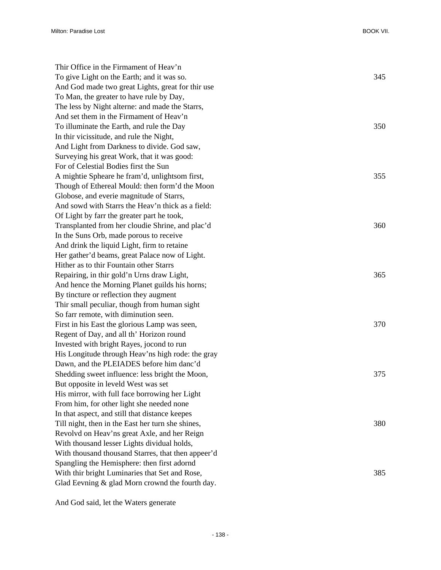| Thir Office in the Firmament of Heav'n             |     |
|----------------------------------------------------|-----|
| To give Light on the Earth; and it was so.         | 345 |
| And God made two great Lights, great for thir use  |     |
| To Man, the greater to have rule by Day,           |     |
| The less by Night alterne: and made the Starrs,    |     |
| And set them in the Firmament of Heav'n            |     |
| To illuminate the Earth, and rule the Day          | 350 |
| In thir vicissitude, and rule the Night,           |     |
| And Light from Darkness to divide. God saw,        |     |
| Surveying his great Work, that it was good:        |     |
| For of Celestial Bodies first the Sun              |     |
| A mightie Spheare he fram'd, unlightsom first,     | 355 |
| Though of Ethereal Mould: then form'd the Moon     |     |
| Globose, and everie magnitude of Starrs,           |     |
| And sowd with Starrs the Heav'n thick as a field:  |     |
| Of Light by farr the greater part he took,         |     |
| Transplanted from her cloudie Shrine, and plac'd   | 360 |
| In the Suns Orb, made porous to receive            |     |
| And drink the liquid Light, firm to retaine        |     |
| Her gather'd beams, great Palace now of Light.     |     |
| Hither as to thir Fountain other Starrs            |     |
| Repairing, in thir gold'n Urns draw Light,         | 365 |
| And hence the Morning Planet guilds his horns;     |     |
| By tincture or reflection they augment             |     |
| Thir small peculiar, though from human sight       |     |
| So farr remote, with diminution seen.              |     |
| First in his East the glorious Lamp was seen,      | 370 |
| Regent of Day, and all th' Horizon round           |     |
| Invested with bright Rayes, jocond to run          |     |
| His Longitude through Heav'ns high rode: the gray  |     |
| Dawn, and the PLEIADES before him danc'd           |     |
| Shedding sweet influence: less bright the Moon,    | 375 |
| But opposite in leveld West was set                |     |
| His mirror, with full face borrowing her Light     |     |
| From him, for other light she needed none          |     |
| In that aspect, and still that distance keepes     |     |
| Till night, then in the East her turn she shines,  | 380 |
| Revolvd on Heav'ns great Axle, and her Reign       |     |
| With thousand lesser Lights dividual holds,        |     |
| With thousand thousand Starres, that then appeer'd |     |
| Spangling the Hemisphere: then first adornd        |     |
| With thir bright Luminaries that Set and Rose,     | 385 |
| Glad Eevning & glad Morn crownd the fourth day.    |     |

And God said, let the Waters generate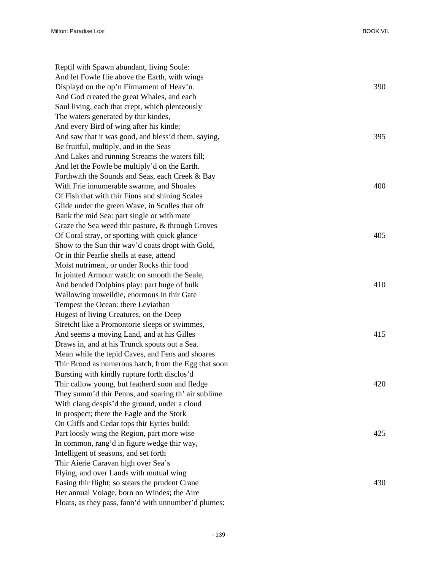Reptil with Spawn abundant, living Soule: And let Fowle flie above the Earth, with wings Displayd on the op'n Firmament of Heav'n. 390 And God created the great Whales, and each Soul living, each that crept, which plenteously The waters generated by thir kindes, And every Bird of wing after his kinde; And saw that it was good, and bless'd them, saying,  $395$ Be fruitful, multiply, and in the Seas And Lakes and running Streams the waters fill; And let the Fowle be multiply'd on the Earth. Forthwith the Sounds and Seas, each Creek & Bay With Frie innumerable swarme, and Shoales 400 Of Fish that with thir Finns and shining Scales Glide under the green Wave, in Sculles that oft Bank the mid Sea: part single or with mate Graze the Sea weed thir pasture, & through Groves Of Coral stray, or sporting with quick glance 405 Show to the Sun thir wav'd coats dropt with Gold, Or in thir Pearlie shells at ease, attend Moist nutriment, or under Rocks thir food In jointed Armour watch: on smooth the Seale, And bended Dolphins play: part huge of bulk 410 Wallowing unweildie, enormous in thir Gate Tempest the Ocean: there Leviathan Hugest of living Creatures, on the Deep Stretcht like a Promontorie sleeps or swimmes, And seems a moving Land, and at his Gilles 415 Draws in, and at his Trunck spouts out a Sea. Mean while the tepid Caves, and Fens and shoares Thir Brood as numerous hatch, from the Egg that soon Bursting with kindly rupture forth disclos'd Thir callow young, but featherd soon and fledge 420 They summ'd thir Penns, and soaring th' air sublime With clang despis'd the ground, under a cloud In prospect; there the Eagle and the Stork On Cliffs and Cedar tops thir Eyries build: Part loosly wing the Region, part more wise 425 In common, rang'd in figure wedge thir way, Intelligent of seasons, and set forth Thir Aierie Caravan high over Sea's Flying, and over Lands with mutual wing Easing thir flight; so stears the prudent Crane 430 Her annual Voiage, born on Windes; the Aire Floats, as they pass, fann'd with unnumber'd plumes: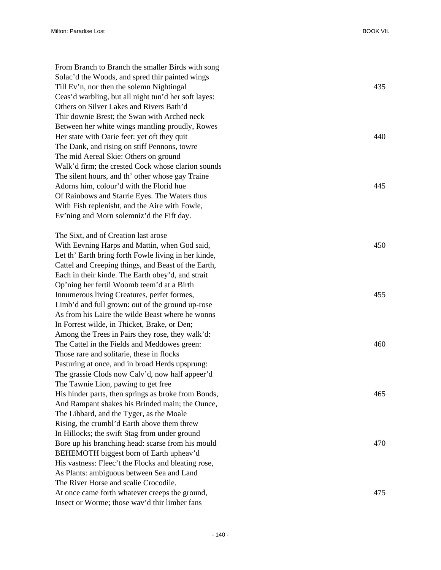From Branch to Branch the smaller Birds with song Solac'd the Woods, and spred thir painted wings Till Ev'n, nor then the solemn Nightingal 435 Ceas'd warbling, but all night tun'd her soft layes: Others on Silver Lakes and Rivers Bath'd Thir downie Brest; the Swan with Arched neck Between her white wings mantling proudly, Rowes Her state with Oarie feet: yet oft they quit 440 The Dank, and rising on stiff Pennons, towre The mid Aereal Skie: Others on ground Walk'd firm; the crested Cock whose clarion sounds The silent hours, and th' other whose gay Traine Adorns him, colour'd with the Florid hue 445 Of Rainbows and Starrie Eyes. The Waters thus With Fish replenisht, and the Aire with Fowle, Ev'ning and Morn solemniz'd the Fift day. The Sixt, and of Creation last arose With Eevning Harps and Mattin, when God said,  $450$ Let th' Earth bring forth Fowle living in her kinde, Cattel and Creeping things, and Beast of the Earth, Each in their kinde. The Earth obey'd, and strait Op'ning her fertil Woomb teem'd at a Birth Innumerous living Creatures, perfet formes, 455 Limb'd and full grown: out of the ground up-rose As from his Laire the wilde Beast where he wonns In Forrest wilde, in Thicket, Brake, or Den; Among the Trees in Pairs they rose, they walk'd: The Cattel in the Fields and Meddowes green: 460 Those rare and solitarie, these in flocks Pasturing at once, and in broad Herds upsprung: The grassie Clods now Calv'd, now half appeer'd The Tawnie Lion, pawing to get free His hinder parts, then springs as broke from Bonds, 465 And Rampant shakes his Brinded main; the Ounce, The Libbard, and the Tyger, as the Moale Rising, the crumbl'd Earth above them threw In Hillocks; the swift Stag from under ground Bore up his branching head: scarse from his mould 470 BEHEMOTH biggest born of Earth upheav'd His vastness: Fleec't the Flocks and bleating rose, As Plants: ambiguous between Sea and Land The River Horse and scalie Crocodile. At once came forth whatever creeps the ground,  $475$ Insect or Worme; those wav'd thir limber fans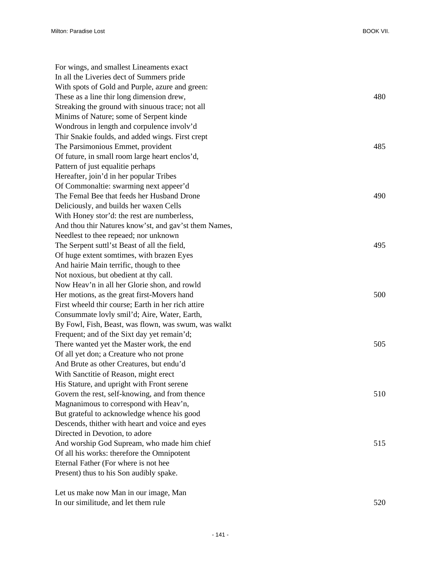| For wings, and smallest Lineaments exact              |     |
|-------------------------------------------------------|-----|
| In all the Liveries dect of Summers pride             |     |
| With spots of Gold and Purple, azure and green:       |     |
| These as a line thir long dimension drew,             | 480 |
| Streaking the ground with sinuous trace; not all      |     |
| Minims of Nature; some of Serpent kinde               |     |
| Wondrous in length and corpulence involv'd            |     |
| Thir Snakie foulds, and added wings. First crept      |     |
| The Parsimonious Emmet, provident                     | 485 |
| Of future, in small room large heart enclos'd,        |     |
| Pattern of just equalitie perhaps                     |     |
| Hereafter, join'd in her popular Tribes               |     |
| Of Commonaltie: swarming next appeer'd                |     |
| The Femal Bee that feeds her Husband Drone            | 490 |
| Deliciously, and builds her waxen Cells               |     |
| With Honey stor'd: the rest are numberless,           |     |
| And thou thir Natures know'st, and gav'st them Names, |     |
| Needlest to thee repeaed; nor unknown                 |     |
| The Serpent suttl'st Beast of all the field,          | 495 |
| Of huge extent somtimes, with brazen Eyes             |     |
| And hairie Main terrific, though to thee              |     |
| Not noxious, but obedient at thy call.                |     |
| Now Heav'n in all her Glorie shon, and rowld          |     |
| Her motions, as the great first-Movers hand           | 500 |
| First wheeld thir course; Earth in her rich attire    |     |
| Consummate lovly smil'd; Aire, Water, Earth,          |     |
| By Fowl, Fish, Beast, was flown, was swum, was walkt  |     |
| Frequent; and of the Sixt day yet remain'd;           |     |
| There wanted yet the Master work, the end             | 505 |
| Of all yet don; a Creature who not prone              |     |
| And Brute as other Creatures, but endu'd              |     |
| With Sanctitie of Reason, might erect                 |     |
| His Stature, and upright with Front serene            |     |
| Govern the rest, self-knowing, and from thence        | 510 |
| Magnanimous to correspond with Heav'n,                |     |
| But grateful to acknowledge whence his good           |     |
| Descends, thither with heart and voice and eyes       |     |
| Directed in Devotion, to adore                        |     |
| And worship God Supream, who made him chief           | 515 |
| Of all his works: therefore the Omnipotent            |     |
| Eternal Father (For where is not hee                  |     |
| Present) thus to his Son audibly spake.               |     |
| Let us make now Man in our image, Man                 |     |

In our similitude, and let them rule 520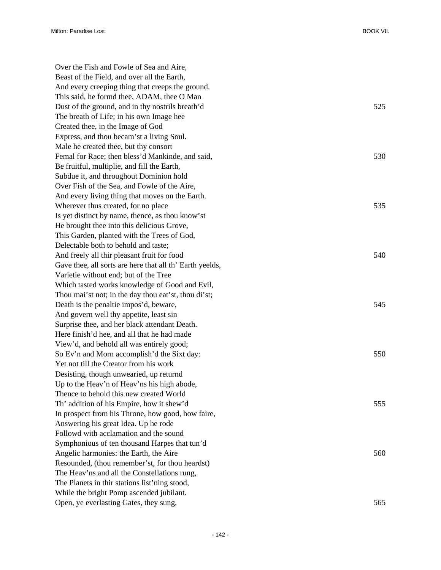| Over the Fish and Fowle of Sea and Aire,                 |     |
|----------------------------------------------------------|-----|
| Beast of the Field, and over all the Earth,              |     |
| And every creeping thing that creeps the ground.         |     |
| This said, he formd thee, ADAM, thee O Man               |     |
| Dust of the ground, and in thy nostrils breath'd         | 525 |
| The breath of Life; in his own Image hee                 |     |
| Created thee, in the Image of God                        |     |
| Express, and thou becam'st a living Soul.                |     |
| Male he created thee, but thy consort                    |     |
| Femal for Race; then bless'd Mankinde, and said,         | 530 |
| Be fruitful, multiplie, and fill the Earth,              |     |
| Subdue it, and throughout Dominion hold                  |     |
| Over Fish of the Sea, and Fowle of the Aire,             |     |
| And every living thing that moves on the Earth.          |     |
| Wherever thus created, for no place                      | 535 |
| Is yet distinct by name, thence, as thou know'st         |     |
| He brought thee into this delicious Grove,               |     |
| This Garden, planted with the Trees of God,              |     |
| Delectable both to behold and taste;                     |     |
| And freely all thir pleasant fruit for food              | 540 |
| Gave thee, all sorts are here that all th' Earth yeelds, |     |
| Varietie without end; but of the Tree                    |     |
| Which tasted works knowledge of Good and Evil,           |     |
| Thou mai'st not; in the day thou eat'st, thou di'st;     |     |
| Death is the penaltie impos'd, beware,                   | 545 |
| And govern well thy appetite, least sin                  |     |
| Surprise thee, and her black attendant Death.            |     |
| Here finish'd hee, and all that he had made              |     |
| View'd, and behold all was entirely good;                |     |
| So Ev'n and Morn accomplish'd the Sixt day:              | 550 |
| Yet not till the Creator from his work                   |     |
| Desisting, though unwearied, up returnd                  |     |
| Up to the Heav'n of Heav'ns his high abode,              |     |
| Thence to behold this new created World                  |     |
| Th' addition of his Empire, how it shew'd                | 555 |
| In prospect from his Throne, how good, how faire,        |     |
| Answering his great Idea. Up he rode                     |     |
| Followd with acclamation and the sound                   |     |
| Symphonious of ten thousand Harpes that tun'd            |     |
| Angelic harmonies: the Earth, the Aire                   | 560 |
| Resounded, (thou remember'st, for thou heardst)          |     |
| The Heav'ns and all the Constellations rung,             |     |
| The Planets in thir stations list'ning stood,            |     |
| While the bright Pomp ascended jubilant.                 |     |
| Open, ye everlasting Gates, they sung,                   | 565 |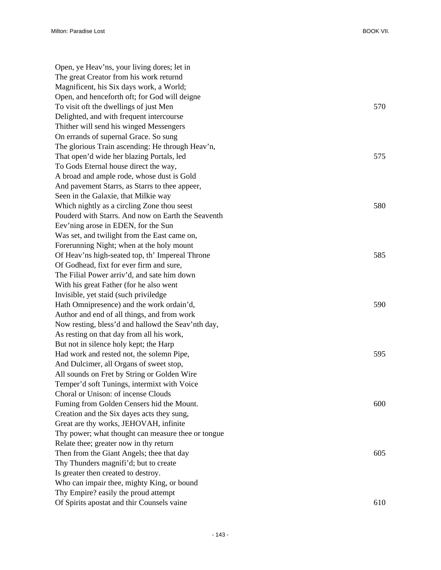| Open, ye Heav'ns, your living dores; let in        |     |
|----------------------------------------------------|-----|
| The great Creator from his work returnd            |     |
| Magnificent, his Six days work, a World;           |     |
| Open, and henceforth oft; for God will deigne      |     |
| To visit oft the dwellings of just Men             | 570 |
| Delighted, and with frequent intercourse           |     |
| Thither will send his winged Messengers            |     |
| On errands of supernal Grace. So sung              |     |
| The glorious Train ascending: He through Heav'n,   |     |
| That open'd wide her blazing Portals, led          | 575 |
| To Gods Eternal house direct the way,              |     |
| A broad and ample rode, whose dust is Gold         |     |
| And pavement Starrs, as Starrs to thee appeer,     |     |
| Seen in the Galaxie, that Milkie way               |     |
| Which nightly as a circling Zone thou seest        | 580 |
| Pouderd with Starrs. And now on Earth the Seaventh |     |
| Eev'ning arose in EDEN, for the Sun                |     |
| Was set, and twilight from the East came on,       |     |
| Forerunning Night; when at the holy mount          |     |
| Of Heav'ns high-seated top, th' Impereal Throne    | 585 |
| Of Godhead, fixt for ever firm and sure,           |     |
| The Filial Power arriv'd, and sate him down        |     |
| With his great Father (for he also went            |     |
| Invisible, yet staid (such priviledge              |     |
| Hath Omnipresence) and the work ordain'd,          | 590 |
| Author and end of all things, and from work        |     |
| Now resting, bless'd and hallowd the Seav'nth day, |     |
| As resting on that day from all his work,          |     |
| But not in silence holy kept; the Harp             |     |
| Had work and rested not, the solemn Pipe,          | 595 |
| And Dulcimer, all Organs of sweet stop,            |     |
| All sounds on Fret by String or Golden Wire        |     |
| Temper'd soft Tunings, intermixt with Voice        |     |
| Choral or Unison: of incense Clouds                |     |
| Fuming from Golden Censers hid the Mount.          | 600 |
| Creation and the Six dayes acts they sung,         |     |
| Great are thy works, JEHOVAH, infinite             |     |
| Thy power; what thought can measure thee or tongue |     |
| Relate thee; greater now in thy return             |     |
| Then from the Giant Angels; thee that day          | 605 |
| Thy Thunders magnifi'd; but to create              |     |
| Is greater then created to destroy.                |     |
| Who can impair thee, mighty King, or bound         |     |
| Thy Empire? easily the proud attempt               |     |
| Of Spirits apostat and thir Counsels vaine         | 610 |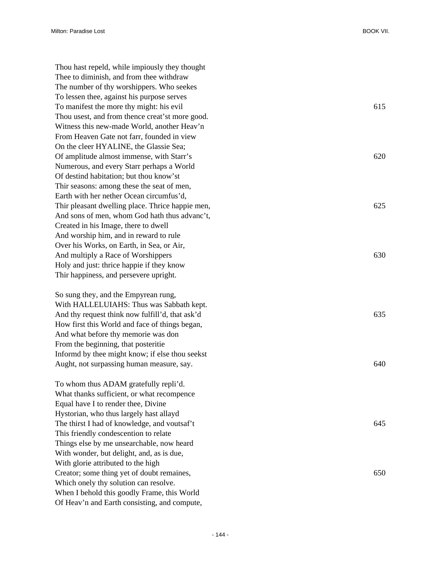Thou hast repeld, while impiously they thought Thee to diminish, and from thee withdraw The number of thy worshippers. Who seekes To lessen thee, against his purpose serves To manifest the more thy might: his evil 615 Thou usest, and from thence creat'st more good. Witness this new-made World, another Heav'n From Heaven Gate not farr, founded in view On the cleer HYALINE, the Glassie Sea; Of amplitude almost immense, with Starr's 620 Numerous, and every Starr perhaps a World Of destind habitation; but thou know'st Thir seasons: among these the seat of men, Earth with her nether Ocean circumfus'd, Thir pleasant dwelling place. Thrice happie men, 625 And sons of men, whom God hath thus advanc't, Created in his Image, there to dwell And worship him, and in reward to rule Over his Works, on Earth, in Sea, or Air, And multiply a Race of Worshippers 630 Holy and just: thrice happie if they know Thir happiness, and persevere upright.

So sung they, and the Empyrean rung, With HALLELUIAHS: Thus was Sabbath kept. And thy request think now fulfill'd, that ask'd 635 How first this World and face of things began, And what before thy memorie was don From the beginning, that posteritie Informd by thee might know; if else thou seekst Aught, not surpassing human measure, say. 640

To whom thus ADAM gratefully repli'd. What thanks sufficient, or what recompence Equal have I to render thee, Divine Hystorian, who thus largely hast allayd The thirst I had of knowledge, and voutsaf't  $645$ This friendly condescention to relate Things else by me unsearchable, now heard With wonder, but delight, and, as is due, With glorie attributed to the high Creator; some thing yet of doubt remaines, 650 Which onely thy solution can resolve. When I behold this goodly Frame, this World Of Heav'n and Earth consisting, and compute,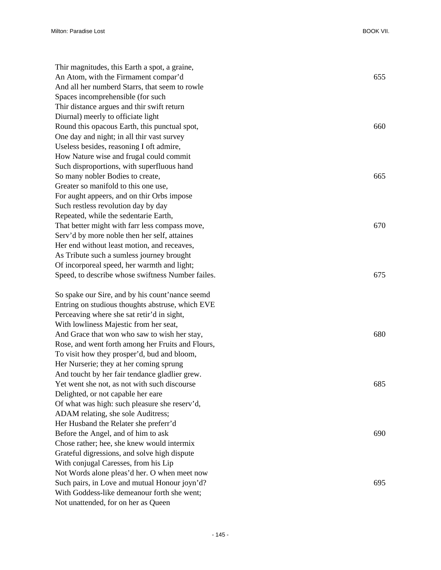| Thir magnitudes, this Earth a spot, a graine,     |     |
|---------------------------------------------------|-----|
| An Atom, with the Firmament compar'd              | 655 |
| And all her numberd Starrs, that seem to rowle    |     |
| Spaces incomprehensible (for such                 |     |
| Thir distance argues and thir swift return        |     |
| Diurnal) meerly to officiate light                |     |
| Round this opacous Earth, this punctual spot,     | 660 |
| One day and night; in all thir vast survey        |     |
| Useless besides, reasoning I oft admire,          |     |
| How Nature wise and frugal could commit           |     |
| Such disproportions, with superfluous hand        |     |
| So many nobler Bodies to create,                  | 665 |
| Greater so manifold to this one use,              |     |
| For aught appeers, and on thir Orbs impose        |     |
| Such restless revolution day by day               |     |
| Repeated, while the sedentarie Earth,             |     |
| That better might with farr less compass move,    | 670 |
| Serv'd by more noble then her self, attaines      |     |
| Her end without least motion, and receaves,       |     |
| As Tribute such a sumless journey brought         |     |
| Of incorporeal speed, her warmth and light;       |     |
| Speed, to describe whose swiftness Number failes. | 675 |
| So spake our Sire, and by his count'nance seemd   |     |
| Entring on studious thoughts abstruse, which EVE  |     |
| Perceaving where she sat retir'd in sight,        |     |
| With lowliness Majestic from her seat,            |     |
| And Grace that won who saw to wish her stay,      | 680 |
| Rose, and went forth among her Fruits and Flours, |     |
| To visit how they prosper'd, bud and bloom,       |     |
| Her Nurserie; they at her coming sprung           |     |
| And toucht by her fair tendance gladlier grew.    |     |
| Yet went she not, as not with such discourse      | 685 |
| Delighted, or not capable her eare                |     |
| Of what was high: such pleasure she reserv'd,     |     |
| ADAM relating, she sole Auditress;                |     |
| Her Husband the Relater she preferr'd             |     |
| Before the Angel, and of him to ask               | 690 |
| Chose rather; hee, she knew would intermix        |     |
| Grateful digressions, and solve high dispute      |     |
| With conjugal Caresses, from his Lip              |     |
| Not Words alone pleas'd her. O when meet now      |     |
| Such pairs, in Love and mutual Honour joyn'd?     | 695 |
| With Goddess-like demeanour forth she went;       |     |
| Not unattended, for on her as Queen               |     |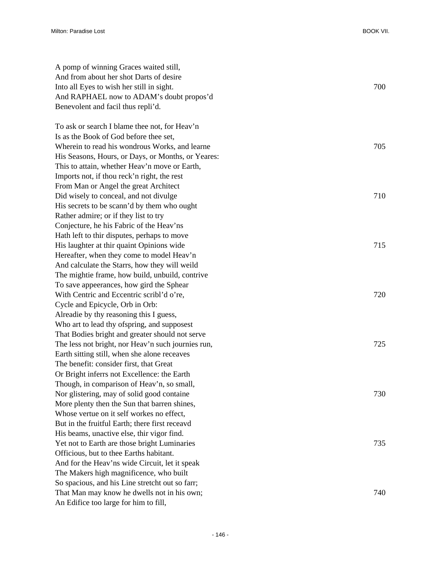| A pomp of winning Graces waited still,             |     |
|----------------------------------------------------|-----|
| And from about her shot Darts of desire            |     |
| Into all Eyes to wish her still in sight.          | 700 |
| And RAPHAEL now to ADAM's doubt propos'd           |     |
| Benevolent and facil thus repli'd.                 |     |
| To ask or search I blame thee not, for Heav'n      |     |
| Is as the Book of God before thee set,             |     |
| Wherein to read his wondrous Works, and learne     | 705 |
| His Seasons, Hours, or Days, or Months, or Yeares: |     |
| This to attain, whether Heav'n move or Earth,      |     |
| Imports not, if thou reck'n right, the rest        |     |
| From Man or Angel the great Architect              |     |
| Did wisely to conceal, and not divulge             | 710 |
| His secrets to be scann'd by them who ought        |     |
| Rather admire; or if they list to try              |     |
| Conjecture, he his Fabric of the Heav'ns           |     |
| Hath left to thir disputes, perhaps to move        |     |
| His laughter at thir quaint Opinions wide          | 715 |
| Hereafter, when they come to model Heav'n          |     |
| And calculate the Starrs, how they will weild      |     |
| The mightie frame, how build, unbuild, contrive    |     |
| To save appeerances, how gird the Sphear           |     |
| With Centric and Eccentric scribl'd o're,          | 720 |
| Cycle and Epicycle, Orb in Orb:                    |     |
| Alreadie by thy reasoning this I guess,            |     |
| Who art to lead thy ofspring, and supposest        |     |
| That Bodies bright and greater should not serve    |     |
| The less not bright, nor Heav'n such journies run, | 725 |
| Earth sitting still, when she alone receaves       |     |
| The benefit: consider first, that Great            |     |
| Or Bright inferrs not Excellence: the Earth        |     |
| Though, in comparison of Heav'n, so small,         |     |
| Nor glistering, may of solid good containe         | 730 |
| More plenty then the Sun that barren shines,       |     |
| Whose vertue on it self workes no effect,          |     |
| But in the fruitful Earth; there first receavd     |     |
| His beams, unactive else, thir vigor find.         |     |
| Yet not to Earth are those bright Luminaries       | 735 |
| Officious, but to thee Earths habitant.            |     |
| And for the Heav'ns wide Circuit, let it speak     |     |
| The Makers high magnificence, who built            |     |
| So spacious, and his Line stretcht out so farr;    |     |
| That Man may know he dwells not in his own;        | 740 |
| An Edifice too large for him to fill,              |     |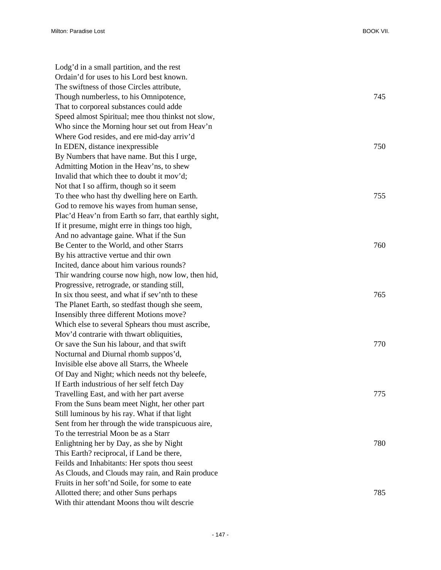| Lodg'd in a small partition, and the rest             |     |
|-------------------------------------------------------|-----|
| Ordain'd for uses to his Lord best known.             |     |
| The swiftness of those Circles attribute,             |     |
| Though numberless, to his Omnipotence,                | 745 |
| That to corporeal substances could adde               |     |
| Speed almost Spiritual; mee thou thinkst not slow,    |     |
| Who since the Morning hour set out from Heav'n        |     |
| Where God resides, and ere mid-day arriv'd            |     |
| In EDEN, distance inexpressible                       | 750 |
| By Numbers that have name. But this I urge,           |     |
| Admitting Motion in the Heav'ns, to shew              |     |
| Invalid that which thee to doubt it mov'd;            |     |
| Not that I so affirm, though so it seem               |     |
| To thee who hast thy dwelling here on Earth.          | 755 |
| God to remove his wayes from human sense,             |     |
| Plac'd Heav'n from Earth so farr, that earthly sight, |     |
| If it presume, might erre in things too high,         |     |
| And no advantage gaine. What if the Sun               |     |
| Be Center to the World, and other Starrs              | 760 |
| By his attractive vertue and thir own                 |     |
| Incited, dance about him various rounds?              |     |
| Thir wandring course now high, now low, then hid,     |     |
| Progressive, retrograde, or standing still,           |     |
| In six thou seest, and what if sev'nth to these       | 765 |
| The Planet Earth, so stedfast though she seem,        |     |
| Insensibly three different Motions move?              |     |
| Which else to several Sphears thou must ascribe,      |     |
| Mov'd contrarie with thwart obliquities,              |     |
| Or save the Sun his labour, and that swift            | 770 |
| Nocturnal and Diurnal rhomb suppos'd,                 |     |
| Invisible else above all Starrs, the Wheele           |     |
| Of Day and Night; which needs not thy beleefe,        |     |
| If Earth industrious of her self fetch Day            |     |
| Travelling East, and with her part averse             | 775 |
| From the Suns beam meet Night, her other part         |     |
| Still luminous by his ray. What if that light         |     |
| Sent from her through the wide transpicuous aire,     |     |
| To the terrestrial Moon be as a Starr                 |     |
| Enlightning her by Day, as she by Night               | 780 |
| This Earth? reciprocal, if Land be there,             |     |
| Feilds and Inhabitants: Her spots thou seest          |     |
| As Clouds, and Clouds may rain, and Rain produce      |     |
| Fruits in her soft'nd Soile, for some to eate         |     |
| Allotted there; and other Suns perhaps                | 785 |
| With thir attendant Moons thou wilt descrie           |     |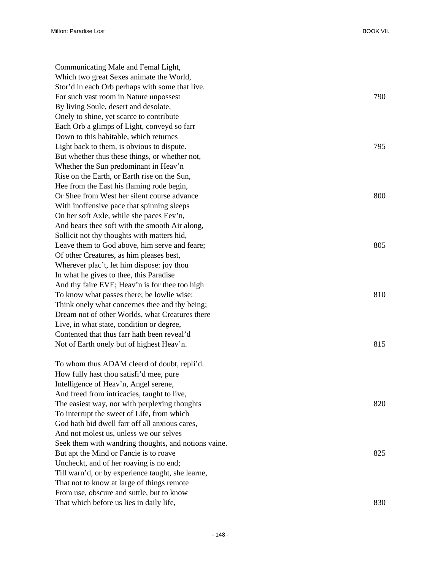Communicating Male and Femal Light, Which two great Sexes animate the World, Stor'd in each Orb perhaps with some that live. For such vast room in Nature unpossest 790 By living Soule, desert and desolate, Onely to shine, yet scarce to contribute Each Orb a glimps of Light, conveyd so farr Down to this habitable, which returnes Light back to them, is obvious to dispute. 795 But whether thus these things, or whether not, Whether the Sun predominant in Heav'n Rise on the Earth, or Earth rise on the Sun, Hee from the East his flaming rode begin, Or Shee from West her silent course advance 800 With inoffensive pace that spinning sleeps On her soft Axle, while she paces Eev'n, And bears thee soft with the smooth Air along, Sollicit not thy thoughts with matters hid, Leave them to God above, him serve and feare: 805 Of other Creatures, as him pleases best, Wherever plac't, let him dispose: joy thou In what he gives to thee, this Paradise And thy faire EVE; Heav'n is for thee too high To know what passes there; be lowlie wise: 810 Think onely what concernes thee and thy being; Dream not of other Worlds, what Creatures there Live, in what state, condition or degree, Contented that thus farr hath been reveal'd Not of Earth onely but of highest Heav'n. 815 To whom thus ADAM cleerd of doubt, repli'd.

How fully hast thou satisfi'd mee, pure Intelligence of Heav'n, Angel serene, And freed from intricacies, taught to live, The easiest way, nor with perplexing thoughts 820 To interrupt the sweet of Life, from which God hath bid dwell farr off all anxious cares, And not molest us, unless we our selves Seek them with wandring thoughts, and notions vaine. But apt the Mind or Fancie is to roave 825 Uncheckt, and of her roaving is no end; Till warn'd, or by experience taught, she learne, That not to know at large of things remote From use, obscure and suttle, but to know That which before us lies in daily life, 830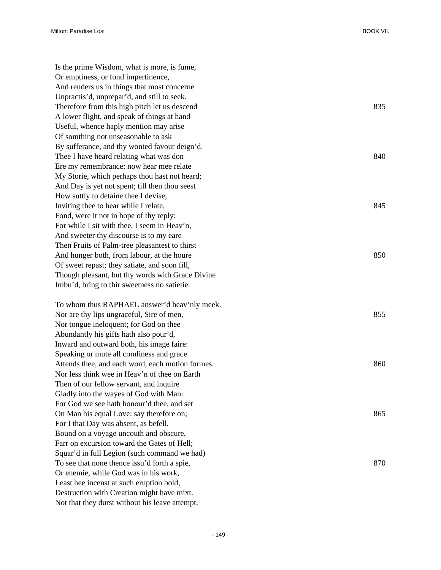Is the prime Wisdom, what is more, is fume, Or emptiness, or fond impertinence, And renders us in things that most concerne Unpractis'd, unprepar'd, and still to seek. Therefore from this high pitch let us descend 835 A lower flight, and speak of things at hand Useful, whence haply mention may arise Of somthing not unseasonable to ask By sufferance, and thy wonted favour deign'd. Thee I have heard relating what was don 840 Ere my remembrance: now hear mee relate My Storie, which perhaps thou hast not heard; And Day is yet not spent; till then thou seest How suttly to detaine thee I devise, Inviting thee to hear while I relate, 845 Fond, were it not in hope of thy reply: For while I sit with thee, I seem in Heav'n, And sweeter thy discourse is to my eare Then Fruits of Palm-tree pleasantest to thirst And hunger both, from labour, at the houre 850 Of sweet repast; they satiate, and soon fill, Though pleasant, but thy words with Grace Divine Imbu'd, bring to thir sweetness no satietie. To whom thus RAPHAEL answer'd heav'nly meek. Nor are thy lips ungraceful, Sire of men, 855 Nor tongue ineloquent; for God on thee Abundantly his gifts hath also pour'd, Inward and outward both, his image faire: Speaking or mute all comliness and grace Attends thee, and each word, each motion formes. 860 Nor less think wee in Heav'n of thee on Earth Then of our fellow servant, and inquire Gladly into the wayes of God with Man: For God we see hath honour'd thee, and set On Man his equal Love: say therefore on; 865 For I that Day was absent, as befell, Bound on a voyage uncouth and obscure, Farr on excursion toward the Gates of Hell; Squar'd in full Legion (such command we had) To see that none thence issu'd forth a spie, 870 Or enemie, while God was in his work, Least hee incenst at such eruption bold, Destruction with Creation might have mixt. Not that they durst without his leave attempt,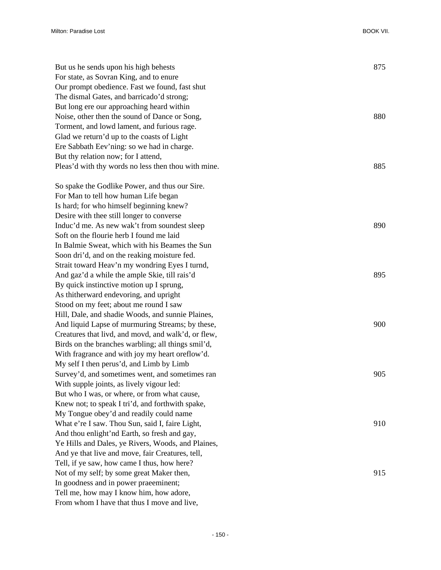| But us he sends upon his high behests<br>For state, as Sovran King, and to enure | 875 |
|----------------------------------------------------------------------------------|-----|
| Our prompt obedience. Fast we found, fast shut                                   |     |
| The dismal Gates, and barricado'd strong;                                        |     |
| But long ere our approaching heard within                                        |     |
| Noise, other then the sound of Dance or Song,                                    | 880 |
| Torment, and lowd lament, and furious rage.                                      |     |
| Glad we return'd up to the coasts of Light                                       |     |
| Ere Sabbath Eev'ning: so we had in charge.                                       |     |
| But thy relation now; for I attend,                                              |     |
| Pleas'd with thy words no less then thou with mine.                              | 885 |
| So spake the Godlike Power, and thus our Sire.                                   |     |
| For Man to tell how human Life began                                             |     |
| Is hard; for who himself beginning knew?                                         |     |
| Desire with thee still longer to converse                                        |     |
| Induc'd me. As new wak't from soundest sleep                                     | 890 |
| Soft on the flourie herb I found me laid                                         |     |
| In Balmie Sweat, which with his Beames the Sun                                   |     |
| Soon dri'd, and on the reaking moisture fed.                                     |     |
| Strait toward Heav'n my wondring Eyes I turnd,                                   |     |
| And gaz'd a while the ample Skie, till rais'd                                    | 895 |
| By quick instinctive motion up I sprung,                                         |     |
| As thitherward endevoring, and upright                                           |     |
| Stood on my feet; about me round I saw                                           |     |
| Hill, Dale, and shadie Woods, and sunnie Plaines,                                |     |
| And liquid Lapse of murmuring Streams; by these,                                 | 900 |
| Creatures that livd, and movd, and walk'd, or flew,                              |     |
| Birds on the branches warbling; all things smil'd,                               |     |
| With fragrance and with joy my heart oreflow'd.                                  |     |
| My self I then perus'd, and Limb by Limb                                         |     |
| Survey'd, and sometimes went, and sometimes ran                                  | 905 |
| With supple joints, as lively vigour led:                                        |     |
| But who I was, or where, or from what cause,                                     |     |
| Knew not; to speak I tri'd, and forthwith spake,                                 |     |
| My Tongue obey'd and readily could name                                          |     |
| What e're I saw. Thou Sun, said I, faire Light,                                  | 910 |
| And thou enlight'nd Earth, so fresh and gay,                                     |     |
| Ye Hills and Dales, ye Rivers, Woods, and Plaines,                               |     |
| And ye that live and move, fair Creatures, tell,                                 |     |
| Tell, if ye saw, how came I thus, how here?                                      |     |
| Not of my self; by some great Maker then,                                        | 915 |
| In goodness and in power praeeminent;                                            |     |
| Tell me, how may I know him, how adore,                                          |     |
| From whom I have that thus I move and live,                                      |     |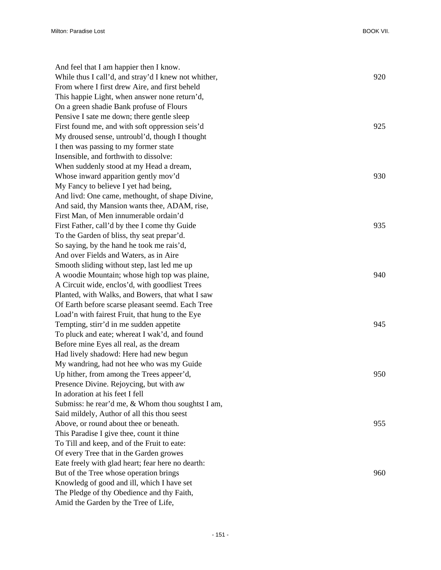| And feel that I am happier then I know.              |     |
|------------------------------------------------------|-----|
| While thus I call'd, and stray'd I knew not whither, | 920 |
| From where I first drew Aire, and first beheld       |     |
| This happie Light, when answer none return'd,        |     |
| On a green shadie Bank profuse of Flours             |     |
| Pensive I sate me down; there gentle sleep           |     |
| First found me, and with soft oppression seis'd      | 925 |
| My droused sense, untroubl'd, though I thought       |     |
| I then was passing to my former state                |     |
| Insensible, and forthwith to dissolve:               |     |
| When suddenly stood at my Head a dream,              |     |
| Whose inward apparition gently mov'd                 | 930 |
| My Fancy to believe I yet had being,                 |     |
| And livd: One came, methought, of shape Divine,      |     |
| And said, thy Mansion wants thee, ADAM, rise,        |     |
| First Man, of Men innumerable ordain'd               |     |
| First Father, call'd by thee I come thy Guide        | 935 |
| To the Garden of bliss, thy seat prepar'd.           |     |
| So saying, by the hand he took me rais'd,            |     |
| And over Fields and Waters, as in Aire               |     |
| Smooth sliding without step, last led me up          |     |
| A woodie Mountain; whose high top was plaine,        | 940 |
| A Circuit wide, enclos'd, with goodliest Trees       |     |
| Planted, with Walks, and Bowers, that what I saw     |     |
| Of Earth before scarse pleasant seemd. Each Tree     |     |
| Load'n with fairest Fruit, that hung to the Eye      |     |
| Tempting, stirr'd in me sudden appetite              | 945 |
| To pluck and eate; whereat I wak'd, and found        |     |
| Before mine Eyes all real, as the dream              |     |
| Had lively shadowd: Here had new begun               |     |
| My wandring, had not hee who was my Guide            |     |
| Up hither, from among the Trees appeer'd,            | 950 |
| Presence Divine. Rejoycing, but with aw              |     |
| In adoration at his feet I fell                      |     |
| Submiss: he rear'd me, & Whom thou soughtst I am,    |     |
| Said mildely, Author of all this thou seest          |     |
| Above, or round about thee or beneath.               | 955 |
| This Paradise I give thee, count it thine            |     |
| To Till and keep, and of the Fruit to eate:          |     |
| Of every Tree that in the Garden growes              |     |
| Eate freely with glad heart; fear here no dearth:    |     |
| But of the Tree whose operation brings               | 960 |
| Knowledg of good and ill, which I have set           |     |
| The Pledge of thy Obedience and thy Faith,           |     |
| Amid the Garden by the Tree of Life,                 |     |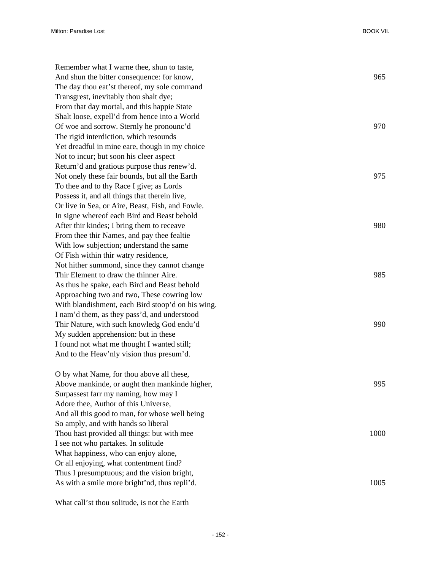| Remember what I warne thee, shun to taste,        |      |
|---------------------------------------------------|------|
| And shun the bitter consequence: for know,        | 965  |
| The day thou eat'st thereof, my sole command      |      |
| Transgrest, inevitably thou shalt dye;            |      |
| From that day mortal, and this happie State       |      |
| Shalt loose, expell'd from hence into a World     |      |
| Of woe and sorrow. Sternly he pronounc'd          | 970  |
| The rigid interdiction, which resounds            |      |
| Yet dreadful in mine eare, though in my choice    |      |
| Not to incur; but soon his cleer aspect           |      |
| Return'd and gratious purpose thus renew'd.       |      |
| Not onely these fair bounds, but all the Earth    | 975  |
| To thee and to thy Race I give; as Lords          |      |
| Possess it, and all things that therein live,     |      |
| Or live in Sea, or Aire, Beast, Fish, and Fowle.  |      |
| In signe whereof each Bird and Beast behold       |      |
| After thir kindes; I bring them to receave        | 980  |
| From thee thir Names, and pay thee fealtie        |      |
| With low subjection; understand the same          |      |
| Of Fish within thir watry residence,              |      |
| Not hither summond, since they cannot change      |      |
| Thir Element to draw the thinner Aire.            | 985  |
| As thus he spake, each Bird and Beast behold      |      |
| Approaching two and two, These cowring low        |      |
| With blandishment, each Bird stoop'd on his wing. |      |
| I nam'd them, as they pass'd, and understood      |      |
| Thir Nature, with such knowledg God endu'd        | 990  |
| My sudden apprehension: but in these              |      |
| I found not what me thought I wanted still;       |      |
| And to the Heav'nly vision thus presum'd.         |      |
| O by what Name, for thou above all these,         |      |
| Above mankinde, or aught then mankinde higher,    | 995  |
| Surpassest farr my naming, how may I              |      |
| Adore thee, Author of this Universe,              |      |
| And all this good to man, for whose well being    |      |
| So amply, and with hands so liberal               |      |
| Thou hast provided all things: but with mee       | 1000 |
| I see not who partakes. In solitude               |      |
| What happiness, who can enjoy alone,              |      |
| Or all enjoying, what contentment find?           |      |
| Thus I presumptuous; and the vision bright,       |      |
| As with a smile more bright'nd, thus repli'd.     | 1005 |
|                                                   |      |

What call'st thou solitude, is not the Earth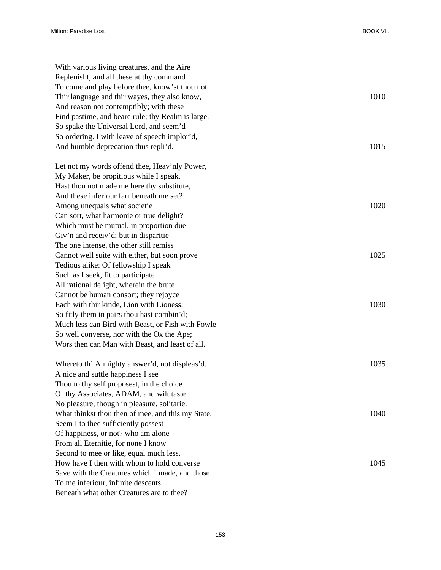| With various living creatures, and the Aire       |      |
|---------------------------------------------------|------|
| Replenisht, and all these at thy command          |      |
| To come and play before thee, know'st thou not    |      |
| Thir language and thir wayes, they also know,     | 1010 |
| And reason not contemptibly; with these           |      |
| Find pastime, and beare rule; thy Realm is large. |      |
| So spake the Universal Lord, and seem'd           |      |
| So ordering. I with leave of speech implor'd,     |      |
| And humble deprecation thus repli'd.              | 1015 |
| Let not my words offend thee, Heav'nly Power,     |      |
| My Maker, be propitious while I speak.            |      |
| Hast thou not made me here thy substitute,        |      |
| And these inferiour farr beneath me set?          |      |
| Among unequals what societie                      | 1020 |
| Can sort, what harmonie or true delight?          |      |
| Which must be mutual, in proportion due           |      |
| Giv'n and receiv'd; but in disparitie             |      |
| The one intense, the other still remiss           |      |
| Cannot well suite with either, but soon prove     | 1025 |
| Tedious alike: Of fellowship I speak              |      |
| Such as I seek, fit to participate                |      |
| All rational delight, wherein the brute           |      |
| Cannot be human consort; they rejoyce             |      |
| Each with thir kinde, Lion with Lioness;          | 1030 |
| So fitly them in pairs thou hast combin'd;        |      |
| Much less can Bird with Beast, or Fish with Fowle |      |
| So well converse, nor with the Ox the Ape;        |      |
| Wors then can Man with Beast, and least of all.   |      |
| Whereto th' Almighty answer'd, not displeas'd.    | 1035 |
| A nice and suttle happiness I see                 |      |
| Thou to thy self proposest, in the choice         |      |
| Of thy Associates, ADAM, and wilt taste           |      |
| No pleasure, though in pleasure, solitarie.       |      |
| What thinkst thou then of mee, and this my State, | 1040 |
| Seem I to thee sufficiently possest               |      |
| Of happiness, or not? who am alone                |      |
| From all Eternitie, for none I know               |      |
| Second to mee or like, equal much less.           |      |
| How have I then with whom to hold converse        | 1045 |
| Save with the Creatures which I made, and those   |      |
| To me inferiour, infinite descents                |      |
| Beneath what other Creatures are to thee?         |      |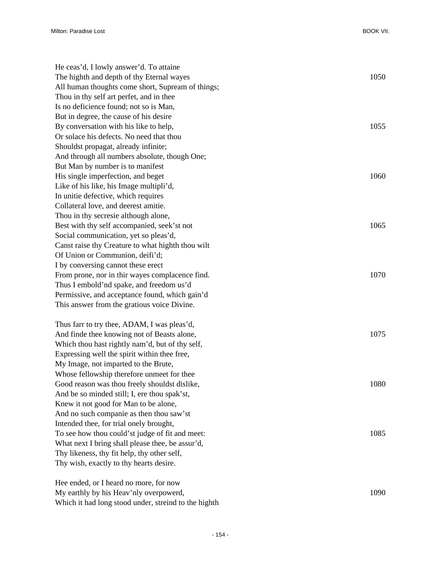| He ceas'd, I lowly answer'd. To attaine           |      |
|---------------------------------------------------|------|
| The highth and depth of thy Eternal wayes         | 1050 |
| All human thoughts come short, Supream of things; |      |
| Thou in thy self art perfet, and in thee          |      |
| Is no deficience found; not so is Man,            |      |
| But in degree, the cause of his desire            |      |
| By conversation with his like to help,            | 1055 |
| Or solace his defects. No need that thou          |      |
| Shouldst propagat, already infinite;              |      |
| And through all numbers absolute, though One;     |      |
| But Man by number is to manifest                  |      |
| His single imperfection, and beget                | 1060 |
| Like of his like, his Image multipli'd,           |      |
| In unitie defective, which requires               |      |
| Collateral love, and deerest amitie.              |      |
| Thou in thy secresie although alone,              |      |
| Best with thy self accompanied, seek'st not       | 1065 |
| Social communication, yet so pleas'd,             |      |
| Canst raise thy Creature to what highth thou wilt |      |
| Of Union or Communion, deifi'd;                   |      |
| I by conversing cannot these erect                |      |
| From prone, nor in thir wayes complacence find.   | 1070 |
| Thus I embold'nd spake, and freedom us'd          |      |
| Permissive, and acceptance found, which gain'd    |      |
| This answer from the gratious voice Divine.       |      |
|                                                   |      |
| Thus farr to try thee, ADAM, I was pleas'd,       |      |
| And finde thee knowing not of Beasts alone,       | 1075 |
| Which thou hast rightly nam'd, but of thy self,   |      |
| Expressing well the spirit within thee free,      |      |
| My Image, not imparted to the Brute,              |      |
| Whose fellowship therefore unmeet for thee        |      |
| Good reason was thou freely shouldst dislike,     | 1080 |
| And be so minded still; I, ere thou spak'st,      |      |
| Knew it not good for Man to be alone,             |      |
| And no such companie as then thou saw'st          |      |
| Intended thee, for trial onely brought,           |      |
| To see how thou could'st judge of fit and meet:   | 1085 |
| What next I bring shall please thee, be assur'd,  |      |
| Thy likeness, thy fit help, thy other self,       |      |
| Thy wish, exactly to thy hearts desire.           |      |
| Hee ended, or I heard no more, for now            |      |
| My earthly by his Heav'nly overpowerd,            | 1090 |

Which it had long stood under, streind to the highth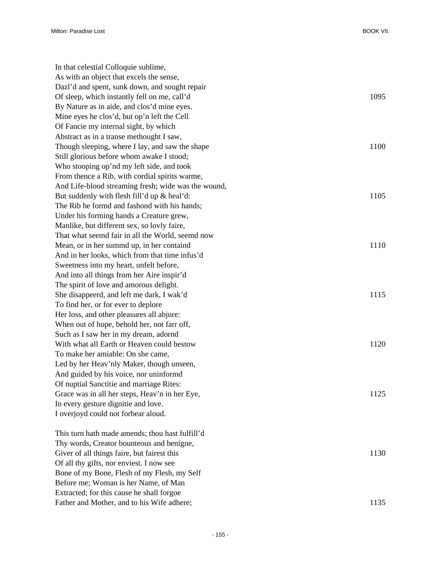| In that celestial Colloquie sublime,                                                     |      |
|------------------------------------------------------------------------------------------|------|
| As with an object that excels the sense,                                                 |      |
| Dazl'd and spent, sunk down, and sought repair                                           |      |
| Of sleep, which instantly fell on me, call'd                                             | 1095 |
| By Nature as in aide, and clos'd mine eyes.                                              |      |
| Mine eyes he clos'd, but op'n left the Cell                                              |      |
| Of Fancie my internal sight, by which                                                    |      |
| Abstract as in a transe methought I saw,                                                 |      |
| Though sleeping, where I lay, and saw the shape                                          | 1100 |
| Still glorious before whom awake I stood;                                                |      |
| Who stooping op'nd my left side, and took                                                |      |
| From thence a Rib, with cordial spirits warme,                                           |      |
| And Life-blood streaming fresh; wide was the wound,                                      |      |
| But suddenly with flesh fill'd up & heal'd:                                              | 1105 |
| The Rib he formd and fashond with his hands;                                             |      |
| Under his forming hands a Creature grew,                                                 |      |
| Manlike, but different sex, so lovly faire,                                              |      |
| That what seemd fair in all the World, seemd now                                         |      |
| Mean, or in her summd up, in her containd                                                | 1110 |
| And in her looks, which from that time infus'd                                           |      |
| Sweetness into my heart, unfelt before,                                                  |      |
| And into all things from her Aire inspir'd                                               |      |
| The spirit of love and amorous delight.                                                  |      |
| She disappeerd, and left me dark, I wak'd                                                | 1115 |
| To find her, or for ever to deplore                                                      |      |
| Her loss, and other pleasures all abjure:                                                |      |
| When out of hope, behold her, not farr off,                                              |      |
| Such as I saw her in my dream, adornd                                                    |      |
| With what all Earth or Heaven could bestow                                               | 1120 |
| To make her amiable: On she came,                                                        |      |
| Led by her Heav'nly Maker, though unseen,                                                |      |
| And guided by his voice, nor uninformd                                                   |      |
| Of nuptial Sanctitie and marriage Rites:                                                 |      |
| Grace was in all her steps, Heav'n in her Eye,                                           | 1125 |
| In every gesture dignitie and love.                                                      |      |
| I overjoyd could not forbear aloud.                                                      |      |
| This turn hath made amends; thou hast fulfill'd                                          |      |
|                                                                                          |      |
| Thy words, Creator bounteous and benigne,<br>Giver of all things faire, but fairest this | 1130 |
| Of all thy gifts, nor enviest. I now see                                                 |      |
| Bone of my Bone, Flesh of my Flesh, my Self                                              |      |
| Before me; Woman is her Name, of Man                                                     |      |
| Extracted; for this cause he shall forgoe                                                |      |
| Father and Mother, and to his Wife adhere;                                               | 1135 |
|                                                                                          |      |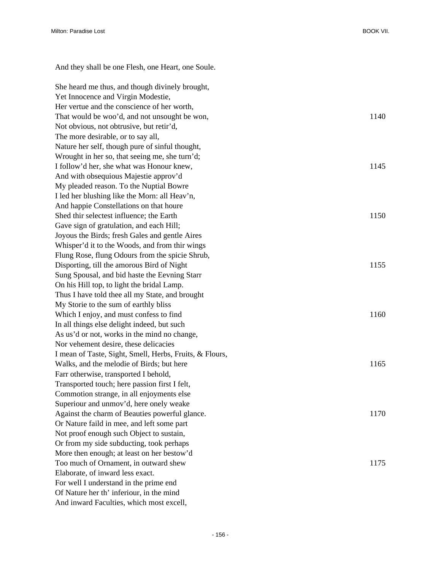And they shall be one Flesh, one Heart, one Soule. She heard me thus, and though divinely brought, Yet Innocence and Virgin Modestie, Her vertue and the conscience of her worth, That would be woo'd, and not unsought be won, 1140 Not obvious, not obtrusive, but retir'd, The more desirable, or to say all, Nature her self, though pure of sinful thought, Wrought in her so, that seeing me, she turn'd; I follow'd her, she what was Honour knew, 1145 And with obsequious Majestie approv'd My pleaded reason. To the Nuptial Bowre I led her blushing like the Morn: all Heav'n, And happie Constellations on that houre Shed thir selectest influence: the Earth 1150 Gave sign of gratulation, and each Hill; Joyous the Birds; fresh Gales and gentle Aires Whisper'd it to the Woods, and from thir wings Flung Rose, flung Odours from the spicie Shrub, Disporting, till the amorous Bird of Night 1155 Sung Spousal, and bid haste the Eevning Starr On his Hill top, to light the bridal Lamp. Thus I have told thee all my State, and brought My Storie to the sum of earthly bliss Which I enjoy, and must confess to find 1160 In all things else delight indeed, but such As us'd or not, works in the mind no change, Nor vehement desire, these delicacies I mean of Taste, Sight, Smell, Herbs, Fruits, & Flours, Walks, and the melodie of Birds; but here 1165 Farr otherwise, transported I behold, Transported touch; here passion first I felt, Commotion strange, in all enjoyments else Superiour and unmov'd, here onely weake Against the charm of Beauties powerful glance. 1170 Or Nature faild in mee, and left some part Not proof enough such Object to sustain, Or from my side subducting, took perhaps More then enough; at least on her bestow'd Too much of Ornament, in outward shew 1175 Elaborate, of inward less exact. For well I understand in the prime end Of Nature her th' inferiour, in the mind

And inward Faculties, which most excell,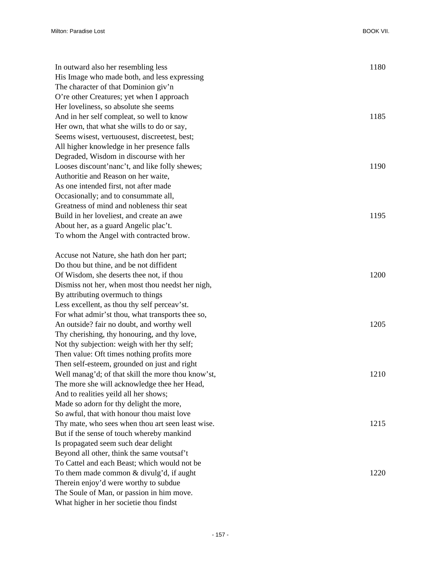| In outward also her resembling less                | 1180 |
|----------------------------------------------------|------|
| His Image who made both, and less expressing       |      |
| The character of that Dominion giv'n               |      |
| O're other Creatures; yet when I approach          |      |
| Her loveliness, so absolute she seems              |      |
| And in her self compleat, so well to know          | 1185 |
| Her own, that what she wills to do or say,         |      |
| Seems wisest, vertuousest, discreetest, best;      |      |
| All higher knowledge in her presence falls         |      |
| Degraded, Wisdom in discourse with her             |      |
| Looses discount'nanc't, and like folly shewes;     | 1190 |
| Authoritie and Reason on her waite,                |      |
| As one intended first, not after made              |      |
| Occasionally; and to consummate all,               |      |
| Greatness of mind and nobleness thir seat          |      |
| Build in her loveliest, and create an awe          | 1195 |
| About her, as a guard Angelic plac't.              |      |
| To whom the Angel with contracted brow.            |      |
|                                                    |      |
| Accuse not Nature, she hath don her part;          |      |
| Do thou but thine, and be not diffident            |      |
| Of Wisdom, she deserts thee not, if thou           | 1200 |
| Dismiss not her, when most thou needst her nigh,   |      |
| By attributing overmuch to things                  |      |
| Less excellent, as thou thy self perceav'st.       |      |
| For what admir'st thou, what transports thee so,   |      |
| An outside? fair no doubt, and worthy well         | 1205 |
| Thy cherishing, thy honouring, and thy love,       |      |
| Not thy subjection: weigh with her thy self;       |      |
| Then value: Oft times nothing profits more         |      |
| Then self-esteem, grounded on just and right       |      |
| Well manag'd; of that skill the more thou know'st, | 1210 |
| The more she will acknowledge thee her Head,       |      |
| And to realities yeild all her shows;              |      |
| Made so adorn for thy delight the more,            |      |
| So awful, that with honour thou maist love         |      |
| Thy mate, who sees when thou art seen least wise.  | 1215 |
| But if the sense of touch whereby mankind          |      |
| Is propagated seem such dear delight               |      |
| Beyond all other, think the same voutsaf't         |      |
| To Cattel and each Beast; which would not be       |      |
| To them made common & divulg'd, if aught           | 1220 |
| Therein enjoy'd were worthy to subdue              |      |
| The Soule of Man, or passion in him move.          |      |

What higher in her societie thou findst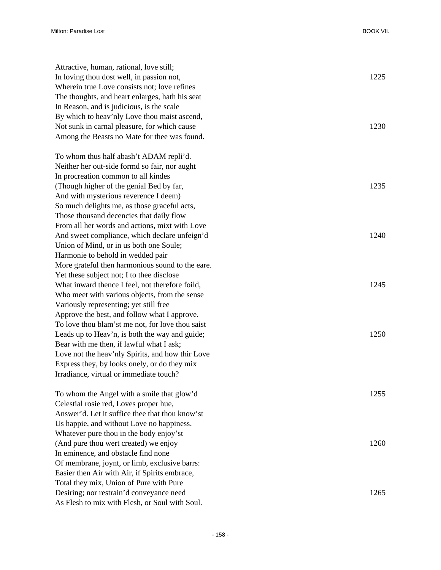| Attractive, human, rational, love still;<br>In loving thou dost well, in passion not, | 1225 |
|---------------------------------------------------------------------------------------|------|
| Wherein true Love consists not; love refines                                          |      |
| The thoughts, and heart enlarges, hath his seat                                       |      |
| In Reason, and is judicious, is the scale                                             |      |
| By which to heav'nly Love thou maist ascend,                                          |      |
| Not sunk in carnal pleasure, for which cause                                          | 1230 |
| Among the Beasts no Mate for thee was found.                                          |      |
| To whom thus half abash't ADAM repli'd.                                               |      |
| Neither her out-side formd so fair, nor aught                                         |      |
| In procreation common to all kindes                                                   |      |
| (Though higher of the genial Bed by far,                                              | 1235 |
| And with mysterious reverence I deem)                                                 |      |
| So much delights me, as those graceful acts,                                          |      |
| Those thousand decencies that daily flow                                              |      |
| From all her words and actions, mixt with Love                                        |      |
| And sweet compliance, which declare unfeign'd                                         | 1240 |
| Union of Mind, or in us both one Soule;                                               |      |
| Harmonie to behold in wedded pair                                                     |      |
| More grateful then harmonious sound to the eare.                                      |      |
| Yet these subject not; I to thee disclose                                             |      |
| What inward thence I feel, not therefore foild,                                       | 1245 |
| Who meet with various objects, from the sense                                         |      |
| Variously representing; yet still free                                                |      |
| Approve the best, and follow what I approve.                                          |      |
| To love thou blam'st me not, for love thou saist                                      |      |
| Leads up to Heav'n, is both the way and guide;                                        | 1250 |
| Bear with me then, if lawful what I ask;                                              |      |
| Love not the heav'nly Spirits, and how thir Love                                      |      |
| Express they, by looks onely, or do they mix                                          |      |
| Irradiance, virtual or immediate touch?                                               |      |
| To whom the Angel with a smile that glow'd                                            | 1255 |
| Celestial rosie red, Loves proper hue,                                                |      |
| Answer'd. Let it suffice thee that thou know'st                                       |      |
| Us happie, and without Love no happiness.                                             |      |
| Whatever pure thou in the body enjoy'st                                               |      |
| (And pure thou wert created) we enjoy                                                 | 1260 |
| In eminence, and obstacle find none                                                   |      |
| Of membrane, joynt, or limb, exclusive barrs:                                         |      |
| Easier then Air with Air, if Spirits embrace,                                         |      |
| Total they mix, Union of Pure with Pure                                               |      |
| Desiring; nor restrain'd conveyance need                                              | 1265 |
| As Flesh to mix with Flesh, or Soul with Soul.                                        |      |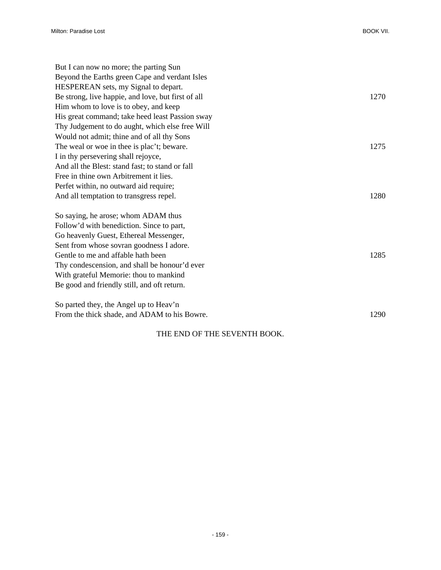| But I can now no more; the parting Sun             |      |
|----------------------------------------------------|------|
| Beyond the Earths green Cape and verdant Isles     |      |
| HESPEREAN sets, my Signal to depart.               |      |
| Be strong, live happie, and love, but first of all | 1270 |
| Him whom to love is to obey, and keep              |      |
| His great command; take heed least Passion sway    |      |
| Thy Judgement to do aught, which else free Will    |      |
| Would not admit; thine and of all thy Sons         |      |
| The weal or woe in thee is plac't; beware.         | 1275 |
| I in thy persevering shall rejoyce,                |      |
| And all the Blest: stand fast; to stand or fall    |      |
| Free in thine own Arbitrement it lies.             |      |
| Perfet within, no outward aid require;             |      |
| And all temptation to transgress repel.            | 1280 |
| So saying, he arose; whom ADAM thus                |      |
| Follow'd with benediction. Since to part,          |      |
| Go heavenly Guest, Ethereal Messenger,             |      |
| Sent from whose sovran goodness I adore.           |      |
| Gentle to me and affable hath been                 | 1285 |
| Thy condescension, and shall be honour'd ever      |      |
| With grateful Memorie: thou to mankind             |      |
| Be good and friendly still, and oft return.        |      |
| So parted they, the Angel up to Heav'n             |      |
| From the thick shade, and ADAM to his Bowre.       | 1290 |

## THE END OF THE SEVENTH BOOK.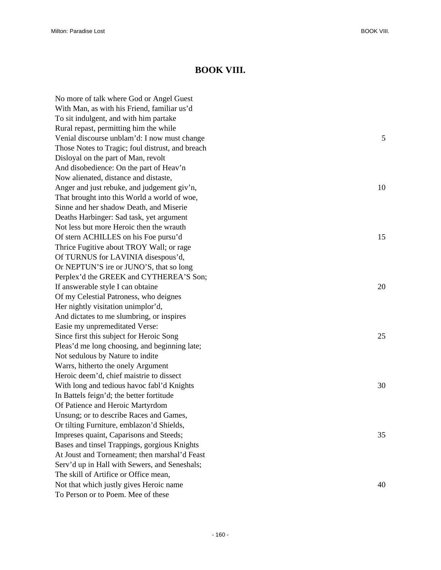## **BOOK VIII.**

No more of talk where God or Angel Guest With Man, as with his Friend, familiar us'd To sit indulgent, and with him partake Rural repast, permitting him the while Venial discourse unblam'd: I now must change 5 Those Notes to Tragic; foul distrust, and breach Disloyal on the part of Man, revolt And disobedience: On the part of Heav'n Now alienated, distance and distaste, Anger and just rebuke, and judgement giv'n, 10 That brought into this World a world of woe, Sinne and her shadow Death, and Miserie Deaths Harbinger: Sad task, yet argument Not less but more Heroic then the wrauth Of stern ACHILLES on his Foe pursu'd 15 Thrice Fugitive about TROY Wall; or rage Of TURNUS for LAVINIA disespous'd, Or NEPTUN'S ire or JUNO'S, that so long Perplex'd the GREEK and CYTHEREA'S Son; If answerable style I can obtaine 20 Of my Celestial Patroness, who deignes Her nightly visitation unimplor'd, And dictates to me slumbring, or inspires Easie my unpremeditated Verse: Since first this subject for Heroic Song 25 Pleas'd me long choosing, and beginning late; Not sedulous by Nature to indite Warrs, hitherto the onely Argument Heroic deem'd, chief maistrie to dissect With long and tedious havoc fabl'd Knights 30 and the state of the state 30 and the state 30 and the state 30 and the state 30 and the state 30 and the state 30 and the state 30 and the state 30 and the state 30 and the st In Battels feign'd; the better fortitude Of Patience and Heroic Martyrdom Unsung; or to describe Races and Games, Or tilting Furniture, emblazon'd Shields, Impreses quaint, Caparisons and Steeds; 35 Bases and tinsel Trappings, gorgious Knights At Joust and Torneament; then marshal'd Feast Serv'd up in Hall with Sewers, and Seneshals; The skill of Artifice or Office mean, Not that which justly gives Heroic name 40 To Person or to Poem. Mee of these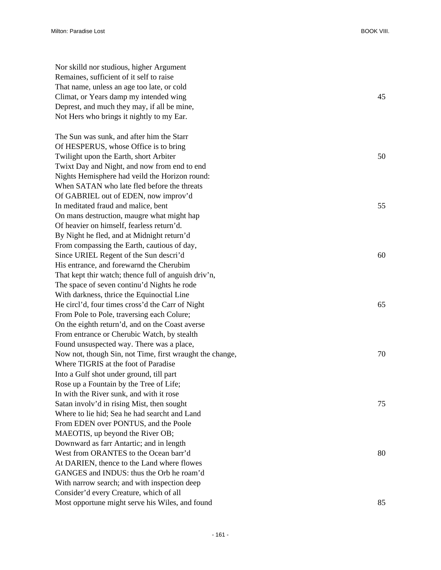| Nor skilld nor studious, higher Argument                 |    |
|----------------------------------------------------------|----|
| Remaines, sufficient of it self to raise                 |    |
| That name, unless an age too late, or cold               |    |
| Climat, or Years damp my intended wing                   | 45 |
| Deprest, and much they may, if all be mine,              |    |
| Not Hers who brings it nightly to my Ear.                |    |
|                                                          |    |
| The Sun was sunk, and after him the Starr                |    |
| Of HESPERUS, whose Office is to bring                    |    |
| Twilight upon the Earth, short Arbiter                   | 50 |
| Twixt Day and Night, and now from end to end             |    |
| Nights Hemisphere had veild the Horizon round:           |    |
| When SATAN who late fled before the threats              |    |
| Of GABRIEL out of EDEN, now improv'd                     |    |
| In meditated fraud and malice, bent                      | 55 |
| On mans destruction, maugre what might hap               |    |
| Of heavier on himself, fearless return'd.                |    |
| By Night he fled, and at Midnight return'd               |    |
| From compassing the Earth, cautious of day,              |    |
| Since URIEL Regent of the Sun descri'd                   | 60 |
| His entrance, and forewarnd the Cherubim                 |    |
| That kept thir watch; thence full of anguish driv'n,     |    |
| The space of seven continu'd Nights he rode              |    |
| With darkness, thrice the Equinoctial Line               |    |
| He circl'd, four times cross'd the Carr of Night         | 65 |
| From Pole to Pole, traversing each Colure;               |    |
| On the eighth return'd, and on the Coast averse          |    |
| From entrance or Cherubic Watch, by stealth              |    |
| Found unsuspected way. There was a place,                |    |
| Now not, though Sin, not Time, first wraught the change, | 70 |
| Where TIGRIS at the foot of Paradise                     |    |
| Into a Gulf shot under ground, till part                 |    |
| Rose up a Fountain by the Tree of Life;                  |    |
| In with the River sunk, and with it rose                 |    |
| Satan involv'd in rising Mist, then sought               | 75 |
| Where to lie hid; Sea he had searcht and Land            |    |
| From EDEN over PONTUS, and the Poole                     |    |
| MAEOTIS, up beyond the River OB;                         |    |
| Downward as farr Antartic; and in length                 |    |
| West from ORANTES to the Ocean barr'd                    | 80 |
| At DARIEN, thence to the Land where flowes               |    |
| GANGES and INDUS: thus the Orb he roam'd                 |    |
| With narrow search; and with inspection deep             |    |
| Consider'd every Creature, which of all                  |    |
| Most opportune might serve his Wiles, and found          | 85 |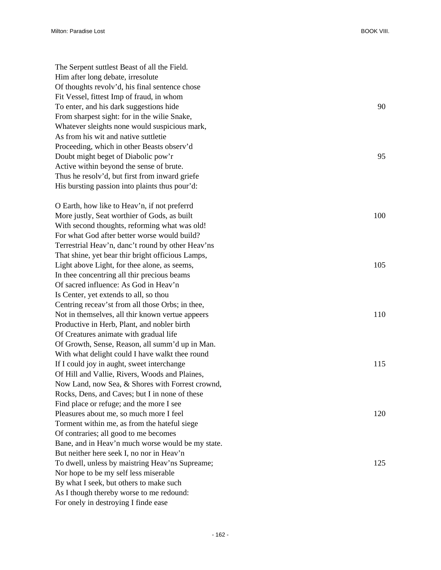| The Serpent suttlest Beast of all the Field.      |     |
|---------------------------------------------------|-----|
| Him after long debate, irresolute                 |     |
| Of thoughts revolv'd, his final sentence chose    |     |
| Fit Vessel, fittest Imp of fraud, in whom         |     |
| To enter, and his dark suggestions hide           | 90  |
| From sharpest sight: for in the wille Snake,      |     |
| Whatever sleights none would suspicious mark,     |     |
| As from his wit and native suttletie              |     |
| Proceeding, which in other Beasts observ'd        |     |
| Doubt might beget of Diabolic pow'r               | 95  |
| Active within beyond the sense of brute.          |     |
| Thus he resolv'd, but first from inward griefe    |     |
| His bursting passion into plaints thus pour'd:    |     |
| O Earth, how like to Heav'n, if not preferrd      |     |
| More justly, Seat worthier of Gods, as built      | 100 |
| With second thoughts, reforming what was old!     |     |
| For what God after better worse would build?      |     |
| Terrestrial Heav'n, danc't round by other Heav'ns |     |
| That shine, yet bear thir bright officious Lamps, |     |
| Light above Light, for thee alone, as seems,      | 105 |
| In thee concentring all thir precious beams       |     |
| Of sacred influence: As God in Heav'n             |     |
| Is Center, yet extends to all, so thou            |     |
| Centring receav'st from all those Orbs; in thee,  |     |
| Not in themselves, all thir known vertue appeers  | 110 |
| Productive in Herb, Plant, and nobler birth       |     |
| Of Creatures animate with gradual life            |     |
| Of Growth, Sense, Reason, all summ'd up in Man.   |     |
| With what delight could I have walkt thee round   |     |
| If I could joy in aught, sweet interchange        | 115 |
| Of Hill and Vallie, Rivers, Woods and Plaines,    |     |
| Now Land, now Sea, & Shores with Forrest crownd,  |     |
| Rocks, Dens, and Caves; but I in none of these    |     |
| Find place or refuge; and the more I see          |     |
| Pleasures about me, so much more I feel           | 120 |
| Torment within me, as from the hateful siege      |     |
| Of contraries; all good to me becomes             |     |
| Bane, and in Heav'n much worse would be my state. |     |
| But neither here seek I, no nor in Heav'n         |     |
| To dwell, unless by maistring Heav'ns Supreame;   | 125 |
| Nor hope to be my self less miserable             |     |
| By what I seek, but others to make such           |     |
| As I though thereby worse to me redound:          |     |
| For onely in destroying I finde ease              |     |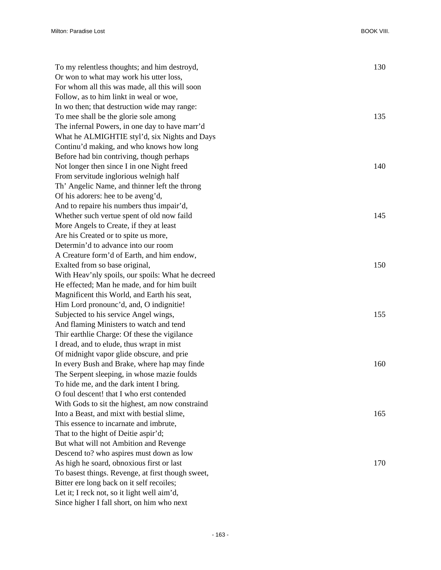| To my relentless thoughts; and him destroyd,      | 130 |
|---------------------------------------------------|-----|
| Or won to what may work his utter loss,           |     |
| For whom all this was made, all this will soon    |     |
| Follow, as to him linkt in weal or woe,           |     |
| In wo then; that destruction wide may range:      |     |
| To mee shall be the glorie sole among             | 135 |
| The infernal Powers, in one day to have marr'd    |     |
| What he ALMIGHTIE styl'd, six Nights and Days     |     |
| Continu'd making, and who knows how long          |     |
| Before had bin contriving, though perhaps         |     |
| Not longer then since I in one Night freed        | 140 |
| From servitude inglorious welnigh half            |     |
| Th' Angelic Name, and thinner left the throng     |     |
| Of his adorers: hee to be aveng'd,                |     |
| And to repaire his numbers thus impair'd,         |     |
| Whether such vertue spent of old now faild        | 145 |
| More Angels to Create, if they at least           |     |
| Are his Created or to spite us more,              |     |
| Determin'd to advance into our room               |     |
| A Creature form'd of Earth, and him endow,        |     |
| Exalted from so base original,                    | 150 |
| With Heav'nly spoils, our spoils: What he decreed |     |
| He effected; Man he made, and for him built       |     |
| Magnificent this World, and Earth his seat,       |     |
| Him Lord pronounc'd, and, O indignitie!           |     |
| Subjected to his service Angel wings,             | 155 |
| And flaming Ministers to watch and tend           |     |
| Thir earthlie Charge: Of these the vigilance      |     |
| I dread, and to elude, thus wrapt in mist         |     |
| Of midnight vapor glide obscure, and prie         |     |
| In every Bush and Brake, where hap may finde      | 160 |
| The Serpent sleeping, in whose mazie foulds       |     |
| To hide me, and the dark intent I bring.          |     |
| O foul descent! that I who erst contended         |     |
| With Gods to sit the highest, am now constraind   |     |
| Into a Beast, and mixt with bestial slime,        | 165 |
| This essence to incarnate and imbrute,            |     |
| That to the hight of Deitie aspir'd;              |     |
| But what will not Ambition and Revenge            |     |
| Descend to? who aspires must down as low          |     |
| As high he soard, obnoxious first or last         | 170 |
| To basest things. Revenge, at first though sweet, |     |
| Bitter ere long back on it self recoiles;         |     |
| Let it; I reck not, so it light well aim'd,       |     |
| Since higher I fall short, on him who next        |     |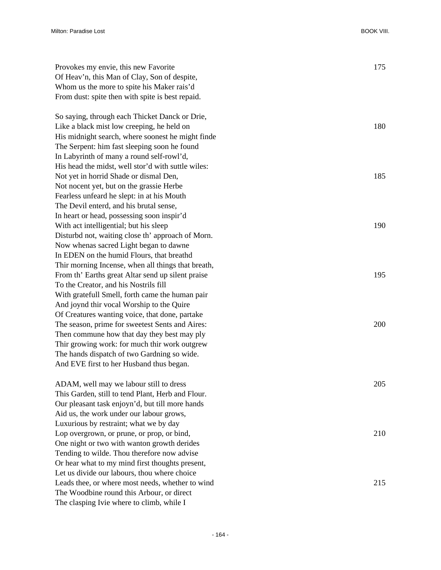| Provokes my envie, this new Favorite<br>Of Heav'n, this Man of Clay, Son of despite, | 175 |
|--------------------------------------------------------------------------------------|-----|
| Whom us the more to spite his Maker rais'd                                           |     |
| From dust: spite then with spite is best repaid.                                     |     |
|                                                                                      |     |
| So saying, through each Thicket Danck or Drie,                                       |     |
| Like a black mist low creeping, he held on                                           | 180 |
| His midnight search, where soonest he might finde                                    |     |
| The Serpent: him fast sleeping soon he found                                         |     |
| In Labyrinth of many a round self-rowl'd,                                            |     |
| His head the midst, well stor'd with suttle wiles:                                   |     |
| Not yet in horrid Shade or dismal Den,                                               | 185 |
| Not nocent yet, but on the grassie Herbe                                             |     |
| Fearless unfeard he slept: in at his Mouth                                           |     |
| The Devil enterd, and his brutal sense,                                              |     |
| In heart or head, possessing soon inspir'd                                           |     |
| With act intelligential; but his sleep                                               | 190 |
| Disturbd not, waiting close th' approach of Morn.                                    |     |
| Now whenas sacred Light began to dawne                                               |     |
| In EDEN on the humid Flours, that breathd                                            |     |
| Thir morning Incense, when all things that breath,                                   |     |
| From th' Earths great Altar send up silent praise                                    | 195 |
| To the Creator, and his Nostrils fill                                                |     |
| With gratefull Smell, forth came the human pair                                      |     |
| And joynd thir vocal Worship to the Quire                                            |     |
| Of Creatures wanting voice, that done, partake                                       |     |
| The season, prime for sweetest Sents and Aires:                                      | 200 |
| Then commune how that day they best may ply                                          |     |
| Thir growing work: for much thir work outgrew                                        |     |
| The hands dispatch of two Gardning so wide.                                          |     |
| And EVE first to her Husband thus began.                                             |     |
|                                                                                      |     |
| ADAM, well may we labour still to dress                                              | 205 |
| This Garden, still to tend Plant, Herb and Flour.                                    |     |
| Our pleasant task enjoyn'd, but till more hands                                      |     |
| Aid us, the work under our labour grows,                                             |     |
| Luxurious by restraint; what we by day                                               |     |
| Lop overgrown, or prune, or prop, or bind,                                           | 210 |
| One night or two with wanton growth derides                                          |     |
| Tending to wilde. Thou therefore now advise                                          |     |
| Or hear what to my mind first thoughts present,                                      |     |
| Let us divide our labours, thou where choice                                         |     |

Leads thee, or where most needs, whether to wind 215

The Woodbine round this Arbour, or direct The clasping Ivie where to climb, while I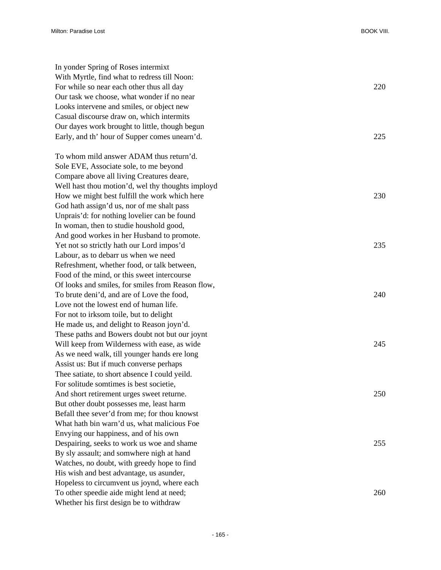| In yonder Spring of Roses intermixt               |     |
|---------------------------------------------------|-----|
| With Myrtle, find what to redress till Noon:      |     |
| For while so near each other thus all day         | 220 |
| Our task we choose, what wonder if no near        |     |
| Looks intervene and smiles, or object new         |     |
| Casual discourse draw on, which intermits         |     |
| Our dayes work brought to little, though begun    |     |
| Early, and th' hour of Supper comes unearn'd.     | 225 |
|                                                   |     |
| To whom mild answer ADAM thus return'd.           |     |
| Sole EVE, Associate sole, to me beyond            |     |
| Compare above all living Creatures deare,         |     |
| Well hast thou motion'd, wel thy thoughts imployd |     |
| How we might best fulfill the work which here     | 230 |
| God hath assign'd us, nor of me shalt pass        |     |
| Unprais'd: for nothing lovelier can be found      |     |
| In woman, then to studie houshold good,           |     |
| And good workes in her Husband to promote.        |     |
| Yet not so strictly hath our Lord impos'd         | 235 |
| Labour, as to debarr us when we need              |     |
| Refreshment, whether food, or talk between,       |     |
| Food of the mind, or this sweet intercourse       |     |
| Of looks and smiles, for smiles from Reason flow, |     |
| To brute deni'd, and are of Love the food,        | 240 |
| Love not the lowest end of human life.            |     |
| For not to irksom toile, but to delight           |     |
| He made us, and delight to Reason joyn'd.         |     |
| These paths and Bowers doubt not but our joynt    |     |
| Will keep from Wilderness with ease, as wide      | 245 |
| As we need walk, till younger hands ere long      |     |
| Assist us: But if much converse perhaps           |     |
| Thee satiate, to short absence I could yeild.     |     |
| For solitude somtimes is best societie,           |     |
| And short retirement urges sweet returne.         | 250 |
| But other doubt possesses me, least harm          |     |
| Befall thee sever'd from me; for thou knowst      |     |
| What hath bin warn'd us, what malicious Foe       |     |
| Envying our happiness, and of his own             |     |
| Despairing, seeks to work us woe and shame        | 255 |
| By sly assault; and somwhere nigh at hand         |     |
| Watches, no doubt, with greedy hope to find       |     |
| His wish and best advantage, us asunder,          |     |
| Hopeless to circumvent us joynd, where each       |     |
| To other speedie aide might lend at need;         | 260 |
| Whether his first design be to withdraw           |     |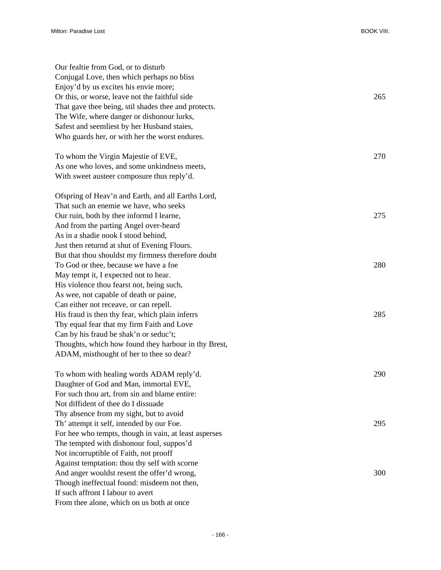| Our fealtie from God, or to disturb<br>Conjugal Love, then which perhaps no bliss<br>Enjoy'd by us excites his envie more;<br>Or this, or worse, leave not the faithful side<br>That gave thee being, stil shades thee and protects.<br>The Wife, where danger or dishonour lurks,<br>Safest and seemliest by her Husband staies,<br>Who guards her, or with her the worst endures. | 265 |
|-------------------------------------------------------------------------------------------------------------------------------------------------------------------------------------------------------------------------------------------------------------------------------------------------------------------------------------------------------------------------------------|-----|
| To whom the Virgin Majestie of EVE,<br>As one who loves, and some unkindness meets,<br>With sweet austeer composure thus reply'd.                                                                                                                                                                                                                                                   | 270 |
| Ofspring of Heav'n and Earth, and all Earths Lord,<br>That such an enemie we have, who seeks<br>Our ruin, both by thee informd I learne,<br>And from the parting Angel over-heard<br>As in a shadie nook I stood behind,<br>Just then returnd at shut of Evening Flours.                                                                                                            | 275 |
| But that thou shouldst my firmness therefore doubt<br>To God or thee, because we have a foe<br>May tempt it, I expected not to hear.<br>His violence thou fearst not, being such,<br>As wee, not capable of death or paine,                                                                                                                                                         | 280 |
| Can either not receave, or can repell.<br>His fraud is then thy fear, which plain inferrs<br>Thy equal fear that my firm Faith and Love<br>Can by his fraud be shak'n or seduc't;<br>Thoughts, which how found they harbour in thy Brest,<br>ADAM, misthought of her to thee so dear?                                                                                               | 285 |
| To whom with healing words ADAM reply'd.<br>Daughter of God and Man, immortal EVE,<br>For such thou art, from sin and blame entire:<br>Not diffident of thee do I dissuade                                                                                                                                                                                                          | 290 |
| Thy absence from my sight, but to avoid<br>Th' attempt it self, intended by our Foe.<br>For hee who tempts, though in vain, at least asperses<br>The tempted with dishonour foul, suppos'd                                                                                                                                                                                          | 295 |
| Not incorruptible of Faith, not prooff<br>Against temptation: thou thy self with scorne<br>And anger wouldst resent the offer'd wrong,<br>Though ineffectual found: misdeem not then,<br>If such affront I labour to avert<br>From thee alone, which on us both at once                                                                                                             | 300 |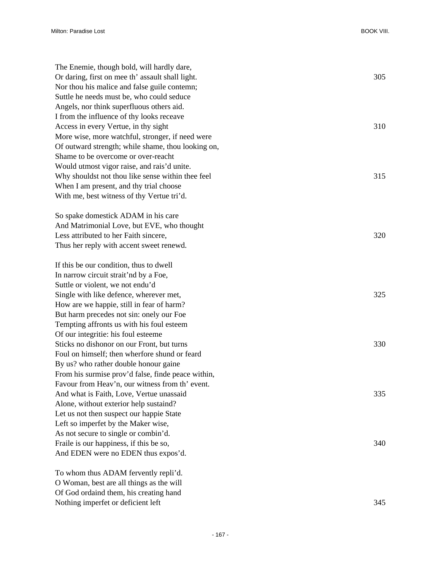| The Enemie, though bold, will hardly dare,         |     |
|----------------------------------------------------|-----|
| Or daring, first on mee th' assault shall light.   | 305 |
| Nor thou his malice and false guile contemn;       |     |
| Suttle he needs must be, who could seduce          |     |
| Angels, nor think superfluous others aid.          |     |
| I from the influence of thy looks receave          |     |
| Access in every Vertue, in thy sight               | 310 |
| More wise, more watchful, stronger, if need were   |     |
| Of outward strength; while shame, thou looking on, |     |
| Shame to be overcome or over-reacht                |     |
| Would utmost vigor raise, and rais'd unite.        |     |
| Why shouldst not thou like sense within thee feel  | 315 |
| When I am present, and thy trial choose            |     |
| With me, best witness of thy Vertue tri'd.         |     |
|                                                    |     |
| So spake domestick ADAM in his care                |     |
| And Matrimonial Love, but EVE, who thought         |     |
| Less attributed to her Faith sincere,              | 320 |
| Thus her reply with accent sweet renewd.           |     |
|                                                    |     |
| If this be our condition, thus to dwell            |     |
| In narrow circuit strait'nd by a Foe,              |     |
| Suttle or violent, we not endu'd                   |     |
| Single with like defence, wherever met,            | 325 |
| How are we happie, still in fear of harm?          |     |
| But harm precedes not sin: onely our Foe           |     |
| Tempting affronts us with his foul esteem          |     |
| Of our integritie: his foul esteeme                |     |
| Sticks no dishonor on our Front, but turns         | 330 |
| Foul on himself; then wherfore shund or feard      |     |
| By us? who rather double honour gaine              |     |
| From his surmise prov'd false, finde peace within, |     |
| Favour from Heav'n, our witness from th' event.    |     |
| And what is Faith, Love, Vertue unassaid           | 335 |
| Alone, without exterior help sustaind?             |     |
| Let us not then suspect our happie State           |     |
| Left so imperfet by the Maker wise,                |     |
| As not secure to single or combin'd.               |     |
| Fraile is our happiness, if this be so,            | 340 |
| And EDEN were no EDEN thus expos'd.                |     |
|                                                    |     |
| To whom thus ADAM fervently repli'd.               |     |
| O Woman, best are all things as the will           |     |
| Of God ordaind them, his creating hand             |     |
| Nothing imperfet or deficient left                 | 345 |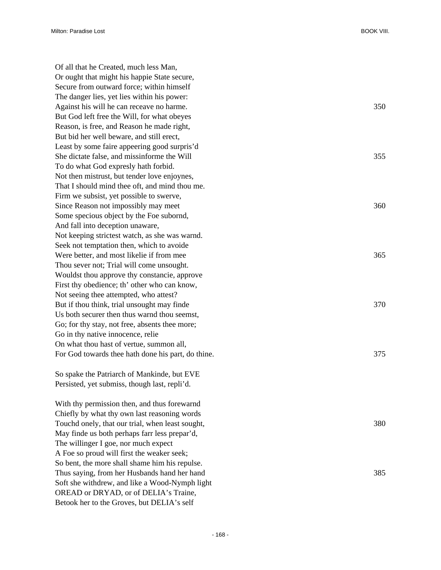Of all that he Created, much less Man, Or ought that might his happie State secure, Secure from outward force; within himself The danger lies, yet lies within his power: Against his will he can receave no harme. 350 But God left free the Will, for what obeyes Reason, is free, and Reason he made right, But bid her well beware, and still erect, Least by some faire appeering good surpris'd She dictate false, and missinforme the Will 355 To do what God expresly hath forbid. Not then mistrust, but tender love enjoynes, That I should mind thee oft, and mind thou me. Firm we subsist, yet possible to swerve, Since Reason not impossibly may meet 360 Some specious object by the Foe subornd, And fall into deception unaware, Not keeping strictest watch, as she was warnd. Seek not temptation then, which to avoide Were better, and most likelie if from mee 365 Thou sever not; Trial will come unsought. Wouldst thou approve thy constancie, approve First thy obedience; th' other who can know, Not seeing thee attempted, who attest? But if thou think, trial unsought may finde 370 Us both securer then thus warnd thou seemst, Go; for thy stay, not free, absents thee more; Go in thy native innocence, relie On what thou hast of vertue, summon all, For God towards thee hath done his part, do thine. 375

So spake the Patriarch of Mankinde, but EVE Persisted, yet submiss, though last, repli'd.

With thy permission then, and thus forewarnd Chiefly by what thy own last reasoning words Touchd onely, that our trial, when least sought,  $380$ May finde us both perhaps farr less prepar'd, The willinger I goe, nor much expect A Foe so proud will first the weaker seek; So bent, the more shall shame him his repulse. Thus saying, from her Husbands hand her hand 385 Soft she withdrew, and like a Wood-Nymph light OREAD or DRYAD, or of DELIA's Traine, Betook her to the Groves, but DELIA's self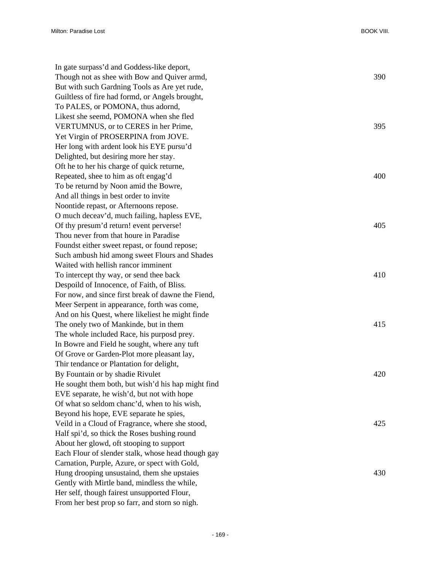| In gate surpass'd and Goddess-like deport,         |     |
|----------------------------------------------------|-----|
| Though not as shee with Bow and Quiver armd,       | 390 |
| But with such Gardning Tools as Are yet rude,      |     |
| Guiltless of fire had formd, or Angels brought,    |     |
| To PALES, or POMONA, thus adornd,                  |     |
| Likest she seemd, POMONA when she fled             |     |
| VERTUMNUS, or to CERES in her Prime,               | 395 |
| Yet Virgin of PROSERPINA from JOVE.                |     |
| Her long with ardent look his EYE pursu'd          |     |
| Delighted, but desiring more her stay.             |     |
| Oft he to her his charge of quick returne,         |     |
| Repeated, shee to him as oft engag'd               | 400 |
| To be returnd by Noon amid the Bowre,              |     |
| And all things in best order to invite             |     |
| Noontide repast, or Afternoons repose.             |     |
| O much deceav'd, much failing, hapless EVE,        |     |
| Of thy presum'd return! event perverse!            | 405 |
| Thou never from that houre in Paradise             |     |
| Foundst either sweet repast, or found repose;      |     |
| Such ambush hid among sweet Flours and Shades      |     |
| Waited with hellish rancor imminent                |     |
| To intercept thy way, or send thee back            | 410 |
| Despoild of Innocence, of Faith, of Bliss.         |     |
| For now, and since first break of dawne the Fiend, |     |
| Meer Serpent in appearance, forth was come,        |     |
| And on his Quest, where likeliest he might finde   |     |
| The onely two of Mankinde, but in them             | 415 |
| The whole included Race, his purposd prey.         |     |
| In Bowre and Field he sought, where any tuft       |     |
| Of Grove or Garden-Plot more pleasant lay,         |     |
| Thir tendance or Plantation for delight,           |     |
| By Fountain or by shadie Rivulet                   | 420 |
| He sought them both, but wish'd his hap might find |     |
| EVE separate, he wish'd, but not with hope         |     |
| Of what so seldom chanc'd, when to his wish,       |     |
| Beyond his hope, EVE separate he spies,            |     |
| Veild in a Cloud of Fragrance, where she stood,    | 425 |
| Half spi'd, so thick the Roses bushing round       |     |
| About her glowd, oft stooping to support           |     |
| Each Flour of slender stalk, whose head though gay |     |
| Carnation, Purple, Azure, or spect with Gold,      |     |
| Hung drooping unsustaind, them she upstaies        | 430 |
| Gently with Mirtle band, mindless the while,       |     |
| Her self, though fairest unsupported Flour,        |     |
| From her best prop so farr, and storn so nigh.     |     |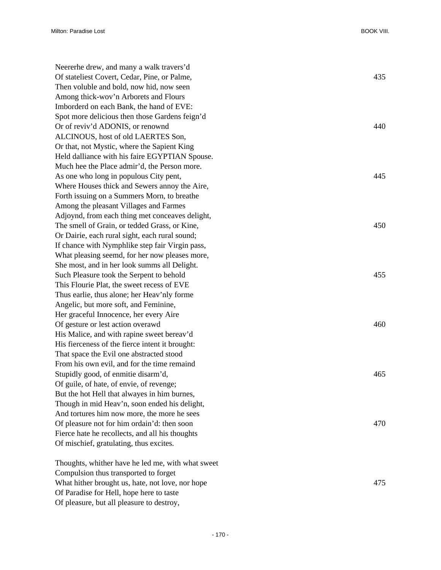| Neererhe drew, and many a walk travers'd<br>Of stateliest Covert, Cedar, Pine, or Palme,<br>Then voluble and bold, now hid, now seen | 435 |
|--------------------------------------------------------------------------------------------------------------------------------------|-----|
| Among thick-wov'n Arborets and Flours                                                                                                |     |
| Imborderd on each Bank, the hand of EVE:                                                                                             |     |
| Spot more delicious then those Gardens feign'd                                                                                       |     |
| Or of reviv'd ADONIS, or renownd                                                                                                     | 440 |
| ALCINOUS, host of old LAERTES Son,                                                                                                   |     |
| Or that, not Mystic, where the Sapient King                                                                                          |     |
| Held dalliance with his faire EGYPTIAN Spouse.                                                                                       |     |
| Much hee the Place admir'd, the Person more.                                                                                         |     |
| As one who long in populous City pent,                                                                                               | 445 |
| Where Houses thick and Sewers annoy the Aire,                                                                                        |     |
| Forth issuing on a Summers Morn, to breathe                                                                                          |     |
| Among the pleasant Villages and Farmes                                                                                               |     |
| Adjoynd, from each thing met conceaves delight,                                                                                      |     |
| The smell of Grain, or tedded Grass, or Kine,                                                                                        | 450 |
| Or Dairie, each rural sight, each rural sound;                                                                                       |     |
| If chance with Nymphlike step fair Virgin pass,                                                                                      |     |
| What pleasing seemd, for her now pleases more,                                                                                       |     |
| She most, and in her look summs all Delight.                                                                                         |     |
| Such Pleasure took the Serpent to behold                                                                                             | 455 |
| This Flourie Plat, the sweet recess of EVE                                                                                           |     |
| Thus earlie, thus alone; her Heav'nly forme                                                                                          |     |
| Angelic, but more soft, and Feminine,                                                                                                |     |
| Her graceful Innocence, her every Aire                                                                                               |     |
| Of gesture or lest action overawd                                                                                                    | 460 |
| His Malice, and with rapine sweet bereav'd                                                                                           |     |
| His fierceness of the fierce intent it brought:                                                                                      |     |
| That space the Evil one abstracted stood                                                                                             |     |
| From his own evil, and for the time remaind                                                                                          |     |
| Stupidly good, of enmitie disarm'd,                                                                                                  | 465 |
| Of guile, of hate, of envie, of revenge;                                                                                             |     |
| But the hot Hell that alwayes in him burnes,                                                                                         |     |
| Though in mid Heav'n, soon ended his delight,                                                                                        |     |
| And tortures him now more, the more he sees                                                                                          |     |
| Of pleasure not for him ordain'd: then soon                                                                                          | 470 |
| Fierce hate he recollects, and all his thoughts                                                                                      |     |
| Of mischief, gratulating, thus excites.                                                                                              |     |
|                                                                                                                                      |     |
| Thoughts, whither have he led me, with what sweet                                                                                    |     |
| Compulsion thus transported to forget                                                                                                |     |

Of Paradise for Hell, hope here to taste Of pleasure, but all pleasure to destroy,

What hither brought us, hate, not love, nor hope 475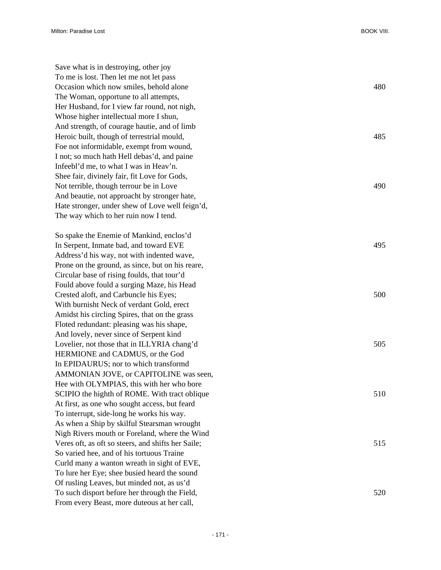Save what is in destroying, other joy To me is lost. Then let me not let pass Occasion which now smiles, behold alone 480 The Woman, opportune to all attempts, Her Husband, for I view far round, not nigh, Whose higher intellectual more I shun, And strength, of courage hautie, and of limb Heroic built, though of terrestrial mould,  $485$ Foe not informidable, exempt from wound, I not; so much hath Hell debas'd, and paine Infeebl'd me, to what I was in Heav'n. Shee fair, divinely fair, fit Love for Gods, Not terrible, though terrour be in Love 490 And beautie, not approacht by stronger hate, Hate stronger, under shew of Love well feign'd, The way which to her ruin now I tend.

So spake the Enemie of Mankind, enclos'd In Serpent, Inmate bad, and toward EVE 495 Address'd his way, not with indented wave, Prone on the ground, as since, but on his reare, Circular base of rising foulds, that tour'd Fould above fould a surging Maze, his Head Crested aloft, and Carbuncle his Eyes; 500 With burnisht Neck of verdant Gold, erect Amidst his circling Spires, that on the grass Floted redundant: pleasing was his shape, And lovely, never since of Serpent kind Lovelier, not those that in ILLYRIA chang'd 505 HERMIONE and CADMUS, or the God In EPIDAURUS; nor to which transformd AMMONIAN JOVE, or CAPITOLINE was seen, Hee with OLYMPIAS, this with her who bore SCIPIO the highth of ROME. With tract oblique 510 At first, as one who sought access, but feard To interrupt, side-long he works his way. As when a Ship by skilful Stearsman wrought Nigh Rivers mouth or Foreland, where the Wind Veres oft, as oft so steers, and shifts her Saile; 515 So varied hee, and of his tortuous Traine Curld many a wanton wreath in sight of EVE, To lure her Eye; shee busied heard the sound Of rusling Leaves, but minded not, as us'd To such disport before her through the Field, 520 From every Beast, more duteous at her call,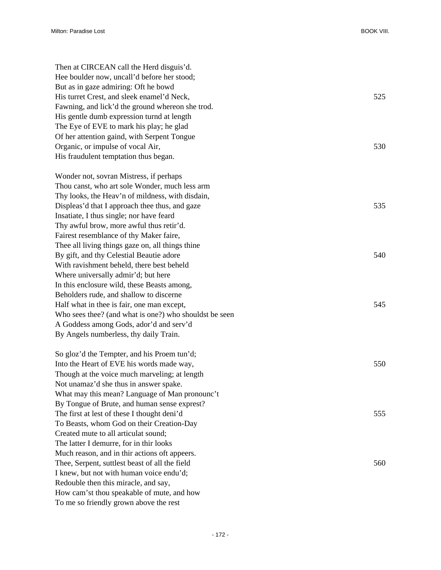| Then at CIRCEAN call the Herd disguis'd.               |     |
|--------------------------------------------------------|-----|
| Hee boulder now, uncall'd before her stood;            |     |
| But as in gaze admiring: Oft he bowd                   |     |
| His turret Crest, and sleek enamel'd Neck,             | 525 |
| Fawning, and lick'd the ground whereon she trod.       |     |
| His gentle dumb expression turnd at length             |     |
| The Eye of EVE to mark his play; he glad               |     |
| Of her attention gaind, with Serpent Tongue            |     |
| Organic, or impulse of vocal Air,                      | 530 |
| His fraudulent temptation thus began.                  |     |
| Wonder not, sovran Mistress, if perhaps                |     |
| Thou canst, who art sole Wonder, much less arm         |     |
| Thy looks, the Heav'n of mildness, with disdain,       |     |
| Displeas'd that I approach thee thus, and gaze         | 535 |
| Insatiate, I thus single; nor have feard               |     |
| Thy awful brow, more awful thus retir'd.               |     |
| Fairest resemblance of thy Maker faire,                |     |
| Thee all living things gaze on, all things thine       |     |
| By gift, and thy Celestial Beautie adore               | 540 |
| With ravishment beheld, there best beheld              |     |
| Where universally admir'd; but here                    |     |
| In this enclosure wild, these Beasts among,            |     |
| Beholders rude, and shallow to discerne                |     |
| Half what in thee is fair, one man except,             | 545 |
| Who sees thee? (and what is one?) who shouldst be seen |     |
| A Goddess among Gods, ador'd and serv'd                |     |
| By Angels numberless, thy daily Train.                 |     |
| So gloz'd the Tempter, and his Proem tun'd;            |     |
| Into the Heart of EVE his words made way,              | 550 |
| Though at the voice much marveling; at length          |     |
| Not unamaz'd she thus in answer spake.                 |     |
| What may this mean? Language of Man pronounc't         |     |
| By Tongue of Brute, and human sense exprest?           |     |
| The first at lest of these I thought deni'd            | 555 |
| To Beasts, whom God on their Creation-Day              |     |
| Created mute to all articulat sound;                   |     |
| The latter I demurre, for in thir looks                |     |
| Much reason, and in thir actions oft appeers.          |     |
| Thee, Serpent, suttlest beast of all the field         | 560 |
| I knew, but not with human voice endu'd;               |     |
| Redouble then this miracle, and say,                   |     |
| How cam'st thou speakable of mute, and how             |     |
| To me so friendly grown above the rest                 |     |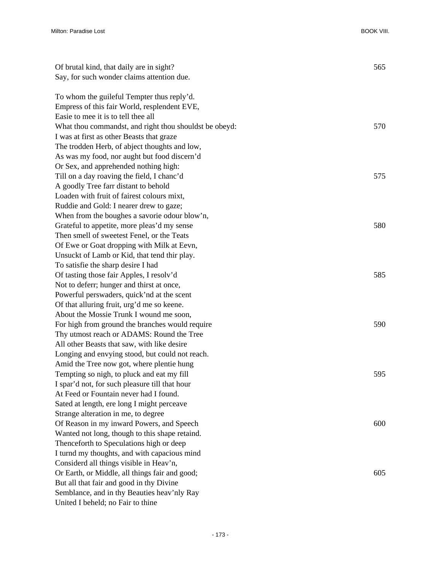| Of brutal kind, that daily are in sight?               | 565 |
|--------------------------------------------------------|-----|
| Say, for such wonder claims attention due.             |     |
|                                                        |     |
| To whom the guileful Tempter thus reply'd.             |     |
| Empress of this fair World, resplendent EVE,           |     |
| Easie to mee it is to tell thee all                    |     |
| What thou commandst, and right thou shouldst be obeyd: | 570 |
| I was at first as other Beasts that graze              |     |
| The trodden Herb, of abject thoughts and low,          |     |
| As was my food, nor aught but food discern'd           |     |
| Or Sex, and apprehended nothing high:                  |     |
| Till on a day roaving the field, I chanc'd             | 575 |
| A goodly Tree farr distant to behold                   |     |
| Loaden with fruit of fairest colours mixt,             |     |
| Ruddie and Gold: I nearer drew to gaze;                |     |
| When from the boughes a savorie odour blow'n,          |     |
| Grateful to appetite, more pleas'd my sense            | 580 |
| Then smell of sweetest Fenel, or the Teats             |     |
| Of Ewe or Goat dropping with Milk at Eevn,             |     |
| Unsuckt of Lamb or Kid, that tend thir play.           |     |
| To satisfie the sharp desire I had                     |     |
| Of tasting those fair Apples, I resolv'd               | 585 |
| Not to deferr; hunger and thirst at once,              |     |
| Powerful perswaders, quick'nd at the scent             |     |
| Of that alluring fruit, urg'd me so keene.             |     |
| About the Mossie Trunk I wound me soon,                |     |
| For high from ground the branches would require        | 590 |
| Thy utmost reach or ADAMS: Round the Tree              |     |
| All other Beasts that saw, with like desire            |     |
| Longing and envying stood, but could not reach.        |     |
| Amid the Tree now got, where plentie hung              |     |
| Tempting so nigh, to pluck and eat my fill             | 595 |
| I spar'd not, for such pleasure till that hour         |     |
| At Feed or Fountain never had I found.                 |     |
| Sated at length, ere long I might perceave             |     |
| Strange alteration in me, to degree                    |     |
| Of Reason in my inward Powers, and Speech              | 600 |
| Wanted not long, though to this shape retaind.         |     |
| Thenceforth to Speculations high or deep               |     |
| I turnd my thoughts, and with capacious mind           |     |
| Considerd all things visible in Heav'n,                |     |
| Or Earth, or Middle, all things fair and good;         | 605 |
| But all that fair and good in thy Divine               |     |
| Semblance, and in thy Beauties heav'nly Ray            |     |
| United I beheld; no Fair to thine                      |     |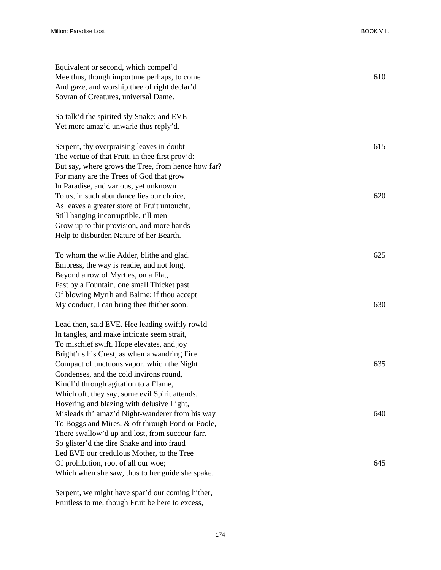| Equivalent or second, which compel'd<br>Mee thus, though importune perhaps, to come<br>And gaze, and worship thee of right declar'd<br>Sovran of Creatures, universal Dame.                                                                       | 610        |
|---------------------------------------------------------------------------------------------------------------------------------------------------------------------------------------------------------------------------------------------------|------------|
| So talk'd the spirited sly Snake; and EVE<br>Yet more amaz'd unwarie thus reply'd.                                                                                                                                                                |            |
| Serpent, thy overpraising leaves in doubt<br>The vertue of that Fruit, in thee first prov'd:<br>But say, where grows the Tree, from hence how far?<br>For many are the Trees of God that grow<br>In Paradise, and various, yet unknown            | 615        |
| To us, in such abundance lies our choice,<br>As leaves a greater store of Fruit untoucht,<br>Still hanging incorruptible, till men<br>Grow up to thir provision, and more hands<br>Help to disburden Nature of her Bearth.                        | 620        |
| To whom the wille Adder, blithe and glad.<br>Empress, the way is readie, and not long,<br>Beyond a row of Myrtles, on a Flat,<br>Fast by a Fountain, one small Thicket past<br>Of blowing Myrrh and Balme; if thou accept                         | 625<br>630 |
| My conduct, I can bring thee thither soon.<br>Lead then, said EVE. Hee leading swiftly rowld<br>In tangles, and make intricate seem strait,<br>To mischief swift. Hope elevates, and joy<br>Bright'ns his Crest, as when a wandring Fire          |            |
| Compact of unctuous vapor, which the Night<br>Condenses, and the cold invirons round,<br>Kindl'd through agitation to a Flame,<br>Which oft, they say, some evil Spirit attends,<br>Hovering and blazing with delusive Light,                     | 635        |
| Misleads th' amaz'd Night-wanderer from his way<br>To Boggs and Mires, & oft through Pond or Poole,<br>There swallow'd up and lost, from succour farr.<br>So glister'd the dire Snake and into fraud<br>Led EVE our credulous Mother, to the Tree | 640        |
| Of prohibition, root of all our woe;<br>Which when she saw, thus to her guide she spake.                                                                                                                                                          | 645        |

Serpent, we might have spar'd our coming hither, Fruitless to me, though Fruit be here to excess,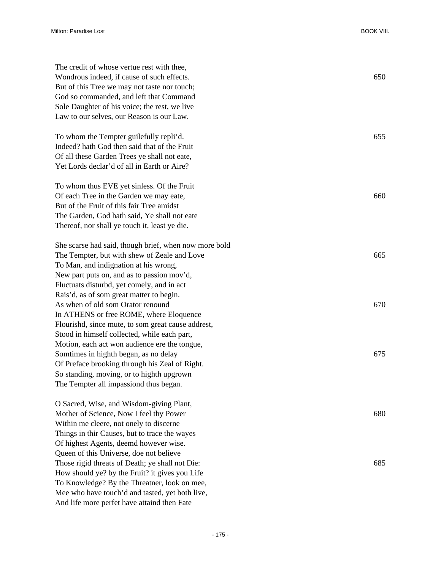| The credit of whose vertue rest with thee,            |     |
|-------------------------------------------------------|-----|
| Wondrous indeed, if cause of such effects.            | 650 |
| But of this Tree we may not taste nor touch;          |     |
| God so commanded, and left that Command               |     |
| Sole Daughter of his voice; the rest, we live         |     |
| Law to our selves, our Reason is our Law.             |     |
| To whom the Tempter guilefully repli'd.               | 655 |
| Indeed? hath God then said that of the Fruit          |     |
| Of all these Garden Trees ye shall not eate,          |     |
| Yet Lords declar'd of all in Earth or Aire?           |     |
| To whom thus EVE yet sinless. Of the Fruit            |     |
| Of each Tree in the Garden we may eate,               | 660 |
| But of the Fruit of this fair Tree amidst             |     |
| The Garden, God hath said, Ye shall not eate          |     |
| Thereof, nor shall ye touch it, least ye die.         |     |
| She scarse had said, though brief, when now more bold |     |
| The Tempter, but with shew of Zeale and Love          | 665 |
| To Man, and indignation at his wrong,                 |     |
| New part puts on, and as to passion mov'd,            |     |
| Fluctuats disturbd, yet comely, and in act            |     |
| Rais'd, as of som great matter to begin.              |     |
| As when of old som Orator renound                     | 670 |
| In ATHENS or free ROME, where Eloquence               |     |
| Flourishd, since mute, to som great cause addrest,    |     |
| Stood in himself collected, while each part,          |     |
| Motion, each act won audience ere the tongue,         |     |
| Somtimes in highth began, as no delay                 | 675 |
| Of Preface brooking through his Zeal of Right.        |     |
| So standing, moving, or to highth upgrown             |     |
| The Tempter all impassiond thus began.                |     |
| O Sacred, Wise, and Wisdom-giving Plant,              |     |
| Mother of Science, Now I feel thy Power               | 680 |
| Within me cleere, not onely to discerne               |     |
| Things in thir Causes, but to trace the wayes         |     |
| Of highest Agents, deemd however wise.                |     |
| Queen of this Universe, doe not believe               |     |
| Those rigid threats of Death; ye shall not Die:       | 685 |
| How should ye? by the Fruit? it gives you Life        |     |
| To Knowledge? By the Threatner, look on mee,          |     |
| Mee who have touch'd and tasted, yet both live,       |     |
| And life more perfet have attaind then Fate           |     |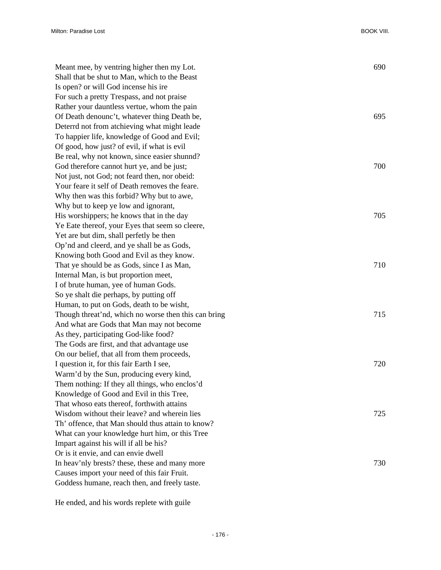| Meant mee, by ventring higher then my Lot.           | 690 |
|------------------------------------------------------|-----|
| Shall that be shut to Man, which to the Beast        |     |
| Is open? or will God incense his ire                 |     |
| For such a pretty Trespass, and not praise           |     |
| Rather your dauntless vertue, whom the pain          |     |
| Of Death denounc't, whatever thing Death be,         | 695 |
| Deterrd not from atchieving what might leade         |     |
| To happier life, knowledge of Good and Evil;         |     |
| Of good, how just? of evil, if what is evil          |     |
| Be real, why not known, since easier shunnd?         |     |
| God therefore cannot hurt ye, and be just;           | 700 |
| Not just, not God; not feard then, nor obeid:        |     |
| Your feare it self of Death removes the feare.       |     |
| Why then was this forbid? Why but to awe,            |     |
| Why but to keep ye low and ignorant,                 |     |
| His worshippers; he knows that in the day            | 705 |
| Ye Eate thereof, your Eyes that seem so cleere,      |     |
| Yet are but dim, shall perfetly be then              |     |
| Op'nd and cleerd, and ye shall be as Gods,           |     |
| Knowing both Good and Evil as they know.             |     |
| That ye should be as Gods, since I as Man,           | 710 |
| Internal Man, is but proportion meet,                |     |
| I of brute human, yee of human Gods.                 |     |
| So ye shalt die perhaps, by putting off              |     |
| Human, to put on Gods, death to be wisht,            |     |
| Though threat'nd, which no worse then this can bring | 715 |
| And what are Gods that Man may not become            |     |
| As they, participating God-like food?                |     |
| The Gods are first, and that advantage use           |     |
| On our belief, that all from them proceeds,          |     |
| I question it, for this fair Earth I see,            | 720 |
| Warm'd by the Sun, producing every kind,             |     |
| Them nothing: If they all things, who enclos'd       |     |
| Knowledge of Good and Evil in this Tree,             |     |
| That whoso eats thereof, forthwith attains           |     |
| Wisdom without their leave? and wherein lies         | 725 |
| Th' offence, that Man should thus attain to know?    |     |
| What can your knowledge hurt him, or this Tree       |     |
| Impart against his will if all be his?               |     |
| Or is it envie, and can envie dwell                  |     |
| In heav'nly brests? these, these and many more       | 730 |
| Causes import your need of this fair Fruit.          |     |
| Goddess humane, reach then, and freely taste.        |     |

He ended, and his words replete with guile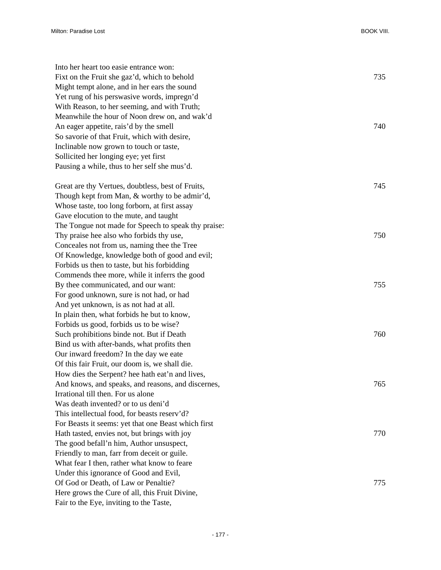| Into her heart too easie entrance won:              |     |
|-----------------------------------------------------|-----|
| Fixt on the Fruit she gaz'd, which to behold        | 735 |
| Might tempt alone, and in her ears the sound        |     |
| Yet rung of his perswasive words, impregn'd         |     |
| With Reason, to her seeming, and with Truth;        |     |
| Meanwhile the hour of Noon drew on, and wak'd       |     |
| An eager appetite, rais'd by the smell              | 740 |
| So savorie of that Fruit, which with desire,        |     |
| Inclinable now grown to touch or taste,             |     |
| Sollicited her longing eye; yet first               |     |
| Pausing a while, thus to her self she mus'd.        |     |
|                                                     |     |
| Great are thy Vertues, doubtless, best of Fruits,   | 745 |
| Though kept from Man, & worthy to be admir'd,       |     |
| Whose taste, too long forborn, at first assay       |     |
| Gave elocution to the mute, and taught              |     |
| The Tongue not made for Speech to speak thy praise: |     |
| Thy praise hee also who forbids thy use,            | 750 |
| Conceales not from us, naming thee the Tree         |     |
| Of Knowledge, knowledge both of good and evil;      |     |
| Forbids us then to taste, but his forbidding        |     |
| Commends thee more, while it inferrs the good       |     |
| By thee communicated, and our want:                 | 755 |
| For good unknown, sure is not had, or had           |     |
| And yet unknown, is as not had at all.              |     |
| In plain then, what forbids he but to know,         |     |
| Forbids us good, forbids us to be wise?             |     |
| Such prohibitions binde not. But if Death           | 760 |
| Bind us with after-bands, what profits then         |     |
| Our inward freedom? In the day we eate              |     |
| Of this fair Fruit, our doom is, we shall die.      |     |
| How dies the Serpent? hee hath eat'n and lives,     |     |
| And knows, and speaks, and reasons, and discernes,  | 765 |
| Irrational till then. For us alone                  |     |
| Was death invented? or to us deni'd                 |     |
| This intellectual food, for beasts reserv'd?        |     |
| For Beasts it seems: yet that one Beast which first |     |
| Hath tasted, envies not, but brings with joy        | 770 |
| The good befall'n him, Author unsuspect,            |     |
| Friendly to man, farr from deceit or guile.         |     |
| What fear I then, rather what know to feare         |     |
| Under this ignorance of Good and Evil,              |     |
| Of God or Death, of Law or Penaltie?                | 775 |
| Here grows the Cure of all, this Fruit Divine,      |     |
| Fair to the Eye, inviting to the Taste,             |     |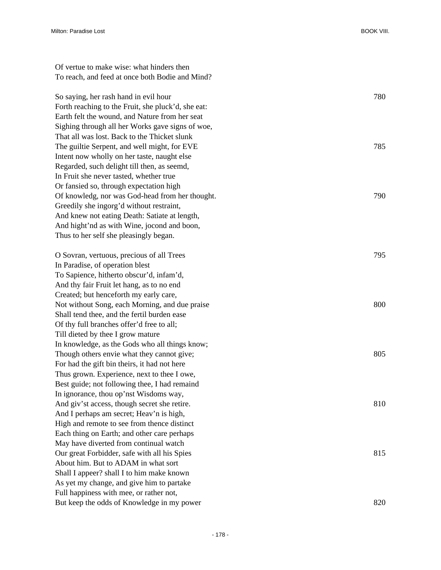Of vertue to make wise: what hinders then To reach, and feed at once both Bodie and Mind? So saying, her rash hand in evil hour 780 Forth reaching to the Fruit, she pluck'd, she eat: Earth felt the wound, and Nature from her seat Sighing through all her Works gave signs of woe, That all was lost. Back to the Thicket slunk The guiltie Serpent, and well might, for EVE 785 Intent now wholly on her taste, naught else Regarded, such delight till then, as seemd, In Fruit she never tasted, whether true Or fansied so, through expectation high

Of knowledg, nor was God-head from her thought. 790 Greedily she ingorg'd without restraint, And knew not eating Death: Satiate at length, And hight'nd as with Wine, jocond and boon, Thus to her self she pleasingly began.

O Sovran, vertuous, precious of all Trees 795 In Paradise, of operation blest To Sapience, hitherto obscur'd, infam'd, And thy fair Fruit let hang, as to no end Created; but henceforth my early care, Not without Song, each Morning, and due praise 800 Shall tend thee, and the fertil burden ease Of thy full branches offer'd free to all; Till dieted by thee I grow mature In knowledge, as the Gods who all things know; Though others envie what they cannot give; 805 For had the gift bin theirs, it had not here Thus grown. Experience, next to thee I owe, Best guide; not following thee, I had remaind In ignorance, thou op'nst Wisdoms way, And giv'st access, though secret she retire. 810 And I perhaps am secret; Heav'n is high, High and remote to see from thence distinct Each thing on Earth; and other care perhaps May have diverted from continual watch Our great Forbidder, safe with all his Spies 815 About him. But to ADAM in what sort Shall I appeer? shall I to him make known As yet my change, and give him to partake Full happiness with mee, or rather not, But keep the odds of Knowledge in my power 820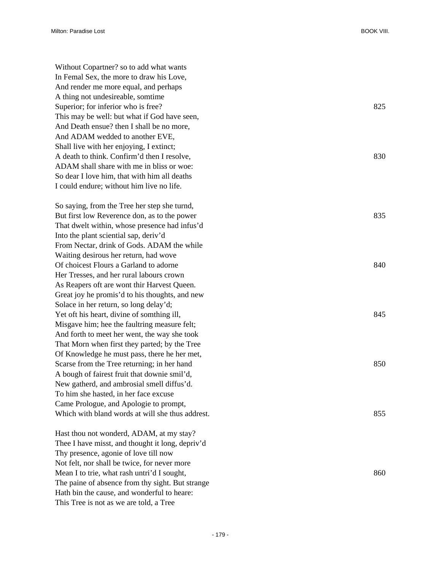Without Copartner? so to add what wants In Femal Sex, the more to draw his Love, And render me more equal, and perhaps A thing not undesireable, somtime Superior; for inferior who is free? 825 This may be well: but what if God have seen, And Death ensue? then I shall be no more, And ADAM wedded to another EVE, Shall live with her enjoying, I extinct; A death to think. Confirm'd then I resolve, 830 ADAM shall share with me in bliss or woe: So dear I love him, that with him all deaths I could endure; without him live no life.

So saying, from the Tree her step she turnd, But first low Reverence don, as to the power 835 That dwelt within, whose presence had infus'd Into the plant sciential sap, deriv'd From Nectar, drink of Gods. ADAM the while Waiting desirous her return, had wove Of choicest Flours a Garland to adorne 840 Her Tresses, and her rural labours crown As Reapers oft are wont thir Harvest Queen. Great joy he promis'd to his thoughts, and new Solace in her return, so long delay'd; Yet oft his heart, divine of somthing ill, 845 Misgave him; hee the faultring measure felt; And forth to meet her went, the way she took That Morn when first they parted; by the Tree Of Knowledge he must pass, there he her met, Scarse from the Tree returning; in her hand 850 A bough of fairest fruit that downie smil'd, New gatherd, and ambrosial smell diffus'd. To him she hasted, in her face excuse Came Prologue, and Apologie to prompt, Which with bland words at will she thus addrest. 855

Hast thou not wonderd, ADAM, at my stay? Thee I have misst, and thought it long, depriv'd Thy presence, agonie of love till now Not felt, nor shall be twice, for never more Mean I to trie, what rash untri'd I sought,  $860$ The paine of absence from thy sight. But strange Hath bin the cause, and wonderful to heare: This Tree is not as we are told, a Tree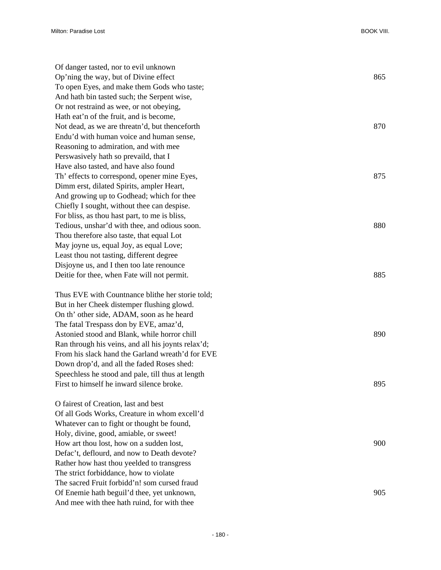| Of danger tasted, nor to evil unknown              |     |
|----------------------------------------------------|-----|
| Op'ning the way, but of Divine effect              | 865 |
| To open Eyes, and make them Gods who taste;        |     |
| And hath bin tasted such; the Serpent wise,        |     |
| Or not restraind as wee, or not obeying,           |     |
| Hath eat'n of the fruit, and is become,            |     |
| Not dead, as we are threatn'd, but thenceforth     | 870 |
| Endu'd with human voice and human sense,           |     |
| Reasoning to admiration, and with mee              |     |
| Perswasively hath so prevaild, that I              |     |
| Have also tasted, and have also found              |     |
| Th' effects to correspond, opener mine Eyes,       | 875 |
| Dimm erst, dilated Spirits, ampler Heart,          |     |
| And growing up to Godhead; which for thee          |     |
| Chiefly I sought, without thee can despise.        |     |
| For bliss, as thou hast part, to me is bliss,      |     |
| Tedious, unshar'd with thee, and odious soon.      | 880 |
| Thou therefore also taste, that equal Lot          |     |
| May joyne us, equal Joy, as equal Love;            |     |
| Least thou not tasting, different degree           |     |
| Disjoyne us, and I then too late renounce          |     |
| Deitie for thee, when Fate will not permit.        | 885 |
| Thus EVE with Countnance blithe her storie told;   |     |
| But in her Cheek distemper flushing glowd.         |     |
| On th' other side, ADAM, soon as he heard          |     |
| The fatal Trespass don by EVE, amaz'd,             |     |
| Astonied stood and Blank, while horror chill       | 890 |
| Ran through his veins, and all his joynts relax'd; |     |
| From his slack hand the Garland wreath'd for EVE   |     |
| Down drop'd, and all the faded Roses shed:         |     |
| Speechless he stood and pale, till thus at length  |     |
| First to himself he inward silence broke.          | 895 |
| O fairest of Creation, last and best               |     |
| Of all Gods Works, Creature in whom excell'd       |     |
| Whatever can to fight or thought be found,         |     |
| Holy, divine, good, amiable, or sweet!             |     |
| How art thou lost, how on a sudden lost,           | 900 |
| Defac't, deflourd, and now to Death devote?        |     |
| Rather how hast thou yeelded to transgress         |     |
| The strict forbiddance, how to violate             |     |
| The sacred Fruit forbidd'n! som cursed fraud       |     |
| Of Enemie hath beguil'd thee, yet unknown,         | 905 |

And mee with thee hath ruind, for with thee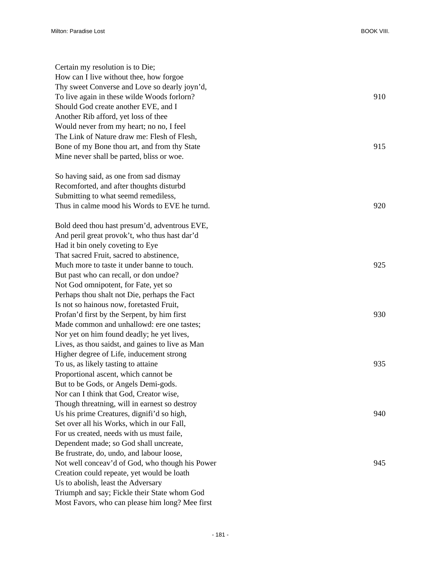| Certain my resolution is to Die;<br>How can I live without thee, how forgoe |     |
|-----------------------------------------------------------------------------|-----|
| Thy sweet Converse and Love so dearly joyn'd,                               |     |
| To live again in these wilde Woods forlorn?                                 | 910 |
| Should God create another EVE, and I                                        |     |
| Another Rib afford, yet loss of thee                                        |     |
| Would never from my heart; no no, I feel                                    |     |
| The Link of Nature draw me: Flesh of Flesh,                                 |     |
| Bone of my Bone thou art, and from thy State                                | 915 |
| Mine never shall be parted, bliss or woe.                                   |     |
|                                                                             |     |
| So having said, as one from sad dismay                                      |     |
| Recomforted, and after thoughts disturbd                                    |     |
| Submitting to what seemd remediless,                                        |     |
| Thus in calme mood his Words to EVE he turnd.                               | 920 |
|                                                                             |     |
| Bold deed thou hast presum'd, adventrous EVE,                               |     |
| And peril great provok't, who thus hast dar'd                               |     |
| Had it bin onely coveting to Eye                                            |     |
| That sacred Fruit, sacred to abstinence,                                    |     |
| Much more to taste it under banne to touch.                                 | 925 |
| But past who can recall, or don undoe?                                      |     |
| Not God omnipotent, for Fate, yet so                                        |     |
| Perhaps thou shalt not Die, perhaps the Fact                                |     |
| Is not so hainous now, foretasted Fruit,                                    |     |
| Profan'd first by the Serpent, by him first                                 | 930 |
| Made common and unhallowd: ere one tastes;                                  |     |
| Nor yet on him found deadly; he yet lives,                                  |     |
| Lives, as thou saidst, and gaines to live as Man                            |     |
| Higher degree of Life, inducement strong                                    |     |
| To us, as likely tasting to attaine                                         | 935 |
| Proportional ascent, which cannot be                                        |     |
| But to be Gods, or Angels Demi-gods.                                        |     |
| Nor can I think that God, Creator wise,                                     |     |
| Though threatning, will in earnest so destroy                               |     |
| Us his prime Creatures, dignifi'd so high,                                  | 940 |
| Set over all his Works, which in our Fall,                                  |     |
| For us created, needs with us must faile,                                   |     |
| Dependent made; so God shall uncreate,                                      |     |
| Be frustrate, do, undo, and labour loose,                                   |     |
| Not well conceav'd of God, who though his Power                             | 945 |
| Creation could repeate, yet would be loath                                  |     |
| Us to abolish, least the Adversary                                          |     |
| Triumph and say; Fickle their State whom God                                |     |
| Most Favors, who can please him long? Mee first                             |     |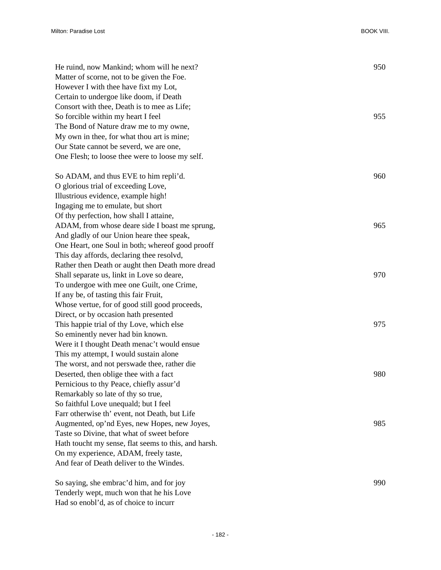| He ruind, now Mankind; whom will he next?<br>Matter of scorne, not to be given the Foe.<br>However I with thee have fixt my Lot,<br>Certain to undergoe like doom, if Death | 950 |
|-----------------------------------------------------------------------------------------------------------------------------------------------------------------------------|-----|
| Consort with thee, Death is to mee as Life;<br>So forcible within my heart I feel<br>The Bond of Nature draw me to my owne,                                                 | 955 |
| My own in thee, for what thou art is mine;                                                                                                                                  |     |
| Our State cannot be severd, we are one,                                                                                                                                     |     |
| One Flesh; to loose thee were to loose my self.                                                                                                                             |     |
| So ADAM, and thus EVE to him repli'd.                                                                                                                                       | 960 |
| O glorious trial of exceeding Love,                                                                                                                                         |     |
| Illustrious evidence, example high!                                                                                                                                         |     |
| Ingaging me to emulate, but short                                                                                                                                           |     |
| Of thy perfection, how shall I attaine,                                                                                                                                     |     |
| ADAM, from whose deare side I boast me sprung,                                                                                                                              | 965 |
| And gladly of our Union heare thee speak,                                                                                                                                   |     |
| One Heart, one Soul in both; whereof good prooff                                                                                                                            |     |
| This day affords, declaring thee resolvd,                                                                                                                                   |     |
| Rather then Death or aught then Death more dread                                                                                                                            |     |
| Shall separate us, linkt in Love so deare,                                                                                                                                  | 970 |
| To undergoe with mee one Guilt, one Crime,                                                                                                                                  |     |
| If any be, of tasting this fair Fruit,                                                                                                                                      |     |
| Whose vertue, for of good still good proceeds,                                                                                                                              |     |
| Direct, or by occasion hath presented                                                                                                                                       |     |
| This happie trial of thy Love, which else                                                                                                                                   | 975 |
| So eminently never had bin known.                                                                                                                                           |     |
| Were it I thought Death menac't would ensue                                                                                                                                 |     |
| This my attempt, I would sustain alone                                                                                                                                      |     |
| The worst, and not perswade thee, rather die                                                                                                                                |     |
| Deserted, then oblige thee with a fact                                                                                                                                      | 980 |
| Pernicious to thy Peace, chiefly assur'd                                                                                                                                    |     |
| Remarkably so late of thy so true,                                                                                                                                          |     |
| So faithful Love unequald; but I feel                                                                                                                                       |     |
| Farr otherwise th' event, not Death, but Life                                                                                                                               |     |
| Augmented, op'nd Eyes, new Hopes, new Joyes,                                                                                                                                | 985 |
| Taste so Divine, that what of sweet before                                                                                                                                  |     |
| Hath toucht my sense, flat seems to this, and harsh.                                                                                                                        |     |
| On my experience, ADAM, freely taste,                                                                                                                                       |     |
| And fear of Death deliver to the Windes.                                                                                                                                    |     |
| So saying, she embrac'd him, and for joy                                                                                                                                    | 990 |
| Tenderly wept, much won that he his Love                                                                                                                                    |     |

- 182 -

Had so enobl'd, as of choice to incurr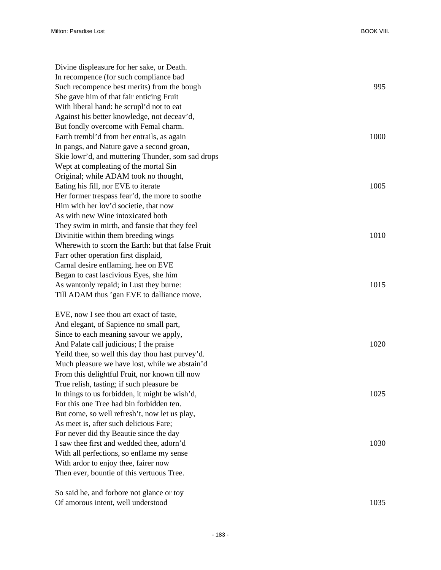| Divine displeasure for her sake, or Death.         |      |
|----------------------------------------------------|------|
| In recompence (for such compliance bad             |      |
| Such recompence best merits) from the bough        | 995  |
| She gave him of that fair enticing Fruit           |      |
| With liberal hand: he scrupl'd not to eat          |      |
| Against his better knowledge, not deceav'd,        |      |
| But fondly overcome with Femal charm.              |      |
| Earth trembl'd from her entrails, as again         | 1000 |
| In pangs, and Nature gave a second groan,          |      |
| Skie lowr'd, and muttering Thunder, som sad drops  |      |
| Wept at compleating of the mortal Sin              |      |
| Original; while ADAM took no thought,              |      |
| Eating his fill, nor EVE to iterate                | 1005 |
| Her former trespass fear'd, the more to soothe     |      |
| Him with her lov'd societie, that now              |      |
| As with new Wine intoxicated both                  |      |
| They swim in mirth, and fansie that they feel      |      |
| Divinitie within them breeding wings               | 1010 |
| Wherewith to scorn the Earth: but that false Fruit |      |
| Farr other operation first displaid,               |      |
| Carnal desire enflaming, hee on EVE                |      |
| Began to cast lascivious Eyes, she him             |      |
| As wantonly repaid; in Lust they burne:            | 1015 |
| Till ADAM thus 'gan EVE to dalliance move.         |      |
| EVE, now I see thou art exact of taste,            |      |
| And elegant, of Sapience no small part,            |      |
| Since to each meaning savour we apply,             |      |
| And Palate call judicious; I the praise            | 1020 |
| Yeild thee, so well this day thou hast purvey'd.   |      |
| Much pleasure we have lost, while we abstain'd     |      |
| From this delightful Fruit, nor known till now     |      |
| True relish, tasting; if such pleasure be          |      |
| In things to us forbidden, it might be wish'd,     | 1025 |
| For this one Tree had bin forbidden ten.           |      |
| But come, so well refresh't, now let us play,      |      |
| As meet is, after such delicious Fare;             |      |
| For never did thy Beautie since the day            |      |
| I saw thee first and wedded thee, adorn'd          | 1030 |
| With all perfections, so enflame my sense          |      |
| With ardor to enjoy thee, fairer now               |      |
| Then ever, bountie of this vertuous Tree.          |      |
| So said he, and forbore not glance or toy          |      |
| Of amorous intent, well understood                 | 1035 |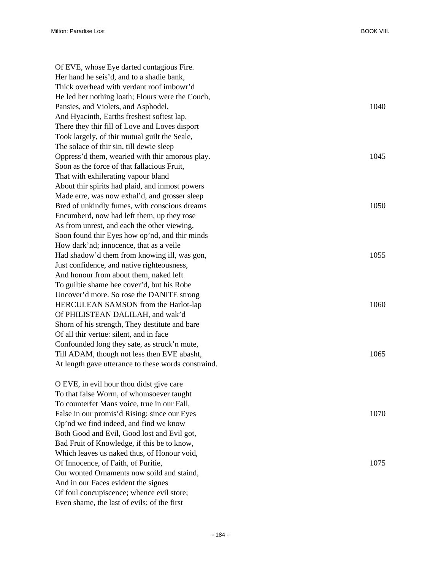| Of EVE, whose Eye darted contagious Fire.           |      |
|-----------------------------------------------------|------|
| Her hand he seis'd, and to a shadie bank,           |      |
| Thick overhead with verdant roof imbowr'd           |      |
| He led her nothing loath; Flours were the Couch,    |      |
| Pansies, and Violets, and Asphodel,                 | 1040 |
| And Hyacinth, Earths freshest softest lap.          |      |
| There they thir fill of Love and Loves disport      |      |
| Took largely, of thir mutual guilt the Seale,       |      |
| The solace of thir sin, till dewie sleep            |      |
| Oppress'd them, wearied with thir amorous play.     | 1045 |
| Soon as the force of that fallacious Fruit,         |      |
| That with exhilerating vapour bland                 |      |
| About thir spirits had plaid, and inmost powers     |      |
| Made erre, was now exhal'd, and grosser sleep       |      |
| Bred of unkindly fumes, with conscious dreams       | 1050 |
| Encumberd, now had left them, up they rose          |      |
| As from unrest, and each the other viewing,         |      |
| Soon found thir Eyes how op'nd, and thir minds      |      |
| How dark'nd; innocence, that as a veile             |      |
| Had shadow'd them from knowing ill, was gon,        | 1055 |
| Just confidence, and native righteousness,          |      |
| And honour from about them, naked left              |      |
| To guiltie shame hee cover'd, but his Robe          |      |
| Uncover'd more. So rose the DANITE strong           |      |
| HERCULEAN SAMSON from the Harlot-lap                | 1060 |
| Of PHILISTEAN DALILAH, and wak'd                    |      |
| Shorn of his strength, They destitute and bare      |      |
| Of all thir vertue: silent, and in face             |      |
| Confounded long they sate, as struck'n mute,        |      |
| Till ADAM, though not less then EVE abasht,         | 1065 |
| At length gave utterance to these words constraind. |      |
| O EVE, in evil hour thou didst give care            |      |
| To that false Worm, of whomsoever taught            |      |
| To counterfet Mans voice, true in our Fall,         |      |
| False in our promis'd Rising; since our Eyes        | 1070 |
| Op'nd we find indeed, and find we know              |      |
| Both Good and Evil, Good lost and Evil got,         |      |
| Bad Fruit of Knowledge, if this be to know,         |      |
| Which leaves us naked thus, of Honour void,         |      |
| Of Innocence, of Faith, of Puritie,                 | 1075 |
| Our wonted Ornaments now soild and staind,          |      |
| And in our Faces evident the signes                 |      |
| Of foul concupiscence; whence evil store;           |      |

Even shame, the last of evils; of the first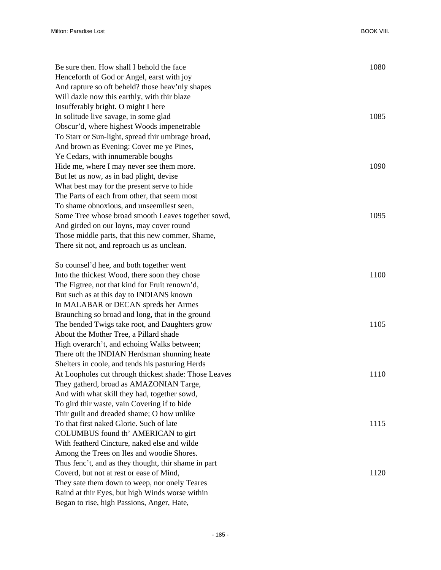| Be sure then. How shall I behold the face                                                        | 1080 |
|--------------------------------------------------------------------------------------------------|------|
| Henceforth of God or Angel, earst with joy                                                       |      |
| And rapture so oft beheld? those heav'nly shapes                                                 |      |
| Will dazle now this earthly, with thir blaze                                                     |      |
| Insufferably bright. O might I here                                                              |      |
| In solitude live savage, in some glad                                                            | 1085 |
| Obscur'd, where highest Woods impenetrable                                                       |      |
| To Starr or Sun-light, spread thir umbrage broad,                                                |      |
| And brown as Evening: Cover me ye Pines,                                                         |      |
| Ye Cedars, with innumerable boughs                                                               |      |
| Hide me, where I may never see them more.                                                        | 1090 |
| But let us now, as in bad plight, devise                                                         |      |
| What best may for the present serve to hide                                                      |      |
| The Parts of each from other, that seem most                                                     |      |
| To shame obnoxious, and unseemliest seen,                                                        |      |
| Some Tree whose broad smooth Leaves together sowd,                                               | 1095 |
| And girded on our loyns, may cover round                                                         |      |
| Those middle parts, that this new commer, Shame,                                                 |      |
| There sit not, and reproach us as unclean.                                                       |      |
| So counsel'd hee, and both together went                                                         |      |
| Into the thickest Wood, there soon they chose                                                    | 1100 |
| The Figtree, not that kind for Fruit renown'd,                                                   |      |
| But such as at this day to INDIANS known                                                         |      |
| In MALABAR or DECAN spreds her Armes                                                             |      |
| Braunching so broad and long, that in the ground                                                 |      |
| The bended Twigs take root, and Daughters grow                                                   | 1105 |
| About the Mother Tree, a Pillard shade                                                           |      |
| High overarch't, and echoing Walks between;                                                      |      |
| There oft the INDIAN Herdsman shunning heate                                                     |      |
| Shelters in coole, and tends his pasturing Herds                                                 |      |
| At Loopholes cut through thickest shade: Those Leaves                                            | 1110 |
| They gatherd, broad as AMAZONIAN Targe,                                                          |      |
| And with what skill they had, together sowd,                                                     |      |
| To gird thir waste, vain Covering if to hide                                                     |      |
| Thir guilt and dreaded shame; O how unlike                                                       |      |
| To that first naked Glorie. Such of late                                                         | 1115 |
| COLUMBUS found th' AMERICAN to girt                                                              |      |
| With featherd Cincture, naked else and wilde                                                     |      |
|                                                                                                  |      |
| Among the Trees on Iles and woodie Shores.                                                       |      |
| Thus fenc't, and as they thought, thir shame in part<br>Coverd, but not at rest or ease of Mind, | 1120 |
|                                                                                                  |      |
| They sate them down to weep, nor onely Teares                                                    |      |
| Raind at thir Eyes, but high Winds worse within                                                  |      |
| Began to rise, high Passions, Anger, Hate,                                                       |      |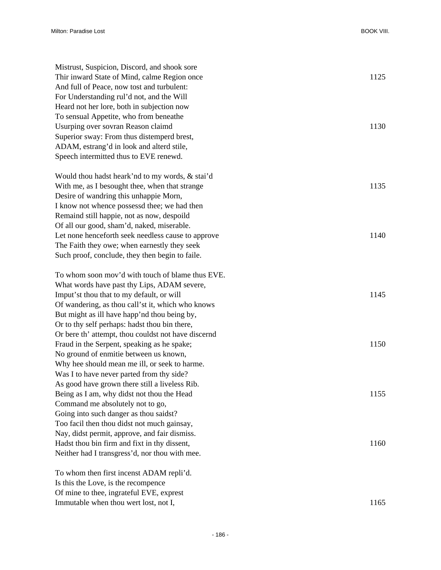| Mistrust, Suspicion, Discord, and shook sore        |      |
|-----------------------------------------------------|------|
| Thir inward State of Mind, calme Region once        | 1125 |
| And full of Peace, now tost and turbulent:          |      |
| For Understanding rul'd not, and the Will           |      |
| Heard not her lore, both in subjection now          |      |
| To sensual Appetite, who from beneathe              |      |
| Usurping over sovran Reason claimd                  | 1130 |
| Superior sway: From thus distemperd brest,          |      |
| ADAM, estrang'd in look and alterd stile,           |      |
| Speech intermitted thus to EVE renewd.              |      |
| Would thou hadst heark'nd to my words, & stai'd     |      |
| With me, as I besought thee, when that strange      | 1135 |
| Desire of wandring this unhappie Morn,              |      |
| I know not whence possessd thee; we had then        |      |
| Remaind still happie, not as now, despoild          |      |
| Of all our good, sham'd, naked, miserable.          |      |
| Let none henceforth seek needless cause to approve  | 1140 |
| The Faith they owe; when earnestly they seek        |      |
| Such proof, conclude, they then begin to faile.     |      |
| To whom soon mov'd with touch of blame thus EVE.    |      |
| What words have past thy Lips, ADAM severe,         |      |
| Imput'st thou that to my default, or will           | 1145 |
| Of wandering, as thou call'st it, which who knows   |      |
| But might as ill have happ'nd thou being by,        |      |
| Or to thy self perhaps: hadst thou bin there,       |      |
| Or bere th' attempt, thou couldst not have discernd |      |
| Fraud in the Serpent, speaking as he spake;         | 1150 |
| No ground of enmitie between us known,              |      |
| Why hee should mean me ill, or seek to harme.       |      |
| Was I to have never parted from thy side?           |      |
| As good have grown there still a liveless Rib.      |      |
| Being as I am, why didst not thou the Head          | 1155 |
| Command me absolutely not to go,                    |      |
| Going into such danger as thou saidst?              |      |
| Too facil then thou didst not much gainsay,         |      |
| Nay, didst permit, approve, and fair dismiss.       |      |
| Hadst thou bin firm and fixt in thy dissent,        | 1160 |
| Neither had I transgress'd, nor thou with mee.      |      |
| To whom then first incenst ADAM repli'd.            |      |
| Is this the Love, is the recompence                 |      |
| Of mine to thee, ingrateful EVE, exprest            |      |
| Immutable when thou wert lost, not I,               | 1165 |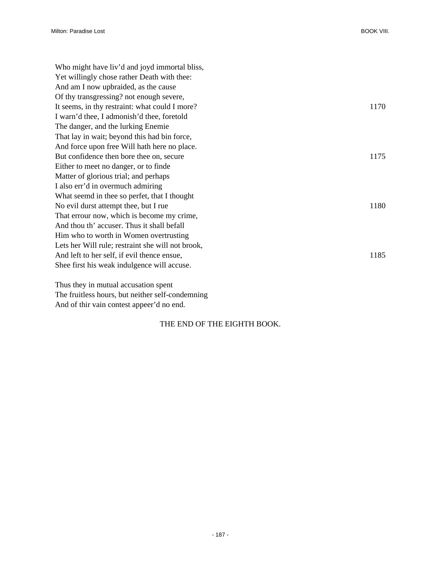| Who might have liv'd and joyd immortal bliss,     |      |
|---------------------------------------------------|------|
| Yet willingly chose rather Death with thee:       |      |
| And am I now upbraided, as the cause              |      |
| Of thy transgressing? not enough severe,          |      |
| It seems, in thy restraint: what could I more?    | 1170 |
| I warn'd thee, I admonish'd thee, foretold        |      |
| The danger, and the lurking Enemie                |      |
| That lay in wait; beyond this had bin force,      |      |
| And force upon free Will hath here no place.      |      |
| But confidence then bore thee on, secure          | 1175 |
| Either to meet no danger, or to finde             |      |
| Matter of glorious trial; and perhaps             |      |
| I also err'd in overmuch admiring                 |      |
| What seemd in thee so perfet, that I thought      |      |
| No evil durst attempt thee, but I rue             | 1180 |
| That errour now, which is become my crime,        |      |
| And thou th' accuser. Thus it shall befall        |      |
| Him who to worth in Women overtrusting            |      |
| Lets her Will rule; restraint she will not brook, |      |
| And left to her self, if evil thence ensue,       | 1185 |
| Shee first his weak indulgence will accuse.       |      |
|                                                   |      |
| Thus they in mutual accusation spent              |      |

The fruitless hours, but neither self-condemning And of thir vain contest appeer'd no end.

## THE END OF THE EIGHTH BOOK.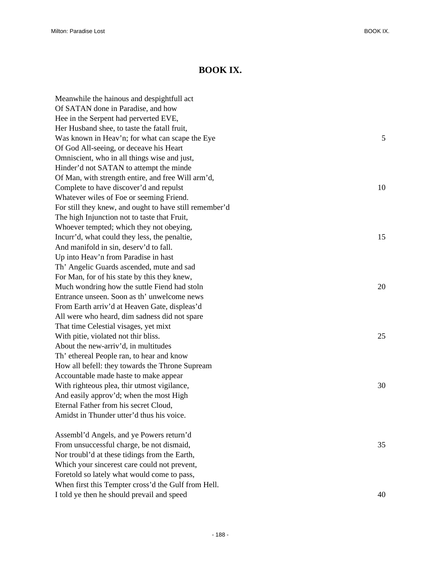## **BOOK IX.**

| Meanwhile the hainous and despightfull act              |    |
|---------------------------------------------------------|----|
| Of SATAN done in Paradise, and how                      |    |
| Hee in the Serpent had perverted EVE,                   |    |
| Her Husband shee, to taste the fatall fruit,            |    |
| Was known in Heav'n; for what can scape the Eye         | 5  |
| Of God All-seeing, or deceave his Heart                 |    |
| Omniscient, who in all things wise and just,            |    |
| Hinder'd not SATAN to attempt the minde                 |    |
| Of Man, with strength entire, and free Will arm'd,      |    |
| Complete to have discover'd and repulst                 | 10 |
| Whatever wiles of Foe or seeming Friend.                |    |
| For still they knew, and ought to have still remember'd |    |
| The high Injunction not to taste that Fruit,            |    |
| Whoever tempted; which they not obeying,                |    |
| Incurr'd, what could they less, the penaltie,           | 15 |
| And manifold in sin, deserv'd to fall.                  |    |
| Up into Heav'n from Paradise in hast                    |    |
| Th' Angelic Guards ascended, mute and sad               |    |
| For Man, for of his state by this they knew,            |    |
| Much wondring how the suttle Fiend had stoln            | 20 |
| Entrance unseen. Soon as th' unwelcome news             |    |
| From Earth arriv'd at Heaven Gate, displeas'd           |    |
| All were who heard, dim sadness did not spare           |    |
| That time Celestial visages, yet mixt                   |    |
| With pitie, violated not thir bliss.                    | 25 |
| About the new-arriv'd, in multitudes                    |    |
| Th' ethereal People ran, to hear and know               |    |
| How all befell: they towards the Throne Supream         |    |
| Accountable made haste to make appear                   |    |
| With righteous plea, thir utmost vigilance,             | 30 |
| And easily approv'd; when the most High                 |    |
| Eternal Father from his secret Cloud,                   |    |
| Amidst in Thunder utter'd thus his voice.               |    |
| Assembl'd Angels, and ye Powers return'd                |    |
| From unsuccessful charge, be not dismaid,               | 35 |
| Nor troubl'd at these tidings from the Earth,           |    |
| Which your sincerest care could not prevent,            |    |
| Foretold so lately what would come to pass,             |    |
| When first this Tempter cross'd the Gulf from Hell.     |    |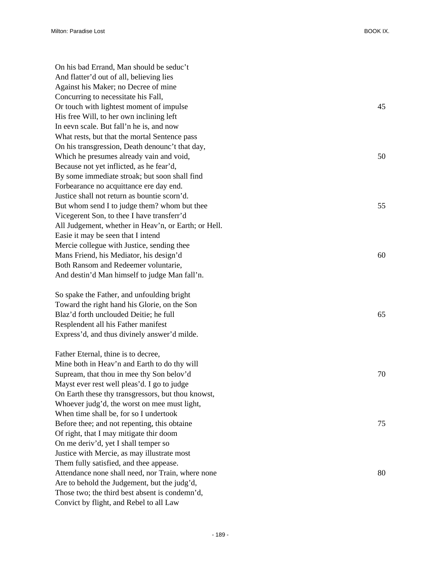| On his bad Errand, Man should be seduc't             |    |
|------------------------------------------------------|----|
| And flatter'd out of all, believing lies             |    |
| Against his Maker; no Decree of mine                 |    |
| Concurring to necessitate his Fall,                  |    |
| Or touch with lightest moment of impulse             | 45 |
| His free Will, to her own inclining left             |    |
| In eevn scale. But fall'n he is, and now             |    |
| What rests, but that the mortal Sentence pass        |    |
| On his transgression, Death denounc't that day,      |    |
| Which he presumes already vain and void,             | 50 |
| Because not yet inflicted, as he fear'd,             |    |
| By some immediate stroak; but soon shall find        |    |
| Forbearance no acquittance ere day end.              |    |
| Justice shall not return as bountie scorn'd.         |    |
| But whom send I to judge them? whom but thee         | 55 |
| Vicegerent Son, to thee I have transferr'd           |    |
| All Judgement, whether in Heav'n, or Earth; or Hell. |    |
| Easie it may be seen that I intend                   |    |
| Mercie collegue with Justice, sending thee           |    |
| Mans Friend, his Mediator, his design'd              | 60 |
| Both Ransom and Redeemer voluntarie,                 |    |
| And destin'd Man himself to judge Man fall'n.        |    |
| So spake the Father, and unfoulding bright           |    |
| Toward the right hand his Glorie, on the Son         |    |
| Blaz'd forth unclouded Deitie; he full               | 65 |
| Resplendent all his Father manifest                  |    |
| Express'd, and thus divinely answer'd milde.         |    |
| Father Eternal, thine is to decree,                  |    |
| Mine both in Heav'n and Earth to do thy will         |    |
| Supream, that thou in mee thy Son belov'd            | 70 |
| Mayst ever rest well pleas'd. I go to judge          |    |
| On Earth these thy transgressors, but thou knowst,   |    |
| Whoever judg'd, the worst on mee must light,         |    |
| When time shall be, for so I undertook               |    |
| Before thee; and not repenting, this obtaine         | 75 |
| Of right, that I may mitigate thir doom              |    |
| On me deriv'd, yet I shall temper so                 |    |
| Justice with Mercie, as may illustrate most          |    |
| Them fully satisfied, and thee appease.              |    |
| Attendance none shall need, nor Train, where none    | 80 |
| Are to behold the Judgement, but the judg'd,         |    |
| Those two; the third best absent is condemn'd,       |    |
| Convict by flight, and Rebel to all Law              |    |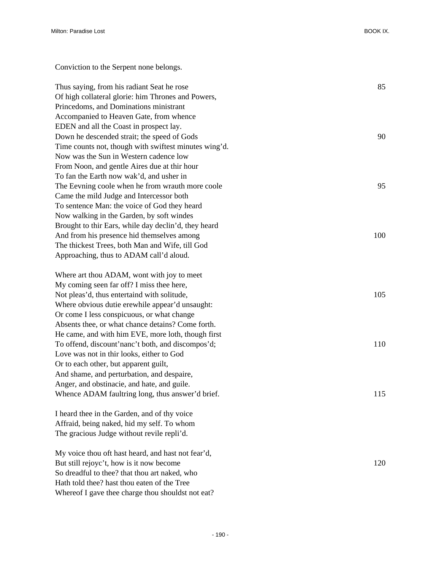Conviction to the Serpent none belongs.

Thus saying, from his radiant Seat he rose 85 Of high collateral glorie: him Thrones and Powers, Princedoms, and Dominations ministrant Accompanied to Heaven Gate, from whence EDEN and all the Coast in prospect lay. Down he descended strait; the speed of Gods 90 Time counts not, though with swiftest minutes wing'd. Now was the Sun in Western cadence low From Noon, and gentle Aires due at thir hour To fan the Earth now wak'd, and usher in The Eevning coole when he from wrauth more coole 95 Came the mild Judge and Intercessor both To sentence Man: the voice of God they heard Now walking in the Garden, by soft windes Brought to thir Ears, while day declin'd, they heard And from his presence hid themselves among 100 The thickest Trees, both Man and Wife, till God Approaching, thus to ADAM call'd aloud. Where art thou ADAM, wont with joy to meet My coming seen far off? I miss thee here, Not pleas'd, thus entertaind with solitude, 105 Where obvious dutie erewhile appear'd unsaught: Or come I less conspicuous, or what change Absents thee, or what chance detains? Come forth. He came, and with him EVE, more loth, though first To offend, discount'nanc't both, and discompos'd; 110 Love was not in thir looks, either to God Or to each other, but apparent guilt, And shame, and perturbation, and despaire, Anger, and obstinacie, and hate, and guile. Whence ADAM faultring long, thus answer'd brief. 115 I heard thee in the Garden, and of thy voice Affraid, being naked, hid my self. To whom The gracious Judge without revile repli'd.

My voice thou oft hast heard, and hast not fear'd, But still rejoyc't, how is it now become 120 So dreadful to thee? that thou art naked, who Hath told thee? hast thou eaten of the Tree Whereof I gave thee charge thou shouldst not eat?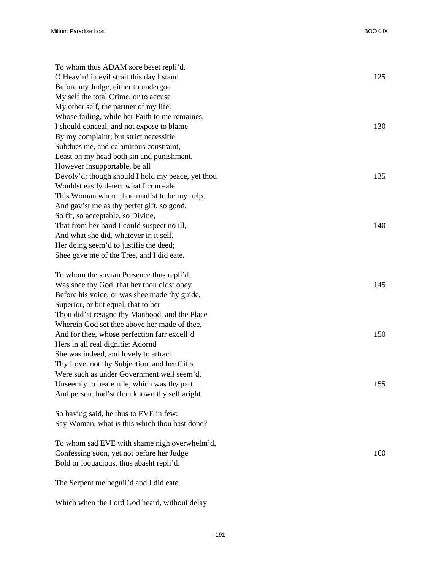| To whom thus ADAM sore beset repli'd.             |     |
|---------------------------------------------------|-----|
| O Heav'n! in evil strait this day I stand         | 125 |
| Before my Judge, either to undergoe               |     |
| My self the total Crime, or to accuse             |     |
| My other self, the partner of my life;            |     |
| Whose failing, while her Faith to me remaines,    |     |
| I should conceal, and not expose to blame         | 130 |
| By my complaint; but strict necessitie            |     |
| Subdues me, and calamitous constraint,            |     |
| Least on my head both sin and punishment,         |     |
| However insupportable, be all                     |     |
| Devolv'd; though should I hold my peace, yet thou | 135 |
| Wouldst easily detect what I conceale.            |     |
| This Woman whom thou mad'st to be my help,        |     |
| And gav'st me as thy perfet gift, so good,        |     |
| So fit, so acceptable, so Divine,                 |     |
| That from her hand I could suspect no ill,        | 140 |
| And what she did, whatever in it self,            |     |
| Her doing seem'd to justifie the deed;            |     |
| Shee gave me of the Tree, and I did eate.         |     |
| To whom the sovran Presence thus repli'd.         |     |
| Was shee thy God, that her thou didst obey        | 145 |
| Before his voice, or was shee made thy guide,     |     |
| Superior, or but equal, that to her               |     |
| Thou did'st resigne thy Manhood, and the Place    |     |
| Wherein God set thee above her made of thee,      |     |
| And for thee, whose perfection farr excell'd      | 150 |
| Hers in all real dignitie: Adornd                 |     |
| She was indeed, and lovely to attract             |     |
| Thy Love, not thy Subjection, and her Gifts       |     |
| Were such as under Government well seem'd,        |     |
| Unseemly to beare rule, which was thy part        | 155 |
| And person, had'st thou known thy self aright.    |     |
| So having said, he thus to EVE in few:            |     |
| Say Woman, what is this which thou hast done?     |     |
| To whom sad EVE with shame nigh overwhelm'd,      |     |
| Confessing soon, yet not before her Judge         | 160 |
| Bold or loquacious, thus abasht repli'd.          |     |
| The Serpent me beguil'd and I did eate.           |     |

Which when the Lord God heard, without delay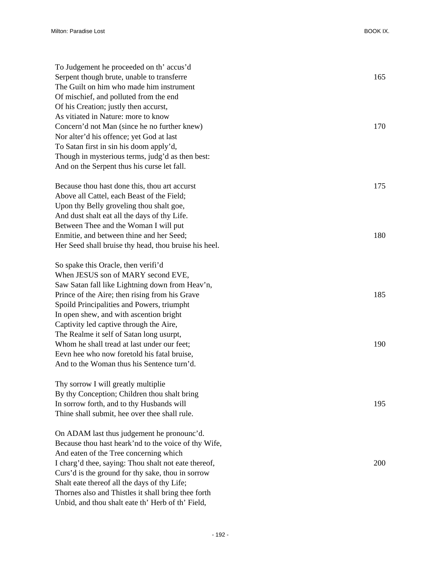| To Judgement he proceeded on th' accus'd              |     |
|-------------------------------------------------------|-----|
| Serpent though brute, unable to transferre            | 165 |
| The Guilt on him who made him instrument              |     |
| Of mischief, and polluted from the end                |     |
| Of his Creation; justly then accurst,                 |     |
| As vitiated in Nature: more to know                   |     |
| Concern'd not Man (since he no further knew)          | 170 |
| Nor alter'd his offence; yet God at last              |     |
| To Satan first in sin his doom apply'd,               |     |
| Though in mysterious terms, judg'd as then best:      |     |
| And on the Serpent thus his curse let fall.           |     |
| Because thou hast done this, thou art accurst         | 175 |
| Above all Cattel, each Beast of the Field;            |     |
| Upon thy Belly groveling thou shalt goe,              |     |
| And dust shalt eat all the days of thy Life.          |     |
| Between Thee and the Woman I will put                 |     |
| Enmitie, and between thine and her Seed;              | 180 |
| Her Seed shall bruise thy head, thou bruise his heel. |     |
| So spake this Oracle, then verifi'd                   |     |
| When JESUS son of MARY second EVE,                    |     |
| Saw Satan fall like Lightning down from Heav'n,       |     |
| Prince of the Aire; then rising from his Grave        | 185 |
| Spoild Principalities and Powers, triumpht            |     |
| In open shew, and with ascention bright               |     |
| Captivity led captive through the Aire,               |     |
| The Realme it self of Satan long usurpt,              |     |
| Whom he shall tread at last under our feet;           | 190 |
| Eevn hee who now foretold his fatal bruise,           |     |
| And to the Woman thus his Sentence turn'd.            |     |
| Thy sorrow I will greatly multiplie                   |     |
| By thy Conception; Children thou shalt bring          |     |
| In sorrow forth, and to thy Husbands will             | 195 |
| Thine shall submit, hee over thee shall rule.         |     |
| On ADAM last thus judgement he pronounc'd.            |     |
| Because thou hast heark'nd to the voice of thy Wife,  |     |
| And eaten of the Tree concerning which                |     |
| I charg'd thee, saying: Thou shalt not eate thereof,  | 200 |
| Curs'd is the ground for thy sake, thou in sorrow     |     |
| Shalt eate thereof all the days of thy Life;          |     |
| Thornes also and Thistles it shall bring thee forth   |     |

Unbid, and thou shalt eate th' Herb of th' Field,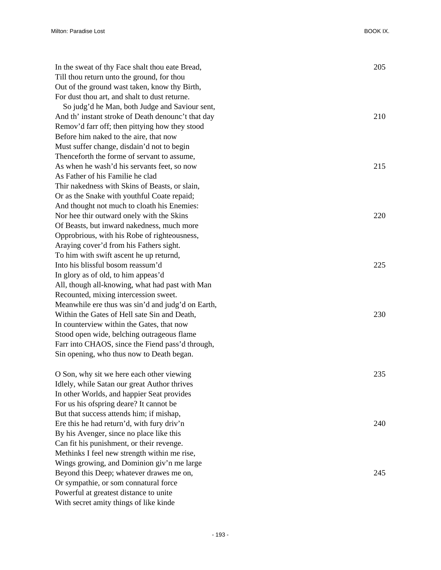| In the sweat of thy Face shalt thou eate Bread,    | 205 |
|----------------------------------------------------|-----|
| Till thou return unto the ground, for thou         |     |
| Out of the ground wast taken, know thy Birth,      |     |
| For dust thou art, and shalt to dust returne.      |     |
| So judg'd he Man, both Judge and Saviour sent,     |     |
| And th' instant stroke of Death denounc't that day | 210 |
| Remov'd farr off; then pittying how they stood     |     |
| Before him naked to the aire, that now             |     |
| Must suffer change, disdain'd not to begin         |     |
| Thenceforth the forme of servant to assume,        |     |
| As when he wash'd his servants feet, so now        | 215 |
| As Father of his Familie he clad                   |     |
| Thir nakedness with Skins of Beasts, or slain,     |     |
| Or as the Snake with youthful Coate repaid;        |     |
| And thought not much to cloath his Enemies:        |     |
| Nor hee thir outward onely with the Skins          | 220 |
| Of Beasts, but inward nakedness, much more         |     |
| Opprobrious, with his Robe of righteousness,       |     |
| Araying cover'd from his Fathers sight.            |     |
| To him with swift ascent he up returnd,            |     |
| Into his blissful bosom reassum'd                  | 225 |
| In glory as of old, to him appeas'd                |     |
| All, though all-knowing, what had past with Man    |     |
| Recounted, mixing intercession sweet.              |     |
| Meanwhile ere thus was sin'd and judg'd on Earth,  |     |
| Within the Gates of Hell sate Sin and Death,       | 230 |
| In counterview within the Gates, that now          |     |
| Stood open wide, belching outrageous flame         |     |
| Farr into CHAOS, since the Fiend pass'd through,   |     |
| Sin opening, who thus now to Death began.          |     |
|                                                    |     |
| O Son, why sit we here each other viewing          | 235 |
| Idlely, while Satan our great Author thrives       |     |
| In other Worlds, and happier Seat provides         |     |
| For us his of spring deare? It cannot be           |     |
| But that success attends him; if mishap,           |     |
| Ere this he had return'd, with fury driv'n         | 240 |
| By his Avenger, since no place like this           |     |
| Can fit his punishment, or their revenge.          |     |
| Methinks I feel new strength within me rise,       |     |
| Wings growing, and Dominion giv'n me large         |     |
| Beyond this Deep; whatever drawes me on,           | 245 |
| Or sympathie, or som connatural force              |     |
| Powerful at greatest distance to unite             |     |

- 193 -

With secret amity things of like kinde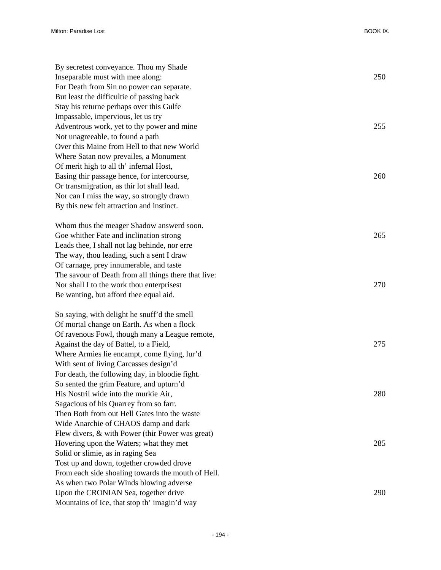| By secretest conveyance. Thou my Shade               |     |
|------------------------------------------------------|-----|
| Inseparable must with mee along:                     | 250 |
| For Death from Sin no power can separate.            |     |
| But least the difficultie of passing back            |     |
| Stay his returne perhaps over this Gulfe             |     |
| Impassable, impervious, let us try                   |     |
| Adventrous work, yet to thy power and mine           | 255 |
| Not unagreeable, to found a path                     |     |
| Over this Maine from Hell to that new World          |     |
| Where Satan now prevailes, a Monument                |     |
| Of merit high to all th' infernal Host,              |     |
| Easing thir passage hence, for intercourse,          | 260 |
| Or transmigration, as thir lot shall lead.           |     |
| Nor can I miss the way, so strongly drawn            |     |
| By this new felt attraction and instinct.            |     |
|                                                      |     |
| Whom thus the meager Shadow answerd soon.            |     |
| Goe whither Fate and inclination strong              | 265 |
| Leads thee, I shall not lag behinde, nor erre        |     |
| The way, thou leading, such a sent I draw            |     |
| Of carnage, prey innumerable, and taste              |     |
| The savour of Death from all things there that live: |     |
| Nor shall I to the work thou enterprisest            | 270 |
| Be wanting, but afford thee equal aid.               |     |
|                                                      |     |
| So saying, with delight he snuff'd the smell         |     |
| Of mortal change on Earth. As when a flock           |     |
| Of ravenous Fowl, though many a League remote,       |     |
| Against the day of Battel, to a Field,               | 275 |
| Where Armies lie encampt, come flying, lur'd         |     |
| With sent of living Carcasses design'd               |     |
| For death, the following day, in bloodie fight.      |     |
| So sented the grim Feature, and upturn'd             |     |
| His Nostril wide into the murkie Air,                | 280 |
| Sagacious of his Quarrey from so farr.               |     |
| Then Both from out Hell Gates into the waste         |     |
| Wide Anarchie of CHAOS damp and dark                 |     |
| Flew divers, & with Power (thir Power was great)     |     |
| Hovering upon the Waters; what they met              | 285 |
| Solid or slimie, as in raging Sea                    |     |
| Tost up and down, together crowded drove             |     |
| From each side shoaling towards the mouth of Hell.   |     |
| As when two Polar Winds blowing adverse              |     |
| Upon the CRONIAN Sea, together drive                 | 290 |
| Mountains of Ice, that stop th' imagin'd way         |     |
|                                                      |     |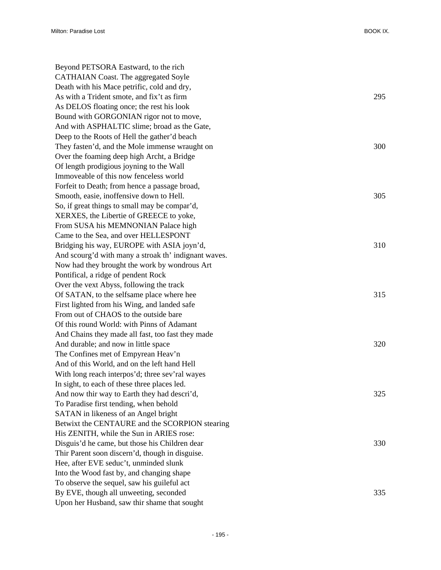| Beyond PETSORA Eastward, to the rich                 |     |
|------------------------------------------------------|-----|
| <b>CATHAIAN Coast. The aggregated Soyle</b>          |     |
| Death with his Mace petrific, cold and dry,          |     |
| As with a Trident smote, and fix't as firm           | 295 |
| As DELOS floating once; the rest his look            |     |
| Bound with GORGONIAN rigor not to move,              |     |
| And with ASPHALTIC slime; broad as the Gate,         |     |
| Deep to the Roots of Hell the gather'd beach         |     |
| They fasten'd, and the Mole immense wraught on       | 300 |
| Over the foaming deep high Archt, a Bridge           |     |
| Of length prodigious joyning to the Wall             |     |
| Immoveable of this now fenceless world               |     |
| Forfeit to Death; from hence a passage broad,        |     |
| Smooth, easie, inoffensive down to Hell.             | 305 |
| So, if great things to small may be compar'd,        |     |
| XERXES, the Libertie of GREECE to yoke,              |     |
| From SUSA his MEMNONIAN Palace high                  |     |
| Came to the Sea, and over HELLESPONT                 |     |
| Bridging his way, EUROPE with ASIA joyn'd,           | 310 |
| And scourg'd with many a stroak th' indignant waves. |     |
| Now had they brought the work by wondrous Art        |     |
| Pontifical, a ridge of pendent Rock                  |     |
| Over the vext Abyss, following the track             |     |
| Of SATAN, to the selfsame place where hee            | 315 |
| First lighted from his Wing, and landed safe         |     |
| From out of CHAOS to the outside bare                |     |
| Of this round World: with Pinns of Adamant           |     |
| And Chains they made all fast, too fast they made    |     |
| And durable; and now in little space                 | 320 |
| The Confines met of Empyrean Heav'n                  |     |
| And of this World, and on the left hand Hell         |     |
| With long reach interpos'd; three sev'ral wayes      |     |
| In sight, to each of these three places led.         |     |
| And now thir way to Earth they had descri'd,         | 325 |
| To Paradise first tending, when behold               |     |
| SATAN in likeness of an Angel bright                 |     |
| Betwixt the CENTAURE and the SCORPION stearing       |     |
| His ZENITH, while the Sun in ARIES rose:             |     |
| Disguis'd he came, but those his Children dear       | 330 |
| Thir Parent soon discern'd, though in disguise.      |     |
| Hee, after EVE seduc't, unminded slunk               |     |
| Into the Wood fast by, and changing shape            |     |
| To observe the sequel, saw his guileful act          |     |
| By EVE, though all unweeting, seconded               | 335 |
| Upon her Husband, saw thir shame that sought         |     |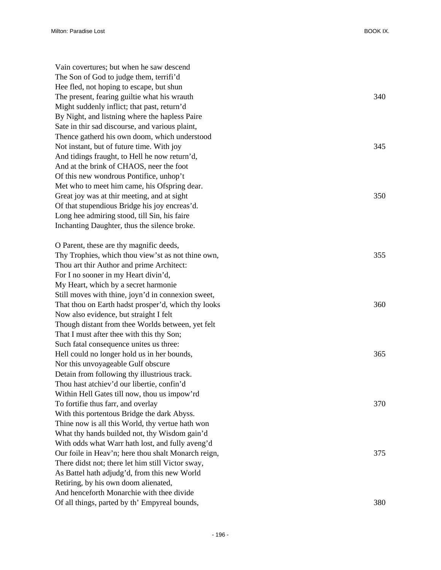| Vain covertures; but when he saw descend            |     |
|-----------------------------------------------------|-----|
| The Son of God to judge them, terrifi'd             |     |
| Hee fled, not hoping to escape, but shun            |     |
| The present, fearing guiltie what his wrauth        | 340 |
| Might suddenly inflict; that past, return'd         |     |
| By Night, and listning where the hapless Paire      |     |
| Sate in thir sad discourse, and various plaint,     |     |
| Thence gatherd his own doom, which understood       |     |
| Not instant, but of future time. With joy           | 345 |
| And tidings fraught, to Hell he now return'd,       |     |
| And at the brink of CHAOS, neer the foot            |     |
| Of this new wondrous Pontifice, unhop't             |     |
| Met who to meet him came, his Ofspring dear.        |     |
| Great joy was at thir meeting, and at sight         | 350 |
| Of that stupendious Bridge his joy encreas'd.       |     |
| Long hee admiring stood, till Sin, his faire        |     |
| Inchanting Daughter, thus the silence broke.        |     |
| O Parent, these are thy magnific deeds,             |     |
| Thy Trophies, which thou view'st as not thine own,  | 355 |
| Thou art thir Author and prime Architect:           |     |
| For I no sooner in my Heart divin'd,                |     |
| My Heart, which by a secret harmonie                |     |
| Still moves with thine, joyn'd in connexion sweet,  |     |
| That thou on Earth hadst prosper'd, which thy looks | 360 |
| Now also evidence, but straight I felt              |     |
| Though distant from thee Worlds between, yet felt   |     |
| That I must after thee with this thy Son;           |     |
| Such fatal consequence unites us three:             |     |
| Hell could no longer hold us in her bounds,         | 365 |
| Nor this unvoyageable Gulf obscure                  |     |
| Detain from following thy illustrious track.        |     |
| Thou hast atchiev'd our libertie, confin'd          |     |
| Within Hell Gates till now, thou us impow'rd        |     |
| To fortifie thus farr, and overlay                  | 370 |
| With this portentous Bridge the dark Abyss.         |     |
| Thine now is all this World, thy vertue hath won    |     |
| What thy hands builded not, thy Wisdom gain'd       |     |
| With odds what Warr hath lost, and fully aveng'd    |     |
| Our foile in Heav'n; here thou shalt Monarch reign, | 375 |
| There didst not; there let him still Victor sway,   |     |
| As Battel hath adjudg'd, from this new World        |     |
| Retiring, by his own doom alienated,                |     |
| And henceforth Monarchie with thee divide           |     |
| Of all things, parted by th' Empyreal bounds,       | 380 |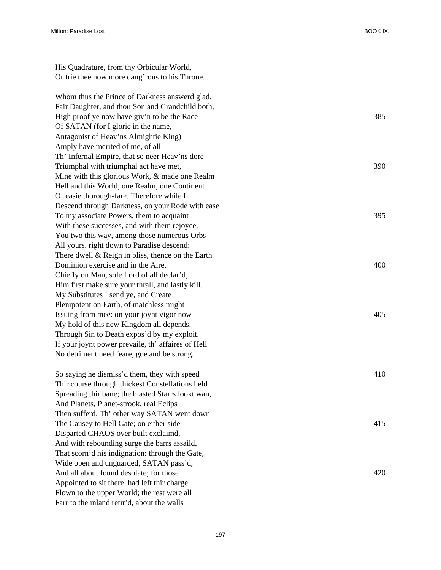| His Quadrature, from thy Orbicular World,           |     |
|-----------------------------------------------------|-----|
| Or trie thee now more dang' rous to his Throne.     |     |
|                                                     |     |
| Whom thus the Prince of Darkness answerd glad.      |     |
| Fair Daughter, and thou Son and Grandchild both,    |     |
| High proof ye now have giv'n to be the Race         | 385 |
| Of SATAN (for I glorie in the name,                 |     |
| Antagonist of Heav'ns Almightie King)               |     |
| Amply have merited of me, of all                    |     |
| Th' Infernal Empire, that so neer Heav'ns dore      |     |
| Triumphal with triumphal act have met,              | 390 |
| Mine with this glorious Work, & made one Realm      |     |
| Hell and this World, one Realm, one Continent       |     |
| Of easie thorough-fare. Therefore while I           |     |
| Descend through Darkness, on your Rode with ease    |     |
| To my associate Powers, them to acquaint            | 395 |
| With these successes, and with them rejoyce,        |     |
| You two this way, among those numerous Orbs         |     |
| All yours, right down to Paradise descend;          |     |
| There dwell $&$ Reign in bliss, thence on the Earth |     |
| Dominion exercise and in the Aire,                  | 400 |
| Chiefly on Man, sole Lord of all declar'd,          |     |
| Him first make sure your thrall, and lastly kill.   |     |
| My Substitutes I send ye, and Create                |     |
| Plenipotent on Earth, of matchless might            |     |
| Issuing from mee: on your joynt vigor now           | 405 |
| My hold of this new Kingdom all depends,            |     |
| Through Sin to Death expos'd by my exploit.         |     |
| If your joynt power prevaile, th' affaires of Hell  |     |
| No detriment need feare, goe and be strong.         |     |
| So saying he dismiss'd them, they with speed        | 410 |
| Thir course through thickest Constellations held    |     |
| Spreading thir bane; the blasted Starrs lookt wan,  |     |
| And Planets, Planet-strook, real Eclips             |     |
| Then sufferd. Th' other way SATAN went down         |     |
| The Causey to Hell Gate; on either side             | 415 |
| Disparted CHAOS over built exclaimd,                |     |
| And with rebounding surge the barrs assaild,        |     |
| That scorn'd his indignation: through the Gate,     |     |

And all about found desolate; for those 420

Wide open and unguarded, SATAN pass'd,

Appointed to sit there, had left thir charge, Flown to the upper World; the rest were all Farr to the inland retir'd, about the walls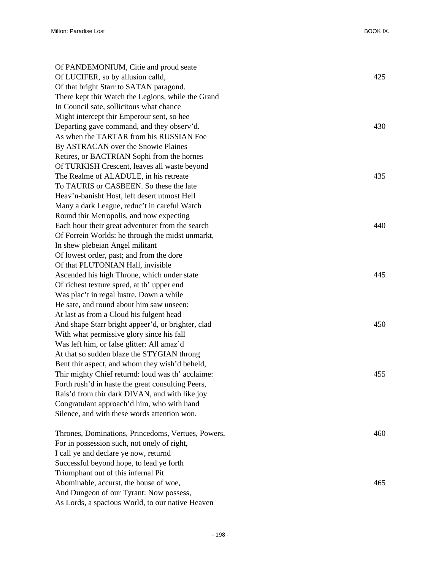| Of PANDEMONIUM, Citie and proud seate              |     |
|----------------------------------------------------|-----|
| Of LUCIFER, so by allusion calld,                  | 425 |
| Of that bright Starr to SATAN paragond.            |     |
| There kept thir Watch the Legions, while the Grand |     |
| In Council sate, sollicitous what chance           |     |
| Might intercept thir Emperour sent, so hee         |     |
| Departing gave command, and they observ'd.         | 430 |
| As when the TARTAR from his RUSSIAN Foe            |     |
| By ASTRACAN over the Snowie Plaines                |     |
| Retires, or BACTRIAN Sophi from the hornes         |     |
| Of TURKISH Crescent, leaves all waste beyond       |     |
| The Realme of ALADULE, in his retreate             | 435 |
| To TAURIS or CASBEEN. So these the late            |     |
| Heav'n-banisht Host, left desert utmost Hell       |     |
| Many a dark League, reduc't in careful Watch       |     |
| Round thir Metropolis, and now expecting           |     |
| Each hour their great adventurer from the search   | 440 |
| Of Forrein Worlds: he through the midst unmarkt,   |     |
| In shew plebeian Angel militant                    |     |
| Of lowest order, past; and from the dore           |     |
| Of that PLUTONIAN Hall, invisible                  |     |
| Ascended his high Throne, which under state        | 445 |
| Of richest texture spred, at th' upper end         |     |
| Was plac't in regal lustre. Down a while           |     |
| He sate, and round about him saw unseen:           |     |
| At last as from a Cloud his fulgent head           |     |
| And shape Starr bright appeer'd, or brighter, clad | 450 |
| With what permissive glory since his fall          |     |
| Was left him, or false glitter: All amaz'd         |     |
| At that so sudden blaze the STYGIAN throng         |     |
| Bent thir aspect, and whom they wish'd beheld,     |     |
| Thir mighty Chief returnd: loud was th' acclaime:  | 455 |
| Forth rush'd in haste the great consulting Peers,  |     |
| Rais'd from thir dark DIVAN, and with like joy     |     |
| Congratulant approach'd him, who with hand         |     |
| Silence, and with these words attention won.       |     |
| Thrones, Dominations, Princedoms, Vertues, Powers, | 460 |
| For in possession such, not onely of right,        |     |
| I call ye and declare ye now, returnd              |     |
| Successful beyond hope, to lead ye forth           |     |
| Triumphant out of this infernal Pit                |     |
| Abominable, accurst, the house of woe,             | 465 |
| And Dungeon of our Tyrant: Now possess,            |     |
| As Lords, a spacious World, to our native Heaven   |     |
|                                                    |     |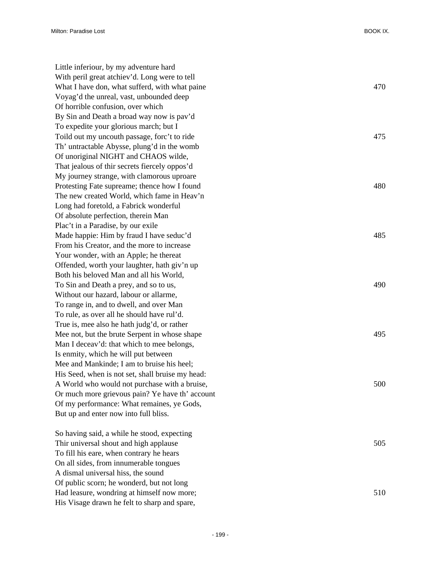Little inferiour, by my adventure hard With peril great atchiev'd. Long were to tell What I have don, what sufferd, with what paine 470 Voyag'd the unreal, vast, unbounded deep Of horrible confusion, over which By Sin and Death a broad way now is pav'd To expedite your glorious march; but I Toild out my uncouth passage, forc't to ride 475 Th' untractable Abysse, plung'd in the womb Of unoriginal NIGHT and CHAOS wilde, That jealous of thir secrets fiercely oppos'd My journey strange, with clamorous uproare Protesting Fate supreame; thence how I found 480 The new created World, which fame in Heav'n Long had foretold, a Fabrick wonderful Of absolute perfection, therein Man Plac't in a Paradise, by our exile Made happie: Him by fraud I have seduc'd 485 From his Creator, and the more to increase Your wonder, with an Apple; he thereat Offended, worth your laughter, hath giv'n up Both his beloved Man and all his World, To Sin and Death a prey, and so to us, 490 Without our hazard, labour or allarme, To range in, and to dwell, and over Man To rule, as over all he should have rul'd. True is, mee also he hath judg'd, or rather Mee not, but the brute Serpent in whose shape 495 Man I deceav'd: that which to mee belongs, Is enmity, which he will put between Mee and Mankinde; I am to bruise his heel; His Seed, when is not set, shall bruise my head: A World who would not purchase with a bruise, 500 Or much more grievous pain? Ye have th' account Of my performance: What remaines, ye Gods, But up and enter now into full bliss.

So having said, a while he stood, expecting Thir universal shout and high applause 505 To fill his eare, when contrary he hears On all sides, from innumerable tongues A dismal universal hiss, the sound Of public scorn; he wonderd, but not long Had leasure, wondring at himself now more; 510 His Visage drawn he felt to sharp and spare,

| 48 |
|----|
|    |
| 48 |
|    |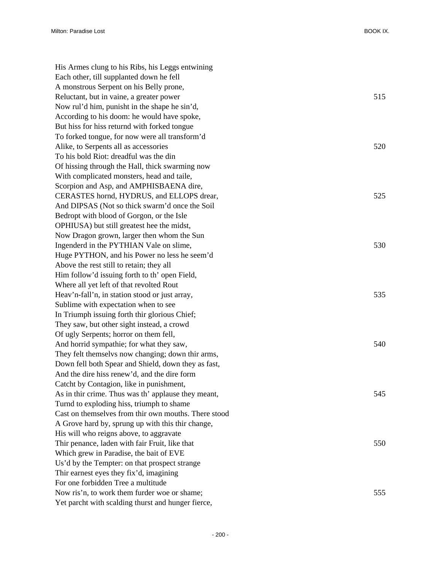| His Armes clung to his Ribs, his Leggs entwining     |     |
|------------------------------------------------------|-----|
| Each other, till supplanted down he fell             |     |
| A monstrous Serpent on his Belly prone,              |     |
| Reluctant, but in vaine, a greater power             | 515 |
| Now rul'd him, punisht in the shape he sin'd,        |     |
| According to his doom: he would have spoke,          |     |
| But hiss for hiss returnd with forked tongue         |     |
| To forked tongue, for now were all transform'd       |     |
| Alike, to Serpents all as accessories                | 520 |
| To his bold Riot: dreadful was the din               |     |
| Of hissing through the Hall, thick swarming now      |     |
| With complicated monsters, head and taile,           |     |
| Scorpion and Asp, and AMPHISBAENA dire,              |     |
| CERASTES hornd, HYDRUS, and ELLOPS drear,            | 525 |
| And DIPSAS (Not so thick swarm'd once the Soil       |     |
| Bedropt with blood of Gorgon, or the Isle            |     |
| OPHIUSA) but still greatest hee the midst,           |     |
| Now Dragon grown, larger then whom the Sun           |     |
| Ingenderd in the PYTHIAN Vale on slime,              | 530 |
| Huge PYTHON, and his Power no less he seem'd         |     |
| Above the rest still to retain; they all             |     |
| Him follow'd issuing forth to th' open Field,        |     |
| Where all yet left of that revolted Rout             |     |
| Heav'n-fall'n, in station stood or just array,       | 535 |
| Sublime with expectation when to see                 |     |
| In Triumph issuing forth thir glorious Chief;        |     |
| They saw, but other sight instead, a crowd           |     |
| Of ugly Serpents; horror on them fell,               |     |
| And horrid sympathie; for what they saw,             | 540 |
| They felt themselvs now changing; down thir arms,    |     |
| Down fell both Spear and Shield, down they as fast,  |     |
| And the dire hiss renew'd, and the dire form         |     |
| Catcht by Contagion, like in punishment,             |     |
| As in thir crime. Thus was th' applause they meant,  | 545 |
| Turnd to exploding hiss, triumph to shame            |     |
| Cast on themselves from thir own mouths. There stood |     |
| A Grove hard by, sprung up with this thir change,    |     |
| His will who reigns above, to aggravate              |     |
| Thir penance, laden with fair Fruit, like that       | 550 |
| Which grew in Paradise, the bait of EVE              |     |
| Us'd by the Tempter: on that prospect strange        |     |
| Thir earnest eyes they fix'd, imagining              |     |
| For one forbidden Tree a multitude                   |     |
| Now ris'n, to work them furder woe or shame;         | 555 |
| Yet parcht with scalding thurst and hunger fierce,   |     |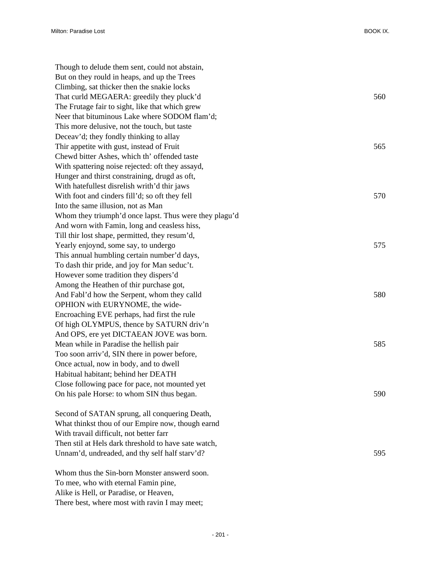| Though to delude them sent, could not abstain,         |     |
|--------------------------------------------------------|-----|
| But on they rould in heaps, and up the Trees           |     |
| Climbing, sat thicker then the snakie locks            |     |
| That curld MEGAERA: greedily they pluck'd              | 560 |
| The Frutage fair to sight, like that which grew        |     |
| Neer that bituminous Lake where SODOM flam'd;          |     |
| This more delusive, not the touch, but taste           |     |
| Deceav'd; they fondly thinking to allay                |     |
| Thir appetite with gust, instead of Fruit              | 565 |
| Chewd bitter Ashes, which th' offended taste           |     |
| With spattering noise rejected: oft they assayd,       |     |
| Hunger and thirst constraining, drugd as oft,          |     |
| With hatefullest disrelish writh'd thir jaws           |     |
| With foot and cinders fill'd; so oft they fell         | 570 |
| Into the same illusion, not as Man                     |     |
| Whom they triumph'd once lapst. Thus were they plagu'd |     |
| And worn with Famin, long and ceasless hiss,           |     |
| Till thir lost shape, permitted, they resum'd,         |     |
| Yearly enjoynd, some say, to undergo                   | 575 |
| This annual humbling certain number'd days,            |     |
| To dash thir pride, and joy for Man seduc't.           |     |
| However some tradition they dispers'd                  |     |
| Among the Heathen of thir purchase got,                |     |
| And Fabl'd how the Serpent, whom they calld            | 580 |
| OPHION with EURYNOME, the wide-                        |     |
| Encroaching EVE perhaps, had first the rule            |     |
| Of high OLYMPUS, thence by SATURN driv'n               |     |
| And OPS, ere yet DICTAEAN JOVE was born.               |     |
| Mean while in Paradise the hellish pair                | 585 |
| Too soon arriv'd, SIN there in power before,           |     |
| Once actual, now in body, and to dwell                 |     |
| Habitual habitant; behind her DEATH                    |     |
| Close following pace for pace, not mounted yet         |     |
| On his pale Horse: to whom SIN thus began.             | 590 |
| Second of SATAN sprung, all conquering Death,          |     |
| What thinkst thou of our Empire now, though earnd      |     |
| With travail difficult, not better farr                |     |
| Then stil at Hels dark threshold to have sate watch,   |     |
| Unnam'd, undreaded, and thy self half starv'd?         | 595 |
| Whom thus the Sin-born Monster answerd soon.           |     |
| To mee, who with eternal Famin pine,                   |     |

Alike is Hell, or Paradise, or Heaven,

There best, where most with ravin I may meet;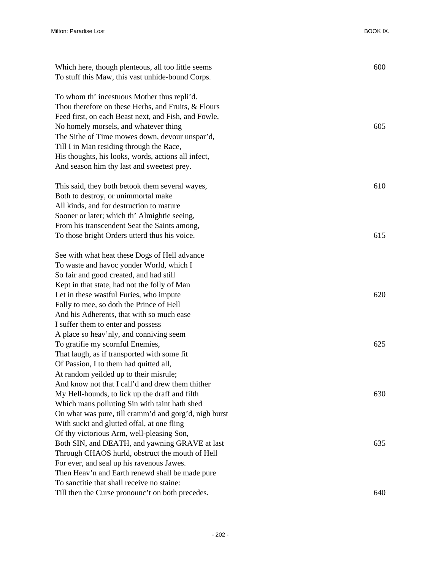| Which here, though plenteous, all too little seems<br>To stuff this Maw, this vast unhide-bound Corps. | 600 |
|--------------------------------------------------------------------------------------------------------|-----|
| To whom th' incestuous Mother thus repli'd.                                                            |     |
| Thou therefore on these Herbs, and Fruits, & Flours                                                    |     |
| Feed first, on each Beast next, and Fish, and Fowle,                                                   |     |
| No homely morsels, and whatever thing                                                                  | 605 |
| The Sithe of Time mowes down, devour unspar'd,                                                         |     |
| Till I in Man residing through the Race,                                                               |     |
| His thoughts, his looks, words, actions all infect,                                                    |     |
| And season him thy last and sweetest prey.                                                             |     |
| This said, they both betook them several wayes,                                                        | 610 |
| Both to destroy, or unimmortal make                                                                    |     |
| All kinds, and for destruction to mature                                                               |     |
| Sooner or later; which th' Almightie seeing,                                                           |     |
| From his transcendent Seat the Saints among,                                                           |     |
| To those bright Orders utterd thus his voice.                                                          | 615 |
| See with what heat these Dogs of Hell advance                                                          |     |
| To waste and havoc yonder World, which I                                                               |     |
| So fair and good created, and had still                                                                |     |
| Kept in that state, had not the folly of Man                                                           |     |
| Let in these wastful Furies, who impute                                                                | 620 |
| Folly to mee, so doth the Prince of Hell                                                               |     |
| And his Adherents, that with so much ease                                                              |     |
| I suffer them to enter and possess                                                                     |     |
| A place so heav'nly, and conniving seem                                                                |     |
| To gratifie my scornful Enemies,                                                                       | 625 |
| That laugh, as if transported with some fit                                                            |     |
| Of Passion, I to them had quitted all,                                                                 |     |
| At random yeilded up to their misrule;                                                                 |     |
| And know not that I call'd and drew them thither                                                       |     |
| My Hell-hounds, to lick up the draff and filth                                                         | 630 |
| Which mans polluting Sin with taint hath shed                                                          |     |
| On what was pure, till cramm'd and gorg'd, nigh burst                                                  |     |
| With suckt and glutted offal, at one fling                                                             |     |
| Of thy victorious Arm, well-pleasing Son,                                                              |     |
| Both SIN, and DEATH, and yawning GRAVE at last                                                         | 635 |
| Through CHAOS hurld, obstruct the mouth of Hell                                                        |     |
| For ever, and seal up his ravenous Jawes.                                                              |     |
| Then Heav'n and Earth renewd shall be made pure                                                        |     |
| To sanctitie that shall receive no staine:                                                             |     |
| Till then the Curse pronounc't on both precedes.                                                       | 640 |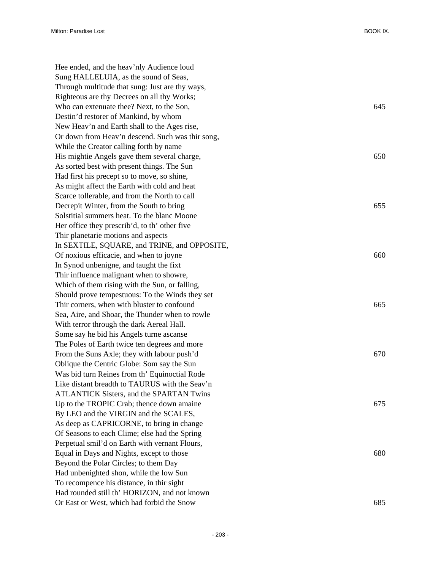| Hee ended, and the heav'nly Audience loud        |     |
|--------------------------------------------------|-----|
| Sung HALLELUIA, as the sound of Seas,            |     |
| Through multitude that sung: Just are thy ways,  |     |
| Righteous are thy Decrees on all thy Works;      |     |
| Who can extenuate thee? Next, to the Son,        | 645 |
| Destin'd restorer of Mankind, by whom            |     |
| New Heav'n and Earth shall to the Ages rise,     |     |
| Or down from Heav'n descend. Such was thir song, |     |
| While the Creator calling forth by name          |     |
| His mightie Angels gave them several charge,     | 650 |
| As sorted best with present things. The Sun      |     |
| Had first his precept so to move, so shine,      |     |
| As might affect the Earth with cold and heat     |     |
| Scarce tollerable, and from the North to call    |     |
| Decrepit Winter, from the South to bring         | 655 |
| Solstitial summers heat. To the blanc Moone      |     |
| Her office they prescrib'd, to th' other five    |     |
| Thir planetarie motions and aspects              |     |
| In SEXTILE, SQUARE, and TRINE, and OPPOSITE,     |     |
| Of noxious efficacie, and when to joyne          | 660 |
| In Synod unbenigne, and taught the fixt          |     |
| Thir influence malignant when to showre,         |     |
| Which of them rising with the Sun, or falling,   |     |
| Should prove tempestuous: To the Winds they set  |     |
| Thir corners, when with bluster to confound      | 665 |
| Sea, Aire, and Shoar, the Thunder when to rowle  |     |
| With terror through the dark Aereal Hall.        |     |
| Some say he bid his Angels turne ascanse         |     |
| The Poles of Earth twice ten degrees and more    |     |
| From the Suns Axle; they with labour push'd      | 670 |
| Oblique the Centric Globe: Som say the Sun       |     |
| Was bid turn Reines from th' Equinoctial Rode    |     |
| Like distant breadth to TAURUS with the Seav'n   |     |
| <b>ATLANTICK Sisters, and the SPARTAN Twins</b>  |     |
| Up to the TROPIC Crab; thence down amaine        | 675 |
| By LEO and the VIRGIN and the SCALES,            |     |
| As deep as CAPRICORNE, to bring in change        |     |
| Of Seasons to each Clime; else had the Spring    |     |
| Perpetual smil'd on Earth with vernant Flours,   |     |
| Equal in Days and Nights, except to those        | 680 |
| Beyond the Polar Circles; to them Day            |     |
| Had unbenighted shon, while the low Sun          |     |
| To recompence his distance, in thir sight        |     |
| Had rounded still th' HORIZON, and not known     |     |
| Or East or West, which had forbid the Snow       | 685 |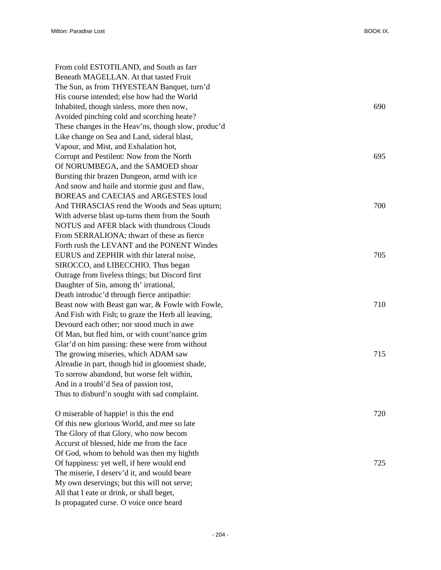| From cold ESTOTILAND, and South as farr             |     |
|-----------------------------------------------------|-----|
| Beneath MAGELLAN. At that tasted Fruit              |     |
| The Sun, as from THYESTEAN Banquet, turn'd          |     |
| His course intended; else how had the World         |     |
| Inhabited, though sinless, more then now,           | 690 |
| Avoided pinching cold and scorching heate?          |     |
| These changes in the Heav'ns, though slow, produc'd |     |
| Like change on Sea and Land, sideral blast,         |     |
| Vapour, and Mist, and Exhalation hot,               |     |
| Corrupt and Pestilent: Now from the North           | 695 |
| Of NORUMBEGA, and the SAMOED shoar                  |     |
| Bursting thir brazen Dungeon, armd with ice         |     |
| And snow and haile and stormie gust and flaw,       |     |
| BOREAS and CAECIAS and ARGESTES loud                |     |
| And THRASCIAS rend the Woods and Seas upturn;       | 700 |
| With adverse blast up-turns them from the South     |     |
| NOTUS and AFER black with thundrous Clouds          |     |
| From SERRALIONA; thwart of these as fierce          |     |
| Forth rush the LEVANT and the PONENT Windes         |     |
| EURUS and ZEPHIR with thir lateral noise,           | 705 |
| SIROCCO, and LIBECCHIO. Thus began                  |     |
| Outrage from liveless things; but Discord first     |     |
| Daughter of Sin, among th' irrational,              |     |
| Death introduc'd through fierce antipathie:         |     |
| Beast now with Beast gan war, & Fowle with Fowle,   | 710 |
| And Fish with Fish; to graze the Herb all leaving,  |     |
| Devourd each other; nor stood much in awe           |     |
| Of Man, but fled him, or with count'nance grim      |     |
| Glar'd on him passing: these were from without      |     |
| The growing miseries, which ADAM saw                | 715 |
| Alreadie in part, though hid in gloomiest shade,    |     |
| To sorrow abandond, but worse felt within,          |     |
| And in a troubl'd Sea of passion tost,              |     |
| Thus to disburd'n sought with sad complaint.        |     |
|                                                     |     |
| O miserable of happie! is this the end              | 720 |
| Of this new glorious World, and mee so late         |     |
| The Glory of that Glory, who now becom              |     |
| Accurst of blessed, hide me from the face           |     |
| Of God, whom to behold was then my highth           |     |
| Of happiness: yet well, if here would end           | 725 |
| The miserie, I deserv'd it, and would beare         |     |

My own deservings; but this will not serve; All that I eate or drink, or shall beget, Is propagated curse. O voice once heard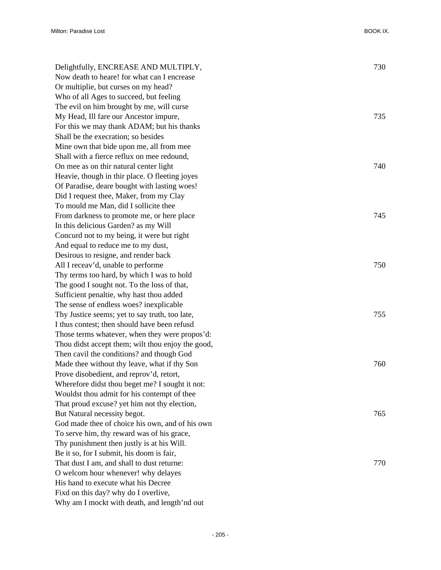| Delightfully, ENCREASE AND MULTIPLY,              | 730 |
|---------------------------------------------------|-----|
| Now death to heare! for what can I encrease       |     |
| Or multiplie, but curses on my head?              |     |
| Who of all Ages to succeed, but feeling           |     |
| The evil on him brought by me, will curse         |     |
| My Head, Ill fare our Ancestor impure,            | 735 |
| For this we may thank ADAM; but his thanks        |     |
| Shall be the execration; so besides               |     |
| Mine own that bide upon me, all from mee          |     |
| Shall with a fierce reflux on mee redound,        |     |
| On mee as on thir natural center light            | 740 |
| Heavie, though in thir place. O fleeting joyes    |     |
| Of Paradise, deare bought with lasting woes!      |     |
| Did I request thee, Maker, from my Clay           |     |
| To mould me Man, did I sollicite thee             |     |
| From darkness to promote me, or here place        | 745 |
| In this delicious Garden? as my Will              |     |
| Concurd not to my being, it were but right        |     |
| And equal to reduce me to my dust,                |     |
| Desirous to resigne, and render back              |     |
| All I receav'd, unable to performe                | 750 |
| Thy terms too hard, by which I was to hold        |     |
| The good I sought not. To the loss of that,       |     |
| Sufficient penaltie, why hast thou added          |     |
| The sense of endless woes? inexplicable           |     |
| Thy Justice seems; yet to say truth, too late,    | 755 |
| I thus contest; then should have been refusd      |     |
| Those terms whatever, when they were propos'd:    |     |
| Thou didst accept them; wilt thou enjoy the good, |     |
| Then cavil the conditions? and though God         |     |
| Made thee without thy leave, what if thy Son      | 760 |
| Prove disobedient, and reprov'd, retort,          |     |
| Wherefore didst thou beget me? I sought it not:   |     |
| Wouldst thou admit for his contempt of thee       |     |
| That proud excuse? yet him not thy election,      |     |
| But Natural necessity begot.                      | 765 |
| God made thee of choice his own, and of his own   |     |
| To serve him, thy reward was of his grace,        |     |
| Thy punishment then justly is at his Will.        |     |
| Be it so, for I submit, his doom is fair,         |     |
| That dust I am, and shall to dust returne:        | 770 |
| O welcom hour whenever! why delayes               |     |
| His hand to execute what his Decree               |     |
| Fixd on this day? why do I overlive,              |     |
| Why am I mockt with death, and length'nd out      |     |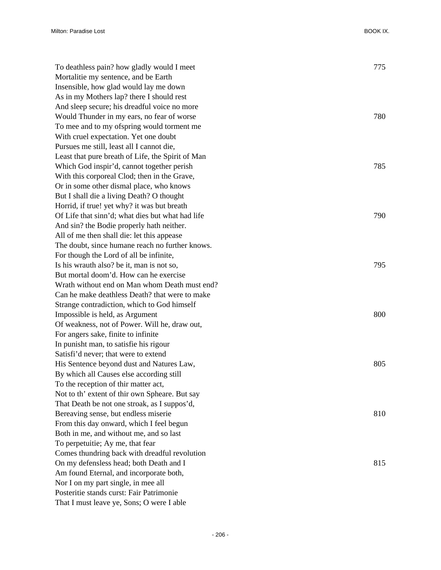| To deathless pain? how gladly would I meet        | 775 |
|---------------------------------------------------|-----|
| Mortalitie my sentence, and be Earth              |     |
| Insensible, how glad would lay me down            |     |
| As in my Mothers lap? there I should rest         |     |
| And sleep secure; his dreadful voice no more      |     |
| Would Thunder in my ears, no fear of worse        | 780 |
| To mee and to my ofspring would torment me        |     |
| With cruel expectation. Yet one doubt             |     |
| Pursues me still, least all I cannot die,         |     |
| Least that pure breath of Life, the Spirit of Man |     |
| Which God inspir'd, cannot together perish        | 785 |
| With this corporeal Clod; then in the Grave,      |     |
| Or in some other dismal place, who knows          |     |
| But I shall die a living Death? O thought         |     |
| Horrid, if true! yet why? it was but breath       |     |
| Of Life that sinn'd; what dies but what had life  | 790 |
| And sin? the Bodie properly hath neither.         |     |
| All of me then shall die: let this appease        |     |
| The doubt, since humane reach no further knows.   |     |
| For though the Lord of all be infinite,           |     |
| Is his wrauth also? be it, man is not so,         | 795 |
| But mortal doom'd. How can he exercise            |     |
| Wrath without end on Man whom Death must end?     |     |
| Can he make deathless Death? that were to make    |     |
| Strange contradiction, which to God himself       |     |
| Impossible is held, as Argument                   | 800 |
| Of weakness, not of Power. Will he, draw out,     |     |
| For angers sake, finite to infinite               |     |
| In punisht man, to satisfie his rigour            |     |
| Satisfi'd never; that were to extend              |     |
| His Sentence beyond dust and Natures Law,         | 805 |
| By which all Causes else according still          |     |
| To the reception of thir matter act,              |     |
| Not to th' extent of thir own Spheare. But say    |     |
| That Death be not one stroak, as I suppos'd,      |     |
| Bereaving sense, but endless miserie              | 810 |
| From this day onward, which I feel begun          |     |
| Both in me, and without me, and so last           |     |
| To perpetuitie; Ay me, that fear                  |     |
| Comes thundring back with dreadful revolution     |     |
| On my defensless head; both Death and I           | 815 |
| Am found Eternal, and incorporate both,           |     |
| Nor I on my part single, in mee all               |     |
| Posteritie stands curst: Fair Patrimonie          |     |
| That I must leave ye, Sons; O were I able         |     |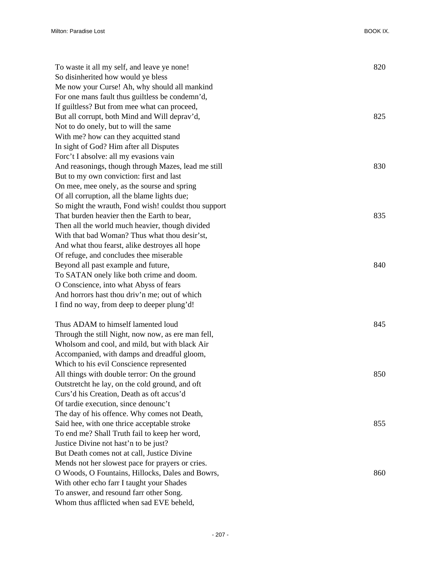Milton: Paradise Lost BOOK IX.

| To waste it all my self, and leave ye none!          | 820 |
|------------------------------------------------------|-----|
| So disinherited how would ye bless                   |     |
| Me now your Curse! Ah, why should all mankind        |     |
| For one mans fault thus guiltless be condemn'd,      |     |
| If guiltless? But from mee what can proceed,         |     |
| But all corrupt, both Mind and Will deprav'd,        | 825 |
| Not to do onely, but to will the same                |     |
| With me? how can they acquitted stand                |     |
| In sight of God? Him after all Disputes              |     |
| Forc't I absolve: all my evasions vain               |     |
| And reasonings, though through Mazes, lead me still  | 830 |
| But to my own conviction: first and last             |     |
| On mee, mee onely, as the sourse and spring          |     |
| Of all corruption, all the blame lights due;         |     |
| So might the wrauth, Fond wish! couldst thou support |     |
| That burden heavier then the Earth to bear,          | 835 |
| Then all the world much heavier, though divided      |     |
| With that bad Woman? Thus what thou desir'st,        |     |
| And what thou fearst, alike destroyes all hope       |     |
| Of refuge, and concludes thee miserable              |     |
| Beyond all past example and future,                  | 840 |
| To SATAN onely like both crime and doom.             |     |
| O Conscience, into what Abyss of fears               |     |
| And horrors hast thou driv'n me; out of which        |     |
| I find no way, from deep to deeper plung'd!          |     |
|                                                      |     |
| Thus ADAM to himself lamented loud                   | 845 |
| Through the still Night, now now, as ere man fell,   |     |
| Wholsom and cool, and mild, but with black Air       |     |
| Accompanied, with damps and dreadful gloom,          |     |
| Which to his evil Conscience represented             |     |
| All things with double terror: On the ground         | 850 |
| Outstretcht he lay, on the cold ground, and oft      |     |
| Curs'd his Creation, Death as oft accus'd            |     |
| Of tardie execution, since denounc't                 |     |
| The day of his offence. Why comes not Death,         |     |
| Said hee, with one thrice acceptable stroke          | 855 |
| To end me? Shall Truth fail to keep her word,        |     |
| Justice Divine not hast'n to be just?                |     |
| But Death comes not at call, Justice Divine          |     |
| Mends not her slowest pace for prayers or cries.     |     |
| O Woods, O Fountains, Hillocks, Dales and Bowrs,     | 860 |
| With other echo farr I taught your Shades            |     |
| To answer, and resound farr other Song.              |     |
| Whom thus afflicted when sad EVE beheld,             |     |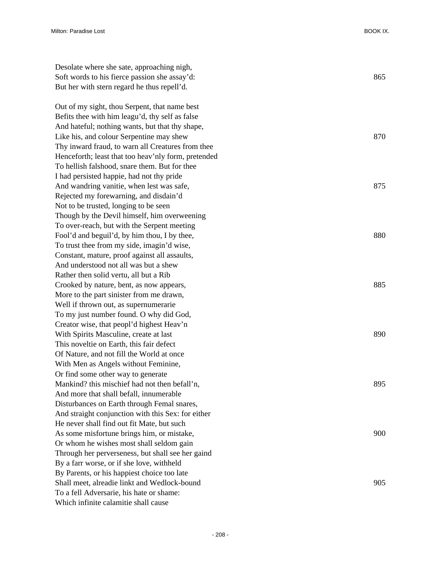| Desolate where she sate, approaching nigh,          |     |
|-----------------------------------------------------|-----|
| Soft words to his fierce passion she assay'd:       | 865 |
| But her with stern regard he thus repell'd.         |     |
| Out of my sight, thou Serpent, that name best       |     |
| Befits thee with him leagu'd, thy self as false     |     |
| And hateful; nothing wants, but that thy shape,     |     |
| Like his, and colour Serpentine may shew            | 870 |
| Thy inward fraud, to warn all Creatures from thee   |     |
| Henceforth; least that too heav'nly form, pretended |     |
| To hellish falshood, snare them. But for thee       |     |
| I had persisted happie, had not thy pride           |     |
| And wandring vanitie, when lest was safe,           | 875 |
| Rejected my forewarning, and disdain'd              |     |
| Not to be trusted, longing to be seen               |     |
| Though by the Devil himself, him overweening        |     |
| To over-reach, but with the Serpent meeting         |     |
| Fool'd and beguil'd, by him thou, I by thee,        | 880 |
| To trust thee from my side, imagin'd wise,          |     |
| Constant, mature, proof against all assaults,       |     |
| And understood not all was but a shew               |     |
| Rather then solid vertu, all but a Rib              |     |
| Crooked by nature, bent, as now appears,            | 885 |
| More to the part sinister from me drawn,            |     |
| Well if thrown out, as supernumerarie               |     |
| To my just number found. O why did God,             |     |
| Creator wise, that peopl'd highest Heav'n           |     |
| With Spirits Masculine, create at last              | 890 |
| This noveltie on Earth, this fair defect            |     |
| Of Nature, and not fill the World at once           |     |
| With Men as Angels without Feminine,                |     |
| Or find some other way to generate                  |     |
| Mankind? this mischief had not then befall'n,       | 895 |
| And more that shall befall, innumerable             |     |
| Disturbances on Earth through Femal snares,         |     |
| And straight conjunction with this Sex: for either  |     |
| He never shall find out fit Mate, but such          |     |
| As some misfortune brings him, or mistake,          | 900 |
| Or whom he wishes most shall seldom gain            |     |
| Through her perverseness, but shall see her gaind   |     |
| By a farr worse, or if she love, withheld           |     |
| By Parents, or his happiest choice too late         |     |
| Shall meet, alreadie linkt and Wedlock-bound        | 905 |
| To a fell Adversarie, his hate or shame:            |     |
| Which infinite calamitie shall cause                |     |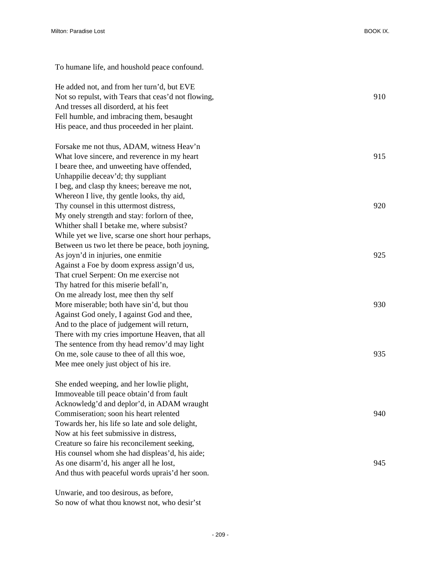To humane life, and houshold peace confound. He added not, and from her turn'd, but EVE Not so repulst, with Tears that ceas'd not flowing, 910 910 And tresses all disorderd, at his feet Fell humble, and imbracing them, besaught His peace, and thus proceeded in her plaint. Forsake me not thus, ADAM, witness Heav'n What love sincere, and reverence in my heart 915 I beare thee, and unweeting have offended, Unhappilie deceav'd; thy suppliant I beg, and clasp thy knees; bereave me not, Whereon I live, thy gentle looks, thy aid, Thy counsel in this uttermost distress, 920 My onely strength and stay: forlorn of thee, Whither shall I betake me, where subsist? While yet we live, scarse one short hour perhaps, Between us two let there be peace, both joyning, As joyn'd in injuries, one enmitie 925 Against a Foe by doom express assign'd us, That cruel Serpent: On me exercise not Thy hatred for this miserie befall'n, On me already lost, mee then thy self More miserable; both have sin'd, but thou 930 Against God onely, I against God and thee, And to the place of judgement will return, There with my cries importune Heaven, that all The sentence from thy head remov'd may light On me, sole cause to thee of all this woe, 935 Mee mee onely just object of his ire. She ended weeping, and her lowlie plight, Immoveable till peace obtain'd from fault Acknowledg'd and deplor'd, in ADAM wraught Commiseration; soon his heart relented 940 Towards her, his life so late and sole delight, Now at his feet submissive in distress, Creature so faire his reconcilement seeking, His counsel whom she had displeas'd, his aide; As one disarm'd, his anger all he lost, 945 And thus with peaceful words uprais'd her soon.

Unwarie, and too desirous, as before, So now of what thou knowst not, who desir'st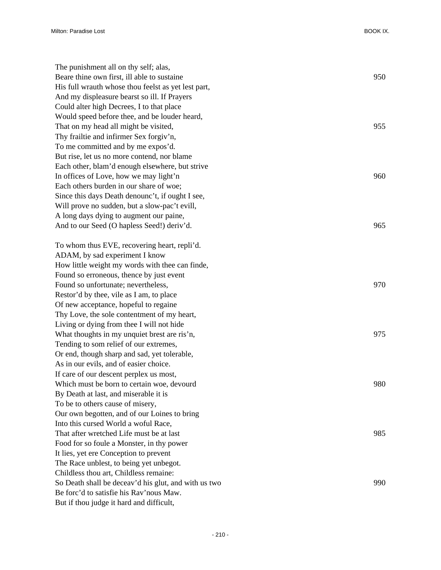| The punishment all on thy self; alas,                |     |
|------------------------------------------------------|-----|
| Beare thine own first, ill able to sustaine          | 950 |
| His full wrauth whose thou feelst as yet lest part,  |     |
| And my displeasure bearst so ill. If Prayers         |     |
| Could alter high Decrees, I to that place            |     |
| Would speed before thee, and be louder heard,        |     |
| That on my head all might be visited,                | 955 |
| Thy frailtie and infirmer Sex forgiv'n,              |     |
| To me committed and by me expos'd.                   |     |
| But rise, let us no more contend, nor blame          |     |
| Each other, blam'd enough elsewhere, but strive      |     |
| In offices of Love, how we may light'n               | 960 |
| Each others burden in our share of woe;              |     |
| Since this days Death denounc't, if ought I see,     |     |
| Will prove no sudden, but a slow-pac't evill,        |     |
| A long days dying to augment our paine,              |     |
| And to our Seed (O hapless Seed!) deriv'd.           | 965 |
|                                                      |     |
| To whom thus EVE, recovering heart, repli'd.         |     |
| ADAM, by sad experiment I know                       |     |
| How little weight my words with thee can finde,      |     |
| Found so erroneous, thence by just event             |     |
| Found so unfortunate; nevertheless,                  | 970 |
| Restor'd by thee, vile as I am, to place             |     |
| Of new acceptance, hopeful to regaine                |     |
| Thy Love, the sole contentment of my heart,          |     |
| Living or dying from thee I will not hide            |     |
| What thoughts in my unquiet brest are ris'n,         | 975 |
| Tending to som relief of our extremes,               |     |
| Or end, though sharp and sad, yet tolerable,         |     |
| As in our evils, and of easier choice.               |     |
| If care of our descent perplex us most,              |     |
| Which must be born to certain woe, devourd           | 980 |
| By Death at last, and miserable it is                |     |
| To be to others cause of misery,                     |     |
| Our own begotten, and of our Loines to bring         |     |
| Into this cursed World a woful Race,                 |     |
| That after wretched Life must be at last             | 985 |
| Food for so foule a Monster, in thy power            |     |
| It lies, yet ere Conception to prevent               |     |
| The Race unblest, to being yet unbegot.              |     |
| Childless thou art, Childless remaine:               |     |
| So Death shall be deceav'd his glut, and with us two | 990 |
| Be forc'd to satisfie his Rav'nous Maw.              |     |
| But if thou judge it hard and difficult,             |     |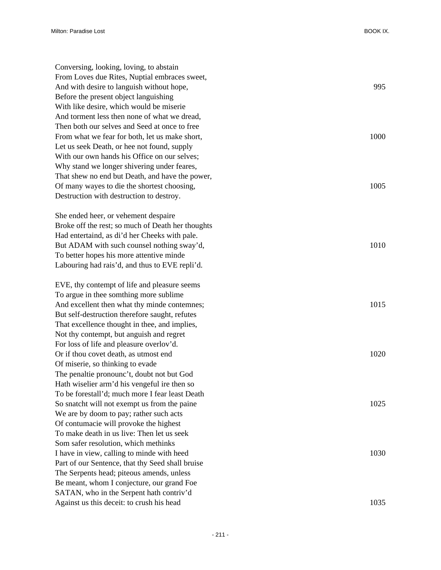| Conversing, looking, loving, to abstain           |      |
|---------------------------------------------------|------|
| From Loves due Rites, Nuptial embraces sweet,     |      |
| And with desire to languish without hope,         | 995  |
| Before the present object languishing             |      |
| With like desire, which would be miserie          |      |
| And torment less then none of what we dread,      |      |
| Then both our selves and Seed at once to free     |      |
| From what we fear for both, let us make short,    | 1000 |
| Let us seek Death, or hee not found, supply       |      |
| With our own hands his Office on our selves;      |      |
| Why stand we longer shivering under feares,       |      |
| That shew no end but Death, and have the power,   |      |
| Of many wayes to die the shortest choosing,       | 1005 |
| Destruction with destruction to destroy.          |      |
| She ended heer, or vehement despaire              |      |
| Broke off the rest; so much of Death her thoughts |      |
| Had entertaind, as di'd her Cheeks with pale.     |      |
| But ADAM with such counsel nothing sway'd,        | 1010 |
| To better hopes his more attentive minde          |      |
| Labouring had rais'd, and thus to EVE repli'd.    |      |
| EVE, thy contempt of life and pleasure seems      |      |
| To argue in thee somthing more sublime            |      |
| And excellent then what thy minde contemnes;      | 1015 |
| But self-destruction therefore saught, refutes    |      |
| That excellence thought in thee, and implies,     |      |
| Not thy contempt, but anguish and regret          |      |
| For loss of life and pleasure overlov'd.          |      |
| Or if thou covet death, as utmost end             | 1020 |
| Of miserie, so thinking to evade                  |      |
| The penaltie pronounc't, doubt not but God        |      |
| Hath wiselier arm'd his vengeful ire then so      |      |
| To be forestall'd; much more I fear least Death   |      |
| So snatcht will not exempt us from the paine      | 1025 |
| We are by doom to pay; rather such acts           |      |
| Of contumacie will provoke the highest            |      |
| To make death in us live: Then let us seek        |      |
| Som safer resolution, which methinks              |      |
| I have in view, calling to minde with heed        | 1030 |
| Part of our Sentence, that thy Seed shall bruise  |      |
| The Serpents head; piteous amends, unless         |      |
| Be meant, whom I conjecture, our grand Foe        |      |
| SATAN, who in the Serpent hath contriv'd          |      |
| Against us this deceit: to crush his head         | 1035 |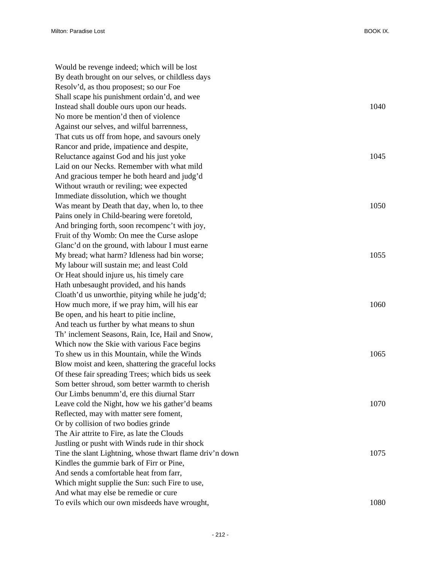| Would be revenge indeed; which will be lost              |      |
|----------------------------------------------------------|------|
| By death brought on our selves, or childless days        |      |
| Resolv'd, as thou proposest; so our Foe                  |      |
| Shall scape his punishment ordain'd, and wee             |      |
| Instead shall double ours upon our heads.                | 1040 |
| No more be mention'd then of violence                    |      |
| Against our selves, and wilful barrenness,               |      |
| That cuts us off from hope, and savours onely            |      |
| Rancor and pride, impatience and despite,                |      |
| Reluctance against God and his just yoke                 | 1045 |
| Laid on our Necks. Remember with what mild               |      |
| And gracious temper he both heard and judg'd             |      |
| Without wrauth or reviling; wee expected                 |      |
| Immediate dissolution, which we thought                  |      |
| Was meant by Death that day, when lo, to thee            | 1050 |
| Pains onely in Child-bearing were foretold,              |      |
| And bringing forth, soon recompenc't with joy,           |      |
| Fruit of thy Womb: On mee the Curse as lope              |      |
| Glanc'd on the ground, with labour I must earne          |      |
| My bread; what harm? Idleness had bin worse;             | 1055 |
| My labour will sustain me; and least Cold                |      |
| Or Heat should injure us, his timely care                |      |
| Hath unbesaught provided, and his hands                  |      |
| Cloath'd us unworthie, pitying while he judg'd;          |      |
| How much more, if we pray him, will his ear              | 1060 |
| Be open, and his heart to pitie incline,                 |      |
| And teach us further by what means to shun               |      |
| Th' inclement Seasons, Rain, Ice, Hail and Snow,         |      |
| Which now the Skie with various Face begins              |      |
| To shew us in this Mountain, while the Winds             | 1065 |
| Blow moist and keen, shattering the graceful locks       |      |
| Of these fair spreading Trees; which bids us seek        |      |
| Som better shroud, som better warmth to cherish          |      |
| Our Limbs benumm'd, ere this diurnal Starr               |      |
| Leave cold the Night, how we his gather'd beams          | 1070 |
| Reflected, may with matter sere foment,                  |      |
| Or by collision of two bodies grinde                     |      |
| The Air attrite to Fire, as late the Clouds              |      |
| Justling or pusht with Winds rude in thir shock          |      |
| Tine the slant Lightning, whose thwart flame driv'n down | 1075 |
| Kindles the gummie bark of Firr or Pine,                 |      |
| And sends a comfortable heat from farr,                  |      |
| Which might supplie the Sun: such Fire to use,           |      |
| And what may else be remedie or cure                     |      |
| To evils which our own misdeeds have wrought,            | 1080 |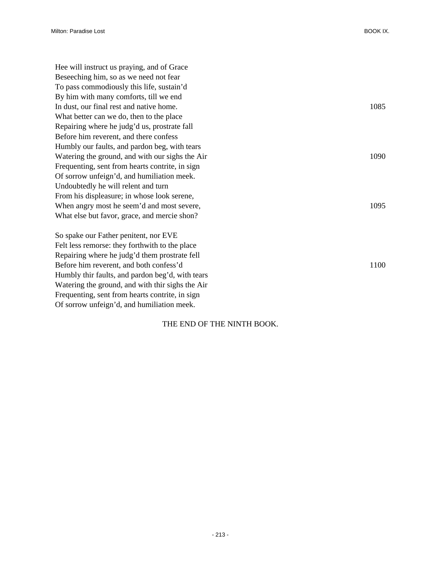| Hee will instruct us praying, and of Grace      |      |
|-------------------------------------------------|------|
| Beseeching him, so as we need not fear          |      |
| To pass commodiously this life, sustain'd       |      |
| By him with many comforts, till we end          |      |
| In dust, our final rest and native home.        | 1085 |
| What better can we do, then to the place        |      |
| Repairing where he judg'd us, prostrate fall    |      |
| Before him reverent, and there confess          |      |
| Humbly our faults, and pardon beg, with tears   |      |
| Watering the ground, and with our sighs the Air | 1090 |
| Frequenting, sent from hearts contrite, in sign |      |
| Of sorrow unfeign'd, and humiliation meek.      |      |
| Undoubtedly he will relent and turn             |      |
| From his displeasure; in whose look serene,     |      |
| When angry most he seem'd and most severe,      | 1095 |
| What else but favor, grace, and mercie shon?    |      |
| So spake our Father penitent, nor EVE           |      |
| Felt less remorse: they forthwith to the place  |      |

Felt less remorse: they forthwith to the place Repairing where he judg'd them prostrate fell Before him reverent, and both confess'd 1100 Humbly thir faults, and pardon beg'd, with tears Watering the ground, and with thir sighs the Air Frequenting, sent from hearts contrite, in sign Of sorrow unfeign'd, and humiliation meek.

## THE END OF THE NINTH BOOK.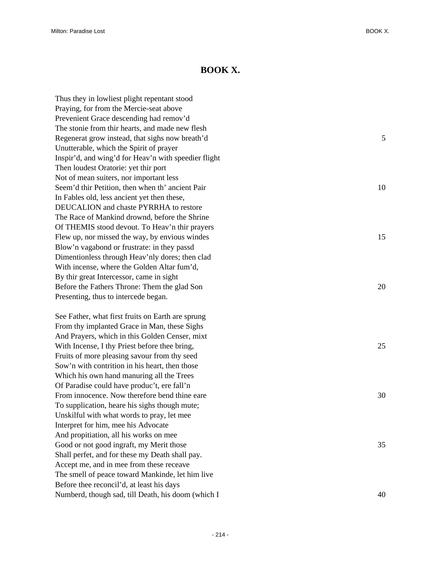## **BOOK X.**

Thus they in lowliest plight repentant stood Praying, for from the Mercie-seat above Prevenient Grace descending had remov'd The stonie from thir hearts, and made new flesh Regenerat grow instead, that sighs now breath'd 5 Unutterable, which the Spirit of prayer Inspir'd, and wing'd for Heav'n with speedier flight Then loudest Oratorie: yet thir port Not of mean suiters, nor important less Seem'd thir Petition, then when th' ancient Pair 10 In Fables old, less ancient yet then these, DEUCALION and chaste PYRRHA to restore The Race of Mankind drownd, before the Shrine Of THEMIS stood devout. To Heav'n thir prayers Flew up, nor missed the way, by envious windes 15 Blow'n vagabond or frustrate: in they passd Dimentionless through Heav'nly dores; then clad With incense, where the Golden Altar fum'd, By thir great Intercessor, came in sight Before the Fathers Throne: Them the glad Son 20 Presenting, thus to intercede began. See Father, what first fruits on Earth are sprung From thy implanted Grace in Man, these Sighs And Prayers, which in this Golden Censer, mixt

With Incense, I thy Priest before thee bring, 25 Fruits of more pleasing savour from thy seed Sow'n with contrition in his heart, then those Which his own hand manuring all the Trees Of Paradise could have produc't, ere fall'n From innocence. Now therefore bend thine eare 30 To supplication, heare his sighs though mute; Unskilful with what words to pray, let mee Interpret for him, mee his Advocate And propitiation, all his works on mee Good or not good ingraft, my Merit those 35 Shall perfet, and for these my Death shall pay. Accept me, and in mee from these receave The smell of peace toward Mankinde, let him live Before thee reconcil'd, at least his days Numberd, though sad, till Death, his doom (which I 40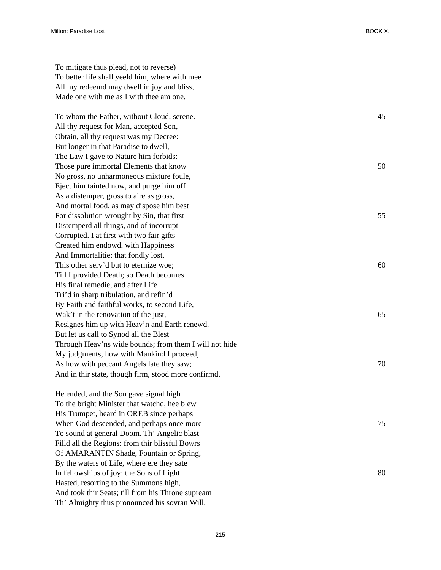To mitigate thus plead, not to reverse) To better life shall yeeld him, where with mee All my redeemd may dwell in joy and bliss, Made one with me as I with thee am one.

To whom the Father, without Cloud, serene. 45 All thy request for Man, accepted Son, Obtain, all thy request was my Decree: But longer in that Paradise to dwell, The Law I gave to Nature him forbids: Those pure immortal Elements that know 50 No gross, no unharmoneous mixture foule, Eject him tainted now, and purge him off As a distemper, gross to aire as gross, And mortal food, as may dispose him best For dissolution wrought by Sin, that first 55 Distemperd all things, and of incorrupt Corrupted. I at first with two fair gifts Created him endowd, with Happiness And Immortalitie: that fondly lost, This other serv'd but to eternize woe; 60 Till I provided Death; so Death becomes His final remedie, and after Life Tri'd in sharp tribulation, and refin'd By Faith and faithful works, to second Life, Wak't in the renovation of the just, 65 Resignes him up with Heav'n and Earth renewd. But let us call to Synod all the Blest Through Heav'ns wide bounds; from them I will not hide My judgments, how with Mankind I proceed, As how with peccant Angels late they saw;  $\frac{70}{20}$ And in thir state, though firm, stood more confirmd.

He ended, and the Son gave signal high To the bright Minister that watchd, hee blew His Trumpet, heard in OREB since perhaps When God descended, and perhaps once more 75 To sound at general Doom. Th' Angelic blast Filld all the Regions: from thir blissful Bowrs Of AMARANTIN Shade, Fountain or Spring, By the waters of Life, where ere they sate In fellowships of joy: the Sons of Light 80 Hasted, resorting to the Summons high, And took thir Seats; till from his Throne supream Th' Almighty thus pronounced his sovran Will.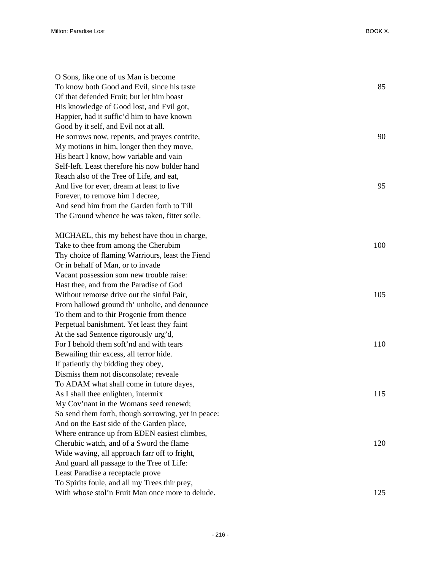| O Sons, like one of us Man is become                |     |
|-----------------------------------------------------|-----|
| To know both Good and Evil, since his taste         | 85  |
| Of that defended Fruit; but let him boast           |     |
| His knowledge of Good lost, and Evil got,           |     |
| Happier, had it suffic'd him to have known          |     |
| Good by it self, and Evil not at all.               |     |
| He sorrows now, repents, and prayes contrite,       | 90  |
| My motions in him, longer then they move,           |     |
| His heart I know, how variable and vain             |     |
| Self-left. Least therefore his now bolder hand      |     |
| Reach also of the Tree of Life, and eat,            |     |
| And live for ever, dream at least to live           | 95  |
| Forever, to remove him I decree,                    |     |
| And send him from the Garden forth to Till          |     |
| The Ground whence he was taken, fitter soile.       |     |
| MICHAEL, this my behest have thou in charge,        |     |
| Take to thee from among the Cherubim                | 100 |
| Thy choice of flaming Warriours, least the Fiend    |     |
| Or in behalf of Man, or to invade                   |     |
| Vacant possession som new trouble raise:            |     |
| Hast thee, and from the Paradise of God             |     |
| Without remorse drive out the sinful Pair,          | 105 |
| From hallowd ground th' unholie, and denounce       |     |
| To them and to thir Progenie from thence            |     |
| Perpetual banishment. Yet least they faint          |     |
| At the sad Sentence rigorously urg'd,               |     |
| For I behold them soft'nd and with tears            | 110 |
| Bewailing thir excess, all terror hide.             |     |
| If patiently thy bidding they obey,                 |     |
| Dismiss them not disconsolate; reveale              |     |
| To ADAM what shall come in future dayes,            |     |
| As I shall thee enlighten, intermix                 | 115 |
| My Cov'nant in the Womans seed renewd;              |     |
| So send them forth, though sorrowing, yet in peace: |     |
| And on the East side of the Garden place,           |     |
| Where entrance up from EDEN easiest climbes,        |     |
| Cherubic watch, and of a Sword the flame            | 120 |
| Wide waving, all approach farr off to fright,       |     |
| And guard all passage to the Tree of Life:          |     |
| Least Paradise a receptacle prove                   |     |
| To Spirits foule, and all my Trees thir prey,       |     |
| With whose stol'n Fruit Man once more to delude.    | 125 |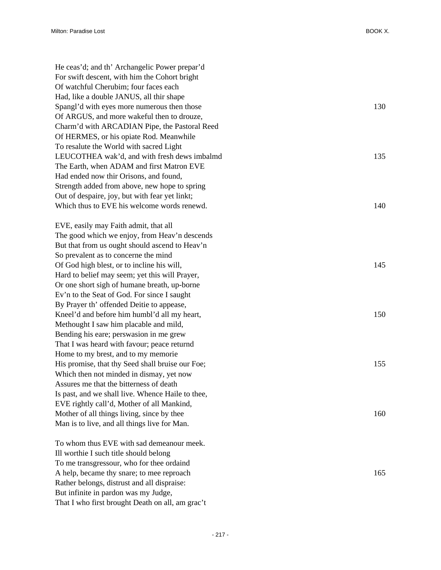| He ceas'd; and th' Archangelic Power prepar'd<br>For swift descent, with him the Cohort bright<br>Of watchful Cherubim; four faces each |     |
|-----------------------------------------------------------------------------------------------------------------------------------------|-----|
| Had, like a double JANUS, all thir shape<br>Spangl'd with eyes more numerous then those                                                 | 130 |
| Of ARGUS, and more wakeful then to drouze,                                                                                              |     |
| Charm'd with ARCADIAN Pipe, the Pastoral Reed                                                                                           |     |
| Of HERMES, or his opiate Rod. Meanwhile                                                                                                 |     |
| To resalute the World with sacred Light                                                                                                 |     |
| LEUCOTHEA wak'd, and with fresh dews imbalmd                                                                                            | 135 |
| The Earth, when ADAM and first Matron EVE                                                                                               |     |
| Had ended now thir Orisons, and found,                                                                                                  |     |
| Strength added from above, new hope to spring                                                                                           |     |
| Out of despaire, joy, but with fear yet linkt;                                                                                          |     |
| Which thus to EVE his welcome words renewd.                                                                                             | 140 |
|                                                                                                                                         |     |
| EVE, easily may Faith admit, that all                                                                                                   |     |
| The good which we enjoy, from Heav'n descends                                                                                           |     |
| But that from us ought should ascend to Heav'n                                                                                          |     |
| So prevalent as to concerne the mind                                                                                                    |     |
| Of God high blest, or to incline his will,                                                                                              | 145 |
| Hard to belief may seem; yet this will Prayer,                                                                                          |     |
| Or one short sigh of humane breath, up-borne                                                                                            |     |
| Ev'n to the Seat of God. For since I saught                                                                                             |     |
| By Prayer th' offended Deitie to appease,                                                                                               |     |
| Kneel'd and before him humbl'd all my heart,                                                                                            | 150 |
| Methought I saw him placable and mild,                                                                                                  |     |
| Bending his eare; perswasion in me grew                                                                                                 |     |
| That I was heard with favour; peace returnd                                                                                             |     |
| Home to my brest, and to my memorie                                                                                                     |     |
| His promise, that thy Seed shall bruise our Foe;                                                                                        | 155 |
| Which then not minded in dismay, yet now                                                                                                |     |
| Assures me that the bitterness of death                                                                                                 |     |
| Is past, and we shall live. Whence Haile to thee,                                                                                       |     |
| EVE rightly call'd, Mother of all Mankind,                                                                                              |     |
| Mother of all things living, since by thee                                                                                              | 160 |
| Man is to live, and all things live for Man.                                                                                            |     |
| To whom thus EVE with sad demeanour meek.                                                                                               |     |
| Ill worthie I such title should belong                                                                                                  |     |
| To me transgressour, who for thee ordaind                                                                                               |     |
| A help, became thy snare; to mee reproach                                                                                               | 165 |

Rather belongs, distrust and all dispraise: But infinite in pardon was my Judge,

That I who first brought Death on all, am grac't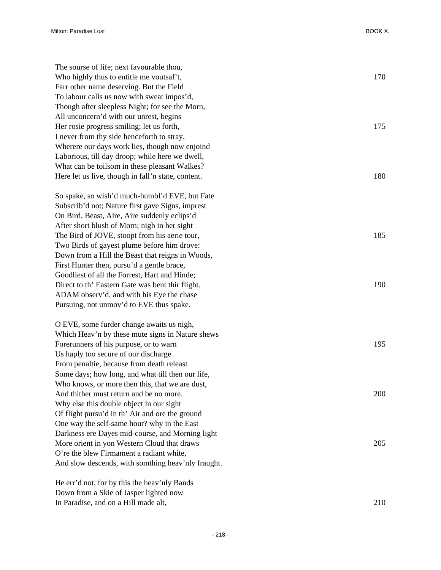| The sourse of life; next favourable thou,          |     |
|----------------------------------------------------|-----|
| Who highly thus to entitle me voutsaf't,           | 170 |
| Farr other name deserving. But the Field           |     |
| To labour calls us now with sweat impos'd,         |     |
| Though after sleepless Night; for see the Morn,    |     |
| All unconcern'd with our unrest, begins            |     |
| Her rosie progress smiling; let us forth,          | 175 |
| I never from thy side henceforth to stray,         |     |
| Wherere our days work lies, though now enjoind     |     |
| Laborious, till day droop; while here we dwell,    |     |
| What can be toilsom in these pleasant Walkes?      |     |
| Here let us live, though in fall'n state, content. | 180 |
| So spake, so wish'd much-humbl'd EVE, but Fate     |     |
| Subscrib'd not; Nature first gave Signs, imprest   |     |
| On Bird, Beast, Aire, Aire suddenly eclips'd       |     |
| After short blush of Morn; nigh in her sight       |     |
| The Bird of JOVE, stoopt from his aerie tour,      | 185 |
| Two Birds of gayest plume before him drove:        |     |
| Down from a Hill the Beast that reigns in Woods,   |     |
| First Hunter then, pursu'd a gentle brace,         |     |
| Goodliest of all the Forrest, Hart and Hinde;      |     |
| Direct to th' Eastern Gate was bent thir flight.   | 190 |
| ADAM observ'd, and with his Eye the chase          |     |
| Pursuing, not unmov'd to EVE thus spake.           |     |
| O EVE, some furder change awaits us nigh,          |     |
| Which Heav'n by these mute signs in Nature shews   |     |
| Forerunners of his purpose, or to warn             | 195 |
| Us haply too secure of our discharge               |     |
| From penaltie, because from death releast          |     |
| Some days; how long, and what till then our life,  |     |
| Who knows, or more then this, that we are dust,    |     |
| And thither must return and be no more.            | 200 |
| Why else this double object in our sight           |     |
| Of flight pursu'd in th' Air and ore the ground    |     |
| One way the self-same hour? why in the East        |     |
| Darkness ere Dayes mid-course, and Morning light   |     |
| More orient in yon Western Cloud that draws        | 205 |
| O're the blew Firmament a radiant white,           |     |
| And slow descends, with somthing heav'nly fraught. |     |
| He err'd not, for by this the heav'nly Bands       |     |
| Down from a Skie of Jasper lighted now             |     |
| In Paradise, and on a Hill made alt,               | 210 |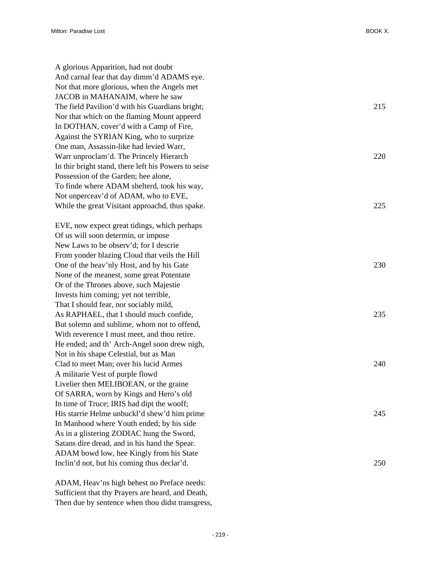A glorious Apparition, had not doubt And carnal fear that day dimm'd ADAMS eye. Not that more glorious, when the Angels met JACOB in MAHANAIM, where he saw The field Pavilion'd with his Guardians bright; 215 Nor that which on the flaming Mount appeerd In DOTHAN, cover'd with a Camp of Fire, Against the SYRIAN King, who to surprize One man, Assassin-like had levied Warr, Warr unproclam'd. The Princely Hierarch 220 In thir bright stand, there left his Powers to seise Possession of the Garden; hee alone, To finde where ADAM shelterd, took his way, Not unperceav'd of ADAM, who to EVE, While the great Visitant approachd, thus spake. 225

EVE, now expect great tidings, which perhaps Of us will soon determin, or impose New Laws to be observ'd; for I descrie From yonder blazing Cloud that veils the Hill One of the heav'nly Host, and by his Gate 230 None of the meanest, some great Potentate Or of the Thrones above, such Majestie Invests him coming; yet not terrible, That I should fear, nor sociably mild, As RAPHAEL, that I should much confide,  $235$ But solemn and sublime, whom not to offend, With reverence I must meet, and thou retire. He ended; and th' Arch-Angel soon drew nigh, Not in his shape Celestial, but as Man Clad to meet Man; over his lucid Armes 240 A militarie Vest of purple flowd Livelier then MELIBOEAN, or the graine Of SARRA, worn by Kings and Hero's old In time of Truce; IRIS had dipt the wooff; His starrie Helme unbuckl'd shew'd him prime 245 In Manhood where Youth ended; by his side As in a glistering ZODIAC hung the Sword, Satans dire dread, and in his hand the Spear. ADAM bowd low, hee Kingly from his State Inclin'd not, but his coming thus declar'd. 250

ADAM, Heav'ns high behest no Preface needs: Sufficient that thy Prayers are heard, and Death, Then due by sentence when thou didst transgress,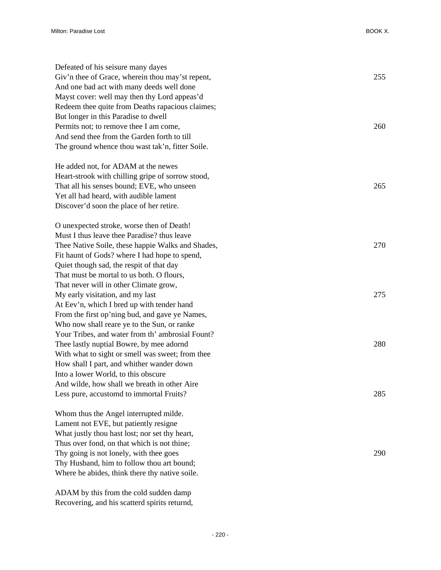| Defeated of his seisure many dayes<br>Giv'n thee of Grace, wherein thou may'st repent,<br>And one bad act with many deeds well done<br>Mayst cover: well may then thy Lord appeas'd                                                                                                     | 255 |
|-----------------------------------------------------------------------------------------------------------------------------------------------------------------------------------------------------------------------------------------------------------------------------------------|-----|
| Redeem thee quite from Deaths rapacious claimes;<br>But longer in this Paradise to dwell<br>Permits not; to remove thee I am come,<br>And send thee from the Garden forth to till<br>The ground whence thou wast tak'n, fitter Soile.                                                   | 260 |
| He added not, for ADAM at the newes<br>Heart-strook with chilling gripe of sorrow stood,<br>That all his senses bound; EVE, who unseen<br>Yet all had heard, with audible lament<br>Discover'd soon the place of her retire.                                                            | 265 |
| O unexpected stroke, worse then of Death!<br>Must I thus leave thee Paradise? thus leave<br>Thee Native Soile, these happie Walks and Shades,<br>Fit haunt of Gods? where I had hope to spend,<br>Quiet though sad, the respit of that day<br>That must be mortal to us both. O flours, | 270 |
| That never will in other Climate grow,<br>My early visitation, and my last<br>At Eev'n, which I bred up with tender hand<br>From the first op'ning bud, and gave ye Names,                                                                                                              | 275 |
| Who now shall reare ye to the Sun, or ranke<br>Your Tribes, and water from th' ambrosial Fount?<br>Thee lastly nuptial Bowre, by mee adornd<br>With what to sight or smell was sweet; from thee<br>How shall I part, and whither wander down<br>Into a lower World, to this obscure     | 280 |
| And wilde, how shall we breath in other Aire<br>Less pure, accustomd to immortal Fruits?                                                                                                                                                                                                | 285 |
| Whom thus the Angel interrupted milde.<br>Lament not EVE, but patiently resigne<br>What justly thou hast lost; nor set thy heart,<br>Thus over fond, on that which is not thine;<br>Thy going is not lonely, with thee goes                                                             | 290 |
| Thy Husband, him to follow thou art bound;<br>Where he abides, think there thy native soile.                                                                                                                                                                                            |     |

ADAM by this from the cold sudden damp Recovering, and his scatterd spirits returnd,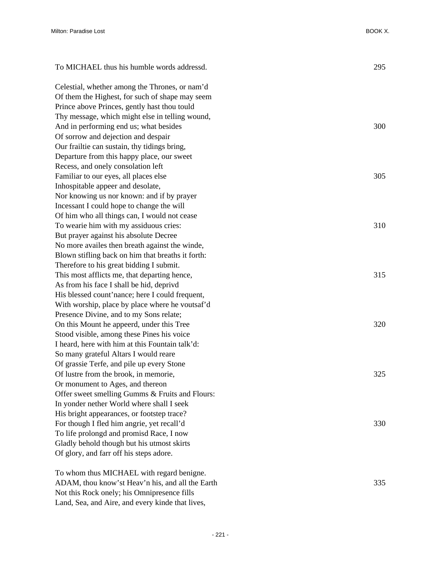| To MICHAEL thus his humble words addressd.        | 295 |
|---------------------------------------------------|-----|
| Celestial, whether among the Thrones, or nam'd    |     |
| Of them the Highest, for such of shape may seem   |     |
| Prince above Princes, gently hast thou tould      |     |
| Thy message, which might else in telling wound,   |     |
| And in performing end us; what besides            | 300 |
| Of sorrow and dejection and despair               |     |
| Our frailtie can sustain, thy tidings bring,      |     |
| Departure from this happy place, our sweet        |     |
| Recess, and onely consolation left                |     |
| Familiar to our eyes, all places else             | 305 |
| Inhospitable appeer and desolate,                 |     |
| Nor knowing us nor known: and if by prayer        |     |
| Incessant I could hope to change the will         |     |
| Of him who all things can, I would not cease      |     |
| To wearie him with my assiduous cries:            | 310 |
| But prayer against his absolute Decree            |     |
| No more availes then breath against the winde,    |     |
| Blown stifling back on him that breaths it forth: |     |
| Therefore to his great bidding I submit.          |     |
| This most afflicts me, that departing hence,      | 315 |
| As from his face I shall be hid, deprivd          |     |
| His blessed count'nance; here I could frequent,   |     |
| With worship, place by place where he voutsaf'd   |     |
| Presence Divine, and to my Sons relate;           |     |
| On this Mount he appeerd, under this Tree         | 320 |
| Stood visible, among these Pines his voice        |     |
| I heard, here with him at this Fountain talk'd:   |     |
| So many grateful Altars I would reare             |     |
| Of grassie Terfe, and pile up every Stone         |     |
| Of lustre from the brook, in memorie,             | 325 |
| Or monument to Ages, and thereon                  |     |
| Offer sweet smelling Gumms & Fruits and Flours:   |     |
| In yonder nether World where shall I seek         |     |
| His bright appearances, or footstep trace?        |     |
| For though I fled him angrie, yet recall'd        | 330 |
| To life prolongd and promisd Race, I now          |     |
| Gladly behold though but his utmost skirts        |     |
| Of glory, and farr off his steps adore.           |     |
| To whom thus MICHAEL with regard benigne.         |     |
| ADAM, thou know'st Heav'n his, and all the Earth  | 335 |

Not this Rock onely; his Omnipresence fills Land, Sea, and Aire, and every kinde that lives,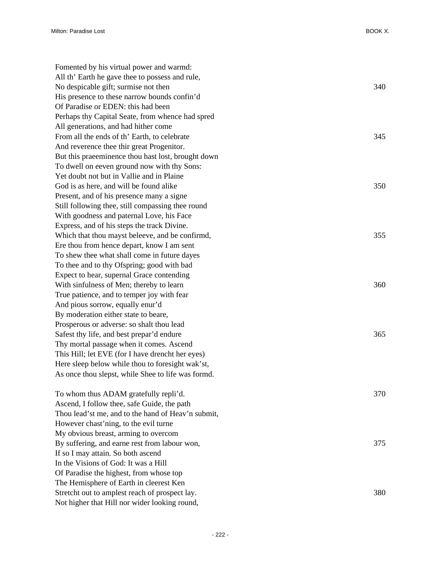| Fomented by his virtual power and warmd:           |     |
|----------------------------------------------------|-----|
| All th' Earth he gave thee to possess and rule,    |     |
| No despicable gift; surmise not then               | 340 |
| His presence to these narrow bounds confin'd       |     |
| Of Paradise or EDEN: this had been                 |     |
| Perhaps thy Capital Seate, from whence had spred   |     |
| All generations, and had hither come               |     |
| From all the ends of th' Earth, to celebrate       | 345 |
| And reverence thee thir great Progenitor.          |     |
| But this praeeminence thou hast lost, brought down |     |
| To dwell on eeven ground now with thy Sons:        |     |
| Yet doubt not but in Vallie and in Plaine          |     |
| God is as here, and will be found alike            | 350 |
| Present, and of his presence many a signe          |     |
| Still following thee, still compassing thee round  |     |
| With goodness and paternal Love, his Face          |     |
| Express, and of his steps the track Divine.        |     |
| Which that thou mayst beleeve, and be confirmd,    | 355 |
| Ere thou from hence depart, know I am sent         |     |
| To shew thee what shall come in future dayes       |     |
| To thee and to thy Ofspring; good with bad         |     |
| Expect to hear, supernal Grace contending          |     |
| With sinfulness of Men; thereby to learn           | 360 |
| True patience, and to temper joy with fear         |     |
| And pious sorrow, equally enur'd                   |     |
| By moderation either state to beare,               |     |
| Prosperous or adverse: so shalt thou lead          |     |
| Safest thy life, and best prepar'd endure          | 365 |
| Thy mortal passage when it comes. Ascend           |     |
| This Hill; let EVE (for I have drencht her eyes)   |     |
| Here sleep below while thou to foresight wak'st,   |     |
| As once thou slepst, while Shee to life was formd. |     |
| To whom thus ADAM gratefully repli'd.              | 370 |
| Ascend, I follow thee, safe Guide, the path        |     |
| Thou lead'st me, and to the hand of Heav'n submit, |     |
| However chast'ning, to the evil turne              |     |
| My obvious breast, arming to overcom               |     |
| By suffering, and earne rest from labour won,      | 375 |
| If so I may attain. So both ascend                 |     |
| In the Visions of God: It was a Hill               |     |
| Of Paradise the highest, from whose top            |     |
| The Hemisphere of Earth in cleerest Ken            |     |
| Stretcht out to amplest reach of prospect lay.     | 380 |
| Not higher that Hill nor wider looking round,      |     |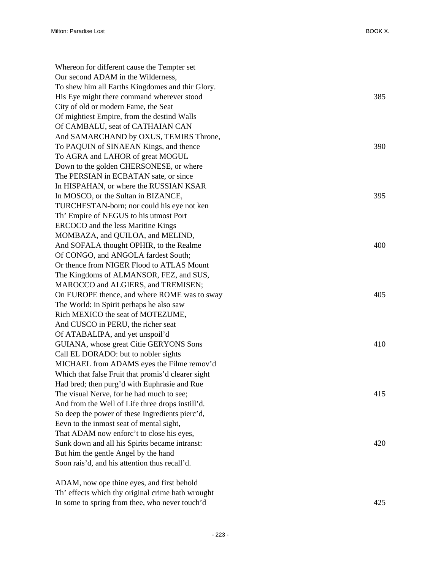| Whereon for different cause the Tempter set        |     |
|----------------------------------------------------|-----|
| Our second ADAM in the Wilderness,                 |     |
| To shew him all Earths Kingdomes and thir Glory.   |     |
| His Eye might there command wherever stood         | 385 |
| City of old or modern Fame, the Seat               |     |
| Of mightiest Empire, from the destind Walls        |     |
| Of CAMBALU, seat of CATHAIAN CAN                   |     |
| And SAMARCHAND by OXUS, TEMIRS Throne,             |     |
| To PAQUIN of SINAEAN Kings, and thence             | 390 |
| To AGRA and LAHOR of great MOGUL                   |     |
| Down to the golden CHERSONESE, or where            |     |
| The PERSIAN in ECBATAN sate, or since              |     |
| In HISPAHAN, or where the RUSSIAN KSAR             |     |
| In MOSCO, or the Sultan in BIZANCE,                | 395 |
| TURCHESTAN-born; nor could his eye not ken         |     |
| Th' Empire of NEGUS to his utmost Port             |     |
| ERCOCO and the less Maritine Kings                 |     |
| MOMBAZA, and QUILOA, and MELIND,                   |     |
| And SOFALA thought OPHIR, to the Realme            | 400 |
| Of CONGO, and ANGOLA fardest South;                |     |
| Or thence from NIGER Flood to ATLAS Mount          |     |
| The Kingdoms of ALMANSOR, FEZ, and SUS,            |     |
| MAROCCO and ALGIERS, and TREMISEN;                 |     |
| On EUROPE thence, and where ROME was to sway       | 405 |
| The World: in Spirit perhaps he also saw           |     |
| Rich MEXICO the seat of MOTEZUME,                  |     |
| And CUSCO in PERU, the richer seat                 |     |
| Of ATABALIPA, and yet unspoil'd                    |     |
| GUIANA, whose great Citie GERYONS Sons             | 410 |
| Call EL DORADO: but to nobler sights               |     |
| MICHAEL from ADAMS eyes the Filme remov'd          |     |
| Which that false Fruit that promis'd clearer sight |     |
| Had bred; then purg'd with Euphrasie and Rue       |     |
| The visual Nerve, for he had much to see;          | 415 |
| And from the Well of Life three drops instill'd.   |     |
| So deep the power of these Ingredients pierc'd,    |     |
| Eevn to the inmost seat of mental sight,           |     |
| That ADAM now enforc't to close his eyes,          |     |
| Sunk down and all his Spirits became intranst:     | 420 |
| But him the gentle Angel by the hand               |     |
| Soon rais'd, and his attention thus recall'd.      |     |
|                                                    |     |
|                                                    |     |

ADAM, now ope thine eyes, and first behold Th' effects which thy original crime hath wrought In some to spring from thee, who never touch'd 425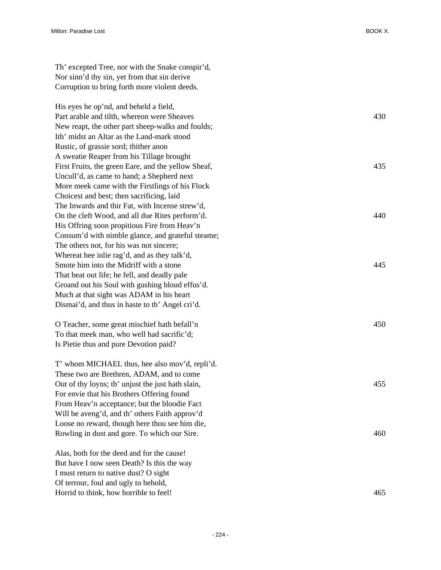Th' excepted Tree, nor with the Snake conspir'd, Nor sinn'd thy sin, yet from that sin derive Corruption to bring forth more violent deeds.

His eyes he op'nd, and beheld a field, Part arable and tilth, whereon were Sheaves 430 New reapt, the other part sheep-walks and foulds; Ith' midst an Altar as the Land-mark stood Rustic, of grassie sord; thither anon A sweatie Reaper from his Tillage brought First Fruits, the green Eare, and the yellow Sheaf, 435 Uncull'd, as came to hand; a Shepherd next More meek came with the Firstlings of his Flock Choicest and best; then sacrificing, laid The Inwards and thir Fat, with Incense strew'd, On the cleft Wood, and all due Rites perform'd. 440 His Offring soon propitious Fire from Heav'n Consum'd with nimble glance, and grateful steame; The others not, for his was not sincere; Whereat hee inlie rag'd, and as they talk'd, Smote him into the Midriff with a stone 445 That beat out life; he fell, and deadly pale Groand out his Soul with gushing bloud effus'd. Much at that sight was ADAM in his heart Dismai'd, and thus in haste to th' Angel cri'd.

O Teacher, some great mischief hath befall'n 450 To that meek man, who well had sacrific'd; Is Pietie thus and pure Devotion paid?

T' whom MICHAEL thus, hee also mov'd, repli'd. These two are Brethren, ADAM, and to come Out of thy loyns; th' unjust the just hath slain, 455 For envie that his Brothers Offering found From Heav'n acceptance; but the bloodie Fact Will be aveng'd, and th' others Faith approv'd Loose no reward, though here thou see him die, Rowling in dust and gore. To which our Sire. 460

Alas, both for the deed and for the cause! But have I now seen Death? Is this the way I must return to native dust? O sight Of terrour, foul and ugly to behold, Horrid to think, how horrible to feel! 465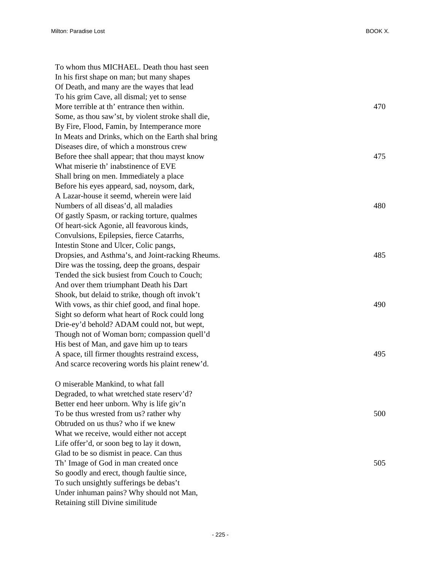To whom thus MICHAEL. Death thou hast seen In his first shape on man; but many shapes Of Death, and many are the wayes that lead To his grim Cave, all dismal; yet to sense More terrible at th' entrance then within. 470 Some, as thou saw'st, by violent stroke shall die, By Fire, Flood, Famin, by Intemperance more In Meats and Drinks, which on the Earth shal bring Diseases dire, of which a monstrous crew Before thee shall appear; that thou mayst know  $475$ What miserie th' inabstinence of EVE Shall bring on men. Immediately a place Before his eyes appeard, sad, noysom, dark, A Lazar-house it seemd, wherein were laid Numbers of all diseas'd, all maladies 480 Of gastly Spasm, or racking torture, qualmes Of heart-sick Agonie, all feavorous kinds, Convulsions, Epilepsies, fierce Catarrhs, Intestin Stone and Ulcer, Colic pangs, Dropsies, and Asthma's, and Joint-racking Rheums. 485 Dire was the tossing, deep the groans, despair Tended the sick busiest from Couch to Couch; And over them triumphant Death his Dart Shook, but delaid to strike, though oft invok't With vows, as thir chief good, and final hope. 490 Sight so deform what heart of Rock could long Drie-ey'd behold? ADAM could not, but wept, Though not of Woman born; compassion quell'd His best of Man, and gave him up to tears A space, till firmer thoughts restraind excess, 495 And scarce recovering words his plaint renew'd. O miserable Mankind, to what fall Degraded, to what wretched state reserv'd? Better end heer unborn. Why is life giv'n To be thus wrested from us? rather why 500 Obtruded on us thus? who if we knew What we receive, would either not accept Life offer'd, or soon beg to lay it down, Glad to be so dismist in peace. Can thus Th' Image of God in man created once 505 So goodly and erect, though faultie since, To such unsightly sufferings be debas't

Under inhuman pains? Why should not Man,

Retaining still Divine similitude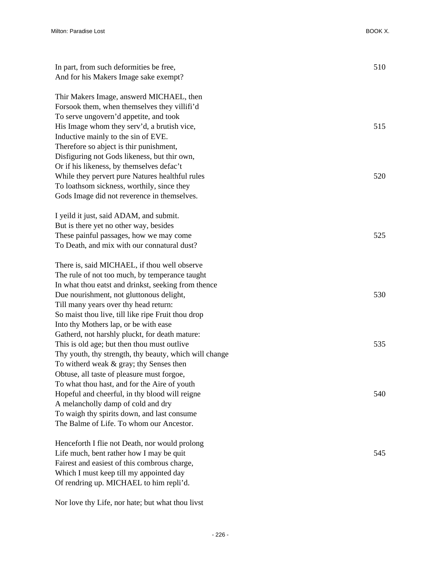| In part, from such deformities be free,<br>And for his Makers Image sake exempt? | 510 |
|----------------------------------------------------------------------------------|-----|
| Thir Makers Image, answerd MICHAEL, then                                         |     |
| Forsook them, when themselves they villifi'd                                     |     |
| To serve ungovern'd appetite, and took                                           |     |
| His Image whom they serv'd, a brutish vice,                                      | 515 |
| Inductive mainly to the sin of EVE.                                              |     |
| Therefore so abject is thir punishment,                                          |     |
| Disfiguring not Gods likeness, but thir own,                                     |     |
| Or if his likeness, by themselves defac't                                        |     |
| While they pervert pure Natures healthful rules                                  | 520 |
| To loathsom sickness, worthily, since they                                       |     |
| Gods Image did not reverence in themselves.                                      |     |
| I yeild it just, said ADAM, and submit.                                          |     |
| But is there yet no other way, besides                                           |     |
| These painful passages, how we may come                                          | 525 |
| To Death, and mix with our connatural dust?                                      |     |
| There is, said MICHAEL, if thou well observe                                     |     |
| The rule of not too much, by temperance taught                                   |     |
| In what thou eatst and drinkst, seeking from thence                              |     |
| Due nourishment, not gluttonous delight,                                         | 530 |
| Till many years over thy head return:                                            |     |
| So maist thou live, till like ripe Fruit thou drop                               |     |
| Into thy Mothers lap, or be with ease                                            |     |
| Gatherd, not harshly pluckt, for death mature:                                   |     |
| This is old age; but then thou must outlive                                      | 535 |
| Thy youth, thy strength, thy beauty, which will change                           |     |
| To witherd weak & gray; thy Senses then                                          |     |
| Obtuse, all taste of pleasure must forgoe,                                       |     |
| To what thou hast, and for the Aire of youth                                     |     |
| Hopeful and cheerful, in thy blood will reigne                                   | 540 |
| A melancholly damp of cold and dry                                               |     |
| To waigh thy spirits down, and last consume                                      |     |
| The Balme of Life. To whom our Ancestor.                                         |     |
| Henceforth I flie not Death, nor would prolong                                   |     |
| Life much, bent rather how I may be quit                                         | 545 |
| Fairest and easiest of this combrous charge,                                     |     |
| Which I must keep till my appointed day                                          |     |
| Of rendring up. MICHAEL to him repli'd.                                          |     |

Nor love thy Life, nor hate; but what thou livst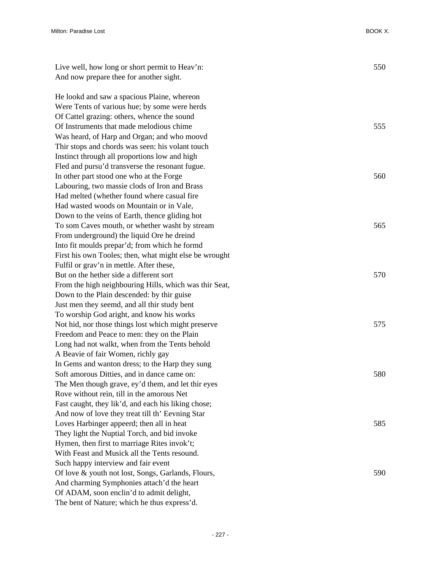| Live well, how long or short permit to Heav'n:         | 550 |
|--------------------------------------------------------|-----|
| And now prepare thee for another sight.                |     |
| He lookd and saw a spacious Plaine, whereon            |     |
| Were Tents of various hue; by some were herds          |     |
| Of Cattel grazing: others, whence the sound            |     |
| Of Instruments that made melodious chime               | 555 |
| Was heard, of Harp and Organ; and who moovd            |     |
| Thir stops and chords was seen: his volant touch       |     |
| Instinct through all proportions low and high          |     |
| Fled and pursu'd transverse the resonant fugue.        |     |
| In other part stood one who at the Forge               | 560 |
| Labouring, two massie clods of Iron and Brass          |     |
| Had melted (whether found where casual fire            |     |
| Had wasted woods on Mountain or in Vale,               |     |
| Down to the veins of Earth, thence gliding hot         |     |
| To som Caves mouth, or whether washt by stream         | 565 |
| From underground) the liquid Ore he dreind             |     |
| Into fit moulds prepar'd; from which he formd          |     |
| First his own Tooles; then, what might else be wrought |     |
| Fulfil or grav'n in mettle. After these,               |     |
| But on the hether side a different sort                | 570 |
| From the high neighbouring Hills, which was thir Seat, |     |
| Down to the Plain descended: by thir guise             |     |
| Just men they seemd, and all thir study bent           |     |
| To worship God aright, and know his works              |     |
| Not hid, nor those things lost which might preserve    | 575 |
| Freedom and Peace to men: they on the Plain            |     |
| Long had not walkt, when from the Tents behold         |     |
| A Beavie of fair Women, richly gay                     |     |
| In Gems and wanton dress; to the Harp they sung        |     |
| Soft amorous Ditties, and in dance came on:            | 580 |
| The Men though grave, ey'd them, and let thir eyes     |     |
| Rove without rein, till in the amorous Net             |     |
| Fast caught, they lik'd, and each his liking chose;    |     |
| And now of love they treat till th' Eevning Star       |     |
| Loves Harbinger appeerd; then all in heat              | 585 |
| They light the Nuptial Torch, and bid invoke           |     |
| Hymen, then first to marriage Rites invok't;           |     |
| With Feast and Musick all the Tents resound.           |     |
| Such happy interview and fair event                    |     |
| Of love & youth not lost, Songs, Garlands, Flours,     | 590 |
| And charming Symphonies attach'd the heart             |     |
| Of ADAM, soon enclin'd to admit delight,               |     |
| The bent of Nature; which he thus express'd.           |     |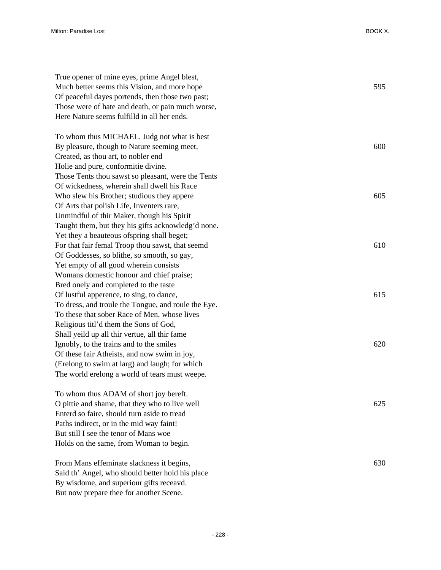| True opener of mine eyes, prime Angel blest,        |     |
|-----------------------------------------------------|-----|
| Much better seems this Vision, and more hope        | 595 |
| Of peaceful dayes portends, then those two past;    |     |
| Those were of hate and death, or pain much worse,   |     |
| Here Nature seems fulfilld in all her ends.         |     |
|                                                     |     |
| To whom thus MICHAEL. Judg not what is best         |     |
| By pleasure, though to Nature seeming meet,         | 600 |
| Created, as thou art, to nobler end                 |     |
| Holie and pure, conformitie divine.                 |     |
| Those Tents thou sawst so pleasant, were the Tents  |     |
| Of wickedness, wherein shall dwell his Race         |     |
| Who slew his Brother; studious they appere          | 605 |
| Of Arts that polish Life, Inventers rare,           |     |
| Unmindful of thir Maker, though his Spirit          |     |
| Taught them, but they his gifts acknowledg'd none.  |     |
| Yet they a beauteous of spring shall beget;         |     |
| For that fair femal Troop thou sawst, that seemd    | 610 |
| Of Goddesses, so blithe, so smooth, so gay,         |     |
| Yet empty of all good wherein consists              |     |
| Womans domestic honour and chief praise;            |     |
| Bred onely and completed to the taste               |     |
| Of lustful apperence, to sing, to dance,            | 615 |
| To dress, and troule the Tongue, and roule the Eye. |     |
| To these that sober Race of Men, whose lives        |     |
| Religious titl'd them the Sons of God,              |     |
| Shall yeild up all thir vertue, all thir fame       |     |
| Ignobly, to the trains and to the smiles            | 620 |
| Of these fair Atheists, and now swim in joy,        |     |
| (Erelong to swim at larg) and laugh; for which      |     |
| The world erelong a world of tears must weepe.      |     |
|                                                     |     |
| To whom thus ADAM of short joy bereft.              |     |
| O pittie and shame, that they who to live well      | 625 |
| Enterd so faire, should turn aside to tread         |     |
| Paths indirect, or in the mid way faint!            |     |
| But still I see the tenor of Mans woe               |     |
| Holds on the same, from Woman to begin.             |     |
| From Mans effeminate slackness it begins,           | 630 |
| Said th' Angel, who should better hold his place    |     |
| By wisdome, and superiour gifts receavd.            |     |
|                                                     |     |

But now prepare thee for another Scene.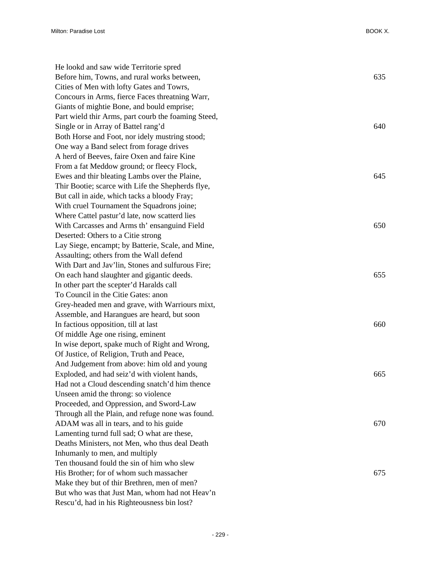| He lookd and saw wide Territorie spred              |     |
|-----------------------------------------------------|-----|
| Before him, Towns, and rural works between,         | 635 |
| Cities of Men with lofty Gates and Towrs,           |     |
| Concours in Arms, fierce Faces threatning Warr,     |     |
| Giants of mightie Bone, and bould emprise;          |     |
| Part wield thir Arms, part courb the foaming Steed, |     |
| Single or in Array of Battel rang'd                 | 640 |
| Both Horse and Foot, nor idely mustring stood;      |     |
| One way a Band select from forage drives            |     |
| A herd of Beeves, faire Oxen and faire Kine         |     |
| From a fat Meddow ground; or fleecy Flock,          |     |
| Ewes and thir bleating Lambs over the Plaine,       | 645 |
| Thir Bootie; scarce with Life the Shepherds flye,   |     |
| But call in aide, which tacks a bloody Fray;        |     |
| With cruel Tournament the Squadrons joine;          |     |
| Where Cattel pastur'd late, now scatterd lies       |     |
| With Carcasses and Arms th' ensanguind Field        | 650 |
| Deserted: Others to a Citie strong                  |     |
| Lay Siege, encampt; by Batterie, Scale, and Mine,   |     |
| Assaulting; others from the Wall defend             |     |
| With Dart and Jav'lin, Stones and sulfurous Fire;   |     |
| On each hand slaughter and gigantic deeds.          | 655 |
| In other part the scepter'd Haralds call            |     |
| To Council in the Citie Gates: anon                 |     |
| Grey-headed men and grave, with Warriours mixt,     |     |
| Assemble, and Harangues are heard, but soon         |     |
| In factious opposition, till at last                | 660 |
| Of middle Age one rising, eminent                   |     |
| In wise deport, spake much of Right and Wrong,      |     |
| Of Justice, of Religion, Truth and Peace,           |     |
| And Judgement from above: him old and young         |     |
| Exploded, and had seiz'd with violent hands,        | 665 |
| Had not a Cloud descending snatch'd him thence      |     |
| Unseen amid the throng: so violence                 |     |
| Proceeded, and Oppression, and Sword-Law            |     |
| Through all the Plain, and refuge none was found.   |     |
| ADAM was all in tears, and to his guide             | 670 |
| Lamenting turnd full sad; O what are these,         |     |
| Deaths Ministers, not Men, who thus deal Death      |     |
| Inhumanly to men, and multiply                      |     |
| Ten thousand fould the sin of him who slew          |     |
| His Brother; for of whom such massacher             | 675 |
| Make they but of thir Brethren, men of men?         |     |
| But who was that Just Man, whom had not Heav'n      |     |
| Rescu'd, had in his Righteousness bin lost?         |     |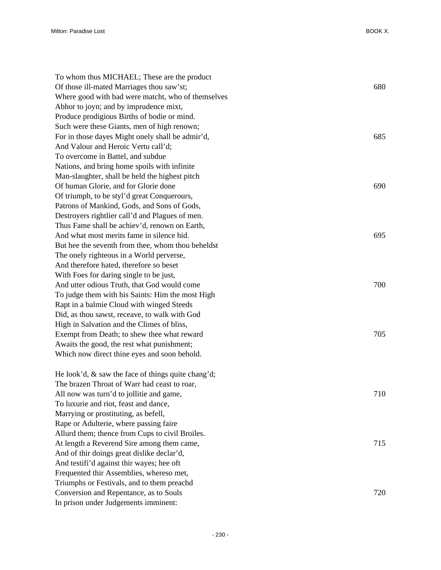| To whom thus MICHAEL; These are the product           |     |
|-------------------------------------------------------|-----|
| Of those ill-mated Marriages thou saw'st;             | 680 |
| Where good with bad were matcht, who of themselves    |     |
| Abhor to joyn; and by imprudence mixt,                |     |
| Produce prodigious Births of bodie or mind.           |     |
| Such were these Giants, men of high renown;           |     |
| For in those dayes Might onely shall be admir'd,      | 685 |
| And Valour and Heroic Vertu call'd;                   |     |
| To overcome in Battel, and subdue                     |     |
| Nations, and bring home spoils with infinite          |     |
| Man-slaughter, shall be held the highest pitch        |     |
| Of human Glorie, and for Glorie done                  | 690 |
| Of triumph, to be styl'd great Conquerours,           |     |
| Patrons of Mankind, Gods, and Sons of Gods,           |     |
| Destroyers rightlier call'd and Plagues of men.       |     |
| Thus Fame shall be achiev'd, renown on Earth,         |     |
| And what most merits fame in silence hid.             | 695 |
| But hee the seventh from thee, whom thou beheldst     |     |
| The onely righteous in a World perverse,              |     |
| And therefore hated, therefore so beset               |     |
| With Foes for daring single to be just,               |     |
| And utter odious Truth, that God would come           | 700 |
| To judge them with his Saints: Him the most High      |     |
| Rapt in a balmie Cloud with winged Steeds             |     |
| Did, as thou sawst, receave, to walk with God         |     |
| High in Salvation and the Climes of bliss,            |     |
| Exempt from Death; to shew thee what reward           | 705 |
| Awaits the good, the rest what punishment;            |     |
| Which now direct thine eyes and soon behold.          |     |
|                                                       |     |
| He look'd, $\&$ saw the face of things quite chang'd; |     |
| The brazen Throat of Warr had ceast to roar,          |     |
| All now was turn'd to jollitie and game,              | 710 |
| To luxurie and riot, feast and dance,                 |     |
| Marrying or prostituting, as befell,                  |     |
| Rape or Adulterie, where passing faire                |     |
| Allurd them; thence from Cups to civil Broiles.       |     |
| At length a Reverend Sire among them came,            | 715 |
| And of thir doings great dislike declar'd,            |     |
| And testifi'd against thir wayes; hee oft             |     |
| Frequented thir Assemblies, whereso met,              |     |
| Triumphs or Festivals, and to them preachd            |     |
| Conversion and Repentance, as to Souls                | 720 |
| In prison under Judgements imminent:                  |     |
|                                                       |     |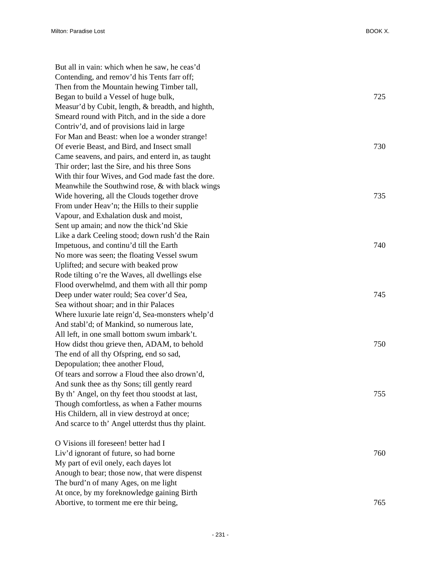But all in vain: which when he saw, he ceas'd Contending, and remov'd his Tents farr off; Then from the Mountain hewing Timber tall, Began to build a Vessel of huge bulk, 725 Measur'd by Cubit, length, & breadth, and highth, Smeard round with Pitch, and in the side a dore Contriv'd, and of provisions laid in large For Man and Beast: when loe a wonder strange! Of everie Beast, and Bird, and Insect small 730 Came seavens, and pairs, and enterd in, as taught Thir order; last the Sire, and his three Sons With thir four Wives, and God made fast the dore. Meanwhile the Southwind rose, & with black wings Wide hovering, all the Clouds together drove 735 From under Heav'n; the Hills to their supplie Vapour, and Exhalation dusk and moist, Sent up amain; and now the thick'nd Skie Like a dark Ceeling stood; down rush'd the Rain Impetuous, and continu'd till the Earth 740 No more was seen; the floating Vessel swum Uplifted; and secure with beaked prow Rode tilting o're the Waves, all dwellings else Flood overwhelmd, and them with all thir pomp Deep under water rould; Sea cover'd Sea, 745 Sea without shoar; and in thir Palaces Where luxurie late reign'd, Sea-monsters whelp'd And stabl'd; of Mankind, so numerous late, All left, in one small bottom swum imbark't. How didst thou grieve then, ADAM, to behold 750 The end of all thy Ofspring, end so sad, Depopulation; thee another Floud, Of tears and sorrow a Floud thee also drown'd, And sunk thee as thy Sons; till gently reard By th' Angel, on thy feet thou stoodst at last,  $755$ Though comfortless, as when a Father mourns His Childern, all in view destroyd at once; And scarce to th' Angel utterdst thus thy plaint. O Visions ill foreseen! better had I Liv'd ignorant of future, so had borne 760 My part of evil onely, each dayes lot Anough to bear; those now, that were dispenst The burd'n of many Ages, on me light

At once, by my foreknowledge gaining Birth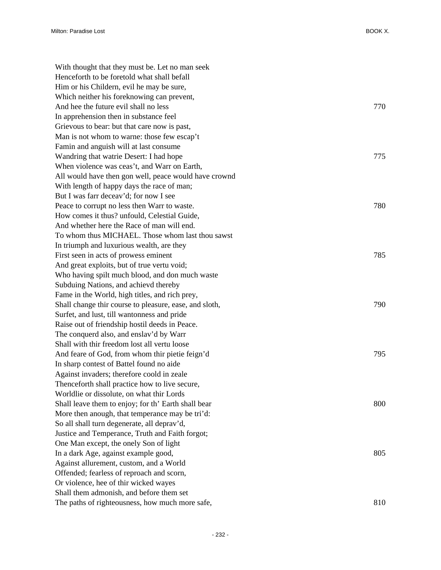| With thought that they must be. Let no man seek        |     |
|--------------------------------------------------------|-----|
| Henceforth to be foretold what shall befall            |     |
| Him or his Childern, evil he may be sure,              |     |
| Which neither his foreknowing can prevent,             |     |
| And hee the future evil shall no less                  | 770 |
| In apprehension then in substance feel                 |     |
| Grievous to bear: but that care now is past,           |     |
| Man is not whom to warne: those few escap't            |     |
| Famin and anguish will at last consume                 |     |
| Wandring that watrie Desert: I had hope                | 775 |
| When violence was ceas't, and Warr on Earth,           |     |
| All would have then gon well, peace would have crownd  |     |
| With length of happy days the race of man;             |     |
| But I was farr deceav'd; for now I see                 |     |
| Peace to corrupt no less then Warr to waste.           | 780 |
| How comes it thus? unfould, Celestial Guide,           |     |
| And whether here the Race of man will end.             |     |
| To whom thus MICHAEL. Those whom last thou sawst       |     |
| In triumph and luxurious wealth, are they              |     |
| First seen in acts of prowess eminent                  | 785 |
| And great exploits, but of true vertu void;            |     |
| Who having spilt much blood, and don much waste        |     |
| Subduing Nations, and achievd thereby                  |     |
| Fame in the World, high titles, and rich prey,         |     |
| Shall change thir course to pleasure, ease, and sloth, | 790 |
| Surfet, and lust, till wantonness and pride            |     |
| Raise out of friendship hostil deeds in Peace.         |     |
| The conquerd also, and enslav'd by Warr                |     |
| Shall with thir freedom lost all vertu loose           |     |
| And feare of God, from whom thir pietie feign'd        | 795 |
| In sharp contest of Battel found no aide               |     |
| Against invaders; therefore coold in zeale             |     |
| Thenceforth shall practice how to live secure,         |     |
| Worldlie or dissolute, on what thir Lords              |     |
| Shall leave them to enjoy; for th' Earth shall bear    | 800 |
| More then anough, that temperance may be tri'd:        |     |
| So all shall turn degenerate, all deprav'd,            |     |
| Justice and Temperance, Truth and Faith forgot;        |     |
| One Man except, the onely Son of light                 |     |
| In a dark Age, against example good,                   | 805 |
| Against allurement, custom, and a World                |     |
| Offended; fearless of reproach and scorn,              |     |
| Or violence, hee of thir wicked wayes                  |     |
| Shall them admonish, and before them set               |     |
| The paths of righteousness, how much more safe,        | 810 |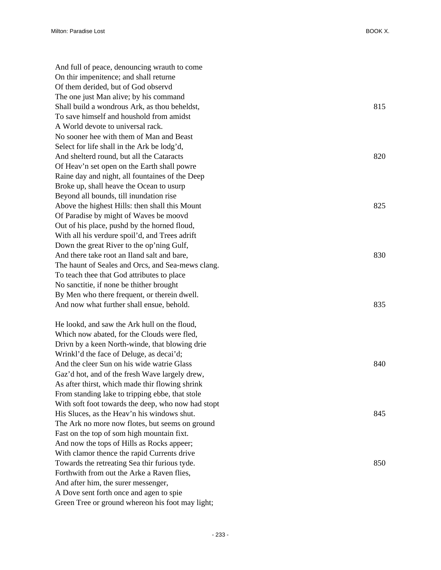And full of peace, denouncing wrauth to come On thir impenitence; and shall returne Of them derided, but of God observd The one just Man alive; by his command Shall build a wondrous Ark, as thou beheldst, 815 To save himself and houshold from amidst A World devote to universal rack. No sooner hee with them of Man and Beast Select for life shall in the Ark be lodg'd, And shelterd round, but all the Cataracts 820 Of Heav'n set open on the Earth shall powre Raine day and night, all fountaines of the Deep Broke up, shall heave the Ocean to usurp Beyond all bounds, till inundation rise Above the highest Hills: then shall this Mount 825 Of Paradise by might of Waves be moovd Out of his place, pushd by the horned floud, With all his verdure spoil'd, and Trees adrift Down the great River to the op'ning Gulf, And there take root an Iland salt and bare, 830 The haunt of Seales and Orcs, and Sea-mews clang. To teach thee that God attributes to place No sanctitie, if none be thither brought By Men who there frequent, or therein dwell. And now what further shall ensue, behold. 835 He lookd, and saw the Ark hull on the floud, Which now abated, for the Clouds were fled, Drivn by a keen North-winde, that blowing drie Wrinkl'd the face of Deluge, as decai'd; And the cleer Sun on his wide watrie Glass 840 Gaz'd hot, and of the fresh Wave largely drew, As after thirst, which made thir flowing shrink From standing lake to tripping ebbe, that stole With soft foot towards the deep, who now had stopt His Sluces, as the Heav'n his windows shut. 845 The Ark no more now flotes, but seems on ground Fast on the top of som high mountain fixt. And now the tops of Hills as Rocks appeer; With clamor thence the rapid Currents drive Towards the retreating Sea thir furious tyde. 850 Forthwith from out the Arke a Raven flies, And after him, the surer messenger, A Dove sent forth once and agen to spie

Green Tree or ground whereon his foot may light;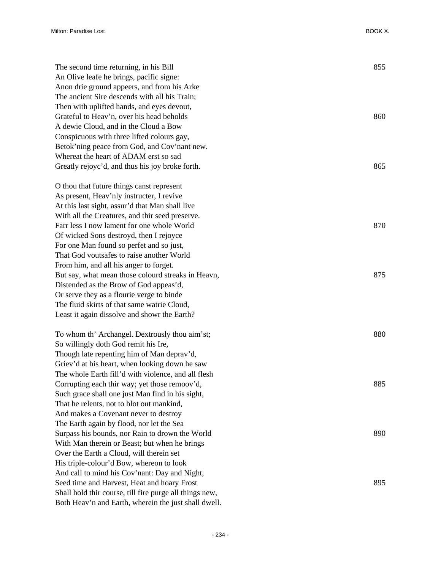| The second time returning, in his Bill<br>An Olive leafe he brings, pacific signe:        | 855 |
|-------------------------------------------------------------------------------------------|-----|
| Anon drie ground appeers, and from his Arke                                               |     |
| The ancient Sire descends with all his Train;                                             |     |
| Then with uplifted hands, and eyes devout,                                                |     |
| Grateful to Heav'n, over his head beholds                                                 | 860 |
| A dewie Cloud, and in the Cloud a Bow                                                     |     |
| Conspicuous with three lifted colours gay,                                                |     |
| Betok'ning peace from God, and Cov'nant new.                                              |     |
| Whereat the heart of ADAM erst so sad                                                     |     |
| Greatly rejoyc'd, and thus his joy broke forth.                                           | 865 |
| O thou that future things canst represent                                                 |     |
| As present, Heav'nly instructer, I revive                                                 |     |
| At this last sight, assur'd that Man shall live                                           |     |
| With all the Creatures, and thir seed preserve.                                           |     |
| Farr less I now lament for one whole World                                                | 870 |
| Of wicked Sons destroyd, then I rejoyce                                                   |     |
| For one Man found so perfet and so just,                                                  |     |
| That God voutsafes to raise another World                                                 |     |
| From him, and all his anger to forget.                                                    |     |
| But say, what mean those colourd streaks in Heavn,                                        | 875 |
| Distended as the Brow of God appeas'd,                                                    |     |
| Or serve they as a flourie verge to binde                                                 |     |
| The fluid skirts of that same watrie Cloud,                                               |     |
| Least it again dissolve and showr the Earth?                                              |     |
| To whom th' Archangel. Dextrously thou aim'st;                                            | 880 |
| So willingly doth God remit his Ire,                                                      |     |
| Though late repenting him of Man depray'd,                                                |     |
| Griev'd at his heart, when looking down he saw                                            |     |
| The whole Earth fill'd with violence, and all flesh                                       |     |
| Corrupting each thir way; yet those remoov'd,                                             | 885 |
| Such grace shall one just Man find in his sight,                                          |     |
| That he relents, not to blot out mankind,                                                 |     |
| And makes a Covenant never to destroy                                                     |     |
| The Earth again by flood, nor let the Sea                                                 | 890 |
| Surpass his bounds, nor Rain to drown the World                                           |     |
| With Man therein or Beast; but when he brings<br>Over the Earth a Cloud, will therein set |     |
| His triple-colour'd Bow, whereon to look                                                  |     |
| And call to mind his Cov'nant: Day and Night,                                             |     |
| Seed time and Harvest, Heat and hoary Frost                                               | 895 |
| Shall hold thir course, till fire purge all things new,                                   |     |
| Both Heav'n and Earth, wherein the just shall dwell.                                      |     |
|                                                                                           |     |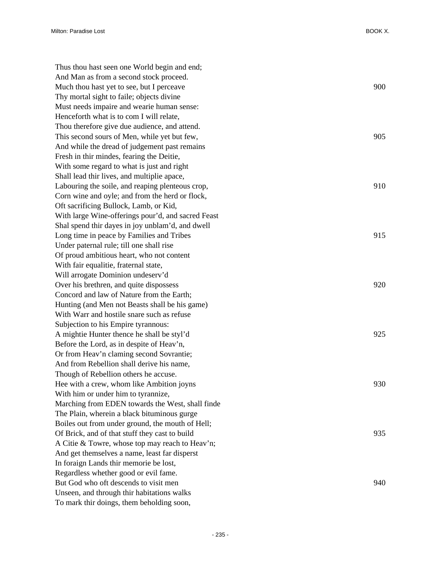| Thus thou hast seen one World begin and end;       |     |
|----------------------------------------------------|-----|
| And Man as from a second stock proceed.            |     |
| Much thou hast yet to see, but I perceave          | 900 |
| Thy mortal sight to faile; objects divine          |     |
| Must needs impaire and wearie human sense:         |     |
| Henceforth what is to com I will relate,           |     |
| Thou therefore give due audience, and attend.      |     |
| This second sours of Men, while yet but few,       | 905 |
| And while the dread of judgement past remains      |     |
| Fresh in thir mindes, fearing the Deitie,          |     |
| With some regard to what is just and right         |     |
| Shall lead thir lives, and multiplie apace,        |     |
| Labouring the soile, and reaping plenteous crop,   | 910 |
| Corn wine and oyle; and from the herd or flock,    |     |
| Oft sacrificing Bullock, Lamb, or Kid,             |     |
| With large Wine-offerings pour'd, and sacred Feast |     |
| Shal spend thir dayes in joy unblam'd, and dwell   |     |
| Long time in peace by Families and Tribes          | 915 |
| Under paternal rule; till one shall rise           |     |
| Of proud ambitious heart, who not content          |     |
| With fair equalitie, fraternal state,              |     |
| Will arrogate Dominion undeserv'd                  |     |
| Over his brethren, and quite dispossess            | 920 |
| Concord and law of Nature from the Earth;          |     |
| Hunting (and Men not Beasts shall be his game)     |     |
| With Warr and hostile snare such as refuse         |     |
| Subjection to his Empire tyrannous:                |     |
| A mightie Hunter thence he shall be styl'd         | 925 |
| Before the Lord, as in despite of Heav'n,          |     |
| Or from Heav'n claming second Sovrantie;           |     |
| And from Rebellion shall derive his name,          |     |
| Though of Rebellion others he accuse.              |     |
| Hee with a crew, whom like Ambition joyns          | 930 |
| With him or under him to tyrannize,                |     |
| Marching from EDEN towards the West, shall finde   |     |
| The Plain, wherein a black bituminous gurge        |     |
| Boiles out from under ground, the mouth of Hell;   |     |
| Of Brick, and of that stuff they cast to build     | 935 |
| A Citie & Towre, whose top may reach to Heav'n;    |     |
| And get themselves a name, least far disperst      |     |
| In foraign Lands thir memorie be lost,             |     |
| Regardless whether good or evil fame.              |     |
| But God who oft descends to visit men              | 940 |
| Unseen, and through thir habitations walks         |     |
| To mark thir doings, them beholding soon,          |     |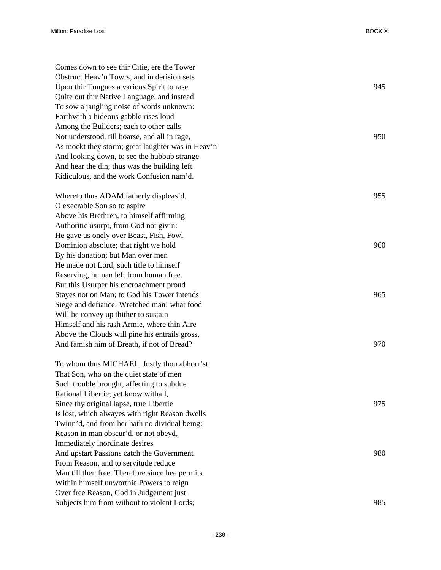| Comes down to see thir Citie, ere the Tower       |     |
|---------------------------------------------------|-----|
| Obstruct Heav'n Towrs, and in derision sets       |     |
| Upon thir Tongues a various Spirit to rase        | 945 |
| Quite out thir Native Language, and instead       |     |
| To sow a jangling noise of words unknown:         |     |
| Forthwith a hideous gabble rises loud             |     |
| Among the Builders; each to other calls           |     |
| Not understood, till hoarse, and all in rage,     | 950 |
| As mockt they storm; great laughter was in Heav'n |     |
| And looking down, to see the hubbub strange       |     |
| And hear the din; thus was the building left      |     |
| Ridiculous, and the work Confusion nam'd.         |     |
| Whereto thus ADAM fatherly displeas'd.            | 955 |
| O execrable Son so to aspire                      |     |
| Above his Brethren, to himself affirming          |     |
| Authoritie usurpt, from God not giv'n:            |     |
| He gave us onely over Beast, Fish, Fowl           |     |
| Dominion absolute; that right we hold             | 960 |
| By his donation; but Man over men                 |     |
| He made not Lord; such title to himself           |     |
| Reserving, human left from human free.            |     |
| But this Usurper his encroachment proud           |     |
| Stayes not on Man; to God his Tower intends       | 965 |
| Siege and defiance: Wretched man! what food       |     |
| Will he convey up thither to sustain              |     |
| Himself and his rash Armie, where thin Aire       |     |
| Above the Clouds will pine his entrails gross,    |     |
| And famish him of Breath, if not of Bread?        | 970 |
| To whom thus MICHAEL. Justly thou abhorr'st       |     |
| That Son, who on the quiet state of men           |     |
| Such trouble brought, affecting to subdue         |     |
| Rational Libertie; yet know withall,              |     |
| Since thy original lapse, true Libertie           | 975 |
| Is lost, which alwayes with right Reason dwells   |     |
| Twinn'd, and from her hath no dividual being:     |     |
| Reason in man obscur'd, or not obeyd,             |     |
| Immediately inordinate desires                    |     |
| And upstart Passions catch the Government         | 980 |
| From Reason, and to servitude reduce              |     |
| Man till then free. Therefore since hee permits   |     |
| Within himself unworthie Powers to reign          |     |
| Over free Reason, God in Judgement just           |     |
| Subjects him from without to violent Lords;       | 985 |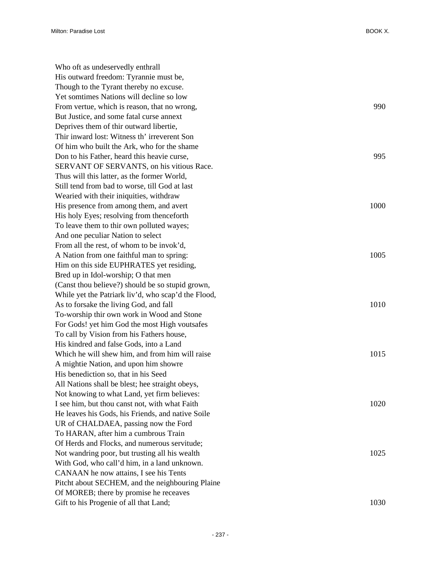| Who oft as undeservedly enthrall                    |      |
|-----------------------------------------------------|------|
| His outward freedom: Tyrannie must be,              |      |
| Though to the Tyrant thereby no excuse.             |      |
| Yet somtimes Nations will decline so low            |      |
| From vertue, which is reason, that no wrong,        | 990  |
| But Justice, and some fatal curse annext            |      |
| Deprives them of thir outward libertie,             |      |
| Thir inward lost: Witness th' irreverent Son        |      |
| Of him who built the Ark, who for the shame         |      |
| Don to his Father, heard this heavie curse,         | 995  |
| SERVANT OF SERVANTS, on his vitious Race.           |      |
| Thus will this latter, as the former World,         |      |
| Still tend from bad to worse, till God at last      |      |
| Wearied with their iniquities, withdraw             |      |
| His presence from among them, and avert             | 1000 |
| His holy Eyes; resolving from thenceforth           |      |
| To leave them to thir own polluted wayes;           |      |
| And one peculiar Nation to select                   |      |
| From all the rest, of whom to be invok'd,           |      |
| A Nation from one faithful man to spring:           | 1005 |
| Him on this side EUPHRATES yet residing,            |      |
| Bred up in Idol-worship; O that men                 |      |
| (Canst thou believe?) should be so stupid grown,    |      |
| While yet the Patriark liv'd, who scap'd the Flood, |      |
| As to forsake the living God, and fall              | 1010 |
| To-worship thir own work in Wood and Stone          |      |
| For Gods! yet him God the most High voutsafes       |      |
| To call by Vision from his Fathers house,           |      |
| His kindred and false Gods, into a Land             |      |
| Which he will shew him, and from him will raise     | 1015 |
| A mightie Nation, and upon him showre               |      |
| His benediction so, that in his Seed                |      |
| All Nations shall be blest; hee straight obeys.     |      |
| Not knowing to what Land, yet firm believes:        |      |
| I see him, but thou canst not, with what Faith      | 1020 |
| He leaves his Gods, his Friends, and native Soile   |      |
| UR of CHALDAEA, passing now the Ford                |      |
| To HARAN, after him a cumbrous Train                |      |
| Of Herds and Flocks, and numerous servitude;        |      |
| Not wandring poor, but trusting all his wealth      | 1025 |
| With God, who call'd him, in a land unknown.        |      |
| CANAAN he now attains, I see his Tents              |      |
| Pitcht about SECHEM, and the neighbouring Plaine    |      |
| Of MOREB; there by promise he receaves              |      |
| Gift to his Progenie of all that Land;              | 1030 |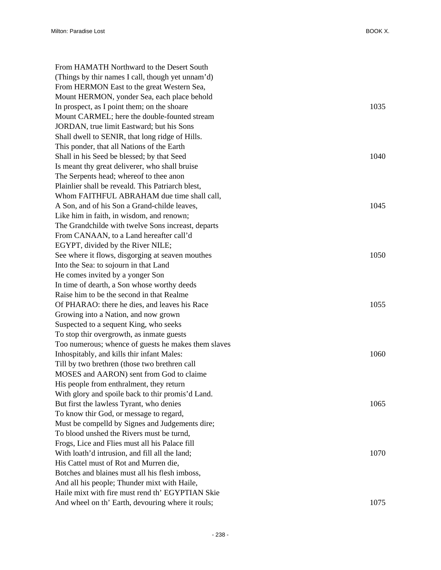| From HAMATH Northward to the Desert South           |      |
|-----------------------------------------------------|------|
| (Things by thir names I call, though yet unnam'd)   |      |
| From HERMON East to the great Western Sea,          |      |
| Mount HERMON, yonder Sea, each place behold         |      |
| In prospect, as I point them; on the shoare         | 1035 |
| Mount CARMEL; here the double-founted stream        |      |
| JORDAN, true limit Eastward; but his Sons           |      |
| Shall dwell to SENIR, that long ridge of Hills.     |      |
| This ponder, that all Nations of the Earth          |      |
| Shall in his Seed be blessed; by that Seed          | 1040 |
| Is meant thy great deliverer, who shall bruise      |      |
| The Serpents head; whereof to thee anon             |      |
| Plainlier shall be reveald. This Patriarch blest,   |      |
| Whom FAITHFUL ABRAHAM due time shall call,          |      |
| A Son, and of his Son a Grand-childe leaves,        | 1045 |
| Like him in faith, in wisdom, and renown;           |      |
| The Grandchilde with twelve Sons increast, departs  |      |
| From CANAAN, to a Land hereafter call'd             |      |
| EGYPT, divided by the River NILE;                   |      |
| See where it flows, disgorging at seaven mouthes    | 1050 |
| Into the Sea: to sojourn in that Land               |      |
| He comes invited by a yonger Son                    |      |
| In time of dearth, a Son whose worthy deeds         |      |
| Raise him to be the second in that Realme           |      |
| Of PHARAO: there he dies, and leaves his Race       | 1055 |
| Growing into a Nation, and now grown                |      |
| Suspected to a sequent King, who seeks              |      |
| To stop thir overgrowth, as inmate guests           |      |
| Too numerous; whence of guests he makes them slaves |      |
| Inhospitably, and kills thir infant Males:          | 1060 |
| Till by two brethren (those two brethren call       |      |
| MOSES and AARON) sent from God to claime            |      |
| His people from enthralment, they return            |      |
| With glory and spoile back to thir promis'd Land.   |      |
| But first the lawless Tyrant, who denies            | 1065 |
| To know thir God, or message to regard,             |      |
| Must be compelld by Signes and Judgements dire;     |      |
| To blood unshed the Rivers must be turnd,           |      |
| Frogs, Lice and Flies must all his Palace fill      |      |
| With loath'd intrusion, and fill all the land;      | 1070 |
| His Cattel must of Rot and Murren die,              |      |
| Botches and blaines must all his flesh imboss,      |      |
| And all his people; Thunder mixt with Haile,        |      |
| Haile mixt with fire must rend th' EGYPTIAN Skie    |      |
| And wheel on th' Earth, devouring where it rouls;   | 1075 |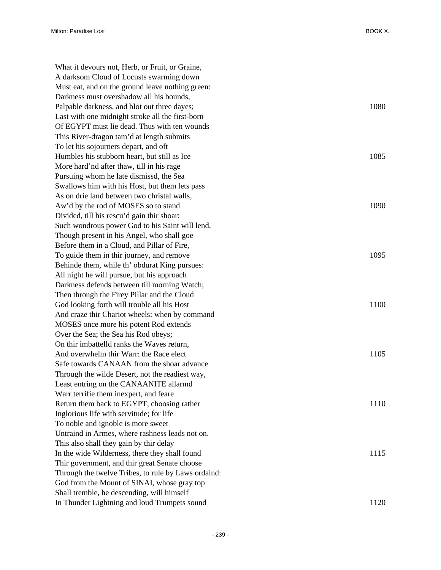What it devours not, Herb, or Fruit, or Graine, A darksom Cloud of Locusts swarming down Must eat, and on the ground leave nothing green: Darkness must overshadow all his bounds, Palpable darkness, and blot out three dayes; 1080 Last with one midnight stroke all the first-born Of EGYPT must lie dead. Thus with ten wounds This River-dragon tam'd at length submits To let his sojourners depart, and oft Humbles his stubborn heart, but still as Ice 1085 More hard'nd after thaw, till in his rage Pursuing whom he late dismissd, the Sea Swallows him with his Host, but them lets pass As on drie land between two christal walls, Aw'd by the rod of MOSES so to stand 1090 Divided, till his rescu'd gain thir shoar: Such wondrous power God to his Saint will lend, Though present in his Angel, who shall goe Before them in a Cloud, and Pillar of Fire, To guide them in thir journey, and remove 1095 Behinde them, while th' obdurat King pursues: All night he will pursue, but his approach Darkness defends between till morning Watch; Then through the Firey Pillar and the Cloud God looking forth will trouble all his Host 1100 And craze thir Chariot wheels: when by command MOSES once more his potent Rod extends Over the Sea; the Sea his Rod obeys; On thir imbattelld ranks the Waves return, And overwhelm thir Warr: the Race elect 1105 Safe towards CANAAN from the shoar advance Through the wilde Desert, not the readiest way, Least entring on the CANAANITE allarmd Warr terrifie them inexpert, and feare Return them back to EGYPT, choosing rather 1110 Inglorious life with servitude; for life To noble and ignoble is more sweet Untraind in Armes, where rashness leads not on. This also shall they gain by thir delay In the wide Wilderness, there they shall found 1115 Thir government, and thir great Senate choose Through the twelve Tribes, to rule by Laws ordaind: God from the Mount of SINAI, whose gray top Shall tremble, he descending, will himself In Thunder Lightning and loud Trumpets sound 1120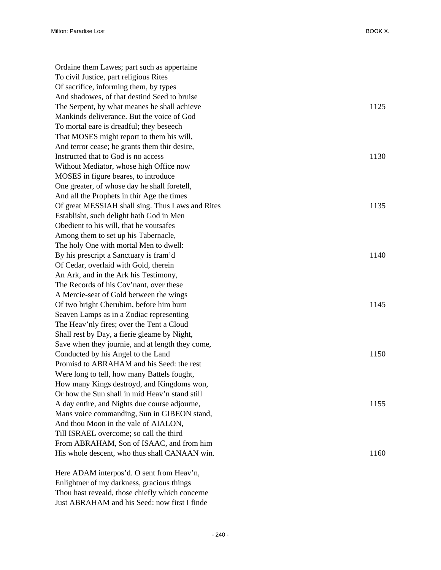| Ordaine them Lawes; part such as appertaine      |      |
|--------------------------------------------------|------|
| To civil Justice, part religious Rites           |      |
| Of sacrifice, informing them, by types           |      |
| And shadowes, of that destind Seed to bruise     |      |
| The Serpent, by what meanes he shall achieve     | 1125 |
| Mankinds deliverance. But the voice of God       |      |
| To mortal eare is dreadful; they beseech         |      |
| That MOSES might report to them his will,        |      |
| And terror cease; he grants them thir desire,    |      |
| Instructed that to God is no access              | 1130 |
| Without Mediator, whose high Office now          |      |
| MOSES in figure beares, to introduce             |      |
| One greater, of whose day he shall foretell,     |      |
| And all the Prophets in thir Age the times       |      |
| Of great MESSIAH shall sing. Thus Laws and Rites | 1135 |
| Establisht, such delight hath God in Men         |      |
| Obedient to his will, that he voutsafes          |      |
| Among them to set up his Tabernacle,             |      |
| The holy One with mortal Men to dwell:           |      |
| By his prescript a Sanctuary is fram'd           | 1140 |
| Of Cedar, overlaid with Gold, therein            |      |
| An Ark, and in the Ark his Testimony,            |      |
| The Records of his Cov'nant, over these          |      |
| A Mercie-seat of Gold between the wings          |      |
| Of two bright Cherubim, before him burn          | 1145 |
| Seaven Lamps as in a Zodiac representing         |      |
| The Heav'nly fires; over the Tent a Cloud        |      |
| Shall rest by Day, a fierie gleame by Night,     |      |
| Save when they journie, and at length they come, |      |
| Conducted by his Angel to the Land               | 1150 |
| Promisd to ABRAHAM and his Seed: the rest        |      |
| Were long to tell, how many Battels fought,      |      |
| How many Kings destroyd, and Kingdoms won,       |      |
| Or how the Sun shall in mid Heav'n stand still   |      |
| A day entire, and Nights due course adjourne,    | 1155 |
| Mans voice commanding, Sun in GIBEON stand,      |      |
| And thou Moon in the vale of AIALON,             |      |
| Till ISRAEL overcome; so call the third          |      |
| From ABRAHAM, Son of ISAAC, and from him         |      |
| His whole descent, who thus shall CANAAN win.    | 1160 |
|                                                  |      |

Here ADAM interpos'd. O sent from Heav'n, Enlightner of my darkness, gracious things Thou hast reveald, those chiefly which concerne Just ABRAHAM and his Seed: now first I finde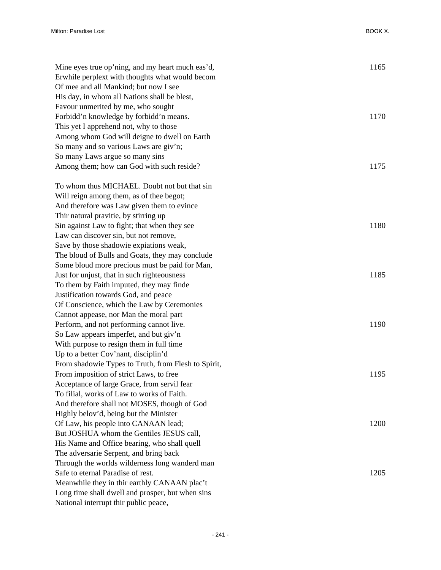| Mine eyes true op'ning, and my heart much eas'd,    | 1165 |
|-----------------------------------------------------|------|
| Erwhile perplext with thoughts what would becom     |      |
| Of mee and all Mankind; but now I see               |      |
| His day, in whom all Nations shall be blest,        |      |
| Favour unmerited by me, who sought                  |      |
| Forbidd'n knowledge by forbidd'n means.             | 1170 |
| This yet I apprehend not, why to those              |      |
| Among whom God will deigne to dwell on Earth        |      |
| So many and so various Laws are giv'n;              |      |
| So many Laws argue so many sins                     |      |
| Among them; how can God with such reside?           | 1175 |
| To whom thus MICHAEL. Doubt not but that sin        |      |
| Will reign among them, as of thee begot;            |      |
| And therefore was Law given them to evince          |      |
| Thir natural pravitie, by stirring up               |      |
| Sin against Law to fight; that when they see        | 1180 |
| Law can discover sin, but not remove,               |      |
| Save by those shadowie expiations weak,             |      |
| The bloud of Bulls and Goats, they may conclude     |      |
| Some bloud more precious must be paid for Man,      |      |
| Just for unjust, that in such righteousness         | 1185 |
| To them by Faith imputed, they may finde            |      |
| Justification towards God, and peace                |      |
| Of Conscience, which the Law by Ceremonies          |      |
| Cannot appease, nor Man the moral part              |      |
| Perform, and not performing cannot live.            | 1190 |
| So Law appears imperfet, and but giv'n              |      |
| With purpose to resign them in full time            |      |
| Up to a better Cov'nant, disciplin'd                |      |
| From shadowie Types to Truth, from Flesh to Spirit, |      |
| From imposition of strict Laws, to free             | 1195 |
| Acceptance of large Grace, from servil fear         |      |
| To filial, works of Law to works of Faith.          |      |
| And therefore shall not MOSES, though of God        |      |
| Highly belov'd, being but the Minister              |      |
| Of Law, his people into CANAAN lead;                | 1200 |
| But JOSHUA whom the Gentiles JESUS call,            |      |
| His Name and Office bearing, who shall quell        |      |
| The adversarie Serpent, and bring back              |      |
| Through the worlds wilderness long wanderd man      |      |
| Safe to eternal Paradise of rest.                   | 1205 |
| Meanwhile they in thir earthly CANAAN plac't        |      |
| Long time shall dwell and prosper, but when sins    |      |
| National interrupt thir public peace,               |      |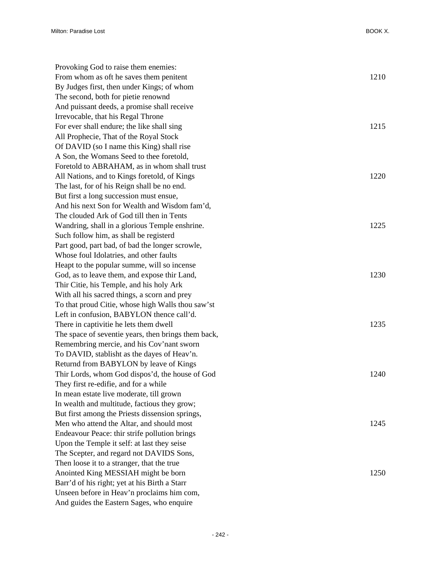| Provoking God to raise them enemies:                |      |
|-----------------------------------------------------|------|
| From whom as oft he saves them penitent             | 1210 |
| By Judges first, then under Kings; of whom          |      |
| The second, both for pietie renownd                 |      |
| And puissant deeds, a promise shall receive         |      |
| Irrevocable, that his Regal Throne                  |      |
| For ever shall endure; the like shall sing          | 1215 |
| All Prophecie, That of the Royal Stock              |      |
| Of DAVID (so I name this King) shall rise           |      |
| A Son, the Womans Seed to thee foretold,            |      |
| Foretold to ABRAHAM, as in whom shall trust         |      |
| All Nations, and to Kings foretold, of Kings        | 1220 |
| The last, for of his Reign shall be no end.         |      |
| But first a long succession must ensue,             |      |
| And his next Son for Wealth and Wisdom fam'd,       |      |
| The clouded Ark of God till then in Tents           |      |
| Wandring, shall in a glorious Temple enshrine.      | 1225 |
| Such follow him, as shall be registerd              |      |
| Part good, part bad, of bad the longer scrowle,     |      |
| Whose foul Idolatries, and other faults             |      |
| Heapt to the popular summe, will so incense         |      |
| God, as to leave them, and expose thir Land,        | 1230 |
| Thir Citie, his Temple, and his holy Ark            |      |
| With all his sacred things, a scorn and prey        |      |
| To that proud Citie, whose high Walls thou saw'st   |      |
| Left in confusion, BABYLON thence call'd.           |      |
| There in captivitie he lets them dwell              | 1235 |
| The space of seventie years, then brings them back, |      |
| Remembring mercie, and his Cov'nant sworn           |      |
| To DAVID, stablisht as the dayes of Heav'n.         |      |
| Returnd from BABYLON by leave of Kings              |      |
| Thir Lords, whom God dispos'd, the house of God     | 1240 |
| They first re-edifie, and for a while               |      |
| In mean estate live moderate, till grown            |      |
| In wealth and multitude, factious they grow;        |      |
| But first among the Priests dissension springs,     |      |
| Men who attend the Altar, and should most           | 1245 |
| Endeavour Peace: thir strife pollution brings       |      |
| Upon the Temple it self: at last they seise         |      |
| The Scepter, and regard not DAVIDS Sons,            |      |
| Then loose it to a stranger, that the true          |      |
| Anointed King MESSIAH might be born                 | 1250 |
| Barr'd of his right; yet at his Birth a Starr       |      |
| Unseen before in Heav'n proclaims him com,          |      |
| And guides the Eastern Sages, who enquire           |      |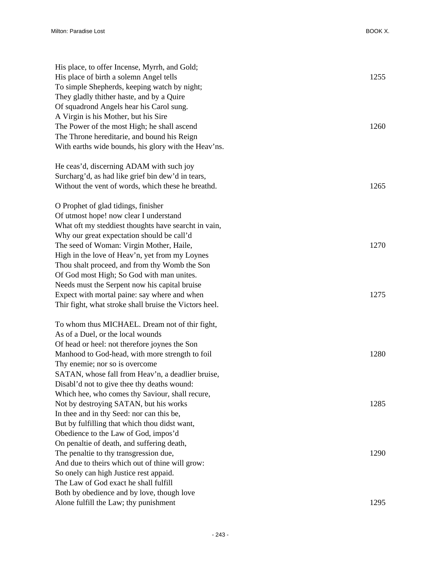| His place, to offer Incense, Myrrh, and Gold;<br>His place of birth a solemn Angel tells<br>To simple Shepherds, keeping watch by night;<br>They gladly thither haste, and by a Quire<br>Of squadrond Angels hear his Carol sung.<br>A Virgin is his Mother, but his Sire<br>The Power of the most High; he shall ascend | 1255<br>1260 |
|--------------------------------------------------------------------------------------------------------------------------------------------------------------------------------------------------------------------------------------------------------------------------------------------------------------------------|--------------|
| The Throne hereditarie, and bound his Reign                                                                                                                                                                                                                                                                              |              |
| With earths wide bounds, his glory with the Heav'ns.                                                                                                                                                                                                                                                                     |              |
| He ceas'd, discerning ADAM with such joy                                                                                                                                                                                                                                                                                 |              |
| Surcharg'd, as had like grief bin dew'd in tears,                                                                                                                                                                                                                                                                        |              |
| Without the vent of words, which these he breathd.                                                                                                                                                                                                                                                                       | 1265         |
| O Prophet of glad tidings, finisher                                                                                                                                                                                                                                                                                      |              |
| Of utmost hope! now clear I understand                                                                                                                                                                                                                                                                                   |              |
| What oft my steddiest thoughts have searcht in vain,                                                                                                                                                                                                                                                                     |              |
| Why our great expectation should be call'd                                                                                                                                                                                                                                                                               |              |
| The seed of Woman: Virgin Mother, Haile,                                                                                                                                                                                                                                                                                 | 1270         |
| High in the love of Heav'n, yet from my Loynes                                                                                                                                                                                                                                                                           |              |
| Thou shalt proceed, and from thy Womb the Son                                                                                                                                                                                                                                                                            |              |
| Of God most High; So God with man unites.                                                                                                                                                                                                                                                                                |              |
| Needs must the Serpent now his capital bruise                                                                                                                                                                                                                                                                            |              |
| Expect with mortal paine: say where and when                                                                                                                                                                                                                                                                             | 1275         |
| Thir fight, what stroke shall bruise the Victors heel.                                                                                                                                                                                                                                                                   |              |
| To whom thus MICHAEL. Dream not of thir fight,                                                                                                                                                                                                                                                                           |              |
| As of a Duel, or the local wounds                                                                                                                                                                                                                                                                                        |              |
| Of head or heel: not therefore joynes the Son                                                                                                                                                                                                                                                                            |              |
| Manhood to God-head, with more strength to foil                                                                                                                                                                                                                                                                          | 1280         |
| Thy enemie; nor so is overcome                                                                                                                                                                                                                                                                                           |              |
| SATAN, whose fall from Heav'n, a deadlier bruise,                                                                                                                                                                                                                                                                        |              |
| Disabl'd not to give thee thy deaths wound:                                                                                                                                                                                                                                                                              |              |
| Which hee, who comes thy Saviour, shall recure,                                                                                                                                                                                                                                                                          |              |
| Not by destroying SATAN, but his works                                                                                                                                                                                                                                                                                   | 1285         |
| In thee and in thy Seed: nor can this be,                                                                                                                                                                                                                                                                                |              |
| But by fulfilling that which thou didst want,                                                                                                                                                                                                                                                                            |              |
| Obedience to the Law of God, impos'd                                                                                                                                                                                                                                                                                     |              |
| On penaltie of death, and suffering death,                                                                                                                                                                                                                                                                               |              |
| The penaltie to thy transgression due,                                                                                                                                                                                                                                                                                   | 1290         |
| And due to theirs which out of thine will grow:                                                                                                                                                                                                                                                                          |              |
| So onely can high Justice rest appaid.                                                                                                                                                                                                                                                                                   |              |
| The Law of God exact he shall fulfill                                                                                                                                                                                                                                                                                    |              |
| Both by obedience and by love, though love                                                                                                                                                                                                                                                                               |              |
| Alone fulfill the Law; thy punishment                                                                                                                                                                                                                                                                                    | 1295         |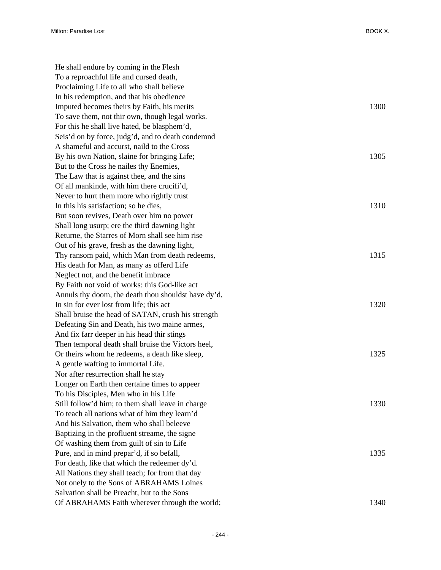| He shall endure by coming in the Flesh              |      |
|-----------------------------------------------------|------|
| To a reproachful life and cursed death,             |      |
| Proclaiming Life to all who shall believe           |      |
| In his redemption, and that his obedience           |      |
| Imputed becomes theirs by Faith, his merits         | 1300 |
| To save them, not thir own, though legal works.     |      |
| For this he shall live hated, be blasphem'd,        |      |
| Seis'd on by force, judg'd, and to death condemnd   |      |
| A shameful and accurst, naild to the Cross          |      |
| By his own Nation, slaine for bringing Life;        | 1305 |
| But to the Cross he nailes thy Enemies,             |      |
| The Law that is against thee, and the sins          |      |
| Of all mankinde, with him there crucifi'd,          |      |
| Never to hurt them more who rightly trust           |      |
| In this his satisfaction; so he dies,               | 1310 |
| But soon revives, Death over him no power           |      |
| Shall long usurp; ere the third dawning light       |      |
| Returne, the Starres of Morn shall see him rise     |      |
| Out of his grave, fresh as the dawning light,       |      |
| Thy ransom paid, which Man from death redeems,      | 1315 |
| His death for Man, as many as offerd Life           |      |
| Neglect not, and the benefit imbrace                |      |
| By Faith not void of works: this God-like act       |      |
| Annuls thy doom, the death thou shouldst have dy'd, |      |
| In sin for ever lost from life; this act            | 1320 |
| Shall bruise the head of SATAN, crush his strength  |      |
| Defeating Sin and Death, his two maine armes,       |      |
| And fix farr deeper in his head thir stings         |      |
| Then temporal death shall bruise the Victors heel,  |      |
| Or theirs whom he redeems, a death like sleep,      | 1325 |
| A gentle wafting to immortal Life.                  |      |
| Nor after resurrection shall he stay                |      |
| Longer on Earth then certaine times to appeer       |      |
| To his Disciples, Men who in his Life               |      |
| Still follow'd him; to them shall leave in charge   | 1330 |
| To teach all nations what of him they learn'd       |      |
| And his Salvation, them who shall beleeve           |      |
| Baptizing in the profluent streame, the signe       |      |
| Of washing them from guilt of sin to Life           |      |
| Pure, and in mind prepar'd, if so befall,           | 1335 |
| For death, like that which the redeemer dy'd.       |      |
| All Nations they shall teach; for from that day     |      |
| Not onely to the Sons of ABRAHAMS Loines            |      |
| Salvation shall be Preacht, but to the Sons         |      |
| Of ABRAHAMS Faith wherever through the world;       | 1340 |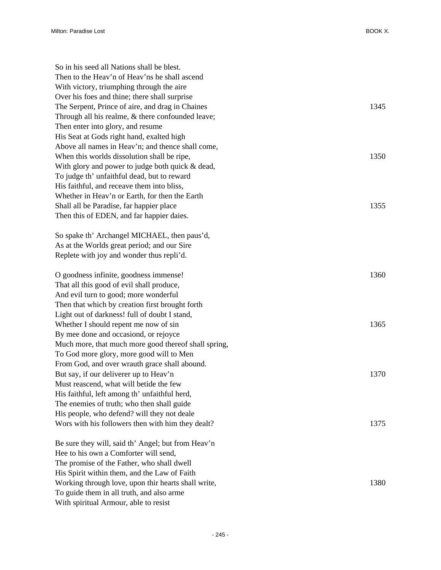| So in his seed all Nations shall be blest.                                                   |      |
|----------------------------------------------------------------------------------------------|------|
| Then to the Heav'n of Heav'ns he shall ascend                                                |      |
| With victory, triumphing through the aire                                                    |      |
| Over his foes and thine; there shall surprise                                                |      |
| The Serpent, Prince of aire, and drag in Chaines                                             | 1345 |
| Through all his realme, & there confounded leave;                                            |      |
| Then enter into glory, and resume                                                            |      |
| His Seat at Gods right hand, exalted high                                                    |      |
| Above all names in Heav'n; and thence shall come,                                            |      |
| When this worlds dissolution shall be ripe,                                                  | 1350 |
| With glory and power to judge both quick & dead,                                             |      |
| To judge th' unfaithful dead, but to reward                                                  |      |
| His faithful, and receave them into bliss,<br>Whether in Heav'n or Earth, for then the Earth |      |
| Shall all be Paradise, far happier place                                                     | 1355 |
| Then this of EDEN, and far happier daies.                                                    |      |
|                                                                                              |      |
| So spake th' Archangel MICHAEL, then paus'd,                                                 |      |
| As at the Worlds great period; and our Sire                                                  |      |
| Replete with joy and wonder thus repli'd.                                                    |      |
| O goodness infinite, goodness immense!                                                       | 1360 |
| That all this good of evil shall produce,                                                    |      |
| And evil turn to good; more wonderful                                                        |      |
| Then that which by creation first brought forth                                              |      |
| Light out of darkness! full of doubt I stand,                                                |      |
| Whether I should repent me now of sin                                                        | 1365 |
| By mee done and occasiond, or rejoyce                                                        |      |
| Much more, that much more good thereof shall spring,                                         |      |
| To God more glory, more good will to Men                                                     |      |
| From God, and over wrauth grace shall abound.                                                |      |
| But say, if our deliverer up to Heav'n                                                       | 1370 |
| Must reascend, what will betide the few                                                      |      |
| His faithful, left among th' unfaithful herd,                                                |      |
| The enemies of truth; who then shall guide                                                   |      |
| His people, who defend? will they not deale                                                  |      |
| Wors with his followers then with him they dealt?                                            | 1375 |
| Be sure they will, said th' Angel; but from Heav'n                                           |      |
| Hee to his own a Comforter will send,                                                        |      |
| The promise of the Father, who shall dwell                                                   |      |
| His Spirit within them, and the Law of Faith                                                 |      |
| Working through love, upon thir hearts shall write,                                          | 1380 |
| To guide them in all truth, and also arme                                                    |      |

With spiritual Armour, able to resist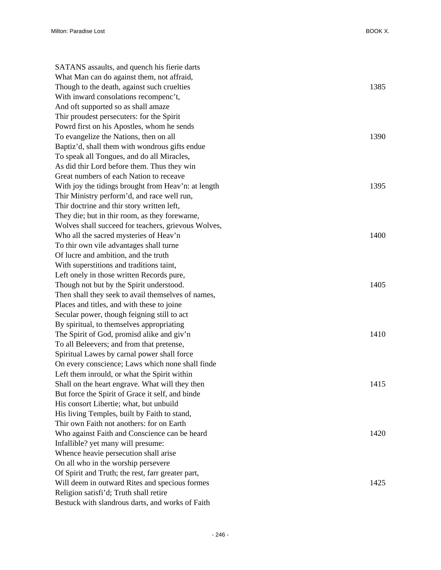| SATANS assaults, and quench his fierie darts        |      |
|-----------------------------------------------------|------|
| What Man can do against them, not affraid,          |      |
| Though to the death, against such cruelties         | 1385 |
| With inward consolations recompenc't,               |      |
| And oft supported so as shall amaze                 |      |
| Thir proudest persecuters: for the Spirit           |      |
| Powrd first on his Apostles, whom he sends          |      |
| To evangelize the Nations, then on all              | 1390 |
| Baptiz'd, shall them with wondrous gifts endue      |      |
| To speak all Tongues, and do all Miracles,          |      |
| As did thir Lord before them. Thus they win         |      |
| Great numbers of each Nation to receave             |      |
| With joy the tidings brought from Heav'n: at length | 1395 |
| Thir Ministry perform'd, and race well run,         |      |
| Thir doctrine and thir story written left,          |      |
| They die; but in thir room, as they forewarne,      |      |
| Wolves shall succeed for teachers, grievous Wolves, |      |
| Who all the sacred mysteries of Heav'n              | 1400 |
| To thir own vile advantages shall turne             |      |
| Of lucre and ambition, and the truth                |      |
| With superstitions and traditions taint,            |      |
| Left onely in those written Records pure,           |      |
| Though not but by the Spirit understood.            | 1405 |
| Then shall they seek to avail themselves of names,  |      |
| Places and titles, and with these to joine          |      |
| Secular power, though feigning still to act         |      |
| By spiritual, to themselves appropriating           |      |
| The Spirit of God, promisd alike and giv'n          | 1410 |
| To all Beleevers; and from that pretense,           |      |
| Spiritual Lawes by carnal power shall force         |      |
| On every conscience; Laws which none shall finde    |      |
| Left them inrould, or what the Spirit within        |      |
| Shall on the heart engrave. What will they then     | 1415 |
| But force the Spirit of Grace it self, and binde    |      |
| His consort Libertie; what, but unbuild             |      |
| His living Temples, built by Faith to stand,        |      |
| Thir own Faith not anothers: for on Earth           |      |
| Who against Faith and Conscience can be heard       | 1420 |
| Infallible? yet many will presume:                  |      |
| Whence heavie persecution shall arise               |      |
| On all who in the worship persevere                 |      |
| Of Spirit and Truth; the rest, farr greater part,   |      |
| Will deem in outward Rites and specious formes      | 1425 |
| Religion satisfi'd; Truth shall retire              |      |
| Bestuck with slandrous darts, and works of Faith    |      |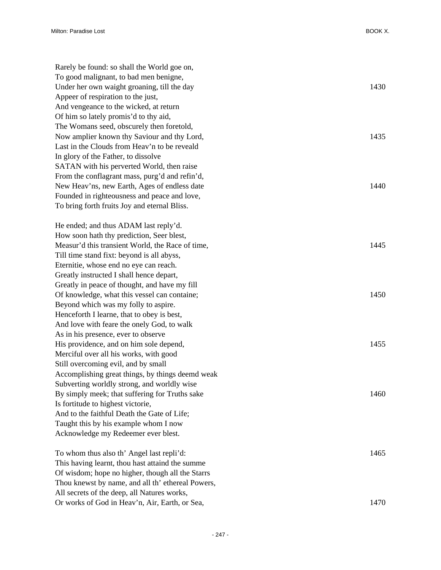| Rarely be found: so shall the World goe on,       |      |
|---------------------------------------------------|------|
| To good malignant, to bad men benigne,            |      |
| Under her own waight groaning, till the day       | 1430 |
| Appeer of respiration to the just,                |      |
| And vengeance to the wicked, at return            |      |
| Of him so lately promis'd to thy aid,             |      |
| The Womans seed, obscurely then foretold,         |      |
| Now amplier known thy Saviour and thy Lord,       | 1435 |
| Last in the Clouds from Heav'n to be reveald      |      |
| In glory of the Father, to dissolve               |      |
| SATAN with his perverted World, then raise        |      |
| From the conflagrant mass, purg'd and refin'd,    |      |
| New Heav'ns, new Earth, Ages of endless date      | 1440 |
| Founded in righteousness and peace and love,      |      |
| To bring forth fruits Joy and eternal Bliss.      |      |
|                                                   |      |
| He ended; and thus ADAM last reply'd.             |      |
| How soon hath thy prediction, Seer blest,         |      |
| Measur'd this transient World, the Race of time,  | 1445 |
| Till time stand fixt: beyond is all abyss,        |      |
| Eternitie, whose end no eye can reach.            |      |
| Greatly instructed I shall hence depart,          |      |
| Greatly in peace of thought, and have my fill     |      |
| Of knowledge, what this vessel can containe;      | 1450 |
| Beyond which was my folly to aspire.              |      |
| Henceforth I learne, that to obey is best,        |      |
| And love with feare the onely God, to walk        |      |
| As in his presence, ever to observe               |      |
| His providence, and on him sole depend,           | 1455 |
| Merciful over all his works, with good            |      |
| Still overcoming evil, and by small               |      |
| Accomplishing great things, by things deemd weak  |      |
| Subverting worldly strong, and worldly wise       |      |
| By simply meek; that suffering for Truths sake    | 1460 |
| Is fortitude to highest victorie,                 |      |
| And to the faithful Death the Gate of Life;       |      |
| Taught this by his example whom I now             |      |
| Acknowledge my Redeemer ever blest.               |      |
|                                                   |      |
| To whom thus also th' Angel last repli'd:         | 1465 |
| This having learnt, thou hast attaind the summe   |      |
| Of wisdom; hope no higher, though all the Starrs  |      |
| Thou knewst by name, and all th' ethereal Powers, |      |
| All secrets of the deep, all Natures works,       |      |
| Or works of God in Heav'n, Air, Earth, or Sea,    | 1470 |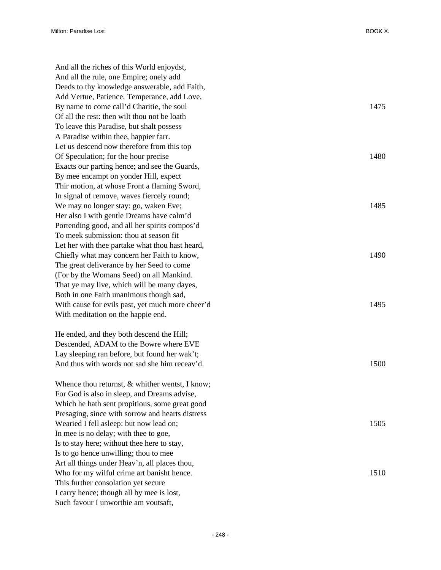And all the riches of this World enjoydst, And all the rule, one Empire; onely add Deeds to thy knowledge answerable, add Faith, Add Vertue, Patience, Temperance, add Love, By name to come call'd Charitie, the soul 1475 Of all the rest: then wilt thou not be loath To leave this Paradise, but shalt possess A Paradise within thee, happier farr. Let us descend now therefore from this top Of Speculation; for the hour precise 1480 Exacts our parting hence; and see the Guards, By mee encampt on yonder Hill, expect Thir motion, at whose Front a flaming Sword, In signal of remove, waves fiercely round; We may no longer stay: go, waken Eve; Her also I with gentle Dreams have calm'd Portending good, and all her spirits compos'd To meek submission: thou at season fit Let her with thee partake what thou hast heard, Chiefly what may concern her Faith to know, 1490 The great deliverance by her Seed to come (For by the Womans Seed) on all Mankind. That ye may live, which will be many dayes, Both in one Faith unanimous though sad, With cause for evils past, yet much more cheer'd With meditation on the happie end.

He ended, and they both descend the Hill; Descended, ADAM to the Bowre where EVE Lay sleeping ran before, but found her wak't; And thus with words not sad she him receav'd. 1500

Whence thou returnst, & whither wentst, I know; For God is also in sleep, and Dreams advise, Which he hath sent propitious, some great good Presaging, since with sorrow and hearts distress Wearied I fell asleep: but now lead on; 1505 In mee is no delay; with thee to goe, Is to stay here; without thee here to stay, Is to go hence unwilling; thou to mee Art all things under Heav'n, all places thou, Who for my wilful crime art banisht hence. 1510 This further consolation yet secure I carry hence; though all by mee is lost, Such favour I unworthie am voutsaft,

| 1485 |
|------|
| 1490 |
| 1495 |
| 1500 |
|      |